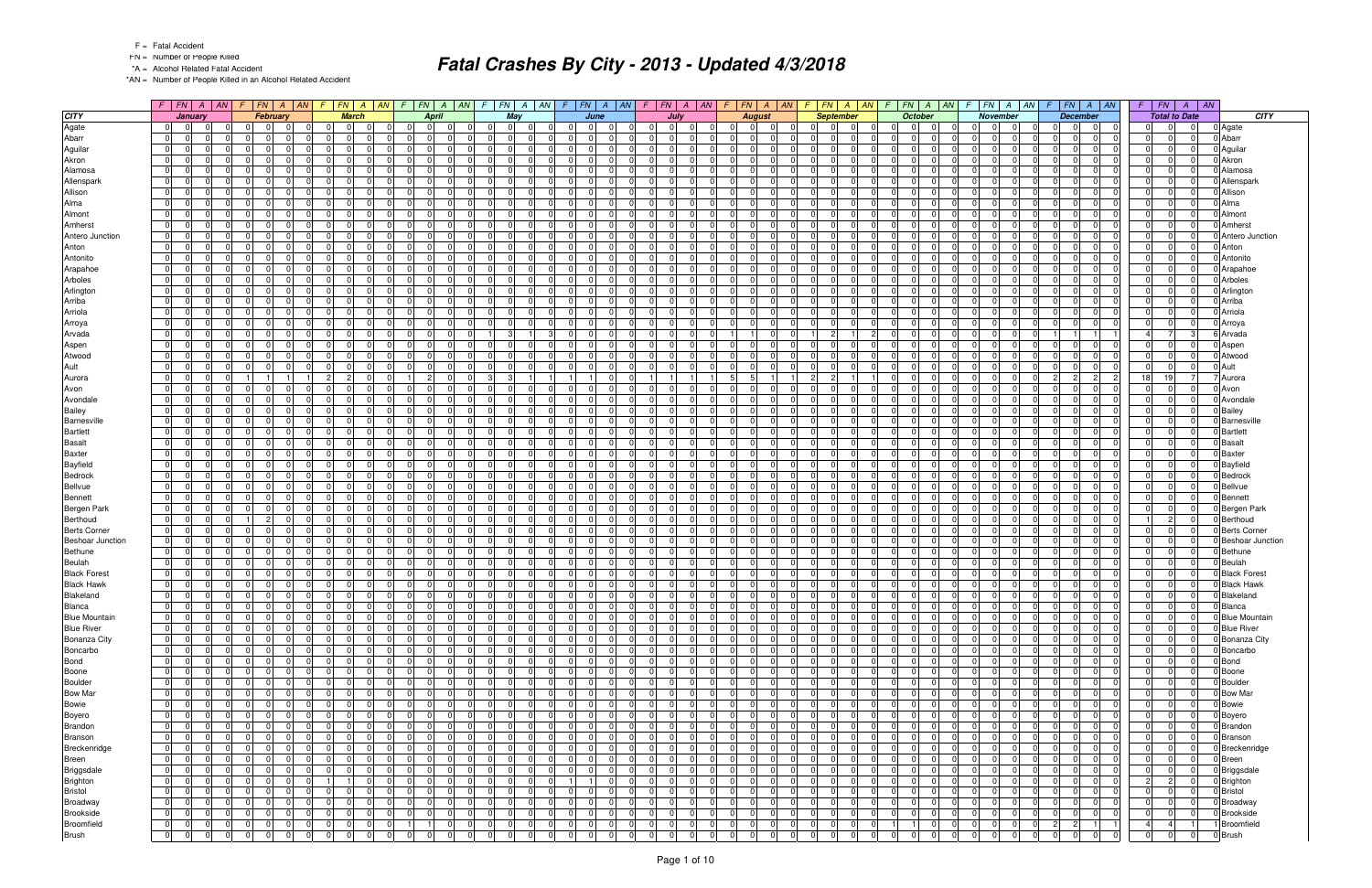FN = Number of People Killed

\*A = Alcohol Related Fatal Accident

\*AN = Number of People Killed in an Alcohol Related Accident

|                         |                                         |                | $F$   FN   A   AN   F   FN   A   AN |                | $FN \mid A$<br>F.                         |                      |                                           |                |                            | $F$   FN   A   AN   F   FN   A   AN             |                                | $F$ $FN$ $A$ $AN$       |                |                | $F$   $FN$   $A$   $AN$          |                         | $F$   $FN$   $A$   $AN$        | $F$ $FN$ $A$ $AN$                                            | F. | FN A                                   | AN             | F.                                                 | $FN \mid A \mid AN \mid$ | $F$ $ FN $ $A$ $ AN$                                     | FN<br>$F \parallel$<br>$\overline{A}$ | $\parallel$ AN |                                 |
|-------------------------|-----------------------------------------|----------------|-------------------------------------|----------------|-------------------------------------------|----------------------|-------------------------------------------|----------------|----------------------------|-------------------------------------------------|--------------------------------|-------------------------|----------------|----------------|----------------------------------|-------------------------|--------------------------------|--------------------------------------------------------------|----|----------------------------------------|----------------|----------------------------------------------------|--------------------------|----------------------------------------------------------|---------------------------------------|----------------|---------------------------------|
| <b>CITY</b>             |                                         | January        | <b>February</b>                     |                | <b>March</b>                              |                      | <b>April</b>                              |                |                            | May                                             |                                | June                    |                |                | July                             | <b>August</b>           |                                | <b>September</b>                                             |    | October                                |                | <b>November</b>                                    |                          | <b>December</b>                                          | <b>Total to Date</b>                  |                | <b>CITY</b>                     |
| Agate                   | $\overline{0}$<br>$\overline{0}$        | $\mathsf{O}^+$ | $\mathbf 0$<br>$\Omega$             | $\Omega$       | $\overline{0}$<br>- 01                    | - 01                 | $\overline{0}$<br>$\overline{0}$          | $\Omega$       | $\Omega$                   | 0 I<br>- 01                                     | $\overline{0}$                 | $\Omega$<br>$\mathbf 0$ |                | .0             | 0 <br>- 0 I                      | $\mathbf 0$             | $\Omega$                       | $\overline{0}$<br>$\Omega$<br> 0                             |    | 0 <br>0 I                              | $\overline{0}$ | $\overline{0}$<br>$\overline{0}$                   | -01                      | $\overline{0}$<br> 0 <br>$\Omega$                        | $\Omega$                              | 0              | 0 Agate                         |
| Abarr                   | $\Omega$<br>$\Omega$                    |                | 0                                   |                | $\Omega$<br>$\Omega$                      | $\Omega$             | $\Omega$<br>$\Omega$                      |                | $\Omega$                   | $\Omega$                                        | $\Omega$                       | $\Omega$                |                | $\Omega$       | $\Omega$                         | $\Omega$                |                                | $\Omega$<br>$\Omega$<br>$\Omega$                             |    | 0 <br>$\Omega$                         | $\Omega$       | $\Omega$<br> 0                                     |                          | $\Omega$<br>$\Omega$                                     |                                       | $\Omega$       | 0 Abarr                         |
| Aguilar                 | $\overline{0}$<br>- 01                  | $\Omega$       | $\Omega$<br>$\Omega$                | $\Omega$       | $\overline{0}$<br>$\overline{0}$          | $\mathbf 0$          | 0 I<br>- 01                               | ി              | $\Omega$                   | 0 I<br>$\Omega$                                 | - 01                           | - 0 I                   |                | 0 I            | $\Omega$<br>$\Omega$             | $\mathbf 0$             | $\Omega$                       | $\Omega$<br>$\Omega$<br>$\overline{0}$                       |    | 0 I<br>$\Omega$                        | $\Omega$       | $\Omega$<br>- 01                                   | $\Omega$                 | $\Omega$<br>-01<br>$\Omega$                              | $\Omega$                              | $\Omega$       | 0 Aguilar                       |
| Akron                   | - 0 I<br>$\Omega$                       |                | U                                   |                | $\Omega$<br>$\Omega$<br>$\Omega$          |                      | $\Omega$<br>$\Omega$                      |                | $\Omega$                   | nl                                              | $\Omega$                       | $\Omega$                |                |                |                                  | $\Omega$                |                                | $\Omega$<br>0                                                |    | $\Omega$<br>n                          |                | - 0 I<br>$\Omega$                                  |                          | $\Omega$<br>$\Omega$                                     |                                       | $\Omega$       | 0 Akron                         |
| Alamosa                 | 0 I<br>$\Omega$                         |                | 0                                   |                | $\overline{0}$<br>$\Omega$                | $\Omega$             | $\overline{0}$<br>0                       |                | $\Omega$                   | $\Omega$                                        | $\Omega$                       | $\mathbf 0$             |                | $\Omega$       | $\Omega$<br>$\Omega$             | $\mathbf 0$             | $\Omega$                       | $\Omega$<br>$\Omega$<br>$\Omega$                             |    | 0 I<br>$\Omega$                        | $\Omega$       | $\Omega$<br> 0                                     |                          | $\Omega$<br>$\Omega$                                     | $\Omega$                              |                | 0 Alamosa                       |
| Allenspark              | 0 I<br>- 01                             | $\Omega$       | $\Omega$<br>$\Omega$                | $\Omega$       | $\overline{0}$<br>0 I                     | $\Omega$             | 0 I<br>$\overline{0}$                     |                | $\Omega$                   | $\Omega$<br>$\Omega$                            | $\overline{0}$                 | - 0 I                   |                | $\Omega$       | $\Omega$<br>$\Omega$             | $\mathbf 0$             | $\Omega$                       | $\overline{0}$<br>$\Omega$<br>$\overline{0}$                 |    | 0 I<br>$\Omega$                        | $\Omega$       | $\Omega$<br>- 0 I                                  | $\Omega$                 | $\Omega$<br>-01<br>$\Omega$                              | $\Omega$                              | $\overline{0}$ | 0 Allenspark                    |
| Allison                 | $\Omega$<br>- 01                        |                | 0                                   |                | $\Omega$<br>$\Omega$                      | $\Omega$             | $\Omega$<br>$\Omega$                      |                | $\Omega$                   | $\Omega$<br>n                                   | $\Omega$                       | $\Omega$                |                | $\Omega$       | $\Omega$<br>$\Omega$             | $\Omega$                |                                | $\Omega$<br>$\Omega$<br>$\Omega$                             |    | 0 <br>- 0                              | $\Omega$       | $\Omega$<br>$\mathbf 0$                            |                          | $\Omega$<br>$\Omega$                                     |                                       | $\Omega$       | 0 Allison                       |
| Alma                    | 0 <br>$\Omega$                          | $\Omega$       | $\Omega$<br>n l                     | $\Omega$       | $\Omega$<br>$\Omega$                      | $\Omega$             | 0 <br>$\Omega$                            | $\cap$         | $\Omega$                   | $\Omega$<br>$\Omega$                            | $\overline{0}$                 | $\Omega$                |                | $\Omega$       | $\Omega$<br>$\Omega$             | - 0 I                   | $\Omega$                       | $\Omega$<br>$\Omega$<br>$\Omega$                             |    | 0 I<br>$\Omega$                        | $\Omega$       | $\Omega$<br>- 0 I                                  | $\Omega$                 | $\Omega$<br>$\Omega$<br>-01                              | $\Omega$<br>$\Omega$                  | $\Omega$       | 0 Alma                          |
| Almont                  | - 0 I<br>$\Omega$                       |                | 0                                   |                | $\Omega$<br>$\Omega$<br>$\Omega$          |                      | $\Omega$<br>$\Omega$                      |                | $\Omega$<br>$\Omega$       |                                                 | 0                              | $\Omega$                |                | $\Omega$       | $\Omega$                         | $\Omega$                |                                | $\Omega$<br>$\Omega$                                         |    | $\Omega$<br>-0                         |                | $\Omega$<br>$\mathbf 0$                            |                          | $\Omega$<br>$\mathbf 0$                                  |                                       | $\Omega$       | 0 Almont                        |
| Amherst                 | 0 I<br>$\overline{0}$                   | $\Omega$       | n l                                 | $\Omega$       | $\overline{0}$<br>$\Omega$                | $\Omega$             | $\Omega$<br>$\Omega$                      |                | $\Omega$                   | 0 I<br>$\Omega$                                 | $\overline{0}$                 | - 0 I                   |                | $\Omega$       | $\Omega$<br>$\Omega$             | - 0 I                   | $\Omega$                       | $\Omega$<br>$\Omega$<br>$\Omega$                             |    | 0 I<br>$\Omega$                        | $\Omega$       | $\Omega$<br>- 0 I                                  | $\Omega$                 | $\overline{0}$<br>$\Omega$<br>-01                        | $\Omega$                              | $\Omega$       | 0 Amherst                       |
| Antero Junction         | 0 I<br>- 01                             | $\Omega$       | $\Omega$<br>0                       | $\Omega$       | $\Omega$<br>$\Omega$<br>$\Omega$          |                      | $\mathbf 0$<br>- 01                       | റ              | $\Omega$                   | $\Omega$<br>$\Omega$                            | - 01                           | $\mathbf 0$             |                | $\Omega$       | $\Omega$<br>$\Omega$             | $\mathbf 0$             | - 0                            | $\Omega$<br>$\Omega$<br>$\overline{0}$                       |    | 0 I<br>$\Omega$                        | $\Omega$       | $\Omega$<br> 0                                     | - 0                      | $\Omega$<br>$\Omega$<br>$\Omega$                         | $\Omega$                              | $\Omega$       | 0 Antero Junction               |
| Anton                   | 0 I<br>$\overline{0}$                   | $\Omega$       | $\Omega$<br>$\Omega$                | $\Omega$       | 0 <br>$\Omega$                            | $\Omega$             | 0 <br>$\overline{0}$                      |                | $\Omega$                   | $\Omega$<br>$\Omega$                            | $\Omega$                       | $\Omega$                |                | $\Omega$       | $\Omega$<br>$\Omega$             | $\Omega$                | ∩                              | $\Omega$<br>$\Omega$<br>$\Omega$                             |    | $\overline{0}$<br>$\Omega$             | $\Omega$       | $\Omega$<br>- 0 I                                  |                          | $\Omega$<br>$\Omega$<br>-01                              |                                       | $\Omega$       | 0 Anton                         |
| Antonito                | 0 <br>$\Omega$                          |                | 0                                   |                | $\Omega$<br>$\Omega$                      | $\Omega$             | $\Omega$<br>$\Omega$                      |                | $\Omega$                   | $\Omega$                                        | $\Omega$                       | - 0 I                   |                | $\Omega$       | $\Omega$                         | $\mathbf 0$             |                                | $\Omega$<br>$\Omega$<br>$\Omega$                             |    | 0 <br>$\Omega$                         | $\Omega$       | - 0 I<br>$\Omega$                                  |                          | $\Omega$<br>$\Omega$                                     |                                       | $\Omega$       | 0 Antonito                      |
| Arapahoe                | 0 I<br>$\overline{0}$                   | $\Omega$       | $\Omega$                            | $\Omega$       | $\overline{0}$<br>0 I                     | $\Omega$             | 0 <br>$\overline{0}$                      |                | $\Omega$                   | $\Omega$<br>$\Omega$                            | $\overline{0}$                 | - 0 I                   |                | 0              | $\Omega$<br>$\Omega$             | - 0 I                   | $\Omega$                       | $\overline{0}$<br>$\Omega$<br>-01                            |    | 0 I<br>- 01                            | $\Omega$       | $\Omega$<br>- 0 I                                  |                          | $\Omega$<br>$\Omega$<br>-01                              | $\Omega$                              | $\Omega$       | 0 Arapahoe                      |
| Arboles                 | $\Omega$<br>- 01                        | $\Omega$       | 0                                   | $\Omega$       | $\Omega$<br>$\Omega$<br>$\Omega$          |                      | $\Omega$<br>$\Omega$                      |                | $\Omega$                   | $\Omega$<br>- 0                                 | - 01                           | $\mathbf 0$             |                | $\Omega$       | $\Omega$<br>$\Omega$             | $\mathbf 0$             | - 0                            | $\Omega$<br>$\overline{0}$<br>$\Omega$                       |    | 0 I<br>$\Omega$                        | $\Omega$       | $\Omega$<br> 0                                     |                          | $\Omega$<br>$\Omega$                                     | $\Omega$                              | $\Omega$       | 0 Arboles                       |
| Arlington               | 0 <br>$\Omega$                          | $\Omega$       | $\Omega$<br>$\Omega$                | $\Omega$       | $\Omega$<br>$\Omega$                      | $\Omega$             | $\Omega$<br>$\Omega$                      |                | $\Omega$                   | $\Omega$<br>$\Omega$                            | $\overline{0}$                 | $\Omega$                |                | $\Omega$       | $\Omega$<br>$\Omega$             | $\Omega$                | $\Omega$                       | $\Omega$<br>$\Omega$<br>$\Omega$                             |    | $\Omega$<br>$\Omega$                   | $\Omega$       | $\Omega$<br>- 0 I                                  |                          | -ol<br>$\Omega$<br>$\Omega$                              | $\cap$                                | $\Omega$       | 0 Arlington                     |
| Arriba                  | $\mathbf 0$<br>$\Omega$                 |                | 0                                   |                | $\Omega$<br>$\Omega$<br>$\Omega$          |                      | $\Omega$<br>0                             |                | $\Omega$                   | 0                                               | 0                              | $\Omega$                |                |                | $\Omega$                         | $\Omega$                |                                | 0<br>$\Omega$<br>$\Omega$                                    |    | 0 <br>$\Omega$                         |                | 0 <br>$\Omega$                                     |                          | $\mathbf 0$<br>$\Omega$                                  | -0                                    |                | 0 Arriba                        |
| Arriola                 | 0 I<br>- 01                             | $\Omega$       | $\Omega$                            | $\Omega$       | $\overline{0}$<br>0 I                     | $\mathbf 0$          | 0 <br>- 01                                |                | $\Omega$                   | 0 <br>$\Omega$                                  | $\overline{0}$                 | - 0 I                   |                | $\Omega$       | $\Omega$<br>$\Omega$             | $\mathbf 0$             | $\Omega$                       | $\Omega$<br>$\Omega$<br>$\overline{0}$                       |    | 0 I<br>- 01                            | $\Omega$       | 0 <br>$\Omega$                                     |                          | $\Omega$<br>$\Omega$<br>$\Omega$                         |                                       | $\Omega$       | 0 Arriola                       |
| Arroya                  | $\Omega$<br>$\Omega$                    |                | 0                                   | $\Omega$       | $\Omega$<br>$\Omega$                      | $\Omega$             | $\Omega$<br>$\Omega$                      |                | $\Omega$                   | $\Omega$<br>$\Omega$                            | $\overline{0}$                 | $\Omega$                |                | $\Omega$       | $\Omega$<br>$\Omega$             | $\Omega$                | n                              | $\Omega$<br>$\Omega$<br>$\Omega$                             |    | 0 <br>$\Omega$                         | $\Omega$       | - 0 I<br>$\Omega$                                  |                          | $\Omega$<br>$\Omega$                                     |                                       | $\Omega$       | 0 Arroya                        |
| Arvada                  | $\mathbf 0$<br>- 01                     |                | 0                                   | $\Omega$       | $\overline{0}$<br>$\Omega$                | $\mathbf 0$          | $\Omega$<br>- 01                          |                |                            | 3 <sup>1</sup>                                  | - 01                           | - 0 I                   |                | $\Omega$       | $\Omega$<br>$\Omega$             |                         | n                              | $\overline{2}$                                               |    | 0 I<br>$\Omega$                        |                | $\Omega$<br> 0                                     |                          |                                                          |                                       | -3             | 6 Arvada                        |
| Aspen                   | $\Omega$<br>$\Omega$                    |                | $\Omega$                            |                | $\Omega$<br>$\Omega$                      | $\Omega$             | $\Omega$<br>$\Omega$                      |                | $\Omega$                   | $\Omega$                                        | $\Omega$                       | $\Omega$                |                | $\Omega$       | n.                               | $\Omega$                |                                | $\Omega$<br>$\Omega$<br>$\Omega$                             |    | $\Omega$<br>$\Omega$                   | $\Omega$       | 0 <br>$\Omega$                                     |                          | $\Omega$<br>$\Omega$                                     |                                       | $\Omega$       | 0 Aspen                         |
| Atwood                  | $\mathbf 0$<br>- 01                     | $\Omega$       | $\Omega$                            | $\Omega$       | $\overline{0}$<br>0 I                     | $\mathbf 0$          | $\overline{0}$<br>$\Omega$                |                | $\Omega$                   | 0 <br>$\Omega$                                  | $\mathbf 0$                    | - 0 I                   |                | $\Omega$       | $\Omega$<br>$\Omega$             | $\mathbf 0$             | $\Omega$                       | $\overline{0}$<br>$\Omega$<br>$\overline{0}$                 |    | 01<br>$\Omega$                         | $\Omega$       | 0 <br>$\Omega$                                     |                          | $\overline{0}$<br>$\Omega$                               |                                       | $\Omega$       | 0 Atwood                        |
| Ault                    | $\Omega$<br>$\Omega$                    |                | 0                                   |                | $\Omega$<br>$\Omega$                      | $\Omega$             | $\Omega$<br>$\Omega$                      |                | $\Omega$                   | $\Omega$<br>$\Omega$                            | $\Omega$                       | $\Omega$                |                | nl             | $\Omega$                         | $\Omega$                |                                | $\Omega$<br>$\Omega$                                         |    | $\Omega$<br>$\Omega$                   |                | $\Omega$<br>- 0 I                                  |                          | $\Omega$<br>$\Omega$                                     |                                       | $\Omega$       | 0 Ault                          |
| Aurora                  | 0 I<br>- 01                             | $\Omega$       |                                     |                | 2 <br>$\overline{2}$                      | $\mathbf 0$          | $\overline{2}$<br>11                      |                | -3                         | -3 I                                            |                                |                         | $\overline{0}$ | $\vert$ 1      |                                  | -51<br>-5               |                                | $\overline{2}$<br>$\overline{2}$                             |    | 0 I<br>$\Omega$                        | $\Omega$       | $\Omega$<br>$\mathbf 0$                            |                          | $\overline{2}$<br>$\overline{2}$<br>2                    | 18<br>19 <sup>1</sup>                 | $\overline{7}$ | Aurora                          |
| Avon                    | $\Omega$<br>$\Omega$                    |                | $\Omega$                            |                | $\Omega$<br>$\Omega$                      | $\Omega$             | $\Omega$<br>$\Omega$                      |                | $\Omega$                   | $\Omega$                                        | $\Omega$                       | $\Omega$                |                |                |                                  | $\Omega$                |                                | $\mathbf 0$<br>$\Omega$<br>$\Omega$                          |    | $\Omega$<br>$\Omega$                   |                | $\Omega$<br>- 0 I                                  |                          | $\Omega$<br>$\Omega$                                     |                                       | $\Omega$       | 0 Avon                          |
| Avondale                | - 0 I<br>- 01                           | $\Omega$       | 0                                   |                | $\overline{0}$<br>0 I                     | - 0 I                | 0 <br>$\Omega$                            |                | $\Omega$                   | $\Omega$<br>$\Omega$                            | - 01                           | - 0 I                   |                | $\Omega$       | $\Omega$<br>$\Omega$             | $\mathbf 0$             | $\Omega$                       | $\Omega$<br>$\Omega$<br>$\overline{0}$                       |    | 0 I<br>$\Omega$                        | $\Omega$       | $\Omega$<br>- 0 I                                  |                          | $\Omega$<br>$\Omega$<br>$\Omega$                         |                                       | $\Omega$       | 0 Avondale                      |
| <b>Bailey</b>           | - 0 I<br>$\Omega$                       | $\Omega$       | 0                                   | $\Omega$       | $\Omega$<br>$\Omega$                      | $\Omega$             | $\Omega$<br>$\Omega$                      |                | $\Omega$                   | $\Omega$<br>$\Omega$                            | $\overline{0}$                 | $\Omega$                |                | $\Omega$       | $\Omega$<br>$\Omega$             | $\Omega$                | $\Omega$                       | $\Omega$<br>$\Omega$<br>$\Omega$                             |    | $\Omega$<br>$\Omega$                   | $\Omega$       | $\Omega$<br>- 0 I                                  | - 0                      | $\Omega$<br>$\Omega$                                     | $\Omega$                              | $\Omega$       | 0 Bailey                        |
| Barnesville             | 0 I<br>- 01                             | $\Omega$       | $\Omega$<br>0                       | $\Omega$       | $\overline{0}$<br>$\Omega$                | $\mathbf 0$          | $\Omega$<br>$\Omega$                      |                | $\Omega$                   | $\Omega$<br>$\Omega$                            | - 01                           | - 0 I                   |                | $\Omega$       | $\Omega$<br>$\Omega$             | $\Omega$                | n                              | $\Omega$<br>$\Omega$<br>$\overline{0}$                       |    | 0 I<br>$\Omega$                        | $\Omega$       | $\Omega$<br>$\mathbf 0$                            |                          | $\Omega$<br>$\Omega$                                     |                                       | $\Omega$       | 0 Barnesville                   |
| <b>Bartlett</b>         | $\Omega$<br>$\Omega$                    |                | $\Omega$                            | $\Omega$       | $\Omega$<br>$\Omega$                      | $\Omega$             | $\Omega$<br>$\Omega$                      |                | $\Omega$                   | $\Omega$<br>$\Omega$                            | $\overline{0}$                 | $\Omega$                |                | $\Omega$       | $\Omega$                         | $\Omega$                | n                              | $\Omega$<br>$\Omega$<br>$\Omega$                             |    | $\overline{0}$<br>$\Omega$             | $\Omega$       | 0 <br>$\Omega$                                     |                          | $\Omega$<br>$\Omega$<br>$\Omega$                         |                                       | $\Omega$       | 0 Bartlett                      |
| <b>Basalt</b>           | 0 <br>- 01                              |                | $\Omega$                            | $\Omega$       | $\mathbf 0$<br> 0                         | $\mathbf 0$          | 0 <br>$\overline{0}$                      |                | $\overline{0}$             | $\overline{0}$<br>$\Omega$                      | $\mathbf 0$                    | - 0 I                   |                | $\Omega$       | $\Omega$<br>$\Omega$             | $\mathbf 0$             | $\Omega$                       | 0<br>$\overline{0}$<br> 0                                    |    | $\overline{0}$<br>$\mathbf 0$          | $\Omega$       | $\overline{0}$<br> 0                               |                          | $\mathbf 0$<br>$\Omega$<br>$\mathbf 0$                   | $\Omega$                              | $\Omega$       | 0 Basalt                        |
| Baxter                  | $\Omega$<br>$\Omega$                    |                | 0                                   |                | $\Omega$<br>$\Omega$                      | $\Omega$             | $\Omega$<br>$\Omega$                      |                | $\Omega$                   | $\Omega$                                        | $\Omega$                       | $\Omega$                |                | $\Omega$       |                                  | $\Omega$                |                                | $\Omega$<br>$\Omega$                                         |    | 0 <br>$\Omega$                         |                | $\Omega$<br>$\Omega$                               |                          | $\Omega$<br>$\Omega$                                     |                                       | $\Omega$       | 0 Baxter                        |
| <b>Bayfield</b>         | $\overline{0}$<br>- 01                  | $\Omega$       | $\Omega$<br>$\Omega$                | $\Omega$       | - 01<br>$\Omega$<br>$\Omega$              |                      | $\mathbf 0$<br>- 01                       | - 0            | $\Omega$                   | $\overline{0}$<br>$\Omega$                      | - 01                           | $\mathbf 0$             |                | $\Omega$       | $\Omega$<br>$\Omega$             | $\mathbf 0$             | - 0                            | $\Omega$<br>$\Omega$<br>$\overline{0}$                       |    | 0 I<br>$\Omega$                        | $\Omega$       | $\Omega$<br> 0                                     | - 0                      | $\Omega$<br>$\Omega$<br>$\Omega$                         | $\Omega$                              | $\Omega$       | 0 Bayfield                      |
| Bedrock                 | 0 I<br>$\Omega$                         | $\Omega$       | $\Omega$<br>$\Omega$                |                | $\Omega$<br>$\Omega$                      | $\Omega$             | $\Omega$<br>$\Omega$                      |                | $\Omega$                   | $\Omega$<br>$\Omega$                            | $\Omega$                       | $\Omega$                |                | $\Omega$       | $\Omega$<br>$\Omega$             | $\Omega$                |                                | $\Omega$<br>$\Omega$<br>$\Omega$                             |    | $\Omega$<br>$\Omega$                   | $\Omega$       | $\Omega$<br>- 0 l                                  |                          | $\Omega$<br>$\Omega$<br>$\Omega$                         | $\Omega$                              | $\Omega$       | 0 Bedrock                       |
| Bellvue                 | - 0 l<br>$\Omega$                       |                | $\Omega$                            | $\Omega$       | $\overline{0}$<br>$\Omega$                | $\Omega$             | $\Omega$<br>- 01                          |                | $\Omega$                   | $\Omega$<br>$\Omega$                            | $\mathbf 0$                    | $\mathbf 0$             |                | $\Omega$       | $\Omega$<br>$\Omega$             | $\mathbf 0$             | n                              | $\Omega$<br>$\Omega$<br>$\overline{0}$                       |    | 0 I<br>$\Omega$                        | $\Omega$       | 0 <br>$\Omega$                                     |                          | $\Omega$<br>$\Omega$<br>$\Omega$                         |                                       | $\Omega$       | 0 Bellvue                       |
| Bennett                 | - 0 l<br>$\overline{0}$                 | $\Omega$       | $\Omega$                            |                | $\overline{0}$<br>0 I                     | $\Omega$             | 0 <br>$\Omega$                            |                | $\Omega$                   | $\Omega$<br>$\Omega$                            | $\overline{0}$                 | $\Omega$                |                | $\Omega$       | $\Omega$<br>$\Omega$             | $\Omega$                | n                              | $\Omega$<br>$\Omega$<br>$\Omega$                             |    | 0 I<br>$\Omega$                        | $\Omega$       | - 0 l<br>$\Omega$                                  |                          | $\Omega$<br>$\Omega$<br>$\Omega$                         | $\Omega$                              | $\Omega$       | 0 Bennett                       |
| Bergen Park             | $\mathbf 0$<br>- 01                     | $\Omega$       | 0                                   | $\Omega$       | $\Omega$<br>$\Omega$                      | $\Omega$             | $\Omega$<br>$\mathbf 0$                   |                | $\Omega$                   | $\Omega$<br>$\Omega$                            | - 01                           | $\Omega$                |                | $\Omega$       | $\Omega$<br>$\Omega$             | $\Omega$                | $\Omega$                       | $\Omega$<br>$\Omega$<br>$\overline{0}$                       |    | 0 I<br>- 0                             | $\Omega$       | $\Omega$<br> 0                                     |                          | $\Omega$<br>$\Omega$<br>$\Omega$                         | $\Omega$                              |                | 0 Bergen Park                   |
| Berthoud                | 0 <br>$\Omega$                          | $\Omega$       | $\overline{2}$                      | $\Omega$       | $\Omega$<br>$\Omega$                      | $\Omega$             | $\Omega$<br>$\Omega$                      | $\cap$         | $\Omega$                   | $\Omega$<br>$\Omega$                            | $\overline{0}$                 | $\Omega$                |                | $\Omega$       | $\Omega$<br>$\Omega$             | $\Omega$                | $\Omega$                       | $\Omega$<br>$\Omega$<br>$\Omega$                             |    | $\Omega$<br>$\Omega$                   | $\Omega$       | $\Omega$<br>- 0 I                                  | $\Omega$                 | $\Omega$<br>$\Omega$<br>-01                              | $\mathcal{P}$                         | $\Omega$       | 0 Berthoud                      |
| <b>Berts Corner</b>     | - 0 I<br>$\Omega$                       |                | $\Omega$                            | $\Omega$       | $\overline{0}$<br>$\Omega$                | $\Omega$             | 0 <br>$\overline{0}$                      |                | $\Omega$                   | $\Omega$<br>$\Omega$                            | $\overline{0}$                 | - 0 I                   |                | $\Omega$       | $\Omega$<br>$\Omega$             | $\mathbf 0$             |                                | 0<br>$\Omega$<br>$\overline{0}$                              |    | $\overline{0}$<br>$\Omega$             | $\Omega$       | $\Omega$<br> 0                                     |                          | $\Omega$<br>$\mathbf 0$<br><sup>0</sup>                  |                                       | $\Omega$       | 0 Berts Corner                  |
| <b>Beshoar Junction</b> | $\Omega$<br>$\Omega$                    | $\Omega$       | $\Omega$                            | $\Omega$       | $\Omega$<br>$\Omega$                      | $\Omega$             | $\Omega$<br>$\Omega$                      |                | $\Omega$                   | $\Omega$<br>$\Omega$                            | $\overline{0}$                 | - 0 I                   |                | $\Omega$       | $\Omega$<br>$\Omega$             | $\Omega$                | - 0                            | $\Omega$<br>$\Omega$<br>$\Omega$                             |    | $\Omega$<br>$\Omega$                   | $\Omega$       | $\Omega$<br>- 0 I                                  |                          | $\Omega$<br>$\Omega$<br>$\Omega$                         | $\Omega$                              | $\Omega$       | 0 Beshoar Junction              |
| Bethune                 | 0 I<br>$\Omega$                         | $\Omega$       | $\Omega$<br>0                       | $\Omega$       | - 01<br>$\Omega$                          | $\mathbf 0$          | - 0 I<br>- 01                             | റ              | $\Omega$                   | $\Omega$<br>$\Omega$                            | - 01                           | $\Omega$                |                | $\Omega$       | $\Omega$<br>$\Omega$             | $\Omega$                | - 0                            | $\Omega$<br>$\Omega$<br>$\overline{0}$                       |    | 0 I<br>$\Omega$                        | $\Omega$       | $\Omega$<br> 0                                     | - 0                      | $\Omega$<br>$\Omega$<br>$\Omega$                         | $\Omega$                              | $\Omega$       | 0 Bethune                       |
| Beulah                  | 0 I<br>$\Omega$                         | $\Omega$       | $\Omega$<br>$\Omega$                | $\Omega$       | $\overline{0}$<br>$\Omega$                | $\Omega$             | $\Omega$<br>$\overline{0}$                |                | $\Omega$                   | $\Omega$<br>$\Omega$                            | $\overline{0}$                 | - 0 I                   |                | $\Omega$       | $\Omega$<br>$\Omega$             | $\Omega$                | - 0                            | $\Omega$<br>-01<br>$\Omega$                                  |    | 0 I<br>$\Omega$                        | $\Omega$       | $\Omega$<br> 0                                     |                          | $\Omega$<br>$\Omega$<br>-01                              | $\Omega$                              | $\Omega$       | 0 Beulah                        |
| <b>Black Forest</b>     | - 0 I<br>$\Omega$                       |                | $\Omega$                            | $\Omega$       | $\Omega$<br>$\Omega$                      | $\Omega$             | $\Omega$<br>$\mathbf 0$                   |                | $\Omega$                   | $\overline{0}$<br>$\Omega$                      | $\mathbf 0$                    | $\Omega$                |                | $\Omega$       | $\Omega$                         | $\Omega$                | n                              | 0<br>$\Omega$<br>$\Omega$                                    |    | 0 <br>$\Omega$                         | $\Omega$       | 0 <br>$\Omega$                                     |                          | $\Omega$<br>$\Omega$                                     |                                       |                | <b>O Black Forest</b>           |
| <b>Black Hawk</b>       | $\mathbf 0$<br>- 01                     | $\Omega$       | $\Omega$                            |                | - 01<br>- 0 I                             | $\Omega$             | $\Omega$<br>$\Omega$                      |                | $\Omega$                   | $\Omega$<br>$\Omega$                            | $\overline{0}$                 | $\Omega$                |                | $\Omega$       | $\Omega$                         | $\Omega$                | n                              | $\mathbf 0$<br>$\Omega$<br>$\Omega$                          |    | 01<br>$\Omega$                         |                | 0 <br>$\Omega$                                     |                          | $\Omega$<br>$\overline{0}$                               |                                       | $\Omega$       | 0 Black Hawk                    |
| Blakeland               | $\Omega$<br>$\overline{0}$              | $\Omega$       | $\Omega$<br>$\Omega$                | $\Omega$       | 0 <br>$\Omega$                            | $\Omega$             | $\Omega$<br>$\overline{0}$                |                | $\Omega$                   | 0 I<br>$\Omega$                                 | $\overline{0}$                 | $\Omega$                |                | $\Omega$       | $\Omega$<br>$\Omega$             | $\Omega$                | $\Omega$                       | $\Omega$<br>$\Omega$                                         |    | $\overline{0}$<br>$\Omega$             |                | 0 <br>$\Omega$                                     |                          | $\Omega$<br>$\Omega$<br>$\Omega$                         |                                       |                | 0 Blakeland                     |
| Blanca<br>Blue Mountain | $\mathbf 0$<br> 0                       | $\Omega$       | 0                                   |                | $\Omega$<br>$\Omega$                      | $\Omega$             | 0<br>$\overline{0}$                       |                |                            |                                                 |                                | $\Omega$                |                |                |                                  | $\Omega$                |                                | $\Omega$<br>$\overline{0}$                                   |    | 0 I                                    |                | $\overline{0}$<br> 0                               |                          | $\mathbf 0$                                              |                                       | $\Omega$       | 0 Blanca                        |
| <b>Blue River</b>       | $\overline{0}$<br>0 I<br>$\overline{0}$ | $\Omega$       | 0 <br>$\Omega$<br>$\Omega$          | 0<br>$\Omega$  | $\overline{0}$<br>0 I<br> 0               | 0 <br>$\overline{0}$ | 0 <br>$\mathbf{0}$                        |                | $\Omega$<br>$\overline{0}$ | 0 <br>0 I<br>$\Omega$                           | $\mathbf 0$                    | 0                       |                | 0              | $\Omega$<br>$\Omega$<br>$\Omega$ | $\overline{0}$<br>- 0 I | $\Omega$                       | $\mathbf 0$<br> 0 <br>$\overline{0}$<br>$\overline{0}$       |    | $\overline{0}$<br>0<br>$\overline{0}$  | $\Omega$       | $\overline{0}$<br>$\overline{0}$<br> 0             |                          | 0 <br>0<br>$\Omega$<br>$\Omega$                          |                                       | $\Omega$       | 0 Blue Mountain<br>0 Blue River |
| Bonanza City            | $\overline{0}$<br>$\overline{0}$        | $\Omega$       | 0 <br>0                             | $\overline{0}$ | 0 I<br> 0 <br>$\overline{0}$              | 0                    | 0 <br>$\overline{0}$<br>$\mathbf 0$<br> 0 | - 0            | $\overline{0}$             | $\overline{0}$<br>$\overline{0}$                | $\overline{0}$<br>$\mathbf{0}$ | 0                       | 0              | $\overline{0}$ | 0<br>$\overline{0}$              | - 0 I                   | $\Omega$                       | $\overline{0}$<br> 0 <br>$\mathbf 0$<br>$\overline{0}$<br> 0 |    | $\overline{0}$<br>$\overline{0}$<br> 0 | - 0 l          | $\overline{0}$<br>$\overline{0}$<br>$\overline{0}$ | - 0                      | 0 <br>$\overline{0}$<br>$\overline{0}$<br>$\overline{0}$ | $\Omega$                              | $\Omega$       | 0 Bonanza City                  |
| Boncarbo                | $\overline{0}$<br>$\overline{0}$        | $\Omega$       | $\Omega$<br>$\mathbf 0$             | $\Omega$       | 0 <br>0 I                                 | $\overline{0}$       | 0 <br>$\overline{0}$                      | $\Omega$       | $\Omega$                   | $\overline{0}$<br>$\Omega$                      | $\overline{0}$                 |                         | 0              | 0              | $\Omega$<br>$\overline{0}$       | - 0 I                   | $\Omega$                       | $\mathbf{0}$<br> 0 <br>$\overline{0}$                        |    | $\overline{0}$<br>- 01                 | $\Omega$       | $\overline{0}$<br> 0                               | $\Omega$                 | $\Omega$<br>$\overline{0}$<br> 0                         | $\Omega$                              | $\Omega$       |                                 |
| <b>Bond</b>             | $\overline{0}$<br>- 01                  | $\Omega$       | 0                                   | $\overline{0}$ | 0 <br> 0                                  | 0                    | 0 <br>$\mathbf 0$                         |                | $\overline{0}$             | $\overline{0}$<br>$\mathbf 0$                   | $\mathbf{0}$                   | 0                       |                | $\overline{0}$ | $\Omega$<br>0                    | 0                       | $\Omega$                       | $\mathbf 0$<br>$\overline{0}$<br> 0                          |    | $\overline{0}$<br>$\mathbf 0$          | $\Omega$       | $\overline{0}$<br>$\overline{0}$                   |                          | $\overline{0}$<br>$\mathbf 0$<br>$\Omega$                |                                       | $\Omega$       | 0 Boncarbo<br>0 Bond            |
| Boone                   | - 0 I<br>- 01                           | $\Omega$       | 0 <br>$\Omega$                      | $\Omega$       | 0 <br> 0                                  | $\overline{0}$       | 0 <br>$\overline{0}$                      |                | $\overline{0}$             | 0 I<br>0                                        | $\mathbf 0$                    | 0                       |                | $\Omega$       | $\Omega$<br>$\Omega$             | 0                       | $\Omega$                       | $\overline{0}$<br> 0 <br>$\overline{0}$                      |    | $\overline{0}$<br>$\mathbf 0$          | $\Omega$       | $\overline{0}$<br>$\overline{0}$                   |                          | $\mathbf 0$<br> 0 <br>$\Omega$                           | $\Omega$                              | $\Omega$       | 0 Boone                         |
| Boulder                 | $\Omega$<br>- 01                        | $\Omega$       | $\Omega$<br>$\Omega$                | $\Omega$       | 0 <br>$\Omega$                            | 0                    | 0 <br>$\mathbf{0}$                        |                | $\Omega$                   | 0 <br>$\overline{0}$                            | $\overline{0}$                 |                         | 0              | $\Omega$       | $\Omega$<br>$\Omega$             | - 0 I                   | $\Omega$                       | $\mathbf{0}$<br> 0 <br>$\Omega$                              |    | $\overline{0}$<br>$\Omega$             | $\Omega$       | 0 <br>$\Omega$                                     |                          | 0 <br>$\Omega$<br>$\Omega$                               |                                       | $\Omega$       | 0 Boulder                       |
| <b>Bow Mar</b>          | 0 <br>- 01                              | $\Omega$       | $\Omega$<br> 0                      | $\Omega$       | $\overline{0}$<br>$\overline{0}$          | $\overline{0}$       | 0 <br>$\overline{0}$                      | $\Omega$       | $\Omega$                   | $\overline{0}$<br>$\Omega$                      | $\overline{0}$                 |                         | $\overline{0}$ | $\overline{0}$ | $\Omega$<br>$\Omega$             | $\mathbf 0$             | $\Omega$                       | $\mathbf{0}$<br>$\overline{0}$<br> 0                         |    | $\overline{0}$<br>- 01                 | $\overline{0}$ | $\overline{0}$<br> 0                               | $\Omega$                 | $\Omega$<br> 0 <br>- 0 I                                 | $\Omega$                              | $\Omega$       | 0 Bow Mar                       |
| Bowie                   | - 0 I<br>$\Omega$                       |                | 0                                   | $\Omega$       | $\mathbf{0}$<br>$\Omega$                  | $\Omega$             | $\mathbf 0$<br>$\overline{0}$             |                | $\Omega$                   | $\overline{0}$<br>$\Omega$                      | $\mathbf 0$                    | 0                       |                | 0              | $\overline{0}$                   | $\Omega$                |                                | $\mathbf 0$<br>$\overline{0}$<br> 0                          |    | $\overline{0}$<br>$\Omega$             |                | $\overline{0}$<br>$\overline{0}$                   |                          | 0 <br>$\mathbf 0$<br>$\Omega$                            |                                       | $\Omega$       | 0 Bowie                         |
| Boyero                  | $\overline{0}$<br>$\mathbf 0$           | $\Omega$       | $\overline{0}$                      | $\overline{0}$ | 0 <br> 0                                  | 0                    | 0 <br>$\mathbf{0}$                        | $\Omega$       | $\overline{0}$             | $\overline{0}$<br>0                             | $\overline{0}$                 |                         | 0              | 0              | 0<br>$\overline{0}$              | 0                       | $\Omega$                       | $\mathbf{0}$<br> 0 <br> 0                                    |    | $\overline{0}$<br>$\mathbf 0$          | $\Omega$       | $\overline{0}$<br> 0                               | $\Omega$                 | 0 <br>$\mathbf 0$<br>$\overline{0}$                      |                                       | $\Omega$       | 0 Boyero                        |
| <b>Brandon</b>          | 0 I<br>$\overline{0}$                   | $\Omega$       | $\Omega$<br>$\overline{0}$          | $\Omega$       | 0 <br> 0                                  | $\overline{0}$       | 0 <br>$\overline{0}$                      | $\Omega$       | 0                          | $\overline{0}$<br>$\overline{0}$                | $\overline{0}$                 |                         | $\overline{0}$ | $\overline{0}$ | $\Omega$<br>$\overline{0}$       | - 0 I                   | $\Omega$                       | $\overline{0}$<br> 0 <br> 0                                  |    | $\overline{0}$<br> 0                   | - 0 I          | $\overline{0}$<br> 0                               | $\Omega$                 | 0 <br>$\overline{0}$<br> 0                               | $\Omega$                              | $\Omega$       | 0 Brandon                       |
| Branson                 | 0 I<br>$\mathbf 0$                      | $\Omega$       | $\Omega$<br>$\Omega$                | $\Omega$       | 0 <br>$\Omega$                            | 0                    | 0 <br>$\mathbf 0$                         |                | $\Omega$                   | $\overline{0}$<br>$\Omega$                      | $\overline{0}$                 |                         | 0              | 0              | $\Omega$<br>$\Omega$             | $\mathbf 0$             | - 0                            | $\mathbf{0}$<br>$\overline{0}$<br> 0                         |    | $\overline{0}$<br>$\Omega$             | $\Omega$       | $\Omega$<br> 0                                     |                          | $\Omega$<br> 0 <br>$\Omega$                              | $\Omega$                              | $\Omega$       | 0 Branson                       |
| Breckenridge            | $\overline{0}$<br>$\overline{0}$        | 0 I            | $\Omega$<br> 0                      | $\overline{0}$ | 0 <br>$\overline{0}$                      | 0                    | 0 <br>$\overline{0}$                      | $\overline{0}$ | $\overline{0}$             | $\overline{0}$<br>$\overline{0}$                | $\overline{0}$                 |                         | $\overline{0}$ | $\overline{0}$ | $\Omega$<br>$\Omega$             | $\overline{0}$          | $\Omega$                       | $\mathbf 0$<br>$\overline{0}$<br> 0                          |    | 0 <br>- 01                             | - 0 I          | $\Omega$<br> 0                                     | $\Omega$                 | $\overline{0}$<br>$\Omega$<br>0 I                        | $\Omega$<br>$\Omega$                  | $\Omega$       | 0 Breckenridge                  |
|                         | $\overline{0}$<br>$\mathbf 0$           | $\Omega$       | 0                                   |                | $\mathbf 0$<br>$\mathbf 0$<br> 0          |                      | $\overline{0}$<br>$\mathbf 0$             |                | $\overline{0}$             | 0 <br>0                                         | $\overline{0}$                 | 0                       |                | 0 I            | $\overline{0}$<br>$\Omega$       | $\mathbf 0$             | $\Omega$                       | $\mathbf 0$<br>$\overline{0}$<br> 0                          |    | 0 <br>$\mathbf 0$                      | $\Omega$       | $\overline{0}$<br>0                                |                          | $\mathbf 0$<br> 0 <br>$\overline{0}$                     |                                       | $\Omega$       | 0 Breen                         |
| Breen<br>Briggsdale     | 0 <br>$\overline{0}$                    | - 0 I          | $\Omega$<br>$\overline{0}$          | $\overline{0}$ | 0 <br>$\overline{0}$                      | 0                    | $\mathbf 0$<br> 0                         | $\overline{0}$ | $\overline{0}$             | $\overline{0}$<br>$\overline{0}$                | $\overline{0}$                 |                         | 0              | 0 I            | $\overline{0}$<br>0 I            | 0 <br>$\Omega$          | $\Omega$<br>- 01               | $\mathbf 0$<br>$\overline{0}$<br> 0                          |    | $\overline{0}$<br> 0                   | $\overline{0}$ | $\overline{0}$<br>$\overline{0}$                   | $\overline{0}$           | $\overline{0}$<br> 0 <br>$\overline{0}$                  | $\Omega$<br>$\Omega$                  | $\overline{0}$ | 0 Briggsdale                    |
|                         | $\overline{0}$<br>- 01                  | $\Omega$       | $\Omega$<br>0 I                     | $\Omega$       | 11                                        | 0                    | 0 <br>$\overline{0}$                      | $\Omega$       | $\overline{0}$             | $\overline{0}$<br>$\overline{0}$                |                                | 0                       |                | $\overline{0}$ | $\Omega$<br>$\overline{0}$       | 0                       | $\Omega$                       | $\mathbf{0}$<br>$\overline{0}$<br> 0                         |    | $\overline{0}$<br>$\mathbf 0$          | $\mathbf 0$    | $\overline{0}$<br> 0                               | $\Omega$                 | $\Omega$<br> 0 <br>- 0 I                                 | $\overline{2}$<br>$\overline{2}$      | $\Omega$       | 0 Brighton                      |
| Brighton<br>Bristol     | $\overline{0}$<br>$\overline{0}$        | $\Omega$       | $\Omega$<br> 0                      | $\overline{0}$ | 0 <br>$\overline{0}$                      | 0                    | 0 <br>$\mathbf{0}$                        | $\Omega$       | $\overline{0}$             | 0 <br>$\overline{0}$                            | 0                              |                         | 0              | $\overline{0}$ | $\Omega$<br>$\overline{0}$       | $\overline{0}$          | $\Omega$                       | $\mathbf 0$<br>$\overline{0}$<br> 0                          |    | $\overline{0}$<br>$\overline{0}$       | - 0 I          | $\overline{0}$<br>$\overline{0}$                   | $\Omega$                 | $\overline{0}$<br>$\Omega$<br>$\overline{0}$             | $\Omega$                              | $\Omega$       | 0 Bristol                       |
| Broadway                | 0 <br>$\Omega$                          | $\Omega$       | 0                                   | $\Omega$       | $\mathbf 0$<br>$\Omega$<br>$\overline{0}$ |                      | 0 <br>$\mathbf{0}$                        |                | $\overline{0}$             | 0 <br>0                                         | $\overline{0}$                 | 0                       |                | 0              | $\Omega$<br>$\Omega$             | 0                       | $\Omega$                       | $\mathbf 0$<br> 0 <br>$\overline{0}$                         |    | $\overline{0}$<br>0                    | $\Omega$       | $\overline{0}$<br>$\overline{0}$                   |                          | 0 <br>$\mathbf 0$<br>$\Omega$                            |                                       |                | 0 Broadway                      |
| Brookside               | 0 <br>$\overline{0}$                    | - 0 I          | $\mathbf 0$<br>$\overline{0}$       | $\overline{0}$ | 0 <br>$\overline{0}$                      | 0                    | 0 <br>$\overline{0}$                      | $\Omega$       | $\overline{0}$             | $\overline{0}$<br>$\overline{0}$                | $\mathbf{0}$                   |                         | 0              | $\overline{0}$ | $\overline{0}$<br> 0             | 0                       | $\Omega$<br>$\Omega$           | $\mathbf 0$<br>$\overline{0}$<br> 0                          |    | $\overline{0}$<br> 0                   | - 0 I          | $\overline{0}$<br> 0                               | $\Omega$                 | $\overline{0}$<br> 0 <br>$\overline{0}$                  | $\Omega$<br>$\Omega$                  | $\overline{0}$ | 0 Brookside                     |
| <b>Broomfield</b>       | $\overline{0}$<br>$\overline{0}$        | $\Omega$       | $\mathbf{0}$<br>0 I                 | $\overline{0}$ | 0 <br>$\overline{0}$                      | $\mathbf 0$          | 11<br>11                                  | - 01           | $\overline{0}$             | $\overline{0}$<br>$\overline{0}$                | $\mathbf{0}$                   |                         | 0              | $\overline{0}$ | $\overline{0}$<br>$\overline{0}$ | 0 <br>$\overline{0}$    | 0<br>$\Omega$                  | $\mathbf 0$<br> 0 <br> 0                                     |    | $1 \vert$                              | $\overline{0}$ | $\overline{0}$<br> 0                               | $\Omega$<br>$\Omega$     | $\vert$ 2<br>$\overline{2}$<br>1                         |                                       |                | <b>Broomfield</b>               |
| <b>Brush</b>            | $\overline{0}$<br>$\overline{0}$        | $\overline{0}$ | $\overline{0}$<br>$\overline{0}$    | $\mathbf 0$    | $\overline{0}$<br>$\overline{0}$          | $\overline{0}$       | $\overline{0}$<br>$\overline{0}$          | $\overline{0}$ | $\overline{0}$             | $\overline{0}$<br>$\overline{0}$<br>$\mathbf 0$ | 0                              | 0                       | 0              | $\overline{0}$ | 0 <br>$\overline{0}$             | $\overline{0}$<br> 0    | $\overline{0}$<br>$\mathbf{0}$ | $\overline{0}$<br>$\overline{0}$<br>$\overline{0}$           |    | 0 <br> 0                               | $\overline{0}$ | $\overline{0}$<br>$\overline{0}$                   | $\overline{0}$           | $\overline{0}$<br>$\overline{0}$<br>$\overline{0}$       | $\overline{0}$<br>$\overline{0}$      | $\overline{0}$ | 0 Brush                         |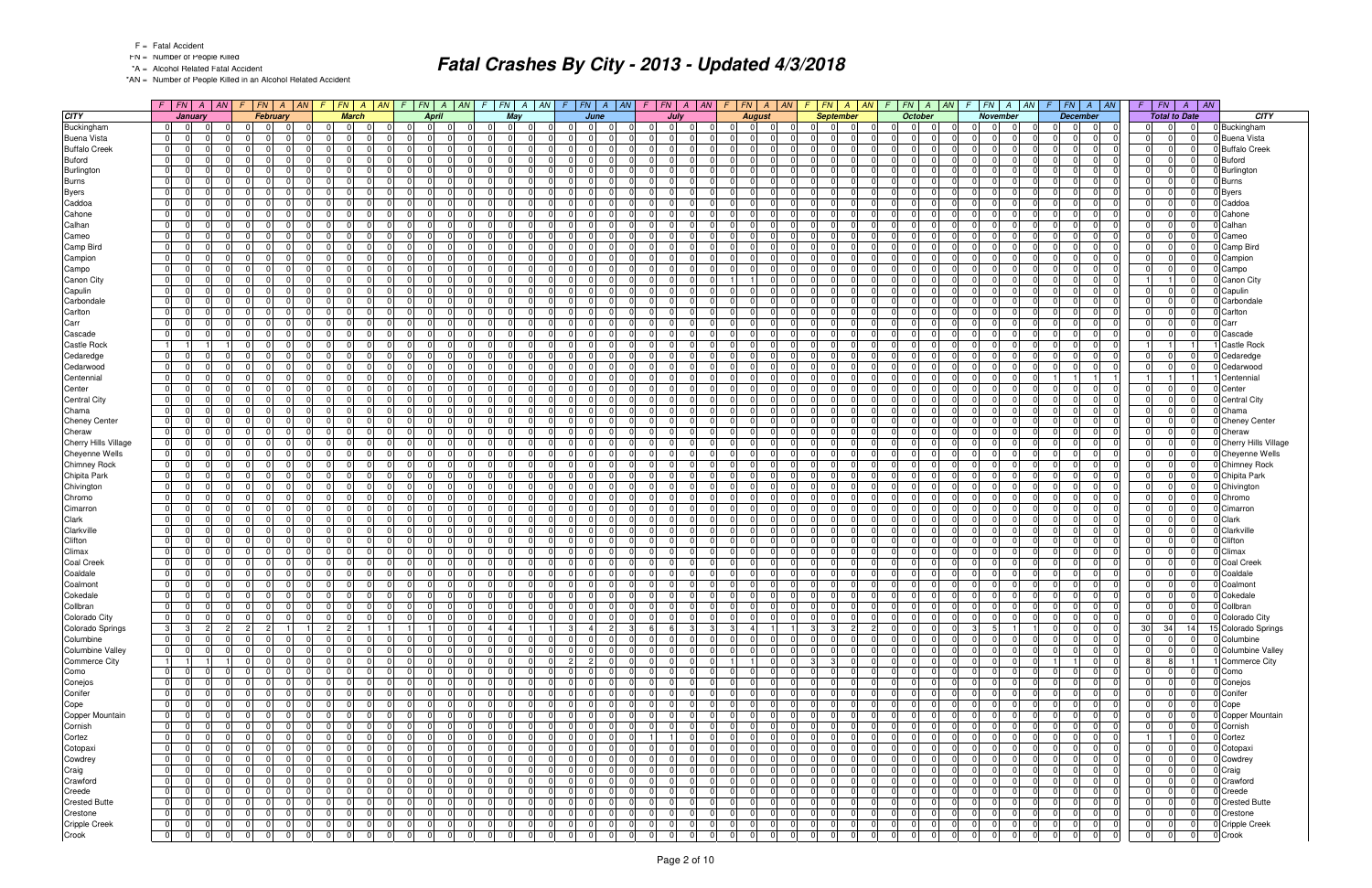- FN = Number of People Killed
- \*A = Alcohol Related Fatal Accident

\*AN = Number of People Killed in an Alcohol Related Accident

|                           |                      |                                  | $F$   FN   A   AN   F   FN |                         | $A \parallel AN$                    | F.                   | $FN \mid A$          | AN                   | $\sqrt{F}$     | $ FN $ A   AN                                            |                |                      | $F$ $FN$ $A$ $AN$ |                | $F$ $FN$                         | A   AN | F.                            |                | FN A AN                    | F.                         | $FN \mid A \mid AN$  |                | $F$ $ FN$ $ A $ $ AN$                     |       | $F N$ $A$<br>$\sqrt{F}$                   | AN                   | $FN \mid A \mid AN \mid$<br>F.   |                            |                      | $F$ $FN$ $A$ $AN$                      | $F \perp$                  | FN                   | $\overline{A}$       | $\overline{AN}$ |                             |
|---------------------------|----------------------|----------------------------------|----------------------------|-------------------------|-------------------------------------|----------------------|----------------------|----------------------|----------------|----------------------------------------------------------|----------------|----------------------|-------------------|----------------|----------------------------------|--------|-------------------------------|----------------|----------------------------|----------------------------|----------------------|----------------|-------------------------------------------|-------|-------------------------------------------|----------------------|----------------------------------|----------------------------|----------------------|----------------------------------------|----------------------------|----------------------|----------------------|-----------------|-----------------------------|
| <b>CITY</b>               |                      | January                          |                            |                         | February                            |                      | <b>March</b>         |                      |                | <b>April</b>                                             |                | May                  |                   |                | June                             |        |                               | July           |                            |                            | <b>August</b>        |                | <b>September</b>                          |       | October                                   |                      | November                         |                            |                      | <b>December</b>                        |                            | <b>Total to Date</b> |                      |                 | <b>CITY</b>                 |
| Buckingham                | 0                    | 0                                |                            | $\overline{0}$          | $\Omega$<br>. OI                    | 01                   | $\overline{0}$       | $\Omega$             | $\Omega$       | $\overline{0}$<br> 0                                     | 01             | $\overline{0}$       | $\overline{0}$    | $\Omega$       | 0 I<br>- 01                      |        | .0                            | $\overline{0}$ | $\Omega$                   | $\mathbf 0$                | $\overline{0}$       |                | 0 <br>$\Omega$                            | - 0 I | $\Omega$<br>$\overline{0}$                | - 01                 | 0                                | $\mathbf{0}$               | $\Omega$             | $\mathbf 0$<br>$\overline{0}$          | 01                         | $\Omega$             | 0                    |                 | 0 Buckingham                |
| <b>Buena Vista</b>        | 0                    | $\mathbf 0$                      |                            | $\Omega$                | $\Omega$<br>$\Omega$                | 0                    | $\Omega$             | $\Omega$             | $\Omega$       | $\Omega$<br>$\Omega$                                     | - 0 I          | $\Omega$             | $\Omega$          | $\Omega$       | $\Omega$                         |        | $\Omega$                      | $\Omega$       | $\Omega$                   | - 0 I                      | $\Omega$             |                | $\overline{0}$<br>$\Omega$<br>$\Omega$    |       | $\Omega$<br>- 0 I                         | $\Omega$             | $\Omega$                         | $\mathbf 0$                | $\Omega$             | 0 <br>$\Omega$                         | - 0 I                      | $\Omega$             | $\Omega$             |                 | <b>Buena Vista</b>          |
| <b>Buffalo Creek</b>      | $\overline{0}$       | $\overline{0}$                   |                            | $\Omega$                | $\Omega$<br>$\Omega$                | 0                    | $\Omega$             | $\Omega$             | $\Omega$       | $\Omega$<br>$\Omega$                                     | 0 I            | $\Omega$             | $\Omega$          | $\Omega$       | $\Omega$                         |        | $\Omega$                      | $\Omega$       | $\Omega$                   | $\Omega$<br>$\mathbf 0$    | $\Omega$             | 0              | $\Omega$<br>$\Omega$                      |       | - 0 I<br><sup>0</sup>                     | $\Omega$             | $\overline{0}$                   | $\mathbf 0$                | $\Omega$             | 0 <br>- 01                             | - 0 I                      | $\Omega$             | $\Omega$             |                 | <b>Buffalo Creek</b>        |
| <b>Buford</b>             | $\overline{0}$       | $\overline{0}$                   |                            | $\Omega$                | $\Omega$<br>$\Omega$                | 0                    | - 0                  | $\Omega$             | $\Omega$       | $\mathbf 0$<br>$\Omega$                                  | - 0 I          | $\Omega$             | $\Omega$          | $\Omega$       | $\Omega$                         |        | $\Omega$                      | $\Omega$       | $\Omega$                   | $\Omega$                   | $\Omega$             |                | 0 <br>$\Omega$<br>$\Omega$                |       | $\Omega$<br>$\Omega$                      | $\Omega$             | $\overline{0}$                   | $\mathbf 0$                | $\Omega$             | $\Omega$<br>$\Omega$                   | - 0 I                      | $\Omega$             | $\Omega$             |                 | <b>Buford</b>               |
| Burlington                | $\overline{0}$       | $\mathbf 0$                      |                            | $\Omega$                | $\Omega$                            | 0                    |                      | $\Omega$             | $\Omega$       | $\Omega$<br>$\Omega$                                     | 0              | $\Omega$             |                   | $\Omega$       | $\Omega$                         |        | $\Omega$                      |                | $\Omega$                   | $\Omega$                   | $\Omega$             |                | 0 <br>$\Omega$                            |       | <sup>0</sup><br>$\Omega$                  | $\Omega$             | $\overline{0}$                   | $\Omega$                   | $\Omega$             | $\Omega$<br>$\Omega$                   | $\overline{0}$             | $\Omega$             | $\Omega$             |                 | Burlington                  |
| <b>Burns</b>              | $\overline{0}$       | $\overline{0}$                   |                            | $\Omega$                | $\Omega$                            | 0                    | - 0                  | $\Omega$             | $\Omega$       | $\Omega$<br>$\Omega$                                     | 0              | $\Omega$             |                   | $\Omega$       | - 01                             |        | $\Omega$                      | $\Omega$       | $\Omega$                   | $\mathbf 0$                | $\Omega$             | $\mathbf 0$    | $\Omega$                                  |       | 0 I<br>$\Omega$                           | $\Omega$             | $\overline{0}$                   | $\Omega$                   | $\Omega$             | $\Omega$<br>$\Omega$                   | 0                          | $\Omega$             | $\Omega$             |                 | <b>Burns</b>                |
| <b>Byers</b>              | $\overline{0}$       | $\Omega$                         |                            | $\Omega$                | $\Omega$                            | 0                    | -0                   | $\Omega$             | $\Omega$       | $\Omega$<br>$\Omega$                                     | $\Omega$       | $\Omega$             |                   | $\Omega$       | $\Omega$                         |        | $\Omega$                      | $\Omega$       | $\Omega$                   | $\Omega$                   | $\Omega$             | $\overline{0}$ | 0                                         |       | $\Omega$<br>$\Omega$                      | $\Omega$             | $\Omega$                         | $\Omega$                   | $\Omega$             | $\Omega$<br>$\Omega$                   | 0                          | $\Omega$             | $\Omega$             |                 | <b>Byers</b>                |
| Caddoa                    | $\overline{0}$       | - 01                             |                            | $\Omega$                | $\Omega$                            | - 0 I                | - 0                  | $\Omega$             | $\Omega$       | $\Omega$<br>$\Omega$                                     | 0 I            | $\Omega$             | $\Omega$          | $\Omega$       | $\Omega$                         |        | $\Omega$                      | $\Omega$       | $\Omega$                   | $\mathbf 0$                | $\Omega$             |                | 0 <br>ΩI                                  |       | <sup>0</sup><br>$\Omega$                  | $\Omega$             | $\overline{0}$                   | - 0 I                      | $\Omega$             | $\Omega$<br>$\Omega$                   | - 0 I                      | $\Omega$             | $\Omega$             |                 | Caddoa                      |
| Cahone                    | 0                    | $\overline{0}$                   |                            | $\Omega$                | $\Omega$                            | 0                    | $\Omega$             | $\Omega$             | $\Omega$       | $\overline{0}$<br>$\Omega$                               | $\Omega$       | $\Omega$             |                   | $\Omega$       | $\overline{0}$                   |        | 0                             |                | $\Omega$                   | $\Omega$                   | $\Omega$             |                | 0 <br>$\Omega$                            |       | $\Omega$<br>$\Omega$                      | $\Omega$             | $\overline{0}$                   | $\Omega$                   | $\Omega$             | $\overline{0}$<br>$\mathbf 0$          | $\overline{0}$             | $\Omega$             | $\Omega$             |                 | Cahone                      |
| Calhan                    | 0 I                  | $\Omega$                         |                            | $\Omega$                | $\Omega$                            | 0                    | $\Omega$             | $\Omega$             | $\Omega$       | $\Omega$<br>$\Omega$                                     | - 0 I          | $\Omega$             | O                 | $\Omega$       | $\Omega$                         |        | $\Omega$                      | $\Omega$       | $\Omega$                   | - 0 I                      | $\Omega$             | $\mathbf 0$    | 0                                         |       | $\Omega$<br>$\Omega$                      | $\Omega$             | $\Omega$                         | $\Omega$                   | $\Omega$             | $\Omega$<br>$\Omega$                   | $\Omega$                   | $\Omega$             | $\Omega$             |                 | Calhan                      |
| Cameo                     | $\overline{0}$       | $\Omega$                         |                            | $\Omega$                | $\Omega$                            | 0                    | - 0                  | $\Omega$             | $\Omega$       | $\Omega$<br>$\overline{0}$                               | - 0 I          | $\Omega$             | $\Omega$          | $\overline{0}$ | $\Omega$                         |        | $\Omega$                      | $\Omega$       | $\Omega$                   | $\mathbf 0$                | $\Omega$             | 0              | $\Omega$<br>$\Omega$                      |       | $\Omega$<br>$\Omega$                      | $\Omega$             | $\overline{0}$                   | $\Omega$                   | $\Omega$             | 0 <br>- 01                             | - 0 I                      | $\Omega$             | $\Omega$             |                 | Cameo                       |
| Camp Bird                 | $\overline{0}$       | - 01                             |                            | $\Omega$                | $\Omega$                            | 0                    | - 0                  | $\Omega$             |                | $\Omega$<br>$\Omega$                                     | - 0 I          | $\Omega$             | $\Omega$          | $\Omega$       | $\Omega$                         |        | $\Omega$                      | $\Omega$       | $\Omega$                   | $\Omega$                   | $\Omega$             | $\Omega$       | <sup>0</sup>                              |       | <sup>0</sup><br>$\Omega$                  | $\Omega$             | $\Omega$                         | $\Omega$                   | $\Omega$             | $\Omega$<br>$\Omega$                   | - 0 I                      | $\Omega$             | $\Omega$             |                 | Camp Bird                   |
| Campion                   | $\overline{0}$       | $\overline{0}$                   |                            | $\Omega$                | $\Omega$                            | 0                    | $\Omega$             | $\Omega$             | $\Omega$       | $\Omega$<br>$\Omega$                                     | $\Omega$       | $\Omega$             |                   | $\Omega$       | $\Omega$                         |        | $\Omega$                      |                | $\Omega$                   | $\Omega$                   | $\Omega$             |                | 0 <br>$\Omega$                            |       | $\Omega$<br>$\Omega$                      | $\Omega$             | $\overline{0}$                   | $\Omega$                   | $\Omega$             | $\Omega$<br>$\Omega$                   | 0                          | $\Omega$             | $\Omega$             |                 | Campion                     |
| Campo                     | 0                    | $\Omega$                         |                            | $\Omega$                | $\Omega$                            | 0                    | $\Omega$             | $\Omega$             | $\Omega$       | $\Omega$<br>$\Omega$                                     | $\Omega$       | 0 <sup>1</sup>       |                   | $\Omega$       | $\Omega$                         |        | $\Omega$                      |                | $\Omega$                   | $\Omega$                   | $\Omega$             | $\mathbf 0$    | 0                                         |       | $\Omega$<br>$\Omega$                      | $\Omega$             | $\overline{0}$                   | $\Omega$                   |                      | $\Omega$<br>$\Omega$                   | $\Omega$                   | $\Omega$             | $\Omega$             |                 | Campo                       |
| Canon City                | $\overline{0}$       | $\overline{0}$                   |                            | $\Omega$                | $\Omega$                            | 0                    | - 0                  | $\Omega$             | $\Omega$       | $\Omega$<br>$\Omega$                                     | $\Omega$       | $\Omega$             |                   | $\Omega$       | $\Omega$                         |        | n                             | $\Omega$       | $\Omega$                   |                            | $\Omega$             | 0              | $\Omega$<br>റ                             |       | $\Omega$<br>$\Omega$                      | $\Omega$             | $\overline{0}$                   | $\Omega$                   | $\Omega$             | $\Omega$<br>$\Omega$                   |                            |                      | $\Omega$             |                 | Canon City                  |
| Capulin                   | 0                    | $\overline{0}$                   |                            | $\Omega$                | $\Omega$<br><sup>n</sup>            | - 0 I                | - 0                  | $\Omega$             | $\Omega$       | $\Omega$<br>$\overline{0}$                               | 0 I            | $\Omega$             | $\Omega$          | $\Omega$       | $\Omega$                         |        | - 0 I                         | $\Omega$       | $\Omega$                   | $\mathbf 0$                | $\Omega$             |                | 0 <br>ΩI<br>$\Omega$                      |       | $\Omega$<br>$\Omega$                      | $\Omega$             | $\overline{0}$                   | - 0 I                      | $\Omega$             | $\Omega$<br>$\Omega$                   | - 0 I                      | $\Omega$             | $\Omega$             |                 | Capulin                     |
| Carbondale                | 0                    | $\mathbf 0$                      |                            | $\Omega$                | $\Omega$                            | 0                    | -0                   | $\Omega$             |                | $\mathbf{0}$<br>$\Omega$                                 | $\Omega$       | $\Omega$             |                   | $\Omega$       | $\overline{0}$                   |        | $\Omega$                      |                | $\Omega$                   | $\Omega$                   | n                    | $\mathbf 0$    | 0                                         |       | $\Omega$<br>$\Omega$                      | $\Omega$             | $\overline{0}$                   | $\Omega$                   | $\Omega$             | $\Omega$<br>0                          | $\overline{0}$             | $\Omega$             | $\Omega$             |                 | Carbondale                  |
| Carlton                   | $\overline{0}$       | $\overline{0}$                   |                            | $\Omega$                | $\Omega$                            | 0                    |                      | $\Omega$             | $\Omega$       | $\Omega$<br>$\Omega$                                     | $\Omega$       | $\Omega$             | $\Omega$          | $\Omega$       | $\Omega$                         |        | $\Omega$                      | $\Omega$       | $\Omega$                   | $\Omega$                   | $\Omega$             | $\Omega$       | $\Omega$                                  |       | <sup>0</sup><br>$\Omega$                  | $\Omega$             | $\Omega$                         | $\Omega$                   | $\Omega$             | $\Omega$<br>$\Omega$                   | $\Omega$                   | $\Omega$             | $\Omega$             |                 | Carlton                     |
| Carr                      | 0                    | $\overline{0}$                   |                            | $\Omega$                | $\Omega$<br>$\Omega$                | 0                    | $\Omega$             | $\Omega$             | $\Omega$       | $\Omega$<br>$\Omega$                                     | 0 I            | $\Omega$             | $\Omega$          | $\Omega$       | $\overline{0}$                   |        | 0                             | $\Omega$       | $\Omega$                   | - 0 I                      | $\Omega$             | 0              | $\Omega$<br>$\Omega$                      |       | $\overline{0}$<br>- 0 I                   | $\Omega$             | $\overline{0}$                   | $\mathbf 0$                | $\Omega$             | 0 <br>$\Omega$                         | - 0 I                      | $\Omega$             | $\overline{0}$       |                 | Carr                        |
| Cascade                   | $\overline{0}$       | $\mathbf 0$                      |                            | $\Omega$                | $\Omega$<br><sup>n</sup>            | 0                    | - 0                  | $\Omega$             | $\Omega$       | $\overline{0}$<br>$\Omega$                               | $\mathbf 0$    | $\Omega$             | $\Omega$          | $\Omega$       | $\Omega$                         |        | $\Omega$                      | $\Omega$       | $\Omega$                   | $\mathbf 0$                | $\Omega$             | $\Omega$       | 0<br>$\Omega$                             |       | <sup>0</sup><br>$\Omega$                  | $\Omega$             | $\Omega$                         | $\Omega$                   | $\Omega$             | $\Omega$<br>$\Omega$                   | $\Omega$                   | $\Omega$             | $\Omega$             |                 | Cascade                     |
| <b>Castle Rock</b>        | $\vert$ 1            |                                  |                            | $\Omega$                | $\Omega$<br>$\Omega$                | $\overline{0}$       | $\Omega$             | $\Omega$             | $\Omega$       | $\Omega$<br>$\Omega$                                     | 0 I            | $\Omega$             | $\Omega$          | $\Omega$       | $\Omega$<br>$\Omega$             |        | $\Omega$                      | $\Omega$       | $\Omega$                   | - 0 I<br>$\Omega$          | $\Omega$             |                | 0 <br>$\Omega$<br>$\Omega$                |       | $\Omega$<br>$\Omega$                      | $\Omega$             | $\overline{0}$                   | - 0 I                      | $\Omega$             | $\Omega$<br>$\Omega$                   |                            |                      |                      |                 | <b>Castle Rock</b>          |
| Cedaredge                 | 0                    | $\overline{0}$                   |                            | $\mathbf 0$             | $\Omega$                            | 0                    | $\Omega$             | $\Omega$             | $\Omega$       | $\overline{0}$<br>$\Omega$                               | 0 I            | $\Omega$             |                   | $\overline{0}$ | $\Omega$                         |        | 0 I                           |                | $\Omega$                   | $\Omega$                   | $\Omega$             | $\mathbf 0$    | $\Omega$                                  |       | $\Omega$<br>$\Omega$                      | $\Omega$             | $\overline{0}$                   | $\Omega$                   | 0                    | $\Omega$<br>$\mathbf 0$                | $\overline{0}$             | $\overline{0}$       | $\Omega$             |                 | Cedaredge                   |
| Cedarwood                 | 0                    | $\overline{0}$                   |                            | $\Omega$                | $\cap$<br>$\Omega$                  | 0                    | - 0                  | $\Omega$             | $\Omega$       | $\Omega$<br>$\Omega$                                     | - 0 I          | $\Omega$             | $\Omega$          | $\Omega$       | $\overline{0}$                   |        | $\Omega$                      | $\Omega$       | $\Omega$                   | - 0 I                      | $\Omega$             |                | 0 <br>$\Omega$<br>$\Omega$                |       | $\Omega$<br>$\Omega$                      | $\Omega$             | $\overline{0}$                   | $\mathbf 0$                | $\Omega$             | $\Omega$<br>$\Omega$                   | - 0 I                      | $\Omega$             | $\Omega$             |                 | Cedarwood                   |
| Centennial                | 0                    | $\overline{0}$                   |                            | $\Omega$                | $\Omega$<br>$\Omega$                | 0                    | - 0                  | $\Omega$             | $\Omega$       | $\Omega$<br>$\Omega$                                     | - 0 I          | $\Omega$             | $\Omega$          | $\Omega$       | $\Omega$                         |        | $\Omega$                      | $\Omega$       | $\Omega$                   | $\mathbf 0$<br>- 0         | $\Omega$             |                | 0 <br>$\Omega$<br>$\Omega$                |       | $\Omega$<br>$\mathbf 0$                   | $\Omega$             | $\overline{0}$                   | $\mathbf 0$                |                      | 11                                     |                            | 1                    |                      |                 | Centennial                  |
| Center                    | $\overline{0}$       | $\overline{0}$                   |                            | $\Omega$                | $\Omega$<br>$\Omega$                | 0                    | - 0                  | $\Omega$             | $\Omega$       | $\Omega$<br>$\Omega$                                     | - 0 I          | $\Omega$             | $\Omega$          | $\Omega$       | $\Omega$                         |        | $\Omega$                      | $\Omega$       | $\Omega$                   | $\Omega$                   | $\Omega$             |                | 0 <br>$\Omega$<br><sup>0</sup>            |       | $\Omega$<br>$\Omega$                      | $\Omega$             | $\overline{0}$                   | $\Omega$                   | $\Omega$             | $\Omega$<br>$\Omega$                   | - 0 I                      | $\Omega$             | $\Omega$             |                 | Center                      |
| <b>Central City</b>       | 0                    | $\overline{0}$                   |                            | $\Omega$                | $\Omega$                            | 0                    |                      | $\Omega$             | $\Omega$       | $\Omega$<br>$\Omega$                                     | 0              | $\Omega$             | $\Omega$          | $\Omega$       | $\Omega$                         |        | $\Omega$                      | $\Omega$       | $\Omega$                   | $\mathbf 0$                | $\Omega$             |                | 0 <br>$\Omega$<br>$\Omega$                |       | $\Omega$<br>$\Omega$                      | $\Omega$             | $\overline{0}$                   | $\Omega$                   | $\Omega$             | $\Omega$<br>$\Omega$                   | $\Omega$                   | $\Omega$             | $\Omega$             |                 | <b>Central City</b>         |
| Chama                     | 0                    | $\overline{0}$                   |                            | $\Omega$                | $\Omega$<br>$\Omega$                | 0                    | $\Omega$             | $\Omega$             | $\Omega$       | $\Omega$<br>-01                                          | 0 I            | $\Omega$             | $\Omega$          | $\overline{0}$ | $\overline{0}$<br>$\Omega$       |        | 0                             | $\Omega$       | $\Omega$                   | - 0 I                      | $\Omega$             | 0              | $\Omega$<br>$\Omega$                      |       | $\overline{0}$<br>- 0 I                   | $\Omega$             | $\overline{0}$                   | $\mathbf 0$                | $\Omega$             | 0 <br>$\Omega$                         | - 0 I                      | $\Omega$             | $\overline{0}$       |                 | Chama                       |
| <b>Cheney Center</b>      | $\overline{0}$       | $\mathbf 0$                      |                            | $\Omega$                | $\Omega$                            | 0                    |                      | $\Omega$             | $\Omega$       | $\Omega$<br>$\Omega$                                     | $\Omega$       | $\Omega$             | $\Omega$          | $\Omega$       | $\Omega$                         |        | $\Omega$                      | $\Omega$       | $\Omega$                   | $\Omega$                   | $\Omega$             | $\Omega$       | $\Omega$<br><sup>n</sup>                  |       | $\Omega$<br>$\Omega$                      | $\Omega$             | $\Omega$                         | $\Omega$                   | $\Omega$             | $\Omega$<br>$\Omega$                   | - 0 I                      | $\Omega$             | $\Omega$             |                 | Cheney Center               |
| Cheraw                    | $\overline{0}$       | $\overline{0}$                   |                            | $\Omega$                | $\cap$<br>$\Omega$                  | $\overline{0}$       | $\Omega$             | $\Omega$             | $\Omega$       | $\Omega$<br>$\Omega$                                     | 0 I            | $\Omega$             | $\Omega$          | $\Omega$       | $\Omega$<br>$\Omega$             |        | $\Omega$                      | $\Omega$       | $\Omega$                   | - 0 I<br>$\Omega$          | $\Omega$             |                | 0 <br>$\Omega$<br>$\Omega$                |       | $\Omega$<br>$\Omega$                      | $\Omega$             | $\overline{0}$                   | - 0 I                      | $\Omega$             | $\Omega$<br>$\Omega$                   | $\overline{0}$             | $\Omega$             | $\Omega$             |                 | Cheraw                      |
| Cherry Hills Village      | 0                    | $\mathbf{0}$                     |                            | $\mathbf 0$             | $\mathbf 0$                         | 0                    |                      | $\Omega$             | 0              | $\overline{0}$<br>$\overline{0}$                         | 0 I            | $\Omega$             |                   | 0              | $\Omega$                         |        | 0                             |                | $\Omega$                   | $\Omega$                   | $\Omega$             | $\mathbf 0$    | $\Omega$                                  |       | $\Omega$<br>0 I                           | $\Omega$             | $\overline{0}$                   | $\Omega$                   | 0                    | $\overline{0}$<br>$\mathbf 0$          | $\overline{0}$             | $\overline{0}$       | 0                    |                 | <b>Cherry Hills Village</b> |
| Cheyenne Wells            | 0                    | $\overline{0}$                   |                            | $\Omega$                | $\Omega$                            | 0                    | $\Omega$             | $\Omega$             | $\Omega$       | $\Omega$<br>$\Omega$                                     | $\Omega$       | $\Omega$             | $\Omega$          | $\Omega$       | $\Omega$                         |        | n l                           | $\Omega$       | $\Omega$                   | - 0 I                      | $\Omega$             | $\mathbf 0$    | 0                                         |       | $\overline{0}$<br>$\Omega$                | $\Omega$             | $\Omega$                         | $\Omega$                   | $\Omega$             | $\Omega$<br>$\Omega$                   | - 0 I                      | $\Omega$             | $\Omega$             |                 | <b>Chevenne Wells</b>       |
| <b>Chimney Rock</b>       | $\overline{0}$       | $\overline{0}$                   |                            | $\Omega$                | $\Omega$                            | 0                    | - 0                  | $\Omega$             | $\Omega$       | $\Omega$<br>$\Omega$                                     | - 0 I          | $\Omega$             | $\Omega$          | $\Omega$       | $\Omega$                         |        | $\Omega$                      | $\Omega$       | $\Omega$                   | $\Omega$                   | $\Omega$             | $\overline{0}$ | $\Omega$<br>$\Omega$                      |       | $\Omega$<br>$\Omega$                      | $\Omega$             | $\Omega$                         | $\Omega$                   | $\Omega$             | $\Omega$<br>- 01                       | - 0 I                      | $\Omega$             | $\Omega$             |                 | <b>Chimney Rock</b>         |
| Chipita Park              | 0                    | $\overline{0}$                   |                            | $\Omega$                | $\Omega$                            | 0                    | - 0                  | $\Omega$             | $\Omega$       | $\Omega$<br>$\Omega$                                     | - 0 I          | $\Omega$             | $\Omega$          | $\Omega$       | $\Omega$                         |        | $\Omega$                      | $\Omega$       | $\Omega$                   | $\Omega$                   | $\Omega$             | $\Omega$       | <sup>0</sup><br>$\Omega$                  |       | <sup>0</sup><br>$\Omega$                  | $\Omega$             | $\Omega$                         | $\mathbf 0$                | $\Omega$             | $\Omega$<br>$\Omega$                   | - 0 I                      | $\Omega$             | $\Omega$             |                 | Chipita Park                |
| Chivington                | $\overline{0}$       | $\overline{0}$                   |                            | $\Omega$                | $\Omega$                            | 0                    | $\Omega$             | $\Omega$             | $\Omega$       | $\Omega$<br>$\Omega$                                     | $\Omega$       | $\Omega$             | $\Omega$          | $\Omega$       | $\Omega$                         |        | n                             |                | $\Omega$                   | $\Omega$                   | $\Omega$             |                | 0 <br>$\Omega$                            |       | $\Omega$<br>$\Omega$                      | $\Omega$             | $\overline{0}$                   | $\Omega$                   | $\Omega$             | $\Omega$<br>$\Omega$                   | 0                          | $\Omega$             | $\Omega$             |                 | Chivington                  |
| Chromo                    | 0                    | $\overline{0}$                   |                            | $\Omega$                | $\Omega$                            | 0                    | $\Omega$             | $\Omega$             | $\Omega$       | $\Omega$<br>$\Omega$                                     | 0 I            | $\Omega$             |                   | $\Omega$       | $\Omega$                         |        | $\Omega$                      | $\Omega$       | $\Omega$                   | $\Omega$                   | $\Omega$             | $\mathbf 0$    | $\Omega$                                  |       | $\Omega$<br>$\Omega$                      | $\Omega$             | $\overline{0}$                   | $\Omega$                   |                      | $\Omega$<br>$\Omega$                   | $\overline{0}$             | $\Omega$             | $\Omega$             |                 | Chromo                      |
| Cimarron                  | $\overline{0}$       | $\overline{0}$                   |                            | $\Omega$                | $\Omega$                            | 0                    | - 0                  | $\Omega$             | $\Omega$       | $\Omega$<br>$\Omega$                                     | - 0 I          | $\Omega$             |                   | $\Omega$       | $\Omega$                         |        | n                             | $\Omega$       | $\Omega$                   | $\Omega$                   | $\Omega$             | 0              | $\Omega$<br>$\Omega$                      |       | $\Omega$<br>$\Omega$                      | $\Omega$             | $\Omega$                         | $\Omega$                   | $\Omega$             | $\Omega$<br>$\Omega$                   | 0                          | $\Omega$             | $\Omega$             |                 | Cimarron                    |
| Clark                     | 0                    | $\overline{0}$                   |                            | $\Omega$                | $\Omega$<br>$\cap$                  | - 0 I                | - 0                  | $\Omega$             | $\Omega$       | $\Omega$<br>$\overline{0}$                               | 0 I            | $\Omega$             | $\Omega$          | $\Omega$       | $\Omega$                         |        | 0 I                           | $\Omega$       | $\Omega$                   | $\mathbf 0$                | $\Omega$             |                | 0 <br>$\Omega$<br>$\Omega$                |       | $\Omega$<br>$\Omega$                      | $\Omega$             | $\overline{0}$                   | - 0 I                      | $\Omega$             | $\Omega$<br>$\Omega$                   | 0 I                        | $\Omega$             | $\Omega$             |                 | Clark                       |
| Clarkville                | $\overline{0}$       | $\overline{0}$                   |                            | $\Omega$                | $\Omega$                            | 0                    | $\Omega$             | $\Omega$             | $\Omega$       | $\overline{0}$<br>$\Omega$                               | $\Omega$       | $\Omega$             |                   | $\Omega$       | $\overline{0}$                   |        | 0                             |                | $\Omega$                   | $\Omega$                   | $\Omega$             | $\mathbf 0$    | $\Omega$<br>0                             |       | $\Omega$<br>$\Omega$                      | $\Omega$             | $\overline{0}$                   | $\Omega$                   | $\Omega$             | $\Omega$<br>$\mathbf 0$                | $\overline{0}$             | $\Omega$             | $\Omega$             |                 | Clarkville                  |
| Clifton                   | 0 I                  | $\overline{0}$                   |                            | $\Omega$                | $\Omega$                            | 0                    | $\Omega$             | $\Omega$             | $\Omega$       | $\Omega$<br>$\Omega$                                     | $\Omega$       | $\Omega$             | $\Omega$          | $\Omega$       | $\Omega$                         |        | n l                           | $\Omega$       | $\Omega$                   | - 0 I                      | $\Omega$             | $\mathbf 0$    | 0                                         |       | $\Omega$<br>n l                           | $\Omega$             | $\Omega$                         | $\Omega$                   | $\Omega$             | $\Omega$<br>$\Omega$                   | - 0 I                      | $\Omega$             | $\Omega$             |                 | Clifton                     |
| Climax                    | 0                    | $\overline{0}$                   |                            | $\Omega$                | $\Omega$                            | 0                    | $\Omega$             | $\Omega$             | $\Omega$       | $\Omega$<br>$\overline{0}$                               | - 0 I          | $\Omega$             | $\Omega$          | $\overline{0}$ | $\Omega$                         |        | $\Omega$                      | $\Omega$       | $\Omega$                   | $\Omega$                   | $\Omega$             | 0              | $\Omega$<br>$\Omega$                      |       | $\Omega$<br>- 0 I                         | $\Omega$             | $\overline{0}$                   | $\mathbf 0$                | $\Omega$             | 0 <br>$\overline{0}$                   | - 0 I                      | $\Omega$             | $\Omega$             |                 | Climax                      |
| <b>Coal Creek</b>         | 0                    | - 01                             |                            | $\Omega$                | $\Omega$<br>$\Omega$                | - 0 I                | $\Omega$             | $\Omega$             | $\Omega$       | $\mathbf{0}$<br>$\Omega$                                 | - 0 I          | $\Omega$             |                   | $\Omega$       | $\overline{0}$                   |        | n l                           | $\Omega$       | $\Omega$                   | $\mathbf 0$                | $\Omega$             | $\Omega$       | <sup>0</sup>                              |       | <sup>0</sup><br>$\Omega$                  | $\Omega$<br>$\Omega$ | $\Omega$                         | $\Omega$                   | $\Omega$<br>$\Omega$ | $\Omega$<br>$\Omega$                   | - 0 I                      | $\Omega$             | $\Omega$<br>$\Omega$ |                 | <b>Coal Creek</b>           |
| Coaldale                  | $\overline{0}$       | - 01                             |                            | $\Omega$<br>$\mathbf 0$ |                                     | $\overline{0}$<br> 0 | $\Omega$             | $\Omega$<br>$\Omega$ |                | $\mathbf{0}$<br>$\Omega$                                 | - 0 I          | $\Omega$<br>$\Omega$ |                   | $\Omega$       | $\overline{0}$<br>$\Omega$       |        | $\Omega$                      |                | $\Omega$                   | $\mathbf 0$                | $\Omega$<br>$\Omega$ | $\mathbf 0$    | 0 <br>$\Omega$                            |       | $\overline{0}$<br>$\Omega$<br>$\Omega$    | $\Omega$             | $\overline{0}$<br>$\overline{0}$ | $\Omega$                   |                      | $\Omega$<br>$\Omega$<br>$\overline{0}$ | $\overline{0}$             | $\Omega$<br>$\Omega$ | $\Omega$             |                 | Coaldale                    |
| Coalmont                  | 0 <br>$\overline{0}$ | $\mathbf 0$<br>$\Omega$          |                            | $\Omega$                | $\mathbf 0$<br>$\Omega$<br>$\Omega$ | 0                    | $\Omega$<br>$\Omega$ | $\Omega$             | $\Omega$       | $\overline{0}$<br>$\overline{0}$<br>$\Omega$<br>$\Omega$ | 0 I<br>- 0 I   | $\Omega$             | $\Omega$          | 0<br>$\Omega$  | $\Omega$                         |        | $\mathbf 0$<br>$\overline{0}$ | $\Omega$       | $\overline{0}$<br>$\Omega$ | $\overline{0}$<br>- 0 I    | $\Omega$             |                | 0<br> 0 <br>$\Omega$                      |       | $\overline{0}$<br>$\overline{0}$<br>- 0 I | $\Omega$             | $\Omega$                         | $\overline{0}$<br>$\Omega$ | 0<br>$\Omega$        | 0<br>$\Omega$<br>$\Omega$              | $\overline{0}$<br>$\Omega$ | $\Omega$             |                      |                 | Coalmon<br>Cokedale         |
| Cokedale                  | $\overline{0}$       |                                  |                            |                         | $\Omega$                            |                      |                      |                      |                | 0<br>0                                                   |                |                      |                   |                | $\Omega$                         |        |                               |                |                            |                            |                      |                | 0                                         |       |                                           |                      |                                  | $\Omega$                   |                      | 0<br>0                                 | $\Omega$                   | $\overline{0}$       |                      |                 |                             |
| Collbran<br>Colorado City | 0                    | $\overline{0}$<br>$\overline{0}$ |                            | $\Omega$                | $\Omega$                            | 0                    |                      | $\Omega$             |                | $\overline{0}$                                           | $\Omega$       | $\Omega$             |                   | $\Omega$       | $\Omega$                         |        | $\Omega$                      |                |                            | $\Omega$                   | $\Omega$             | $\mathbf 0$    | 0                                         |       | <sup>0</sup><br>$\Omega$                  |                      | $\Omega$                         | $\Omega$                   |                      | $\Omega$<br>$\mathbf 0$                | $\Omega$                   | $\Omega$             |                      |                 | 0 Collbran<br>Colorado City |
| Colorado Springs          | 3                    | $\vert$ 3                        |                            | 2                       | $\overline{2}$                      | $\overline{2}$       | $\overline{2}$       |                      |                | $\overline{0}$                                           | 41             | -4                   |                   | -3             | 2                                |        | 6                             | 6              | 31                         | 4                          |                      |                | 3 <br>3 <sup>1</sup><br>$\overline{2}$    |       | 0 <br>01                                  | $\Omega$             | $\mathbf{3}$<br>-5               |                            |                      | 0 <br>$\mathbf 0$                      | 30 <sup>°</sup>            | 34                   | 14                   |                 | 15 Colorado Springs         |
| Columbine                 | 0                    | $\overline{0}$                   |                            | $\Omega$                | $\overline{0}$<br>$\Omega$          | $\overline{0}$       | - 01                 | 0 I                  | $\Omega$       | $\mathbf 0$<br> 0                                        | 01             | $\overline{0}$       | $\Omega$          | $\Omega$       | $\overline{0}$                   |        | 0                             | $\Omega$       | $\Omega$                   | $\mathbf 0$                | - 01                 | 0              | $\Omega$                                  |       | 0 I<br>01                                 | $\overline{0}$       | $\overline{0}$<br>$\Omega$       | 0                          | $\Omega$             | 0 <br>$\overline{0}$                   | 0 I                        | $\Omega$             | 0                    |                 | Columbine                   |
| <b>Columbine Valley</b>   | 0                    | 0                                |                            | $\mathbf 0$             | $\Omega$<br>$\overline{0}$          | $\overline{0}$       | $\Omega$             | $\Omega$             | $\Omega$       | $\mathbf 0$<br> 0                                        | 01             | $\overline{0}$       | 0                 | $\Omega$       | - 01                             |        | 0                             | $\Omega$       | $\overline{0}$             | $\mathbf 0$                | $\Omega$             |                | 0 <br>$\overline{0}$<br>$\Omega$          |       | 0 I<br> 0                                 | $\Omega$             | $\overline{0}$                   | 0                          | $\overline{0}$       | 0 <br>$\overline{0}$                   | 0                          | $\overline{0}$       | $\Omega$             |                 | 0 Columbine Valley          |
| <b>Commerce City</b>      | $\vert$ 1            |                                  |                            | $\Omega$                | $\Omega$<br>$\Omega$                | $\overline{0}$       | $\Omega$             | $\Omega$             | $\Omega$       | $\overline{0}$<br>-01                                    | 0 I            | $\overline{0}$       | $\Omega$          | $\overline{2}$ | $\overline{2}$<br>$\overline{0}$ |        | 0 I                           | $\Omega$       | $\Omega$                   |                            | $\Omega$             |                | 3 <br>3<br>$\Omega$                       |       | $\overline{0}$<br>$\overline{0}$          | $\Omega$             | 0 <br>$\Omega$                   | - 0 I                      | $\overline{1}$       | $\overline{0}$<br>11                   | 8                          | 8                    |                      |                 | <b>Commerce City</b>        |
| Como                      | 0                    | 0                                |                            | $\mathbf 0$             | $\overline{0}$                      | $\overline{0}$       | $\Omega$             | $\Omega$             | $\Omega$       | $\overline{0}$<br> 0                                     | 01             | $\mathbf 0$          |                   | $\overline{0}$ | $\overline{0}$<br>$\Omega$       |        | 0                             | $\Omega$       | 0                          | 0                          | 0                    |                | 0 <br>$\overline{0}$                      |       | 0 <br>0 I                                 | $\Omega$             | 0                                | $\mathbf{0}$               | 0                    | 0 <br>$\mathbf 0$                      | 0                          | $\overline{0}$       | $\overline{0}$       |                 | Como                        |
| Conejos                   | 0                    | $\overline{0}$                   |                            | $\Omega$                | $\Omega$<br>$\Omega$                | $\overline{0}$       | $\Omega$             | $\Omega$             | $\Omega$       | $\mathbf 0$<br>-01                                       | 0 I            | $\overline{0}$       | $\Omega$          | $\Omega$       | $\overline{0}$                   |        | 0                             | $\Omega$       | $\Omega$                   | - 0 I                      | $\Omega$             | 0              | $\Omega$                                  |       | $\overline{0}$<br> 0                      | $\Omega$             | $\overline{0}$<br>$\Omega$       | $\mathbf 0$                | $\Omega$             | 0 <br>$\overline{0}$                   | $\Omega$                   | $\Omega$             | $\Omega$             |                 | Conejos                     |
| Conifer                   | 0                    | $\mathbf 0$                      |                            | $\mathbf 0$             | $\overline{0}$<br>$\Omega$          | $\overline{0}$       | $\Omega$             | $\Omega$             | $\Omega$       | $\overline{0}$<br> 0                                     | 01             | $\Omega$             | $\Omega$          | $\overline{0}$ | - 01                             |        | 0                             | $\Omega$       | $\overline{0}$             | $\mathbf 0$                | $\Omega$             |                | 0 <br>$\overline{0}$<br>$\Omega$          |       | 0 I<br> 0                                 | $\Omega$             | $\overline{0}$                   | $\mathbf 0$                | 0                    | 0 <br>$\overline{0}$                   | 0                          | $\Omega$             | $\Omega$             |                 | Conifer                     |
| Cope                      | $\overline{0}$       | $\overline{0}$                   |                            | $\Omega$                | $\Omega$                            | $\overline{0}$       | - 0                  | $\Omega$             |                | $\mathbf 0$<br>$\Omega$                                  | $\Omega$       | $\Omega$             |                   | $\Omega$       | $\overline{0}$                   |        | $\Omega$                      | $\Omega$       | $\Omega$                   | $\Omega$                   | $\Omega$             |                | 0 <br>$\Omega$                            |       | $\Omega$<br>- 0 I                         | $\Omega$             | $\overline{0}$                   | $\Omega$                   | $\Omega$             | 0 <br>$\overline{0}$                   | $\Omega$                   | $\Omega$             | $\Omega$             |                 | Cope                        |
| Copper Mountain           | $\overline{0}$       | $\mathbf 0$                      |                            | 0                       | - 0                                 | $\overline{0}$       | - 0                  | $\Omega$             | 0              | $\overline{0}$<br> 0                                     | $\overline{0}$ | $\overline{0}$       |                   | $\overline{0}$ | $\overline{0}$<br>$\Omega$       |        | 0                             | 0              | 0                          | 0                          | 0                    |                | 0 <br>$\overline{0}$<br>$\Omega$          |       | 0 <br>-01                                 | 0                    | $\overline{0}$                   | 0                          | 0                    | 0 <br>$\mathbf 0$                      | $\overline{0}$             | $\overline{0}$       | $\Omega$             |                 | 0 Copper Mountain           |
| Cornish                   | 0                    | $\overline{0}$                   |                            | $\mathbf 0$             | $\overline{0}$                      | $\overline{0}$       | - 01                 | $\Omega$             | $\Omega$       | $\mathbf 0$<br> 0                                        | 01             | $\overline{0}$       |                   | $\Omega$       | $\overline{0}$                   |        | 0                             | $\Omega$       | $\Omega$                   | 0                          | $\Omega$             |                | 0 <br>$\overline{0}$                      |       | $\overline{0}$<br>0 I                     | $\Omega$             | $\overline{0}$                   | 0                          | $\Omega$             | 0 <br>$\mathbf 0$                      | 0                          | $\Omega$             | $\Omega$             |                 | Cornish                     |
| Cortez                    | $\overline{0}$       | $\overline{0}$                   |                            | $\Omega$                | $\Omega$                            | 0                    | - 0                  | $\Omega$             |                | $\mathbf 0$<br>$\Omega$                                  | $\Omega$       | $\Omega$             |                   | $\Omega$       | $\overline{0}$                   |        |                               |                | $\Omega$                   | $\Omega$                   | $\Omega$             | 0              | $\Omega$                                  |       | $\Omega$<br>$\Omega$                      | $\Omega$             | $\overline{0}$                   | $\Omega$                   | $\Omega$             | 0 <br>$\overline{0}$                   |                            |                      | $\Omega$             |                 | Cortez                      |
| Cotopaxi                  | $\overline{0}$       | $\mathbf 0$                      |                            | $\Omega$                | $\Omega$<br>$\Omega$                | $\overline{0}$       | $\Omega$             | 0 I                  | $\Omega$       | $\overline{0}$<br>$\overline{0}$                         | 0 I            | $\overline{0}$       | $\Omega$          | $\Omega$       | $\overline{0}$                   |        | 0 I                           | $\Omega$       | $\Omega$                   | $\mathbf 0$                | $\Omega$             |                | 0 <br>$\Omega$<br>$\Omega$                |       | $\overline{0}$<br>$\overline{0}$          | $\Omega$             | $\overline{0}$<br>$\Omega$       | $\mathbf 0$                | $\Omega$             | 0 <br>$\mathbf 0$                      | $\overline{0}$             | $\Omega$             | $\Omega$             |                 | Cotopax                     |
| Cowdrey                   | 0                    | $\overline{0}$                   |                            | $\Omega$                | $\overline{0}$                      | 0                    | - 0                  |                      |                | $\mathbf 0$<br>$\overline{0}$                            | 0              | $\Omega$             |                   | $\Omega$       | $\overline{0}$                   |        | 0                             |                | $\overline{0}$             | $\Omega$                   | $\Omega$             |                | 0 <br>0                                   |       | $\Omega$<br>0 I                           | $\Omega$             | $\overline{0}$                   | $\Omega$                   |                      | 0 <br>0                                | $\overline{0}$             | $\overline{0}$       | $\Omega$             |                 | Cowdrey                     |
| Craig                     | 0                    | $\overline{0}$                   |                            | $\overline{0}$          | $\Omega$<br>$\Omega$                | $\overline{0}$       | - 01                 | 0 I                  | $\Omega$       | $\overline{0}$<br>$\overline{0}$                         | 01             | 0                    | $\Omega$          | $\Omega$       | $\overline{0}$                   |        | 0                             | $\Omega$       | $\Omega$                   | 01                         | $\mathbf 0$          |                | 0 <br>$\overline{0}$                      |       | 0 <br>$\overline{0}$                      | $\overline{0}$       | $\overline{0}$<br>$\Omega$       | 0                          | $\Omega$             | $\overline{0}$<br>$\overline{0}$       | 01                         | $\Omega$             | $\Omega$             |                 | Craig                       |
| Crawford                  | $\overline{0}$       | $\overline{0}$                   |                            | $\mathbf 0$             | $\overline{0}$                      | 0                    | $\Omega$             | $\Omega$             | $\Omega$       | $\mathbf 0$<br> 0                                        | $\overline{0}$ | $\Omega$             | 0                 | $\Omega$       | $\overline{0}$                   |        | 0                             | $\Omega$       | $\Omega$                   | $\mathbf 0$                | $\Omega$             | 0              | $\Omega$<br>$\Omega$                      |       | $\overline{0}$<br>$\mathbf 0$             | $\Omega$             | $\overline{0}$                   | $\mathbf 0$                | 0                    | 0 <br>$\overline{0}$                   | 0                          | $\Omega$             | $\Omega$             |                 | Crawford                    |
| Creede                    | 0                    | $\overline{0}$                   |                            | $\Omega$                | $\Omega$                            | $\overline{0}$       | $\Omega$             | $\Omega$             |                | $\mathbf 0$<br>$\overline{0}$                            | $\overline{0}$ | $\overline{0}$       | $\Omega$          | $\Omega$       | - 01                             |        | 0                             | $\Omega$       | $\Omega$                   | $\mathbf 0$                | $\Omega$             |                | 0 <br>$\Omega$<br>$\Omega$                |       | 0 I<br>$\mathbf 0$                        | $\Omega$             | $\overline{0}$                   | $\mathbf 0$                | $\Omega$             | 0 <br>$\overline{0}$                   | - 0 I                      | $\Omega$             | $\Omega$             |                 | Creede                      |
| <b>Crested Butte</b>      | $\overline{0}$       | $\overline{0}$                   |                            | $\mathbf 0$             | $\Omega$                            | $\overline{0}$       | - 0                  | $\Omega$             | $\Omega$       | $\overline{0}$<br> 0                                     | $\Omega$       | $\Omega$             |                   | $\overline{0}$ | $\overline{0}$                   |        | 0                             | $\Omega$       | $\Omega$                   | 0                          | 0                    |                | 0 <br>$\overline{0}$                      |       | $\overline{0}$<br> 0                      | $\Omega$             | $\overline{0}$                   | $\Omega$                   | $\Omega$             | 0 <br>$\overline{0}$                   | $\overline{0}$             | $\Omega$             | $\Omega$             |                 | Crested Butte               |
| Crestone                  | 0                    | $\mathbf 0$                      |                            | $\mathbf 0$             | $\overline{0}$                      | $\overline{0}$       | - 01                 | $\Omega$             | $\Omega$       | $\overline{0}$<br>$\overline{0}$                         | 01             | $\Omega$             |                   | $\overline{0}$ | $\mathbf 0$                      |        | $\overline{0}$                | $\Omega$       | $\Omega$                   | 0                          | $\overline{0}$       |                | 0 <br>$\overline{0}$                      |       | 0 <br>01                                  | $\Omega$             | 0                                | 0                          | $\Omega$             | 0 <br>$\mathbf 0$                      | 01                         | $\overline{0}$       | $\Omega$             |                 | Crestone                    |
| Cripple Creek             | $\overline{0}$       | $\mathbf{0}$                     |                            | $\mathbf 0$             | $\Omega$<br>$\overline{0}$          | 0                    | $\Omega$             | $\Omega$             | $\mathbf 0$    | 0 <br>$\overline{0}$                                     | $\overline{0}$ | $\overline{0}$       | 0                 | $\overline{0}$ | $\overline{0}$                   |        | $\overline{0}$                | $\overline{0}$ | $\overline{0}$             | $\overline{0}$<br>$\Omega$ | $\overline{0}$       | 0              | $\mathbf 0$<br>$\Omega$                   |       | 0 <br> 0                                  | $\mathbf 0$          | $\overline{0}$<br>$\Omega$       | 0                          | $\overline{0}$       | $\overline{0}$<br>$\mathbf{0}$         | 0                          | $\overline{0}$       | $\overline{0}$       |                 | 0 Cripple Creek             |
| Crook                     | 0                    | $\overline{0}$                   |                            | 0                       | $\Omega$<br> 0                      | $\overline{0}$       | $\overline{0}$       | $\overline{0}$       | $\overline{0}$ | $\overline{0}$<br> 0                                     | $\overline{0}$ | $\overline{0}$       | $\overline{0}$    | $\overline{0}$ | $\mathbf 0$<br>$\overline{0}$    |        | $\overline{0}$                | $\mathbf 0$    | $\overline{0}$             | $\Omega$<br> 0             | $\Omega$             |                | $\overline{0}$<br>$\mathbf 0$<br>$\Omega$ |       | 0 <br>$\overline{0}$                      | $\mathbf 0$          | 0 <br>$\overline{0}$             | - 0 I                      | $\overline{0}$       | $\overline{0}$<br>$\overline{0}$       | $\overline{0}$             | $\overline{0}$       | $\overline{0}$       |                 | 0 Crook                     |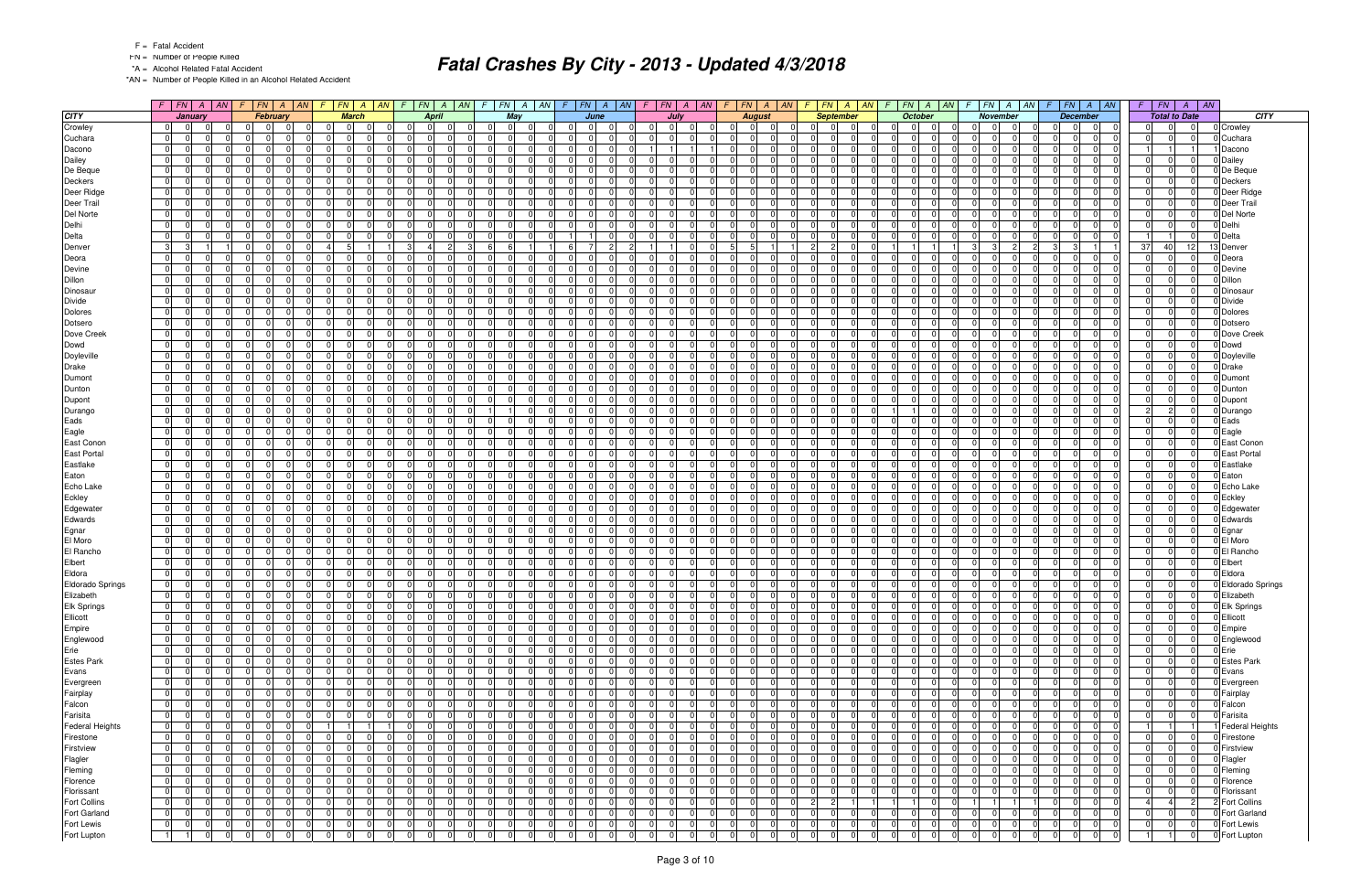FN = Number of People Killed

\*A = Alcohol Related Fatal Accident

\*AN = Number of People Killed in an Alcohol Related Accident

|                         |                                                                   |          | $F$   FN   A   AN   F   FN   A   AN                             | $F$ $FN$ $A$ $AN$                             | $\sqrt{F}$                                   |                            |                                                       |                                                       |                         | $F$   FN   A   AN   F   FN   A   AN           |                            |                            | $F$   $FN$   $A$   $AN$                                  |                               | $F$ $ FN $ $A$ $ M $                         | $FN \mid A \mid AN$<br>$\bullet$             |                | $F$ $FN$ $A$ $AN$                                               |                      | $F$ $FN$ $A$ $AN$                           | FN<br>$F \parallel$<br>$\overline{A}$                       | $\parallel$ AN |                             |
|-------------------------|-------------------------------------------------------------------|----------|-----------------------------------------------------------------|-----------------------------------------------|----------------------------------------------|----------------------------|-------------------------------------------------------|-------------------------------------------------------|-------------------------|-----------------------------------------------|----------------------------|----------------------------|----------------------------------------------------------|-------------------------------|----------------------------------------------|----------------------------------------------|----------------|-----------------------------------------------------------------|----------------------|---------------------------------------------|-------------------------------------------------------------|----------------|-----------------------------|
| <b>CITY</b>             | January                                                           |          | February                                                        | <b>March</b>                                  |                                              | <b>April</b>               | May                                                   |                                                       | June                    | July                                          |                            |                            | <b>August</b>                                            |                               | <b>September</b>                             | October                                      |                | <b>November</b>                                                 |                      | <b>December</b>                             | <b>Total to Date</b>                                        |                | <b>CITY</b>                 |
| Crowley                 | $\overline{0}$<br> 0                                              |          | 0 <br>$\Omega$<br>- 01                                          | 0 <br>$\Omega$<br>$\mathbf 0$                 | $\overline{0}$                               | 0 I                        | 0 I<br>$\overline{0}$<br>- 01                         | $\overline{0}$<br> 0                                  | $\Omega$                | 0 <br>0 I                                     | $\overline{0}$             |                            | $\overline{0}$<br>$\Omega$<br>$\mathbf 0$                | $\Omega$                      | $\overline{0}$<br>$\Omega$                   | $\overline{0}$<br>- 01<br>$\Omega$           |                | 0 <br>- 0 I<br>- 01                                             | 0 I                  | 0 <br>$\overline{0}$                        | $\Omega$<br>$\Omega$<br>$\overline{0}$                      |                | 0 Crowley                   |
| Cuchara                 | 0 <br>$\Omega$                                                    |          | $\Omega$<br><sup>0</sup>                                        | 0 <br>$\Omega$                                | $\Omega$                                     | $\Omega$                   | -01<br>$\Omega$                                       | $\Omega$<br>$\Omega$                                  |                         | $\Omega$<br>$\Omega$                          |                            |                            | $\overline{0}$<br>$\Omega$                               | $\Omega$                      | $\Omega$<br>$\Omega$                         | $\Omega$<br>$\Omega$<br>$\Omega$             |                | $\overline{0}$<br>$\Omega$                                      | $\Omega$             | $\Omega$<br>$\Omega$                        | $\Omega$                                                    |                | 0 Cuchara                   |
| Dacono                  | $\overline{0}$<br>- 01                                            |          | $\overline{0}$<br>$\Omega$<br>$\Omega$                          | 0 <br>$\mathbf 0$                             | $\Omega$<br>$\Omega$                         | $\Omega$                   | 0 I<br>$\overline{0}$                                 | $\overline{0}$<br>$\Omega$                            | $\Omega$                | 11                                            |                            | $\overline{0}$             | $\Omega$<br>$\mathbf 0$                                  | $\overline{0}$                | $\Omega$<br>$\Omega$                         | $\Omega$<br>- 0 I                            | $\overline{0}$ | 0 <br>$\Omega$<br>$\Omega$                                      | $\Omega$             | 0 I<br>$\Omega$                             |                                                             |                | Dacono                      |
| Dailey                  | 0 <br>$\Omega$                                                    | $\Omega$ | $\Omega$                                                        | $\mathbf{0}$<br>$\Omega$                      | $\Omega$                                     |                            | $\Omega$<br>$\Omega$                                  | $\Omega$<br>0                                         |                         | $\Omega$<br><sup>0</sup>                      |                            | $\overline{0}$             | $\Omega$                                                 | $\Omega$                      | $\Omega$                                     | $\Omega$<br>$\Omega$                         |                | $\Omega$<br>$\Omega$                                            | $\Omega$             | $\Omega$                                    | $\Omega$                                                    |                | 0 Dailey                    |
| De Beque                | 0 <br>$\Omega$<br>$\Omega$                                        |          | $\Omega$<br>$\Omega$<br>$\Omega$<br>$\Omega$                    | 0 <br>$\Omega$                                | $\Omega$<br>$\Omega$<br>$\Omega$<br>$\Omega$ | $\Omega$<br>$\Omega$       | $\overline{0}$<br>- 0 I<br>$\overline{0}$<br>$\Omega$ | $\Omega$<br>$\Omega$<br>- 01<br>$\Omega$              | $\Omega$                | $\Omega$<br>$\Omega$                          | $\Omega$<br>$\Omega$       | $\overline{0}$             | $\overline{0}$<br>$\Omega$                               | $\Omega$<br>$\Omega$          | $\Omega$<br>$\Omega$<br>$\Omega$<br>$\Omega$ | $\Omega$<br>$\Omega$<br>$\Omega$             | $\Omega$       | $\Omega$<br>$\Omega$<br> 0 <br>$\Omega$<br>$\Omega$             | $\Omega$             | $\Omega$<br>$\Omega$<br> 0 <br>$\Omega$     | 0<br>$\Omega$<br>$\Omega$<br>$\Omega$                       |                | 0 De Beque                  |
| Deckers<br>Deer Ridge   | 0 <br> 0 <br>$\Omega$                                             |          | 0 I<br>$\Omega$<br>0<br>n                                       | 0 <br>$\mathbf 0$<br>-01<br>$\Omega$          | $\Omega$<br>$\Omega$                         |                            | 0 I<br>$\Omega$<br>$\Omega$                           | $\Omega$<br>0                                         |                         | 0 I<br>$\overline{0}$<br>$\Omega$<br>$\Omega$ |                            | $\Omega$                   | $\mathbf 0$<br>$\Omega$                                  | $\Omega$                      | $\Omega$<br>$\Omega$                         | -01<br>$\Omega$<br>$\cap$<br>$\Omega$        |                | $\Omega$<br>$\Omega$                                            | 0 I<br>$\Omega$      | $\Omega$<br>$\Omega$                        | $\Omega$<br>$\Omega$<br>$\Omega$                            |                | 0 Deckers<br>0 Deer Ridge   |
| Deer Trail              | $\overline{0}$<br>$\overline{0}$                                  |          | $\overline{0}$<br>$\Omega$<br>$\Omega$                          | $\overline{0}$<br>$\Omega$                    | $\Omega$<br>$\Omega$                         | $\Omega$                   | 0 I<br>$\overline{0}$                                 | 0 <br>$\Omega$                                        | $\Omega$                | $\overline{0}$<br>$\Omega$                    | $\Omega$                   | $\overline{0}$             | $\cap$<br>$\Omega$                                       | $\overline{0}$                | $\Omega$<br>$\Omega$                         | $\Omega$<br>- 0 I                            | $\Omega$       | 0 <br>$\Omega$<br>$\Omega$                                      | $\Omega$             | 0 I<br>$\Omega$                             | $\Omega$<br>$\Omega$<br>$\Omega$                            |                | 0 Deer Trail                |
| Del Norte               | 0 <br>$\Omega$                                                    |          | $\Omega$<br><sup>0</sup>                                        | $\overline{0}$<br>$\Omega$                    | $\Omega$                                     | 0                          | $\Omega$<br>$\Omega$                                  | $\mathbf 0$<br>$\Omega$                               |                         | $\Omega$<br>0                                 |                            | $\overline{0}$             | $\Omega$                                                 | $\Omega$                      | $\Omega$                                     | $\Omega$<br>$\Omega$                         |                | $\overline{0}$<br>$\Omega$                                      | $\Omega$             | $\Omega$<br>$\Omega$                        | $\Omega$<br>$\Omega$                                        |                | 0 Del Norte                 |
| Delhi                   | 0 <br>$\overline{0}$                                              |          | $\overline{0}$<br>$\Omega$<br>$\Omega$                          | 0 <br>- 0 I                                   | $\Omega$<br>$\overline{0}$                   | $\Omega$                   | 0 I<br>$\overline{0}$<br>$\Omega$                     | - 0<br>$\Omega$                                       | $\Omega$                | $\overline{0}$<br>0 I                         | $\Omega$                   |                            | $\overline{0}$<br>$\Omega$<br>$\Omega$                   | $\Omega$                      | $\Omega$<br>$\Omega$                         | $\Omega$<br>$\Omega$                         | $\Omega$       | $\overline{0}$<br>$\Omega$                                      | $\overline{0}$       | 0 I<br>$\Omega$                             | $\Omega$<br>$\Omega$<br>$\Omega$                            |                | 0 Delhi                     |
| Delta                   | 0 <br>- 01                                                        |          | $\Omega$<br>$\Omega$<br>$\Omega$                                | 0 <br>$\Omega$                                | $\Omega$<br>$\Omega$                         | $\Omega$                   | - 0 I<br>$\overline{0}$                               | $\overline{1}$                                        | $\Omega$                | $\Omega$<br>$\Omega$                          | $\Omega$                   | $\overline{0}$             | $\Omega$                                                 | 0                             | $\Omega$<br>$\Omega$                         | - 0 I<br>$\Omega$<br>$\Omega$                |                | $\Omega$<br>$\Omega$<br>$\Omega$                                | $\Omega$             | $\overline{0}$<br>$\Omega$                  | $\Omega$                                                    |                | 0 Delta                     |
| Denver                  | $\overline{3}$<br>$\mathbf{3}$                                    |          | $\Omega$<br>$\Omega$<br>$\Omega$                                | $\overline{4}$                                | $\overline{3}$<br>4                          | $\overline{2}$             | 6                                                     | 6<br>$\overline{7}$                                   | $\overline{2}$          |                                               | $\Omega$                   | 5 <sup>1</sup>             | -5                                                       | $\overline{2}$                | $\overline{2}$<br>$\Omega$                   |                                              |                | $\lvert$ <sub>3</sub> $\lvert$<br>$\mathbf{3}$<br>$\mathcal{P}$ | 3                    | 3 <sup>1</sup>                              | 37<br>40<br>12                                              |                | 13 Denver                   |
| Deora                   | $\overline{0}$<br>$\Omega$                                        |          | $\Omega$<br><sup>0</sup>                                        | $\mathbf{0}$<br>$\Omega$                      | $\Omega$<br>$\Omega$                         | <sup>0</sup>               | $\Omega$<br>$\Omega$                                  | $\Omega$<br>0                                         |                         | $\Omega$<br>$\Omega$                          | $\Omega$                   | $\Omega$                   | $\Omega$                                                 | $\Omega$                      | $\Omega$<br>$\Omega$                         | $\Omega$<br>$\Omega$                         |                | $\Omega$<br>$\Omega$                                            | $\Omega$             | $\Omega$<br>$\Omega$                        | $\Omega$<br>$\Omega$                                        |                | 0 Deora                     |
| Devine                  | 0 <br>$\overline{0}$                                              |          | $\overline{0}$<br>$\Omega$<br>$\Omega$                          | 0 <br>- 0 I                                   | $\Omega$<br>$\overline{0}$                   | $\Omega$                   | 0 I<br> 0 <br>$\Omega$                                | 0 <br>$\Omega$                                        | $\Omega$                | $\overline{0}$<br>0 I                         | $\Omega$                   | $\overline{0}$             | $\Omega$<br>$\mathbf 0$                                  | $\overline{0}$                | $\Omega$<br>$\Omega$                         | $\Omega$<br>0 I                              | -01            | 0 <br>$\Omega$<br>$\Omega$                                      | $\overline{0}$       | 0 I<br>$\Omega$                             | - 0 I<br>$\Omega$<br>$\overline{0}$                         |                | 0 Devine                    |
| Dillon                  | $\overline{0}$<br>$\Omega$                                        |          | $\Omega$<br>0<br>$\Omega$                                       | - Ol<br>$\Omega$                              | $\Omega$<br>$\Omega$                         |                            | $\Omega$<br>$\Omega$                                  | $\Omega$<br>$\Omega$                                  | $\Omega$                | $\Omega$<br>$\Omega$                          |                            | $\Omega$                   | $\Omega$<br>$\cap$                                       | $\Omega$                      | $\Omega$<br>$\Omega$                         | $\Omega$<br>$\Omega$<br>$\Omega$             |                | $\Omega$<br>$\Omega$                                            | $\Omega$             | $\Omega$<br>$\Omega$                        | $\Omega$<br>$\Omega$<br>$\Omega$                            |                | 0 Dillon                    |
| Dinosaur                | $\overline{0}$<br>$\overline{0}$                                  |          | $\overline{0}$<br>$\Omega$<br>$\Omega$                          | 0 <br>$\Omega$                                | $\overline{0}$<br>$\Omega$                   | $\Omega$                   | 0 I<br>$\overline{0}$<br>$\Omega$                     | - 0 l<br>$\Omega$                                     | $\Omega$                | $\overline{0}$<br>$\Omega$                    | $\Omega$                   | $\overline{0}$             | $\Omega$<br>$\cap$                                       | $\overline{0}$                | $\Omega$<br>$\Omega$                         | $\Omega$<br>- 0 I                            | $\Omega$       | 0 <br>$\Omega$<br>$\Omega$                                      | $\Omega$             | $\Omega$<br>$\Omega$                        | $\Omega$<br>$\Omega$<br>$\Omega$                            |                | 0 Dinosau                   |
| Divide                  | 0 <br>$\Omega$                                                    |          | $\Omega$                                                        | 0 <br>$\Omega$                                | $\Omega$                                     | 0                          | $\mathbf 0$<br>$\Omega$                               | $\Omega$<br>$\Omega$                                  |                         | $\Omega$<br>0                                 | $\Omega$                   | $\overline{0}$             | $\Omega$                                                 | $\Omega$                      | $\Omega$<br>$\Omega$                         | $\Omega$<br>$\Omega$                         |                | $\Omega$<br>$\Omega$                                            | $\Omega$             | $\Omega$                                    | $\Omega$                                                    |                | 0 Divide                    |
| <b>Dolores</b>          | 0 <br>$\Omega$                                                    |          | 0 I<br>$\Omega$<br>$\Omega$<br>$\Omega$<br>$\Omega$<br>$\Omega$ | -01<br>$\mathbf 0$<br>$\Omega$                | $\Omega$<br>$\Omega$<br>$\Omega$<br>$\Omega$ | $\Omega$<br>$\Omega$       | $\overline{0}$<br>0 I                                 | $\Omega$<br>$\Omega$<br>- ol<br>$\Omega$              |                         | 0 I<br>$\Omega$<br>$\Omega$                   | $\Omega$<br>$\Omega$       |                            | 01<br>$\Omega$<br>$\Omega$                               | $\Omega$<br>$\Omega$          | $\Omega$<br>$\Omega$<br>$\Omega$<br>$\Omega$ | $\Omega$<br>$\Omega$<br>-01<br>$\Omega$      | $\Omega$       | $\Omega$<br>$\Omega$<br>$\overline{0}$<br>$\Omega$              | $\Omega$             | n l<br>$\Omega$<br>$\Omega$                 | $\Omega$<br>$\Omega$<br>$\Omega$<br>$\Omega$<br>$\Omega$    |                | 0 Dolores                   |
| Dotsero<br>Dove Creek   | 0 <br>$\Omega$<br>$\overline{0}$<br>$\Omega$                      |          | $\Omega$<br>$\Omega$<br>$\Omega$                                | 0 <br> 0 <br>$\Omega$                         | $\Omega$                                     |                            | -01<br>$\Omega$<br>$\Omega$<br>- 0 I                  | $\Omega$<br>0                                         | $\Omega$                | 0 I<br>$\Omega$<br>$\Omega$                   |                            | $\overline{0}$<br>$\Omega$ | $\Omega$                                                 | $\Omega$                      | $\Omega$<br>0                                | $\Omega$<br>$\Omega$<br>$\Omega$<br>$\Omega$ |                | $\Omega$<br>$\Omega$                                            | $\Omega$<br>$\Omega$ | $\Omega$<br>$\Omega$<br>$\Omega$            | $\Omega$<br>$\Omega$<br>$\Omega$                            |                | 0 Dotsero<br>0 Dove Creek   |
| Dowd                    | $\overline{0}$<br>$\Omega$                                        |          | $\Omega$<br>n l                                                 | 0 <br>$\Omega$                                | $\Omega$<br>$\Omega$                         | $\Omega$                   | $\Omega$<br>$\Omega$                                  | $\Omega$<br>$\Omega$                                  | $\Omega$                | $\overline{0}$<br>n l                         | $\Omega$                   | $\overline{0}$             | $\Omega$                                                 | $\Omega$                      | $\Omega$<br>$\Omega$                         | $\Omega$<br>$\Omega$                         |                | $\Omega$<br>$\Omega$                                            | $\Omega$             | $\Omega$<br>$\Omega$                        | $\Omega$<br>$\Omega$                                        |                | 0 Dowd                      |
| Doyleville              | $\overline{0}$<br>$\Omega$                                        |          | $\Omega$<br><sup>0</sup><br>$\Omega$                            | 0 <br>$\Omega$                                | $\Omega$                                     | $\Omega$                   | $\overline{0}$<br>-01                                 | $\Omega$<br>$\Omega$                                  |                         | $\Omega$<br>$\Omega$                          | $\Omega$                   | $\overline{0}$             | $\Omega$                                                 | $\Omega$                      | $\Omega$<br>$\Omega$                         | $\Omega$<br>$\Omega$<br>$\Omega$             |                | $\Omega$<br>$\Omega$                                            | $\Omega$             | n l<br>$\Omega$                             | $\Omega$<br>$\Omega$                                        |                | 0 Doyleville                |
| Drake                   | $\overline{0}$<br>$\Omega$                                        |          | $\Omega$<br><sup>0</sup><br>$\Omega$                            | - Ol<br>$\Omega$                              | $\Omega$<br>$\Omega$                         | <sup>n</sup>               | -01<br>$\Omega$                                       | $\Omega$<br>$\Omega$                                  |                         | $\Omega$<br>$\Omega$                          | $\Omega$                   |                            | $\overline{0}$<br>$\Omega$                               | $\Omega$                      | $\Omega$<br>$\Omega$                         | $\Omega$<br>$\Omega$<br>$\Omega$             |                | n<br>$\Omega$                                                   | $\Omega$             | $\Omega$<br>$\Omega$                        | $\Omega$                                                    |                | 0 Drake                     |
| Dumont                  | $\overline{0}$<br>$\Omega$                                        |          | $\overline{0}$<br>$\Omega$<br>$\Omega$                          | $\overline{0}$<br>$\mathbf 0$                 | $\Omega$<br>$\Omega$                         | $\Omega$                   | $\overline{0}$<br>- 0 I                               | $\Omega$<br>$\Omega$                                  | $\Omega$                | 0 I<br>$\Omega$                               | $\Omega$                   | -01                        | $\Omega$                                                 | $\Omega$                      | $\Omega$<br>$\Omega$                         | $\Omega$<br>- 0 I                            | $\Omega$       | $\Omega$<br>$\Omega$                                            | $\Omega$             | 0 I<br>$\Omega$                             | $\Omega$<br>$\Omega$<br>$\Omega$                            |                | 0 Dumon                     |
| Dunton                  | $\overline{0}$<br>$\Omega$                                        |          | $\Omega$<br>$\Omega$                                            | 0 <br>$\Omega$                                | $\mathbf{0}$                                 | $\Omega$                   | 0 <br>$\Omega$                                        | $\mathbf 0$<br>$\Omega$                               | $\Omega$                | $\Omega$<br>0                                 | $\Omega$                   | $\overline{0}$             | $\Omega$                                                 | $\Omega$                      | $\Omega$<br>$\Omega$                         | $\Omega$<br>$\Omega$                         |                | $\overline{0}$<br>$\Omega$                                      | $\Omega$             | 0 <br>$\Omega$                              | $\Omega$                                                    |                | 0 Dunton                    |
| Dupont                  | 0 I<br>$\Omega$                                                   |          | $\Omega$<br>$\Omega$                                            | - Ol<br>$\Omega$                              | $\Omega$<br>$\Omega$                         | $\Omega$                   | $\overline{0}$<br>-01                                 | $\Omega$<br>0                                         |                         | $\Omega$<br>$\Omega$                          | $\Omega$                   |                            | $\overline{0}$<br>$\Omega$                               | $\Omega$                      | $\Omega$<br>$\Omega$                         | $\Omega$<br>$\Omega$<br>$\Omega$             |                | $\Omega$<br>$\Omega$                                            | $\Omega$             | $\Omega$<br>$\Omega$                        | $\Omega$<br>$\Omega$                                        |                | 0 Dupont                    |
| Durango                 | 0 <br>$\Omega$                                                    |          | $\Omega$<br>$\Omega$<br>$\Omega$                                | 0 <br>$\Omega$                                | $\Omega$<br>$\Omega$                         | $\Omega$                   | 0                                                     | - 01<br>$\Omega$                                      | $\Omega$                | 0 I<br>$\Omega$                               | $\Omega$                   | $\overline{0}$             | $\Omega$                                                 | $\Omega$                      | $\Omega$<br>$\Omega$                         | $\Omega$                                     |                | $\Omega$<br>$\Omega$                                            | $\Omega$             | $\Omega$<br>$\Omega$                        | $\overline{2}$<br>2 <sup>1</sup><br>$\Omega$                |                | 0 Durango                   |
| Eads                    | $\overline{0}$<br>$\Omega$                                        |          | $\Omega$<br>$\Omega$<br>$\Omega$                                | -01<br>$\Omega$                               | $\Omega$<br>$\Omega$                         |                            | $\Omega$<br>- 0 I                                     | $\Omega$<br>0                                         | $\Omega$                | $\Omega$<br>$\Omega$                          |                            | $\Omega$                   | $\Omega$                                                 | $\Omega$                      | $\Omega$<br>$\Omega$                         | $\Omega$<br>$\Omega$<br>$\Omega$             |                | $\Omega$<br>$\Omega$                                            | $\Omega$             | $\Omega$<br>$\Omega$                        | $\Omega$<br>$\Omega$<br>$\Omega$                            |                | 0 Eads                      |
| Eagle                   | $\overline{0}$<br>$\Omega$                                        |          | $\Omega$<br>$\Omega$                                            | 0 <br>$\Omega$                                | $\Omega$<br>$\Omega$                         | $\Omega$                   | $\Omega$<br>$\Omega$                                  | $\Omega$<br>$\Omega$                                  | $\Omega$                | $\Omega$<br>$\Omega$                          | $\Omega$                   | $\Omega$                   | $\Omega$                                                 | $\Omega$                      | $\Omega$<br>$\Omega$                         | $\Omega$<br>$\Omega$<br>$\Omega$             |                | $\Omega$<br>$\Omega$                                            | $\Omega$             | $\Omega$<br>$\Omega$                        | $\Omega$<br>$\Omega$                                        |                | 0 Eagle                     |
| East Conon              | 0 <br>$\Omega$                                                    |          | $\Omega$                                                        | 0 <br>$\Omega$                                | $\Omega$                                     | $\Omega$                   | $\mathbf 0$<br>$\Omega$                               | $\overline{0}$<br>$\Omega$                            |                         | $\Omega$<br>$\Omega$                          |                            | $\overline{0}$             | $\Omega$                                                 | $\Omega$                      | $\Omega$<br>$\Omega$                         | $\Omega$<br>$\Omega$                         |                | $\overline{0}$<br>$\Omega$                                      | $\Omega$             | $\Omega$                                    | $\Omega$                                                    |                | 0 East Conon                |
| <b>East Portal</b>      | 0 <br>$\Omega$                                                    |          | $\Omega$<br>$\Omega$<br>$\Omega$                                | -01<br>$\mathbf 0$                            | $\Omega$<br>$\Omega$                         | $\Omega$                   | -01<br>- 0 I                                          | - 01<br>$\Omega$                                      | $\Omega$                | $\overline{0}$<br>$\Omega$                    | $\Omega$                   |                            | $\overline{0}$<br>0                                      | $\Omega$                      | $\Omega$<br>$\Omega$                         | $\Omega$<br>$\Omega$<br>0I                   |                | 0 <br>$\Omega$                                                  | $\Omega$             | 0 <br>$\Omega$                              | $\Omega$<br>$\Omega$                                        |                | 0 East Portal               |
| Eastlake                | 0 <br>- 01                                                        |          | $\Omega$<br>$\Omega$<br>$\Omega$<br>$\Omega$<br>$\Omega$        | 0 <br>$\Omega$                                | $\Omega$<br>$\Omega$<br>$\Omega$             | $\Omega$                   | - 0 I<br>$\overline{0}$                               | $\Omega$<br>$\Omega$                                  | $\Omega$<br>$\Omega$    | $\Omega$<br>$\Omega$<br>$\Omega$              | $\Omega$<br>$\Omega$       | $\overline{0}$             | $\Omega$<br>$\cap$                                       | $\mathbf 0$                   | $\Omega$<br>$\Omega$<br>$\Omega$             | - 0 I<br>$\Omega$<br>$\Omega$<br>$\Omega$    | $\Omega$       | $\Omega$<br>$\Omega$<br>$\Omega$                                | $\Omega$<br>$\Omega$ | $\Omega$<br>$\Omega$<br>$\Omega$            | $\mathbf 0$<br>$\Omega$<br>$\Omega$<br>$\Omega$<br>$\Omega$ |                | 0 Eastlake                  |
| Eaton<br>Echo Lake      | $\overline{0}$<br>- 01<br> 0 <br>$\Omega$                         |          | $\Omega$<br>$\Omega$<br><sup>0</sup>                            | 0 <br>$\Omega$<br> 0 <br>$\Omega$             | $\Omega$<br>$\Omega$<br>$\Omega$             | $\Omega$<br>$\Omega$       | $\overline{0}$<br>-01<br>$\Omega$<br>$\Omega$         | $\Omega$<br>$\Omega$<br>$\Omega$<br>$\Omega$          |                         | $\Omega$<br>$\Omega$<br>$\Omega$              | $\Omega$                   | $\Omega$<br>$\Omega$       | $\Omega$<br>$\Omega$                                     | $\overline{0}$<br>$\Omega$    | $\Omega$<br>$\Omega$<br>$\Omega$             | $\Omega$<br>$\Omega$<br>$\Omega$             |                | $\Omega$<br>$\Omega$<br>$\Omega$                                | $\Omega$             | 0 <br>$\Omega$<br>$\Omega$                  | $\Omega$<br>$\Omega$<br>$\Omega$                            |                | 0 Eaton<br>0 Echo Lake      |
| Eckley                  | 0 <br>$\overline{0}$                                              |          | $\overline{0}$<br>$\Omega$<br>$\Omega$                          | 0 <br>- 0 I                                   | $\Omega$<br>$\Omega$                         | $\Omega$                   | 0 I<br>$\overline{0}$<br>$\Omega$                     | - 0<br>$\Omega$                                       | $\Omega$                | $\overline{0}$<br> 0                          | $\Omega$                   | $\overline{0}$             | $\mathbf 0$                                              | $\Omega$                      | $\Omega$<br>$\Omega$                         | $\Omega$<br>- 0 I                            | -01            | 0 <br>$\Omega$                                                  | 0 I                  | 0 I<br>$\Omega$                             | $\Omega$<br>$\Omega$<br>$\overline{0}$                      |                | 0 Eckley                    |
| Edgewater               | 0 <br>- 01                                                        |          | $\Omega$<br>$\Omega$<br>$\Omega$                                | 0 <br>$\Omega$                                | $\Omega$<br>$\Omega$                         | <sup>n</sup>               | $\Omega$<br>$\Omega$                                  | $\Omega$<br>$\Omega$                                  | $\Omega$                | $\Omega$<br>$\Omega$                          |                            | $\Omega$                   | $\Omega$                                                 | $\Omega$                      | $\Omega$<br>$\Omega$                         | $\Omega$<br>$\Omega$<br>$\Omega$             |                | n<br>$\Omega$                                                   | $\Omega$             | $\Omega$<br>$\Omega$                        | $\Omega$<br>$\Omega$                                        |                | 0 Edgewater                 |
| Edwards                 | $\overline{0}$<br>$\overline{0}$                                  |          | $\overline{0}$<br>$\Omega$<br>$\Omega$                          | 0 <br>$\Omega$                                | $\overline{0}$<br>$\Omega$                   | $\Omega$                   | 0 I<br>$\overline{0}$                                 | - 0<br>$\Omega$                                       | $\Omega$                | $\overline{0}$<br>$\Omega$                    | $\Omega$                   | $\overline{0}$             | $\Omega$<br>$\cap$                                       | $\overline{0}$                | $\Omega$<br>$\Omega$                         | $\Omega$<br>- 0 I                            | $\Omega$       | 0 <br>$\Omega$<br>$\Omega$                                      | $\Omega$             | 0 I<br>$\Omega$                             | $\Omega$<br>$\Omega$<br>$\Omega$                            |                | 0 Edwards                   |
| Egnar                   | $\overline{0}$<br>$\Omega$                                        |          | $\overline{0}$<br>0                                             | 0 <br>$\Omega$                                | $\Omega$<br>$\Omega$                         | $\Omega$                   | $\Omega$<br>$\mathbf 0$                               | $\overline{0}$<br>$\Omega$                            | $\Omega$                | $\Omega$<br>$\Omega$                          | $\Omega$                   | $\overline{0}$             | $\Omega$                                                 | $\mathbf{0}$                  | $\Omega$<br>$\Omega$                         | $\Omega$<br>$\Omega$                         |                | $\overline{0}$<br>$\Omega$                                      | $\Omega$             | $\Omega$<br>$\Omega$                        | $\Omega$<br>$\Omega$<br>$\Omega$                            |                | 0 Egnar                     |
| El Moro                 | 0 <br>$\overline{0}$                                              |          | $\Omega$<br>$\Omega$<br>$\Omega$                                | 0 <br>- 0 I                                   | $\Omega$<br>$\Omega$                         | $\Omega$                   | 0 I<br>$\overline{0}$<br>$\Omega$                     | - Ol<br>$\Omega$                                      | $\Omega$                | $\Omega$<br>$\Omega$                          | $\Omega$                   |                            | $\overline{0}$<br>$\Omega$<br>$\Omega$                   | $\overline{0}$                | $\Omega$<br>$\Omega$                         | $\Omega$<br>$\Omega$                         | $\Omega$       | $\overline{0}$<br>$\Omega$                                      | $\Omega$             | 0 I<br>$\Omega$                             | $\Omega$<br>$\Omega$<br>$\Omega$                            |                | 0 El Moro                   |
| El Rancho               | 0 <br>$\Omega$                                                    |          | $\Omega$<br>$\Omega$<br>$\Omega$                                | 0 <br>$\Omega$                                | $\Omega$<br>$\Omega$                         | $\Omega$                   | $\overline{0}$<br>- 0 I                               | $\Omega$<br>$\Omega$                                  | $\Omega$                | 0 I<br>$\Omega$                               | $\Omega$                   | $\overline{0}$             | $\mathbf 0$                                              | 0                             | $\Omega$<br>$\Omega$                         | $\Omega$<br>- 0 I                            | $\Omega$       | $\Omega$<br>$\Omega$<br>$\Omega$                                | $\Omega$             | 0 <br>$\Omega$                              | $\mathbf 0$<br>$\Omega$<br>$\Omega$                         |                | 0 El Rancho                 |
| Elbert                  | $\overline{0}$<br>$\overline{0}$                                  |          | $\Omega$<br>$\Omega$<br>$\Omega$                                | 0 <br>$\Omega$                                | $\Omega$<br>$\Omega$                         | $\Omega$                   | $\overline{0}$<br>-01                                 | 0 <br>$\Omega$                                        | $\Omega$                | $\overline{0}$<br>$\Omega$                    | $\Omega$                   | $\Omega$                   | $\Omega$<br>- 0 I                                        | $\overline{0}$                | $\Omega$<br>$\Omega$                         | $\Omega$<br>- 0 I                            | $\Omega$       | $\Omega$<br>$\Omega$<br>$\Omega$                                | $\Omega$             | 0 <br>$\Omega$                              | $\Omega$<br>$\Omega$<br>$\Omega$                            |                | 0 Elbert                    |
| Eldora                  | 0 <br>- 01                                                        |          | $\Omega$<br>$\Omega$                                            | 0 <br>$\Omega$                                | $\Omega$<br>$\Omega$                         | 0                          | $\Omega$<br>$\overline{0}$                            | $\mathbf 0$<br>$\Omega$                               |                         | $\Omega$<br>$\Omega$                          | $\Omega$                   | 0                          | 0                                                        | $\Omega$                      | $\Omega$<br>$\Omega$                         | $\Omega$<br>$\Omega$                         |                | $\Omega$<br>$\Omega$                                            | $\Omega$             | $\Omega$<br>$\Omega$                        | $\Omega$<br>$\Omega$                                        |                | 0 Eldora                    |
| <b>Eldorado Springs</b> | 0 <br>$\Omega$                                                    |          | $\overline{0}$<br>$\Omega$<br>$\Omega$                          | 0 <br>$\Omega$                                | $\overline{0}$                               | $\Omega$                   | - 0 I<br>-01                                          | $\overline{0}$<br>$\Omega$                            |                         | 0 I<br>$\Omega$                               | $\Omega$                   | $\overline{0}$             | $\Omega$                                                 | $\Omega$                      | $\Omega$<br>$\Omega$                         | $\Omega$<br>$\Omega$<br>-01                  |                | $\overline{0}$<br>$\Omega$                                      | $\Omega$             | $\Omega$<br>$\Omega$                        | 0                                                           |                | 0 Eldorado Springs          |
| Elizabeth               | 0 <br>$\mathbf 0$                                                 |          | $\Omega$<br> 0 <br>$\Omega$                                     | 0 <br>$\Omega$                                | $\Omega$<br>$\Omega$                         | $\Omega$                   | $\Omega$<br>-01                                       | - Ol<br>$\Omega$                                      |                         | $\Omega$<br>$\Omega$                          |                            |                            | $\overline{0}$<br>$\Omega$                               | $\Omega$                      | - Ol<br>$\Omega$                             | $\Omega$<br>$\Omega$                         | $\Omega$       | $\overline{0}$<br>$\Omega$                                      | $\Omega$             | $\Omega$<br>$\Omega$                        | $\Omega$                                                    |                | 0 Elizabeth                 |
| <b>Elk Springs</b>      | 0 <br>$\mathbf 0$<br>$\overline{0}$<br>$\mathbf 0$                |          | $\Omega$<br>$\Omega$<br> 0                                      | $\overline{0}$<br>$\Omega$<br> 0 <br>$\Omega$ | $\Omega$<br>$\overline{0}$                   | $\Omega$                   | $\Omega$<br>$\mathbf 0$<br>$\overline{0}$             | $\Omega$<br>$\Omega$<br>$\mathbf 0$<br>$\overline{0}$ |                         | $\Omega$<br> 0 <br>0 I                        |                            | $\overline{0}$             | $\Omega$<br>$\Omega$                                     |                               | $\Omega$<br>$\Omega$<br>$\Omega$             | $\Omega$<br>$\overline{0}$                   | $\overline{0}$ | 0<br>0<br> 0 <br>$\mathbf 0$                                    | $\overline{0}$       | $\Omega$<br> 0 <br>0                        | $\Omega$                                                    |                | 0 Elk Springs<br>0 Ellicott |
| Ellicott<br>Empire      | 0 <br>$\overline{0}$                                              |          | $\overline{0}$<br> 0 <br>$\Omega$                               | $\overline{0}$<br>- 0 I                       | $\Omega$<br>$\overline{0}$                   | $\Omega$                   | $\overline{0}$<br>$\overline{0}$                      | 0 <br>$\mathbf 0$                                     | $\Omega$                | $\overline{0}$<br>0 I                         | $\Omega$                   |                            | $\overline{0}$<br>$\Omega$<br>$\mathbf 0$                | $\Omega$                      | $\Omega$<br>$\Omega$                         | $\Omega$<br>01                               | -01            | $\overline{0}$<br>$\overline{0}$                                | $\overline{0}$       | 0 I<br>$\Omega$                             | $\Omega$<br>$\Omega$<br>$\Omega$                            |                | 0 Empire                    |
| Englewood               | 0 <br>$\overline{0}$                                              |          | $\overline{0}$<br> 0 <br>0                                      | 0 <br>$\mathbf 0$                             | $\overline{0}$<br>$\Omega$                   | $\Omega$                   | 0 I<br> 0                                             | 0 <br> 0                                              | $\Omega$                | $\overline{0}$<br>$\overline{0}$              | $\overline{0}$             |                            | $\overline{0}$<br>$\mathbf 0$                            | $\mathbf 0$                   | 0 <br>$\Omega$                               | $\Omega$<br>$\overline{0}$                   | 0              | $\overline{0}$<br>$\mathbf{0}$                                  | $\overline{0}$       | $\overline{0}$<br>$\mathbf 0$               | $\Omega$<br>$\overline{0}$<br>$\Omega$                      |                | 0 Englewood                 |
| Erie                    | $\overline{0}$<br>$\overline{0}$                                  |          | $\overline{0}$<br>$\Omega$<br>$\Omega$                          | $\overline{0}$<br>$\mathbf 0$                 | $\Omega$<br>$\overline{0}$                   | $\Omega$                   | $\overline{0}$<br>$\overline{0}$                      | 0 <br>$\mathbf 0$                                     | $\Omega$                | $\overline{0}$<br>0 I                         | $\Omega$                   |                            | $\overline{0}$<br>$\Omega$<br>$\mathbf 0$                | $\overline{0}$                | $\Omega$<br>$\Omega$                         | $\Omega$<br>- 0 I                            | -01            | $\overline{0}$<br>$\overline{0}$                                | $\overline{0}$       | $\overline{0}$<br>$\overline{0}$            | $\Omega$<br>$\overline{0}$<br>$\Omega$                      |                | 0 Erie                      |
| <b>Estes Park</b>       | $\overline{0}$<br>$\overline{0}$                                  |          | $\overline{0}$<br> 0 <br>0                                      | 0 <br>- 0 I                                   | $\Omega$<br> 0                               | $\overline{0}$             | $\overline{0}$<br>$\overline{0}$                      | 0 <br>$\mathbf 0$                                     | $\Omega$                | $\overline{0}$<br> 0                          | $\mathbf 0$                | 0                          | $\mathbf 0$                                              | $\overline{0}$                | $\mathbf{0}$<br>$\Omega$                     | $\Omega$<br>$\overline{0}$                   | $\overline{0}$ | $\overline{0}$<br>$\mathbf{0}$                                  | $\overline{0}$       | $\overline{0}$<br>$\mathbf 0$               | $\Omega$<br>$\Omega$                                        |                | 0 Estes Park                |
| Evans                   | 0 <br>$\Omega$                                                    |          | $\overline{0}$<br>$\Omega$<br>$\Omega$                          | $\overline{0}$<br>$\mathbf 0$                 | $\Omega$<br>$\overline{0}$                   | $\Omega$                   | $\overline{0}$<br>$\overline{0}$                      | 0 <br>$\mathbf 0$                                     | $\Omega$                | $\overline{0}$<br> 0                          | $\Omega$                   |                            | $\overline{0}$<br>$\mathbf 0$                            | $\mathbf{0}$                  | $\overline{0}$<br>$\Omega$                   | $\Omega$<br>01                               | -01            | 0 <br>$\mathbf 0$                                               | $\overline{0}$       | 0 I<br>$\Omega$                             | $\Omega$<br>$\Omega$<br>$\overline{0}$                      |                | 0 Evans                     |
| Evergreen               | 0 <br>$\overline{0}$                                              |          | $\Omega$<br>$\Omega$<br>$\Omega$                                | 0 <br>$\mathbf 0$                             | $\overline{0}$<br>$\Omega$                   | $\Omega$                   | $\overline{0}$<br>0 I                                 | - ol<br>$\mathbf 0$                                   | $\Omega$                | $\Omega$<br> 0                                | $\Omega$                   |                            | $\overline{0}$<br>$\Omega$                               | $\mathbf 0$                   | $\Omega$<br>$\Omega$                         | $\Omega$<br>$\Omega$                         | $\Omega$       | $\overline{0}$<br>$\mathbf{0}$                                  | $\Omega$             | 0 <br>$\overline{0}$                        | $\Omega$<br>$\Omega$<br>$\Omega$                            |                | 0 Evergreer                 |
| Fairplay                | 0 <br>- 01                                                        |          | $\overline{0}$<br>0 I<br>$\Omega$                               | $\overline{0}$<br>$\mathbf 0$                 | $\Omega$<br>$\overline{0}$                   | $\Omega$                   | $\overline{0}$<br>0 I                                 | 0 <br>$\Omega$                                        | $\Omega$                | 0 I<br>0 I                                    | $\Omega$                   | 0                          | $\mathbf 0$                                              | $\overline{0}$                | -01<br>$\Omega$                              | $\Omega$<br>0 I                              | $\overline{0}$ | $\overline{0}$<br>$\overline{0}$<br>$\Omega$                    | $\overline{0}$       | 0 I<br>$\overline{0}$                       | $\Omega$<br>$\Omega$<br>$\Omega$                            |                | 0 Fairplay                  |
| Falcon                  | $\overline{0}$<br>$\mathbf 0$                                     |          | $\overline{0}$<br> 0 <br>$\mathbf 0$                            | 0 <br>$\Omega$                                | $\mathbf 0$<br>$\overline{0}$                | $\Omega$                   | 0 <br> 0                                              | $\mathbf 0$<br>$\overline{0}$                         | $\mathbf 0$             | 0 <br> 0                                      | $\Omega$                   | $\mathbf 0$                | $\Omega$                                                 | $\mathbf{0}$                  | $\mathbf{0}$<br>$\Omega$                     | $\Omega$<br>$\overline{0}$                   | $\overline{0}$ | $\overline{0}$<br>$\mathbf{0}$                                  | $\overline{0}$       | $\overline{0}$<br>$\mathbf 0$               | $\Omega$<br>$\Omega$                                        |                | 0 Falcon                    |
| Farisita                | $\overline{0}$<br>$\overline{0}$                                  |          | $\overline{0}$<br> 0 <br>$\Omega$                               | 0 <br> 0                                      | 0 <br>$\overline{0}$                         | $\overline{0}$             | $\overline{0}$<br> 0                                  | 0 <br>$\mathbf 0$                                     | $\mathbf 0$             | $\overline{0}$<br>$\overline{0}$              | $\Omega$                   |                            | $\overline{0}$<br> 0                                     | $\mathbf 0$                   | $\overline{0}$<br>$\overline{0}$             | $\Omega$<br>01                               | 0              | $\overline{0}$<br>$\mathbf{0}$<br>$\Omega$                      | $\overline{0}$       | $\overline{0}$<br>$\overline{0}$            | 0 <br>$\Omega$<br>$\Omega$                                  |                | 0 Farisita                  |
| <b>Federal Heights</b>  | 0 <br>- 01                                                        |          | 0 <br>$\Omega$<br>$\Omega$                                      | $\overline{1}$                                | 0 <br>$\Omega$                               | $\Omega$                   | 0 <br>0 I                                             | 0 <br>$\overline{0}$                                  | $\Omega$                | 0 I<br> 0                                     | $\overline{0}$             | $\overline{0}$             | $\overline{0}$                                           | $\mathbf 0$                   | 0 <br>$\Omega$                               | $\Omega$<br>0 I                              | -01            | 0 <br>$\overline{0}$                                            | 0                    | $\overline{0}$<br>$\Omega$                  |                                                             |                | I Federal Heights           |
| Firestone               | $\overline{0}$<br>$\mathbf 0$                                     |          | $\Omega$<br>0 I<br>$\Omega$                                     | $\overline{0}$<br>$\mathbf 0$                 | $\overline{0}$<br>$\Omega$                   | $\Omega$                   | 0 <br>01                                              | 0 <br>$\mathbf 0$                                     | $\Omega$                | 0 I<br>01                                     | $\Omega$                   |                            | $\overline{0}$<br>$\mathbf 0$                            | $\mathbf 0$                   | $\Omega$<br>$\Omega$                         | $\Omega$<br>- 0 I                            | $\overline{0}$ | $\overline{0}$<br>$\overline{0}$                                | $\Omega$             | 01<br>$\overline{0}$                        | $\mathbf 0$<br>$\Omega$<br>$\Omega$                         |                | 0 Firestone                 |
| Firstview               | $\overline{0}$<br>$\overline{0}$                                  |          | $\overline{0}$<br>0 I<br>$\Omega$                               | 0 <br>- 0 I                                   | 0 <br> 0                                     | $\Omega$                   | 0 I<br>$\overline{0}$                                 | 0 <br>$\Omega$                                        | $\Omega$                | $\overline{0}$<br> 0                          | $\Omega$                   | 0                          | - 0 I                                                    | $\overline{0}$                | -01<br>$\overline{0}$                        | $\Omega$<br>$\overline{0}$                   | -01            | 0 <br>$\overline{0}$<br>$\Omega$                                | $\overline{0}$       | 0 <br>$\overline{0}$                        | - 0 I<br>$\Omega$<br>$\Omega$                               |                | 0 Firstview                 |
| Flagler                 | 0 <br>$\mathbf 0$                                                 |          | 0 <br>0 I<br>$\Omega$                                           | 0 <br> 0                                      | $\mathbf 0$<br>$\overline{0}$                | $\overline{0}$             | 0 <br>$\overline{0}$                                  | 0 <br>$\mathbf 0$                                     | $\mathbf 0$             | 0 <br> 0                                      | $\Omega$                   |                            | $\overline{0}$<br>$\mathbf{0}$                           | $\mathbf{0}$                  | $\overline{0}$<br>$\overline{0}$             | $\overline{0}$<br>0                          | 0              | 0 <br>$\mathbf 0$<br>$\Omega$                                   | 0                    | $\overline{0}$<br>0                         | $\overline{0}$<br>$\overline{0}$<br>0                       |                | 0 Flagler                   |
| Fleming                 | 0 <br>$\overline{0}$                                              |          | $\overline{0}$<br>$\overline{0}$<br>$\Omega$<br>$\Omega$        | 0 <br>- 0 I                                   | $\overline{0}$<br> 0 <br>$\overline{0}$      | $\overline{0}$             | $\overline{0}$<br>$\overline{0}$<br>$\Omega$          | 0 <br> 0                                              | $\mathbf 0$<br>$\Omega$ | $\overline{0}$<br>$\overline{0}$              | $\overline{0}$<br>$\Omega$ |                            | $\overline{0}$<br>$\Omega$<br>$\mathbf 0$                | $\mathbf 0$<br>$\overline{0}$ | 0 <br>$\overline{0}$<br>$\overline{0}$       | $\Omega$<br>0 I<br>$\Omega$                  | 0              | $\overline{0}$<br>$\mathbf 0$<br>$\Omega$<br>$\Omega$           | $\overline{0}$       | $\overline{0}$<br>$\overline{0}$            | $\Omega$<br>$\Omega$<br>$\Omega$<br>$\Omega$<br>$\Omega$    |                | 0 Fleming                   |
| Florence<br>Florissant  | $\overline{0}$<br>$\mathbf 0$<br>$\overline{0}$<br>$\overline{0}$ |          | $\overline{0}$<br>0 I<br>$\overline{0}$<br> 0 <br>$\Omega$      | 0 <br>$\mathbf 0$<br> 0 <br>- 0 I             | 0 <br> 0 <br> 0                              | $\overline{0}$<br>$\Omega$ | $\overline{0}$<br>0 I<br>0 I<br> 0                    | 0 <br>$\mathbf 0$<br> 0 <br>$\Omega$                  | $\overline{0}$          | 0 <br>01<br>$\overline{0}$<br>$\overline{0}$  | $\Omega$                   | $\overline{0}$             | $\mathbf 0$<br>$\overline{0}$<br>$\Omega$<br>$\mathbf 0$ | $\overline{0}$                | $\overline{0}$<br>-01<br>$\overline{0}$      | 01<br>$\Omega$<br>$\overline{0}$             | 0 <br>-01      | 0 <br>$\mathbf 0$<br> 0 <br>$\overline{0}$<br>$\Omega$          | 0 <br>$\overline{0}$ | 01<br>0<br>$\overline{0}$<br>$\overline{0}$ | 0 <br>- 0 I<br>$\Omega$<br>$\Omega$                         |                | 0 Florence<br>0 Florissant  |
| <b>Fort Collins</b>     | $\overline{0}$<br>$\mathbf 0$                                     |          | $\overline{0}$<br>0 I<br>$\Omega$                               | 0 <br> 0                                      | $\mathbf{0}$<br> 0                           | $\Omega$                   | 0 <br>$\overline{0}$                                  | 0 <br>$\mathbf 0$                                     | $\mathbf 0$             | 0 <br> 0                                      | $\Omega$                   |                            | $\overline{0}$<br> 0                                     | $\overline{2}$                | $\overline{2}$                               |                                              | $\overline{0}$ | 1<br>1                                                          | 0                    | 0 <br>0                                     | $\overline{4}$<br>$\overline{2}$<br>$\overline{4}$          |                | 2 Fort Collins              |
| Fort Garland            | 0 <br>$\overline{0}$                                              |          | $\overline{0}$<br>0 I<br>$\Omega$                               | 0 <br>- 0 I                                   | $\Omega$<br> 0                               | $\overline{0}$             | 0 I<br>$\overline{0}$<br>$\Omega$                     | 0 <br> 0                                              | - 0 l                   | $\overline{0}$<br>$\overline{0}$              | $\overline{0}$             | 0                          | $\Omega$<br>$\mathbf 0$                                  | $\overline{0}$                | $\overline{0}$<br>$\overline{0}$             | $\overline{0}$<br>01                         | -01            | $\overline{0}$<br>$\overline{0}$<br>$\Omega$                    | $\overline{0}$       | $\overline{0}$<br>$\overline{0}$            | $\mathbf 0$<br>0 I<br>$\overline{0}$                        |                | 0 Fort Garland              |
| Fort Lewis              | 0 <br>$\overline{0}$                                              |          | $\overline{0}$<br> 0 <br>$\overline{0}$                         | 0 <br>$\mathbf 0$                             | 0 <br> 0                                     | $\overline{0}$             | 0 <br>$\overline{0}$<br>$\overline{0}$                | 0 <br>$\mathbf 0$                                     | $\mathbf 0$             | 0 <br>01                                      | $\Omega$                   | 0                          | 0 <br>- 01                                               | $\overline{0}$                | 0 <br>$\overline{0}$                         | $\overline{0}$<br>$\overline{0}$             | $\Omega$       | $\overline{0}$<br>$\mathbf 0$                                   | $\overline{0}$       | $\overline{0}$<br>$\overline{0}$            | $\mathbf 0$<br>$\Omega$<br>$\mathbf 0$                      |                | 0 Fort Lewis                |
| Fort Lupton             | $\overline{1}$                                                    |          | $\overline{0}$<br>$\overline{0}$<br> 0 <br>$\mathbf{0}$         | $\overline{0}$<br>$\overline{0}$<br>- 0 I     | $\overline{0}$<br>$\overline{0}$             | $\overline{0}$             | $\mathbf 0$<br>$\overline{0}$<br>$\overline{0}$       | $\overline{0}$<br>$\overline{0}$                      | $\overline{0}$<br>- 0   | $\overline{0}$<br>$\overline{0}$              | 0                          | 0                          | $\overline{0}$<br>$\overline{0}$                         | $\overline{0}$                | $\overline{0}$<br>$\mathbf 0$                | 0 <br>$\overline{0}$                         | 0 <br>0        | $\overline{0}$<br>$\mathbf 0$                                   | $\overline{0}$       | $\overline{0}$<br>$\mathbf 0$               | $\overline{0}$                                              |                | 0 Fort Lupton               |
|                         |                                                                   |          |                                                                 |                                               |                                              |                            |                                                       |                                                       |                         |                                               |                            |                            |                                                          |                               |                                              |                                              |                |                                                                 |                      |                                             |                                                             |                |                             |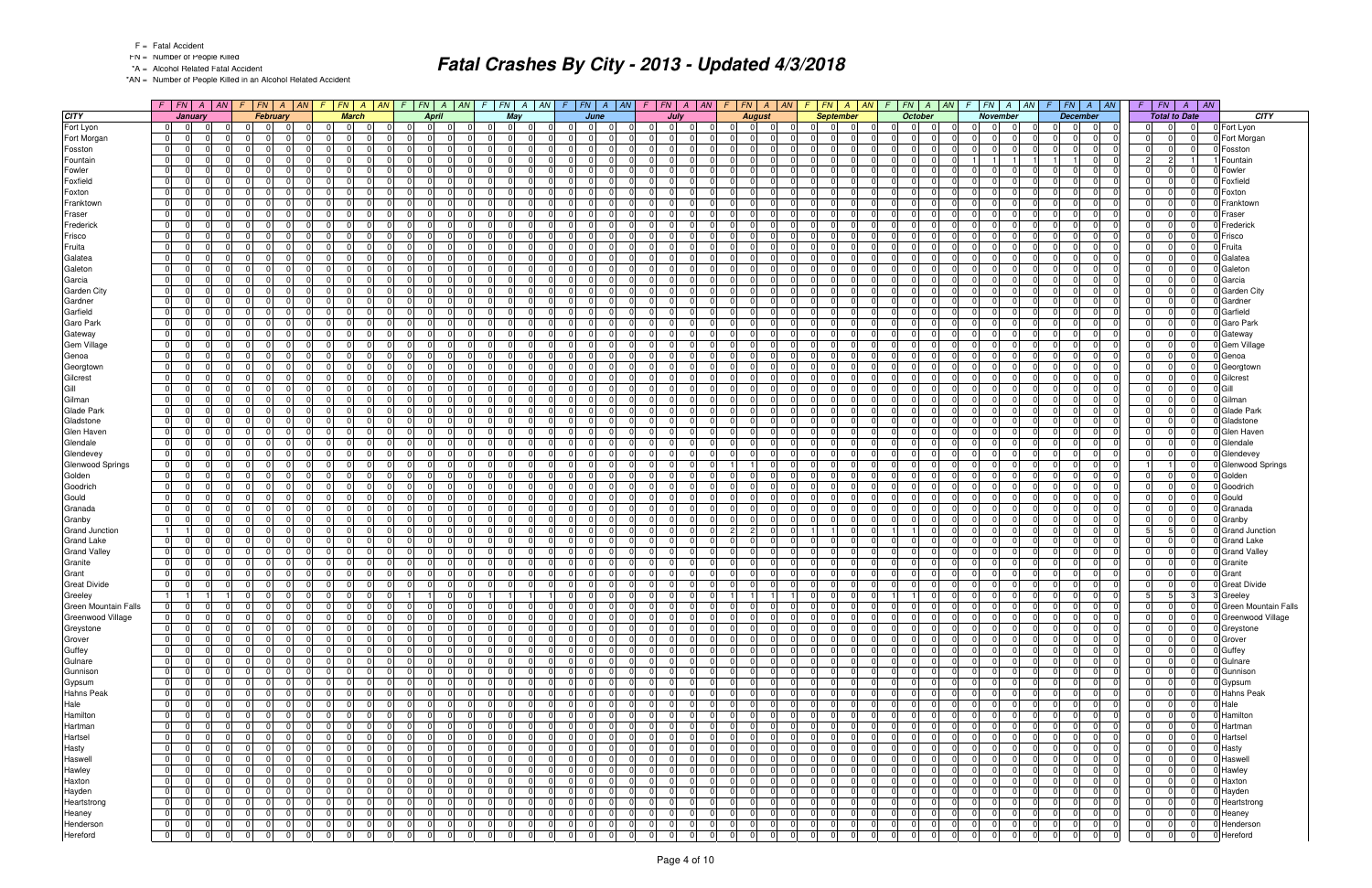FN = Number of People Killed

\*A = Alcohol Related Fatal Accident

\*AN = Number of People Killed in an Alcohol Related Accident

|                             |                |                |             |                | $F$   FN   A   AN   F   FN   A   AN | F.             |                | $FN$ $A$ $AN$                 | $\sqrt{F}$     | $ FN $ A $ AN $ F $ FN $ A $ AN $ |                |                |                |                | $F$ $FN$ $A$ $AN$             |    |                | $F$   $FN$   $A$   $AN$ |                |                | $F$ $ FN $ $A$ $ AN$             |             | $F$ $FN$ $A$ $AN$                                |     | $F$ $FN$ $A$                     | AN             | $FN$ $A$ $AN$<br>F.              |                |                | $F$ $FN$ $A$ $AN$                |                | $F$ $FN$       |                      | $A$ $AN$ |                         |
|-----------------------------|----------------|----------------|-------------|----------------|-------------------------------------|----------------|----------------|-------------------------------|----------------|-----------------------------------|----------------|----------------|----------------|----------------|-------------------------------|----|----------------|-------------------------|----------------|----------------|----------------------------------|-------------|--------------------------------------------------|-----|----------------------------------|----------------|----------------------------------|----------------|----------------|----------------------------------|----------------|----------------|----------------------|----------|-------------------------|
| <b>CITY</b>                 |                | January        |             |                | February                            |                | <b>March</b>   |                               |                | <b>April</b>                      |                | May            |                |                | June                          |    |                | July                    |                |                | <b>August</b>                    |             | <b>September</b>                                 |     | <b>October</b>                   |                | November                         |                |                | <b>December</b>                  |                |                | <b>Total to Date</b> |          | CITY                    |
| Fort Lyon                   | 0              | $\overline{0}$ |             | $\Omega$       | $\Omega$<br>$\Omega$                | 0              | $\overline{0}$ | - 0 I                         | $\Omega$       | $\overline{0}$<br>$\overline{0}$  | 01             | $\overline{0}$ | $\Omega$       | $\Omega$       | $\Omega$<br>- 01              |    | $\overline{0}$ | $\mathbf 0$             | $\Omega$       |                | $\overline{0}$<br>$\mathbf 0$    |             | 0 <br>$\Omega$<br>$\Omega$                       |     | 0 I<br>0 I                       | - 01           | 0                                | 0              | $\Omega$       | $\mathbf 0$<br>$\mathbf 0$       | 01             | $\Omega$       | 0                    |          | 0 Fort Lyon             |
| Fort Morgan                 | 0              | $\overline{0}$ |             | $\Omega$       | $\Omega$                            | 0              | $\Omega$       | $\Omega$                      |                | $\Omega$<br>$\Omega$              | $\Omega$       | $\Omega$       |                | $\Omega$       | $\Omega$                      |    | $\Omega$       | $\Omega$                | $\Omega$       |                | $\Omega$<br>$\Omega$             | 0           | $\Omega$                                         |     | <sup>0</sup><br>$\Omega$         | $\Omega$       | $\Omega$                         | $\Omega$       | $\Omega$       | $\Omega$<br>$\Omega$             | - 0 I          | $\Omega$       | $\Omega$             |          | Fort Morgan             |
| Fosston                     | $\overline{0}$ | $\overline{0}$ |             | $\Omega$       | $\Omega$<br>$\Omega$                | 0 I            | $\Omega$       | $\Omega$                      | $\Omega$       | $\Omega$<br>$\overline{0}$        | 0 I            | $\Omega$       | $\Omega$       | $\Omega$       | $\Omega$                      |    | 0 I            | $\Omega$                | $\Omega$       |                | $\mathbf 0$<br>$\Omega$          | - 0 l       | $\Omega$<br>$\Omega$                             |     | $\Omega$<br>$\Omega$             | $\Omega$       | $\overline{0}$                   | $\mathbf 0$    | $\Omega$       | $\Omega$<br>- 01                 | - 0 I          | $\Omega$       | $\Omega$             |          | Fosston                 |
| Fountain                    | 0              | $\Omega$       |             | $\Omega$       | $\Omega$                            | 0              |                | $\Omega$                      |                | $\Omega$<br>$\Omega$              | $\Omega$       | $\overline{0}$ |                | $\Omega$       | $\Omega$                      |    | $\Omega$       |                         | 0              |                | $\Omega$<br>$\Omega$             | $\mathbf 0$ | <sup>0</sup>                                     |     | <sup>0</sup><br>$\Omega$         | $\Omega$       |                                  |                |                | 0                                | 2              | $\overline{c}$ |                      |          | Fountain                |
| Fowler                      | 0 I            | - 01           |             | $\Omega$       | $\Omega$                            | 0              | -0             | $\Omega$                      | <sup>0</sup>   | $\Omega$<br>$\Omega$              | - 0 I          | $\Omega$       |                | $\Omega$       | $\Omega$                      |    | $\Omega$       |                         | $\Omega$       |                | $\mathbf 0$<br>$\Omega$          | $\mathbf 0$ | $\Omega$                                         |     | $\Omega$<br>$\Omega$             | $\Omega$       | $\Omega$                         | $\Omega$       |                | $\Omega$<br>$\Omega$             | $\Omega$       | $\Omega$       | $\Omega$             |          | Fowler                  |
| Foxfield                    | 0              | $\overline{0}$ |             | $\Omega$       | $\Omega$<br>$\Omega$                | - 0 I          | $\Omega$       | $\Omega$                      | $\Omega$       | $\Omega$<br>$\overline{0}$        | 0 I            | $\Omega$       | $\Omega$       | - 01           | $\overline{0}$                |    | $\Omega$       | $\Omega$                | $\Omega$       | - 0            | $\mathbf 0$<br>$\Omega$          | 0           | $\Omega$<br>$\Omega$                             |     | $\overline{0}$<br>- 0 I          | $\Omega$       | $\overline{0}$                   | $\mathbf 0$    | $\Omega$       | 0 <br>- 01                       | $\mathbf 0$    | $\Omega$       | $\Omega$             |          | Foxfield                |
| Foxton                      | $\overline{0}$ | $\overline{0}$ |             | $\Omega$       | $\Omega$                            | - 0 I          | -C             | $\Omega$                      |                | $\Omega$<br>$\Omega$              | $\Omega$       | $\Omega$       | $\Omega$       | $\Omega$       | $\Omega$                      |    | $\Omega$       | $\Omega$                | $\Omega$       |                | $\Omega$<br>$\Omega$             | $\Omega$    | 0                                                |     | $\Omega$<br>$\Omega$             | $\Omega$       | $\Omega$                         | $\Omega$       | $\Omega$       | $\Omega$<br>$\Omega$             | - 0 I          | $\Omega$       | $\Omega$             |          | Foxton                  |
| Franktown                   | $\overline{0}$ | $\overline{0}$ |             | $\Omega$       | $\cap$<br>$\Omega$                  | - 0 I          | - 0            | $\Omega$                      | $\Omega$       | $\Omega$<br>$\Omega$              | 0 I            | $\Omega$       | $\Omega$       | $\Omega$       | $\Omega$                      |    | $\Omega$       | $\Omega$                | $\Omega$       | $\Omega$       | $\Omega$<br>$\mathbf 0$          |             | 0 <br>$\Omega$<br>$\Omega$                       |     | $\Omega$<br>$\Omega$             | $\Omega$       | $\overline{0}$                   | - 0 I          | $\Omega$       | 0 <br>$\Omega$                   | 0 I            | $\Omega$       | $\Omega$             |          | Franktow                |
| Fraser                      | 0              | $\overline{0}$ |             | $\Omega$       | $\Omega$                            | 0              |                | $\Omega$                      |                | $\Omega$<br>$\Omega$              | $\Omega$       | $\Omega$       |                | $\Omega$       | $\Omega$                      |    | $\Omega$       |                         | $\Omega$       |                | $\Omega$<br>$\Omega$             | $\mathbf 0$ | 0                                                |     | $\Omega$<br>$\Omega$             | $\Omega$       | $\overline{0}$                   | $\Omega$       | $\Omega$       | $\Omega$<br>$\Omega$             | $\overline{0}$ | $\Omega$       | $\Omega$             |          | Fraser                  |
| Frederick                   | 0              | $\overline{0}$ |             | $\Omega$       | $\Omega$<br>$\Omega$                | $\overline{0}$ | $\Omega$       | $\Omega$                      | $\Omega$       | $\Omega$<br>-01                   | 0 I            | $\overline{0}$ | $\Omega$       | $\Omega$       | $\overline{0}$                |    | $\Omega$       | $\Omega$                | $\Omega$       | $\Omega$       | - 0 I<br>$\Omega$                | 0           | $\Omega$<br>$\Omega$                             |     | $\Omega$<br>- 0 I                | $\Omega$       | $\overline{0}$<br>- 0            | $\mathbf 0$    | $\Omega$       | 0 <br>$\Omega$                   | - 0 I          | $\Omega$       | $\Omega$             |          | Frederick               |
| Frisco                      | $\overline{0}$ | - 01           |             | $\Omega$       | $\Omega$                            | - 0 I          | - 0            | $\Omega$                      | $\Omega$       | $\Omega$<br>$\overline{0}$        | - 0 I          | $\Omega$       | $\Omega$       | $\Omega$       | $\Omega$                      |    | $\Omega$       | $\Omega$                | $\Omega$       | ി              | $\mathbf 0$<br>$\Omega$          | $\Omega$    | $\Omega$<br>$\Omega$                             |     | <sup>0</sup><br>$\Omega$         | $\Omega$       | $\overline{0}$                   | $\mathbf 0$    | $\Omega$       | $\Omega$<br>- 01                 | - 0 I          | $\Omega$       | $\Omega$             |          | Frisco                  |
| Fruita                      | $\overline{0}$ | $\overline{0}$ |             | $\Omega$       | $\Omega$<br>$\Omega$                | 0              | - 0            | $\Omega$                      | $\Omega$       | $\mathbf{0}$<br>$\Omega$          | 0 I            | $\Omega$       | $\Omega$       | $\Omega$       | $\Omega$                      |    | $\Omega$       | $\Omega$                | $\Omega$       |                | $\Omega$<br>$\Omega$             |             | 0 <br>$\Omega$<br>ΩI                             |     | $\Omega$<br>$\Omega$             | $\Omega$       | $\overline{0}$                   | $\mathbf 0$    | $\Omega$       | $\Omega$<br>$\Omega$             | - 0 I          | $\Omega$       | $\Omega$             |          | Fruita                  |
| Galatea                     | $\overline{0}$ | $\overline{0}$ |             | $\Omega$       | $\Omega$                            | $\Omega$       |                | $\Omega$                      | $\Omega$       | $\Omega$<br>$\Omega$              | $\Omega$       | $\Omega$       |                | $\Omega$       | $\Omega$                      |    | $\Omega$       |                         | $\Omega$       |                | $\Omega$<br>$\Omega$             | $\Omega$    | U                                                |     | $\Omega$<br>$\Omega$             | $\Omega$       | $\Omega$                         | $\Omega$       | $\Omega$       | $\Omega$<br>$\Omega$             | $\Omega$       | $\Omega$       | $\Omega$             |          | Galatea                 |
| Galeton                     | 0              | $\overline{0}$ |             | $\Omega$       | $\Omega$<br>$\Omega$                | 0              | - 01           | $\Omega$                      | $\Omega$       | $\Omega$<br>-01                   | 0 I            | $\overline{0}$ | $\Omega$       | $\overline{0}$ | $\overline{0}$<br>$\Omega$    |    | 0              | $\Omega$                | $\Omega$       | $\Omega$       | - 0 I<br>$\Omega$                | 0           | $\Omega$<br>$\Omega$                             |     | $\overline{0}$<br>0 I            | $\Omega$       | 0 <br>ി                          | $\mathbf 0$    | $\Omega$       | 0 I<br>$\overline{0}$            | - 0 I          | $\Omega$       | $\overline{0}$       |          | Galeton                 |
| Garcia                      | $\overline{0}$ | $\mathbf 0$    |             | $\Omega$       | $\Omega$                            | 0              |                | $\Omega$                      | $\Omega$       | $\Omega$<br>$\Omega$              | - 0 I          | $\Omega$       | $\Omega$       | $\Omega$       | $\Omega$                      |    | $\Omega$       | $\Omega$                | $\Omega$       |                | $\Omega$<br>$\Omega$             | $\Omega$    | 0                                                |     | <sup>0</sup><br>$\Omega$         | $\Omega$       | $\Omega$                         | $\Omega$       | $\Omega$       | $\Omega$<br>$\Omega$             | - 0 I          | $\Omega$       | $\Omega$             |          | Garcia                  |
| <b>Garden City</b>          | 0              | $\overline{0}$ |             | $\Omega$       | $\cap$<br>$\Omega$                  | $\overline{0}$ | $\Omega$       | $\Omega$                      | $\Omega$       | $\Omega$<br>$\Omega$              | 0 I            | $\Omega$       | $\Omega$       | $\Omega$       | $\Omega$<br>$\Omega$          |    | $\Omega$       | $\Omega$                | $\Omega$       | $\Omega$       | - 0 I<br>$\Omega$                |             | 0 <br>$\Omega$<br>$\Omega$                       |     | $\Omega$<br>$\Omega$             | $\Omega$       | 0 <br>$\cap$                     | - 0 I          | $\Omega$       | 0 <br>$\Omega$                   | 0 I            | $\Omega$       | $\Omega$             |          | Garden City             |
| Gardner                     | $\overline{0}$ | $\overline{0}$ |             | $\Omega$       | $\Omega$                            | 0              |                | $\Omega$                      |                | $\Omega$<br>$\Omega$              | $\Omega$       | $\Omega$       |                | $\Omega$       | $\Omega$                      |    | $\Omega$       |                         | $\Omega$       | $\Omega$       | $\Omega$                         | $\mathbf 0$ | 0                                                |     | $\Omega$<br>$\Omega$             | $\Omega$       | $\overline{0}$                   | $\Omega$       |                | $\Omega$<br>$\Omega$             | $\Omega$       | $\Omega$       | $\Omega$             |          | Gardner                 |
| Garfield                    | 0              | $\overline{0}$ |             | $\Omega$       | $\Omega$                            | 0              | - 0            | $\Omega$                      | $\Omega$       | $\Omega$<br>$\Omega$              | $\mathbf 0$    | $\Omega$       |                | $\Omega$       | - 01                          |    | $\Omega$       | $\Omega$                | $\Omega$       |                | $\mathbf 0$<br>$\Omega$          | $\mathbf 0$ | 0                                                |     | $\overline{0}$<br>$\Omega$       | $\Omega$       | $\overline{0}$                   | $\mathbf 0$    | $\Omega$       | $\Omega$<br>$\Omega$             | $\mathbf 0$    | $\Omega$       | $\Omega$             |          | Garfield                |
| Garo Park                   | $\overline{0}$ | $\overline{0}$ |             | $\Omega$       | $\Omega$                            | 0              | $\Omega$       | $\Omega$                      | $\Omega$       | $\Omega$<br>$\Omega$              | - 0 I          | $\Omega$       |                | $\Omega$       | $\Omega$                      |    | $\Omega$       | $\Omega$                | $\Omega$       |                | $\Omega$<br>$\Omega$             | 0           | $\Omega$                                         |     | $\Omega$<br>$\Omega$             | $\Omega$       | $\overline{0}$                   | $\mathbf 0$    | $\Omega$       | 0 <br>$\overline{0}$             | - 0 I          | $\Omega$       | $\Omega$             |          | <b>Garo Park</b>        |
| Gateway                     | 0              | - 01           |             | $\Omega$       | $\Omega$                            | - 0 I          | -0             | $\Omega$                      |                | $\Omega$<br>$\Omega$              | - 0 I          | $\Omega$       |                | $\Omega$       | $\Omega$                      |    | $\Omega$       | $\Omega$                | $\Omega$       |                | $\Omega$<br>$\Omega$             | $\Omega$    | <sup>0</sup>                                     |     | <sup>0</sup><br>$\Omega$         | $\Omega$       | $\Omega$                         | $\Omega$       | $\Omega$       | $\Omega$<br>$\Omega$             | - 0 I          | $\Omega$       | $\Omega$             |          | Gateway                 |
| Gem Village                 | $\overline{0}$ | $\overline{0}$ |             | $\Omega$       | $\Omega$                            | 0              | $\Omega$       | $\Omega$                      | $\Omega$       | $\Omega$<br>$\Omega$              | 0 I            | $\Omega$       |                | $\Omega$       | $\Omega$                      |    | $\Omega$       |                         | $\Omega$       |                | $\Omega$<br>$\Omega$             |             | 0 <br>$\Omega$                                   |     | $\Omega$<br>$\Omega$             | $\Omega$       | $\overline{0}$                   | $\Omega$       | $\Omega$       | $\Omega$<br>$\Omega$             | $\Omega$       | $\Omega$       | $\Omega$             |          | <b>Gem Village</b>      |
| Genoa                       | $\overline{0}$ | $\Omega$       |             | $\Omega$       | $\Omega$                            | 0              | - 0            | $\Omega$                      | $\Omega$       | $\Omega$<br>$\Omega$              | $\mathbf 0$    | $\Omega$       |                | $\Omega$       | $\Omega$                      |    | $\Omega$       | $\Omega$                | $\Omega$       |                | $\Omega$<br>$\Omega$             | $\mathbf 0$ | 0                                                |     | $\overline{0}$<br>$\Omega$       | $\Omega$       | $\overline{0}$                   | $\Omega$       | $\Omega$       | $\Omega$<br>$\Omega$             | $\Omega$       | $\Omega$       | $\Omega$             |          | Genoa                   |
| Georgtown                   | $\overline{0}$ | $\overline{0}$ |             | $\Omega$       | $\Omega$                            | $\Omega$       | -C             | $\Omega$                      | $\Omega$       | $\Omega$<br>$\Omega$              | $\Omega$       | $\Omega$       |                | $\Omega$       | $\Omega$                      |    | n l            | $\Omega$                | $\Omega$       |                | $\Omega$<br>$\Omega$             | - 0         | $\Omega$                                         |     | <sup>0</sup><br>$\Omega$         | $\Omega$       | $\Omega$                         | $\Omega$       | $\Omega$       | $\Omega$<br>$\Omega$             | $\Omega$       | $\Omega$       | $\Omega$             |          | Georgtown               |
| Gilcrest                    | 0              | $\overline{0}$ |             | $\Omega$       | $\Omega$                            | 0 I            | $\Omega$       | $\Omega$                      | $\Omega$       | $\Omega$<br>$\Omega$              | 0 I            | $\Omega$       | $\Omega$       | $\Omega$       | $\Omega$                      |    | - 0 I          | $\Omega$                | $\Omega$       |                | $\mathbf 0$<br>$\Omega$          |             | 0 <br>0                                          |     | $\Omega$<br>$\Omega$             | $\Omega$       | $\overline{0}$                   | - 0 I          | $\Omega$       | $\Omega$<br>$\Omega$             | - 0 I          | $\Omega$       | $\Omega$             |          | Gilcrest                |
| Gill                        | $\overline{0}$ | $\overline{0}$ |             | $\Omega$       | $\Omega$                            | 0              | $\Omega$       | $\Omega$                      | 0              | $\overline{0}$<br>$\Omega$        | $\Omega$       | $\Omega$       |                | $\Omega$       | $\Omega$                      |    | $\Omega$       |                         | $\Omega$       |                | $\Omega$<br>$\Omega$             |             | 0 <br>$\Omega$                                   |     | $\Omega$<br>$\Omega$             | $\Omega$       | $\overline{0}$                   | $\Omega$       | $\Omega$       | $\overline{0}$<br>$\mathbf 0$    | $\overline{0}$ | $\Omega$       | $\Omega$             |          | Gill                    |
| Gilman                      | 0 I            | $\Omega$       |             | $\Omega$       | $\Omega$                            | 0              | $\Omega$       | $\Omega$                      | $\Omega$       | $\Omega$<br>$\Omega$              | - 0 I          | $\Omega$       |                | $\Omega$       | $\Omega$                      |    | n l            |                         | $\Omega$       |                | - 0 I<br>$\Omega$                | $\Omega$    | 0                                                |     | $\Omega$<br>$\Omega$             | $\Omega$       | $\Omega$                         | $\Omega$       | $\Omega$       | $\Omega$<br>$\Omega$             | - 0 I          | $\Omega$       | $\Omega$             |          | Gilman                  |
| <b>Glade Park</b>           | 0              | $\overline{0}$ |             | $\Omega$       | $\Omega$                            | 0              | - 0            | $\Omega$                      | $\Omega$       | $\Omega$<br>$\Omega$              | - 0 I          | $\Omega$       |                | $\Omega$       | $\Omega$                      |    | $\Omega$       | $\Omega$                | $\Omega$       |                | $\Omega$<br>$\Omega$             | 0           | $\Omega$                                         |     | $\Omega$<br>$\Omega$             | $\Omega$       | $\overline{0}$                   | $\Omega$       | $\Omega$       | $\Omega$<br>$\Omega$             | - 0 I          | $\Omega$       | $\Omega$             |          | <b>Glade Park</b>       |
| Gladstone                   | $\overline{0}$ | $\overline{0}$ |             | $\Omega$       | $\Omega$                            | - 0 I          | - 0            | $\Omega$                      | $\Omega$       | $\Omega$<br>$\Omega$              | - 0 I          | $\Omega$       | $\Omega$       | $\Omega$       | $\Omega$                      |    | n l            | $\Omega$                | $\Omega$       |                | $\Omega$<br>$\Omega$             | $\Omega$    | <sup>0</sup>                                     |     | <sup>0</sup><br>$\Omega$         | $\Omega$       | $\Omega$                         | $\Omega$       | $\Omega$       | $\Omega$<br>$\Omega$             | - 0 I          | $\Omega$       | $\Omega$             |          | Gladstone               |
| Glen Haven                  | $\overline{0}$ | $\overline{0}$ |             | $\Omega$       | $\Omega$                            | 0              | $\Omega$       | $\Omega$                      | $\Omega$       | $\Omega$<br>$\Omega$              | $\Omega$       | $\Omega$       |                | $\Omega$       | $\Omega$                      |    | n              |                         | $\Omega$       |                | $\Omega$<br>$\Omega$             |             | 0 <br>$\Omega$                                   |     | $\Omega$<br>$\Omega$             | $\Omega$       | $\overline{0}$                   | $\Omega$       | $\Omega$       | $\Omega$<br>$\Omega$             | $\Omega$       | $\Omega$       | $\Omega$             |          | Glen Haven              |
| Glendale                    | 0              | $\Omega$       |             | $\Omega$       | $\Omega$                            | 0              | $\Omega$       | $\Omega$                      |                | $\Omega$<br>$\Omega$              | 0 I            | $\Omega$       |                | $\Omega$       | $\Omega$                      |    | $\Omega$       |                         | $\Omega$       |                | $\Omega$<br>$\Omega$             | $\mathbf 0$ | $\Omega$                                         |     | $\Omega$<br>$\Omega$             | $\Omega$       | $\overline{0}$                   | $\Omega$       | $\Omega$       | $\overline{0}$<br>0              | $\Omega$       | $\Omega$       | $\Omega$             |          | Glendale                |
| Glendevey                   | 0              | $\overline{0}$ |             | $\Omega$       | $\Omega$                            | - 0 I          | $\Omega$       | $\Omega$                      |                | $\Omega$<br>$\Omega$              | $\mathbf 0$    | $\Omega$       | $\Omega$       | $\Omega$       | $\Omega$                      |    | $\Omega$       | $\Omega$                | $\Omega$       |                | $\mathbf 0$<br>$\Omega$          | - 0         | $\Omega$                                         |     | $\Omega$<br>$\Omega$             | $\Omega$       | $\overline{0}$                   | $\mathbf 0$    | $\Omega$       | $\Omega$<br>$\Omega$             | $\mathbf 0$    | $\Omega$       | $\Omega$             |          | Glendevey               |
| <b>Glenwood Springs</b>     | 0              | $\mathbf 0$    |             | $\Omega$       | $\Omega$                            | - 0 I          | - 0            | $\Omega$                      | $\Omega$       | $\mathbf 0$<br>$\Omega$           | $\mathbf 0$    | $\Omega$       | $\Omega$       | $\Omega$       | $\Omega$                      |    | $\Omega$       | $\Omega$                | $\Omega$       |                | $\Omega$                         | $\mathbf 0$ | $\Omega$<br>$\Omega$                             |     | <sup>0</sup><br>$\Omega$         | $\Omega$       | $\Omega$                         | $\mathbf 0$    | $\Omega$       | $\Omega$<br>- 01                 |                | 1              | $\Omega$             |          | <b>Glenwood Springs</b> |
| Golden                      | $\overline{0}$ | $\overline{0}$ |             | $\Omega$       | $\Omega$<br>$\Omega$                | 0              | - 0            | $\Omega$                      | $\Omega$       | $\mathbf 0$<br>$\Omega$           | - 0 I          | $\Omega$       | $\Omega$       | $\Omega$       | $\Omega$                      |    | $\Omega$       | $\Omega$                | $\Omega$       |                | $\Omega$<br>$\Omega$             |             | 0 <br>$\Omega$<br><sup>0</sup>                   |     | $\Omega$<br>$\Omega$             | $\Omega$       | $\overline{0}$                   | $\mathbf 0$    | $\Omega$       | $\Omega$<br>$\Omega$             | - 0 I          | $\Omega$       | $\Omega$             |          | Golden                  |
| Goodrich                    | $\overline{0}$ | $\overline{0}$ |             | $\Omega$       | $\Omega$                            | 0              |                | $\Omega$                      | $\Omega$       | $\Omega$<br>$\Omega$              | $\Omega$       | $\Omega$       | $\Omega$       | $\Omega$       | $\Omega$                      |    | $\Omega$       |                         | $\Omega$       |                | $\Omega$<br>$\Omega$             |             | 0 <br>$\Omega$                                   |     | <sup>0</sup><br>$\Omega$         | $\Omega$       | $\overline{0}$                   | $\Omega$       | $\Omega$       | $\Omega$<br>$\Omega$             | $\Omega$       | $\Omega$       | $\Omega$             |          | Goodrich                |
| Gould                       | 0              | $\overline{0}$ |             | $\Omega$       | $\Omega$<br>$\Omega$                | 0              | $\Omega$       | $\Omega$                      | $\Omega$       | $\Omega$<br>-01                   | 0 I            | $\Omega$       | $\Omega$       | $\overline{0}$ | $\overline{0}$<br>$\Omega$    |    | 0              | $\Omega$                | $\Omega$       | $\Omega$       | - 0 I<br>$\Omega$                | 0           | $\Omega$<br>$\Omega$                             |     | $\overline{0}$<br>0 I            | $\Omega$       | $\overline{0}$                   | $\mathbf 0$    | $\Omega$       | 0 <br>$\overline{0}$             | - 0 I          | $\Omega$       | $\overline{0}$       |          | Gould                   |
| Granada                     | $\overline{0}$ | $\mathbf 0$    |             | $\Omega$       | $\Omega$                            | 0              | -C             | $\Omega$                      | $\Omega$       | $\overline{0}$<br>$\Omega$        | $\Omega$       | $\Omega$       | $\Omega$       | $\Omega$       | $\Omega$                      |    | $\Omega$       | $\Omega$                | $\Omega$       |                | $\Omega$<br>$\Omega$             | $\Omega$    | 0                                                |     | <sup>0</sup><br>$\Omega$         | $\Omega$       | $\Omega$                         | $\Omega$       | $\Omega$       | $\Omega$<br>$\Omega$             | 0              | $\Omega$       | $\Omega$             |          | Granada                 |
| Granby                      | $\overline{0}$ | $\overline{0}$ |             | $\Omega$       | $\Omega$<br>$\Omega$                | $\overline{0}$ | - 0            | $\Omega$                      | $\Omega$       | $\Omega$<br>$\Omega$              | 0 I            | $\Omega$       | $\Omega$       | $\Omega$       | $\Omega$<br>$\Omega$          |    | $\Omega$       | $\Omega$                | $\Omega$       | $\Omega$       | - 0 I<br>$\Omega$                |             | 0 <br>$\Omega$<br>$\Omega$                       |     | $\Omega$<br>$\Omega$             | $\Omega$       | $\overline{0}$<br>ി              | - 0 I          | $\Omega$       | 0 <br>$\overline{0}$             | 0 I            | $\Omega$       | $\Omega$             |          | Granby                  |
| <b>Grand Junction</b>       | 11             |                |             | $\mathbf 0$    | $\Omega$                            | 0              | $\Omega$       | $\Omega$                      | $\Omega$       | $\mathbf{0}$<br>$\Omega$          | 0 I            | $\Omega$       |                | $\Omega$       | $\Omega$                      |    | $\Omega$       |                         | $\Omega$       |                | $\overline{2}$<br>$\Omega$       |             | 11                                               |     |                                  | $\Omega$       | $\overline{0}$                   | $\Omega$       | $\Omega$       | $\Omega$<br>$\Omega$             | 51             | 5              | $\Omega$             |          | Grand Junction          |
| <b>Grand Lake</b>           | 0              | $\overline{0}$ |             | $\Omega$       | $\cap$<br>$\Omega$                  | $\overline{0}$ | $\Omega$       | $\Omega$                      | $\Omega$       | $\Omega$<br>$\Omega$              | 0 I            | $\Omega$       | $\Omega$       | $\Omega$       | $\overline{0}$                |    | $\Omega$       | $\Omega$                | $\Omega$       |                | - 0 I<br>$\Omega$                | - 0 l       | $\Omega$<br>$\Omega$                             |     | $\Omega$<br>- 0 I                | $\Omega$       | $\overline{0}$                   | $\mathbf 0$    | $\Omega$       | 0 <br>$\Omega$                   | - 0 I          | $\Omega$       | $\Omega$             |          | 0 Grand Lake            |
| <b>Grand Valley</b>         | 0              | $\mathbf 0$    |             | $\Omega$       | $\Omega$<br>$\Omega$                | 0              | $\Omega$       | $\Omega$                      | $\Omega$       | $\Omega$<br>$\overline{0}$        | - 0 I          | $\Omega$       | $\Omega$       | $\overline{0}$ | $\Omega$                      |    | $\Omega$       | $\Omega$                | $\Omega$       | $\Omega$       | $\mathbf 0$<br>$\Omega$          | 0           | $\Omega$<br>$\Omega$                             |     | - 0 I<br><sup>0</sup>            | $\Omega$       | $\overline{0}$                   | $\mathbf 0$    | $\Omega$       | $\Omega$<br>- 01                 | 0              | $\Omega$       | $\Omega$             |          | Grand Valley            |
| Granite                     | $\overline{0}$ | $\overline{0}$ |             | $\Omega$       | $\cap$<br>$\Omega$                  | $\overline{0}$ | $\Omega$       | $\Omega$                      | $\Omega$       | $\mathbf 0$<br>$\Omega$           | 0 I            | $\Omega$       | $\Omega$       | $\Omega$       | $\Omega$                      |    | 0              | $\Omega$                | $\Omega$       | $\Omega$       | - 0 I<br>$\Omega$                |             | 0 <br>$\Omega$<br>$\Omega$                       |     | $\overline{0}$<br>$\Omega$       | $\Omega$       | $\overline{0}$                   | - 0 I          | $\Omega$       | $\Omega$<br>$\Omega$             | - 0 I          | $\Omega$       | $\Omega$             |          | Granite                 |
| Grant                       | $\overline{0}$ | $\mathbf 0$    |             | $\Omega$       | $\Omega$                            | 0              |                | $\Omega$                      | $\Omega$       | $\Omega$<br>$\Omega$              | 0              | $\Omega$       |                | $\Omega$       | $\Omega$                      |    | $\Omega$       |                         | $\Omega$       |                | $\Omega$<br>$\Omega$             |             | 0 <br>$\Omega$                                   |     | $\Omega$<br>$\Omega$             | $\Omega$       | $\overline{0}$                   | $\Omega$       | $\Omega$       | $\Omega$<br>$\Omega$             | $\overline{0}$ | $\Omega$       | $\Omega$             |          | Grant                   |
| <b>Great Divide</b>         | 0              | $\Omega$       |             | $\Omega$       | $\Omega$                            | 0              | $\Omega$       | $\Omega$                      |                | $\Omega$<br>$\Omega$              | $\Omega$       | $\Omega$       |                | $\Omega$       | $\Omega$                      |    | $\Omega$       |                         | $\Omega$       |                | $\Omega$<br>$\Omega$             | $\mathbf 0$ | $\Omega$                                         |     | 0 I<br>$\Omega$                  | $\Omega$       | $\overline{0}$                   | $\Omega$       | $\Omega$       | $\overline{0}$<br>$\Omega$       | 0              | $\Omega$       |                      |          | <b>Great Divide</b>     |
| Greeley                     | 11             | $\vert$ 1      |             | 0              | $\Omega$<br>$\Omega$                | 0              | $\Omega$       | $\Omega$                      |                | $\Omega$                          |                |                |                | $\mathbf 0$    | $\Omega$                      |    | $\Omega$       | $\Omega$                | $\Omega$       |                |                                  | 0           | $\Omega$                                         |     |                                  | $\Omega$       | $\overline{0}$                   | $\Omega$       | $\Omega$       | $\Omega$<br>$\Omega$             | 5 <sup>1</sup> | $\overline{5}$ | $\mathcal{B}$        |          | 3 Greeley               |
| <b>Green Mountain Falls</b> | $\overline{0}$ | $\mathbf 0$    |             |                | $\Omega$                            |                |                | $\Omega$                      |                | $\overline{0}$                    | $\Omega$       |                |                |                | $\Omega$                      |    |                |                         |                |                | $\Omega$                         | $\Omega$    |                                                  |     |                                  |                |                                  |                |                | 0<br>$\mathbf 0$                 |                | $\Omega$       |                      |          | 0 Green Mountain Falls  |
| Greenwood Village           | $\overline{0}$ | $\mathbf 0$    |             | $\mathbf 0$    | $\mathbf 0$                         | 0              |                | $\Omega$                      |                | $\mathbf 0$<br>$\overline{0}$     | 0 I            | $\mathbf 0$    |                | $\overline{0}$ | - 01                          |    | $\Omega$       |                         | $\Omega$       |                | $\overline{0}$                   |             | 0 <br>$\overline{0}$                             |     | $\Omega$                         | $\Omega$       | $\overline{0}$                   | $\Omega$       |                | 0 <br>$\mathbf 0$                | $\overline{0}$ | $\overline{0}$ | $\Omega$             |          | 0 Greenwood Village     |
| Greystone                   | 0              | $\overline{0}$ |             | $\mathbf 0$    | $\Omega$                            | $\overline{0}$ | $\Omega$       | 0 I                           | $\Omega$       | $\overline{0}$<br>$\overline{0}$  | $\overline{0}$ | $\overline{0}$ | $\Omega$       | $\Omega$       | $\overline{0}$                |    | 0              | $\Omega$                | $\Omega$       |                | $\overline{0}$<br>- 01           | 0           | $\Omega$                                         |     | $\overline{0}$<br>$\overline{0}$ | $\overline{0}$ | $\overline{0}$<br>$\Omega$       | 0              | $\Omega$       | $\overline{0}$<br>$\overline{0}$ | 01             | $\overline{0}$ | $\overline{0}$       |          | 0 Greystone             |
| Grover                      | 0              | $\mathbf 0$    |             | $\mathbf 0$    | $\overline{0}$                      | $\overline{0}$ | $\overline{0}$ | 0 I                           | $\Omega$       | $\mathbf 0$<br> 0                 | 01             | 0              | 0              | $\mathbf 0$    | $\overline{0}$                |    | $\overline{0}$ | 0                       | $\overline{0}$ |                | $\mathbf 0$<br>$\overline{0}$    |             | $\overline{0}$<br>$\mathbf 0$                    |     | 0 I<br> 0                        | $\overline{0}$ | 0                                | $\mathbf 0$    | 0              | $\overline{0}$<br>$\overline{0}$ | $\overline{0}$ | $\overline{0}$ | 0                    |          | 0 Grover                |
| Guffey                      | 0              | $\overline{0}$ |             | $\Omega$       | $\Omega$                            | $\overline{0}$ | $\Omega$       | $\Omega$                      | $\Omega$       | $\overline{0}$<br> 0              | $\overline{0}$ | $\overline{0}$ | $\Omega$       | $\Omega$       | $\overline{0}$                |    | 0              | $\Omega$                | $\overline{0}$ |                | $\mathbf 0$<br>$\Omega$          |             | 0 <br>$\Omega$<br>$\Omega$                       |     | $\overline{0}$<br>- 01           | $\Omega$       | $\overline{0}$                   | $\mathbf 0$    | $\overline{0}$ | 0 <br>$\overline{0}$             | 0              | $\overline{0}$ | $\Omega$             |          | Guffey                  |
| Gulnare                     | 0              | $\mathbf 0$    |             | $\mathbf 0$    | $\overline{0}$                      | $\overline{0}$ | $\Omega$       | $\Omega$                      | $\Omega$       | $\overline{0}$<br> 0              | $\overline{0}$ | $\overline{0}$ |                | $\overline{0}$ | $\overline{0}$                |    | 0              | 0                       | $\overline{0}$ |                | 01<br>0                          |             | 0 <br>$\mathbf 0$                                |     | $\overline{0}$<br>01             | $\mathbf 0$    | $\overline{0}$                   | 0              | $\mathbf 0$    | $\overline{0}$<br>$\mathbf{0}$   | 0              | $\overline{0}$ | $\Omega$             |          | 0 Gulnare               |
| Gunnison                    | 0              | $\overline{0}$ |             | $\mathbf 0$    | $\overline{0}$                      | $\overline{0}$ | -01            | $\Omega$                      | $\Omega$       | $\mathbf 0$<br>$\overline{0}$     | 01             | $\overline{0}$ |                | $\Omega$       | $\overline{0}$                |    | $\Omega$       | $\Omega$                | $\Omega$       |                | $\mathbf 0$<br>$\Omega$          |             | 0 <br>$\overline{0}$                             |     | $\overline{0}$<br>0 I            | $\Omega$       | $\overline{0}$                   | 0              | $\Omega$       | 0 <br>$\mathbf 0$                | 0              | $\overline{0}$ | $\Omega$             |          | Gunnisor                |
| Gypsum                      | 0              | $\overline{0}$ |             | $\Omega$       | $\Omega$                            | $\overline{0}$ | $\Omega$       | $\Omega$                      | $\Omega$       | $\mathbf 0$<br>$\overline{0}$     | $\mathbf 0$    | $\overline{0}$ |                | $\Omega$       | - 01                          |    | $\Omega$       | $\Omega$                | $\Omega$       |                | $\mathbf 0$<br>$\Omega$          | 0           | $\Omega$                                         |     | $\Omega$<br>$\overline{0}$       | $\Omega$       | $\overline{0}$                   | $\Omega$       | $\mathbf 0$    | 0 <br>$\overline{0}$             | - 0 I          | $\Omega$       | $\Omega$             |          | Gypsum                  |
| Hahns Peak                  | $\overline{0}$ | $\overline{0}$ |             | $\Omega$       | $\Omega$<br>$\Omega$                | 0              | $\Omega$       | $\Omega$                      | $\Omega$       | $\overline{0}$<br>$\overline{0}$  | 0 I            | $\overline{0}$ | $\Omega$       | $\Omega$       | $\overline{0}$                |    | 0 I            | $\Omega$                | $\Omega$       |                | $\mathbf 0$<br>$\Omega$          |             | 0 <br>$\Omega$                                   |     | $\overline{0}$<br>- 01           | $\Omega$       | $\overline{0}$                   | $\mathbf 0$    | $\Omega$       | 0 <br>$\overline{0}$             | $\overline{0}$ | $\Omega$       | $\Omega$             |          | <b>Hahns Peak</b>       |
| Hale                        | $\overline{0}$ | $\mathbf{0}$   |             | $\mathbf 0$    | $\overline{0}$                      | $\overline{0}$ | $\Omega$       | $\Omega$                      |                | $\overline{0}$<br> 0              | 0              | $\mathbf 0$    |                | $\overline{0}$ | $\overline{0}$                |    | 0              | $\Omega$                | $\overline{0}$ |                | $\overline{0}$<br>$\Omega$       |             | 0 <br>$\overline{0}$                             |     | 0 <br>0 I                        | $\Omega$       | $\overline{0}$                   | $\overline{0}$ | $\mathbf 0$    | 0 <br>$\mathbf{0}$               | 0              | $\overline{0}$ | $\overline{0}$       |          | Hale                    |
| Hamilton                    | 0              | $\overline{0}$ |             | $\overline{0}$ | $\Omega$<br>$\overline{0}$          | $\overline{0}$ | $\mathbf 0$    | 0 I                           | $\Omega$       | $\overline{0}$<br> 0              | $\overline{0}$ | 0              | $\Omega$       | $\mathbf 0$    | $\overline{0}$<br>$\Omega$    |    | 0              | $\Omega$                | $\overline{0}$ |                | $\overline{0}$<br>0              |             | $\overline{0}$<br> 0 <br>$\overline{0}$          |     | 0 <br>01                         | $\overline{0}$ | 0 <br>$\Omega$                   | 0              | $\overline{0}$ | 0 <br>$\overline{0}$             | $\overline{0}$ | $\overline{0}$ | $\Omega$             |          | Hamilton                |
| Hartman                     | 0              | $\mathbf 0$    |             | $\mathbf 0$    | $\overline{0}$<br>$\Omega$          | $\overline{0}$ | $\Omega$       | - 0 I                         | $\Omega$       | $\mathbf 0$<br>$\overline{0}$     | 01             | $\overline{0}$ | $\Omega$       | - 01           | - 01                          |    | 0              | $\Omega$                | $\Omega$       |                | $\mathbf 0$<br>$\Omega$          | 0           | $\Omega$                                         |     | 0 I<br>01                        | $\Omega$       | 0                                | $\mathbf 0$    | $\Omega$       | 0 <br>- 01                       | 0              | $\Omega$       | 0                    |          | Hartmar                 |
| Hartsel                     | 0              | $\overline{0}$ |             | $\Omega$       | $\Omega$                            | $\overline{0}$ | $\Omega$       | $\Omega$                      | $\Omega$       | $\mathbf 0$<br> 0                 | 01             | $\mathbf 0$    | $\Omega$       | $\Omega$       | - 01                          |    | 0              | $\Omega$                | $\Omega$       |                | $\mathbf 0$<br>$\Omega$          |             | 0 <br>$\Omega$<br>$\Omega$                       |     | 0 I<br> 0                        | $\Omega$       | $\overline{0}$                   | $\mathbf 0$    | 0              | 0 <br>$\mathbf 0$                | 0              | $\overline{0}$ | $\Omega$             |          | Hartsel                 |
| Hasty                       | $\overline{0}$ | $\overline{0}$ |             | $\Omega$       | $\Omega$<br>$\overline{0}$          | $\overline{0}$ | $\Omega$       | $\Omega$                      | $\Omega$       | $\overline{0}$<br>$\overline{0}$  | 0 I            | $\overline{0}$ | $\Omega$       | $\Omega$       | $\overline{0}$                |    | 0 I            | $\Omega$                | $\Omega$       |                | $\mathbf 0$<br>$\Omega$          |             | 0 <br>$\Omega$<br>$\Omega$                       |     | $\overline{0}$<br>$\overline{0}$ | $\Omega$       | $\overline{0}$<br>$\Omega$       | - 0 I          | $\Omega$       | 0 <br>$\overline{0}$             | $\overline{0}$ | $\overline{0}$ | $\Omega$             |          | Hasty                   |
| Haswell                     | $\overline{0}$ | $\mathbf 0$    |             | $\mathbf 0$    | $\overline{0}$                      | $\overline{0}$ | - 0            | $\Omega$                      | $\Omega$       | $\overline{0}$<br> 0              | 01             | $\mathbf 0$    |                | $\overline{0}$ | $\mathbf 0$<br>$\Omega$       |    | 0              | $\Omega$                | $\overline{0}$ |                | 0 <br>0                          |             | 0 <br>$\overline{0}$<br>$\Omega$                 |     | 0 <br>01                         | $\Omega$       | 0                                | 0              | 0              | $\overline{0}$<br>$\mathbf 0$    | 0              | $\overline{0}$ | $\Omega$             |          | Haswell                 |
| Hawley                      | 0              | $\overline{0}$ |             | 0              | $\overline{0}$<br>$\overline{0}$    | $\overline{0}$ | $\overline{0}$ | 0 I                           | $\Omega$       | $\overline{0}$<br> 0              | $\overline{0}$ | 0              | $\Omega$       | $\overline{0}$ | $\overline{0}$<br>$\Omega$    |    | 0 I            | $\Omega$                | 0              | $\Omega$       | 0 I<br>$\overline{0}$            |             | $\overline{0}$<br>$\overline{0}$<br>- 0 l        |     | $\overline{0}$<br>$\overline{0}$ | $\overline{0}$ | $\overline{0}$<br>$\Omega$       | 0              | $\overline{0}$ | 0 <br>$\overline{0}$             | 0 I            | $\Omega$       | $\overline{0}$       |          | Hawley                  |
| Haxton                      | $\overline{0}$ | $\overline{0}$ |             | $\mathbf 0$    | $\overline{0}$<br>$\Omega$          | $\overline{0}$ | - 01           | $\Omega$                      | $\Omega$       | $\overline{0}$<br> 0              | 01             | $\overline{0}$ | 0              | $\Omega$       | - 01<br>0I                    |    | 01             | $\Omega$                | $\overline{0}$ |                | 0 <br>0                          |             | 0 <br>$\mathbf 0$<br>$\Omega$                    |     | 0 I<br>$\overline{0}$            | $\Omega$       | 0                                | 0              | $\overline{0}$ | 0 <br>$\mathbf 0$                | $\overline{0}$ | $\overline{0}$ | $\Omega$             |          | Haxton                  |
| Hayden                      | $\overline{0}$ | $\overline{0}$ |             | $\Omega$       | $\Omega$<br>$\overline{0}$          | $\overline{0}$ | $\Omega$       | $\Omega$                      | $\Omega$       | $\overline{0}$<br> 0              | 0 I            | $\overline{0}$ | $\Omega$       | $\overline{0}$ | $\overline{0}$                |    | 0              | $\Omega$                | $\Omega$       |                | - 0 I<br>$\Omega$                | 0           | $\Omega$<br>$\Omega$                             |     | $\overline{0}$<br>$\overline{0}$ | $\Omega$       | $\overline{0}$<br>- 0            | $\mathbf 0$    | $\overline{0}$ | 0 <br>$\overline{0}$             | 0              | $\Omega$       | $\Omega$             |          | Hayden                  |
| Heartstrong                 | 0              | $\overline{0}$ |             | $\overline{0}$ | $\Omega$<br>$\overline{0}$          | $\overline{0}$ | $\Omega$       | $\Omega$                      | $\Omega$       | $\overline{0}$<br> 0              | 01             | $\overline{0}$ | 0              | $\overline{0}$ | $\overline{0}$<br>$\Omega$    |    | 0              | $\Omega$                | $\overline{0}$ |                | $\overline{0}$<br>$\overline{0}$ |             | 0 <br>$\overline{0}$<br>$\Omega$                 |     | $\overline{0}$<br>01             | $\Omega$       | $\overline{0}$                   | 0              | 0              | $\overline{0}$<br>$\mathbf 0$    | 01             | $\overline{0}$ | $\Omega$             |          | Heartstrong             |
| Heaney                      | 0              | $\overline{0}$ |             | $\overline{0}$ | $\overline{0}$<br>- 0 I             | $\overline{0}$ | $\overline{0}$ | 0 I                           | $\Omega$       | $\overline{0}$<br>$\overline{0}$  | 01             | $\overline{0}$ | $\Omega$       | - 01           | $\overline{0}$<br>$\mathbf 0$ |    | 0 I            | $\Omega$                | $\overline{0}$ | $\Omega$       | 0 I<br> 0                        | 0           | $\overline{0}$<br>$\overline{0}$                 |     | $\overline{0}$<br>$\overline{0}$ | $\overline{0}$ | $\overline{0}$<br>- 0            | 0              | $\overline{0}$ | 0 <br>$\overline{0}$             | $\overline{0}$ | $\overline{0}$ | $\overline{0}$       |          | Heaney                  |
| Henderson                   | $\overline{0}$ | $\overline{0}$ |             | $\overline{0}$ | $\Omega$<br> 0                      | $\overline{0}$ | - 01           | - 0 I                         | $\Omega$       | $\overline{0}$<br>$\overline{0}$  | $\overline{0}$ | $\overline{0}$ | $\overline{0}$ | $\overline{0}$ | $\mathbf 0$<br>$\overline{0}$ |    | $\overline{0}$ | $\overline{0}$          | $\overline{0}$ | $\Omega$       | 01<br>$\overline{0}$             | 0           | $\mathbf 0$<br>$\Omega$                          |     | 0 <br>$\overline{0}$             | $\Omega$       | 0 <br>- 01                       | 0              | $\mathbf 0$    | $\overline{0}$<br>$\mathbf 0$    | 0              | $\overline{0}$ | $\Omega$             |          | J Henderson             |
| Hereford                    | $\overline{0}$ | 0              | $\mathbf 0$ | 0              | $\overline{0}$<br>$\overline{0}$    | 0              | $\overline{0}$ | $\overline{0}$<br>$\mathbf 0$ | $\overline{0}$ | $\overline{0}$<br> 0              | $\overline{0}$ | 0              | $\overline{0}$ | $\overline{0}$ | $\mathbf 0$<br> 0             | -0 | 0              | $\mathbf 0$             | $\overline{0}$ | $\overline{0}$ | $\overline{0}$<br> 0             |             | $\overline{0}$<br>$\mathbf{0}$<br>$\overline{0}$ | - 0 | 0 <br> 0                         | $\mathbf 0$    | $\overline{0}$<br>$\overline{0}$ | 0              | 0              | $\overline{0}$<br>$\mathbf 0$    | $\overline{0}$ | $\overline{0}$ | $\overline{0}$       |          | Hereford                |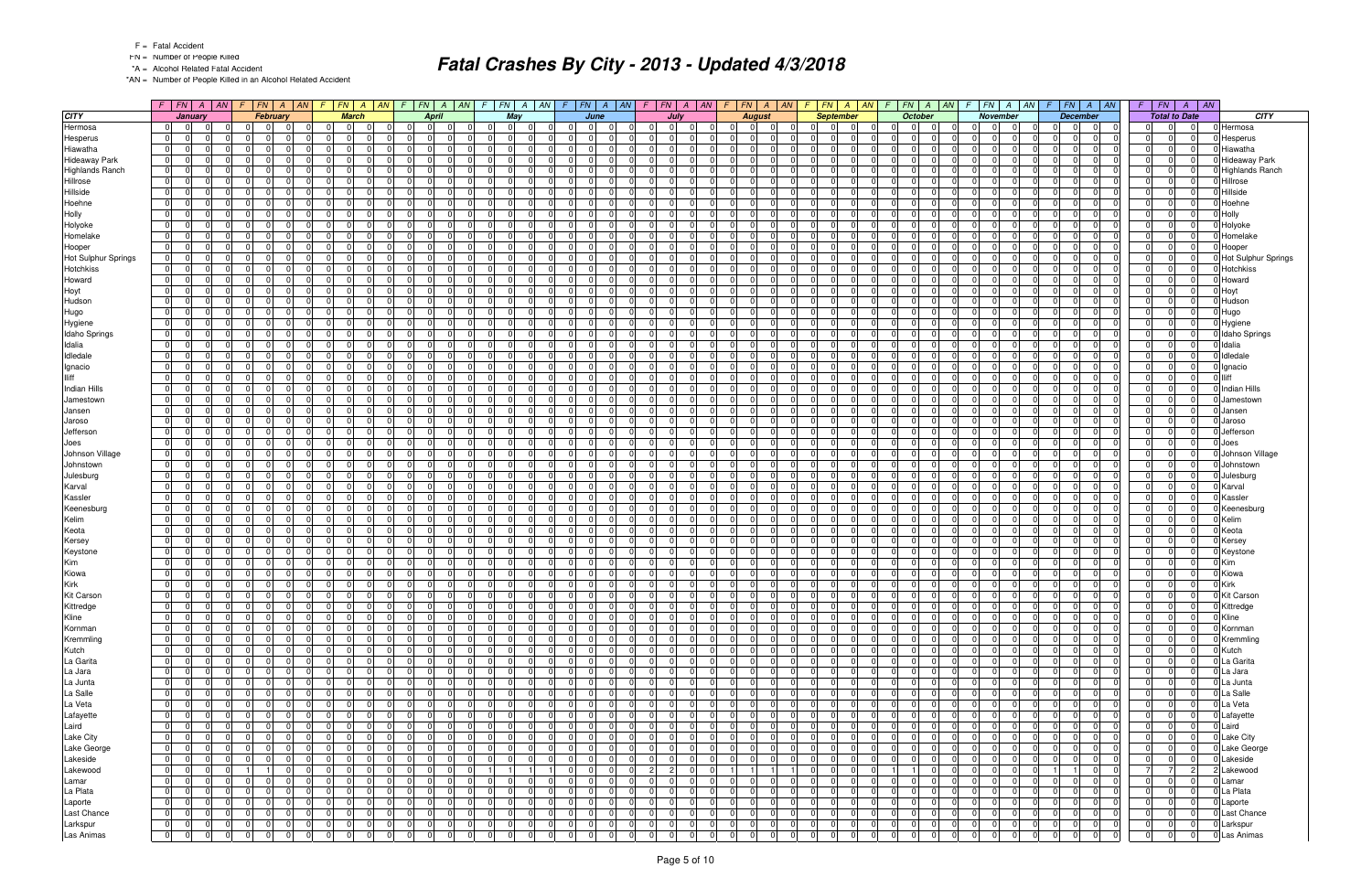- FN = Number of People Killed
- \*A = Alcohol Related Fatal Accident

\*AN = Number of People Killed in an Alcohol Related Accident

|                        |                |                | $F$ $ FN$ $ A$ $ M$ $F$ |          | FN                               | $A \mid AN$    | F.             | $FN \mid A \mid AN$ |                | $\sqrt{F}$                       |                |                |                |                                  | $F$   $FN$     |                               | $A$ $AN$ | $\sqrt{F}$     | FN A AN                    | $\mathcal{F}$                    | $FN \mid A \mid AN$ |                | $F$ $FN$ $A$ $AN$                | $FN \mid A$<br>$\sqrt{F}$        | AN             | $FN \mid A \mid AN$<br>F.        |                | F.             | FN A AN                          | $F \perp$      | FN                   | $\overline{A}$ | $\parallel$ AN |                            |
|------------------------|----------------|----------------|-------------------------|----------|----------------------------------|----------------|----------------|---------------------|----------------|----------------------------------|----------------|----------------|----------------|----------------------------------|----------------|-------------------------------|----------|----------------|----------------------------|----------------------------------|---------------------|----------------|----------------------------------|----------------------------------|----------------|----------------------------------|----------------|----------------|----------------------------------|----------------|----------------------|----------------|----------------|----------------------------|
| <b>CITY</b>            |                | <b>January</b> |                         |          |                                  | February       |                | <b>March</b>        |                |                                  | <b>April</b>   |                | May            |                                  |                | June                          |          |                | July                       | <b>August</b>                    |                     |                | <b>September</b>                 | <b>October</b>                   |                | November                         |                |                | <b>December</b>                  |                | <b>Total to Date</b> |                |                | <b>CITY</b>                |
| Hermosa                | 0              | $\mathbf 0$    |                         |          | $\Omega$                         | $\Omega$       | $\overline{0}$ | $\Omega$            | $\Omega$       | $\mathbf 0$                      | 0              | $\Omega$       | $\overline{0}$ |                                  | $\Omega$       | $\Omega$<br>- 0               |          |                | $\Omega$<br>$\Omega$       | $\Omega$                         | $\Omega$            | 0              | $\Omega$                         | $\mathbf 0$<br>$\Omega$          | $\Omega$       | $\Omega$                         | $\Omega$       |                | $\Omega$<br>0                    | $\Omega$       | 0                    | $\Omega$       |                | Hermosa                    |
| Hesperus               | 0              | $\overline{0}$ |                         |          | $\Omega$                         |                | $\Omega$       | $\Omega$            | $\Omega$       | $\Omega$                         |                | $\Omega$       | 0 <sup>1</sup> |                                  | $\Omega$       | $\Omega$                      |          | $\Omega$       | n.                         | $\Omega$                         | $\Omega$            | 0              | 0                                | <sup>0</sup><br>$\Omega$         | $\Omega$       | $\Omega$                         | $\Omega$       |                | $\Omega$<br>$\Omega$             | $\mathbf 0$    | <sup>0</sup>         | $\Omega$       |                | Hesperus                   |
| Hiawatha               | 0              | $\overline{0}$ |                         |          | $\Omega$                         | $\Omega$       | 0              | $\Omega$            | $\Omega$       | $\Omega$<br>$\Omega$             | $\Omega$       | - 0 I          | $\Omega$       |                                  | $\Omega$       | $\Omega$                      |          | $\Omega$       | $\Omega$<br>$\Omega$       | $\Omega$                         | $\Omega$            | 0              | $\Omega$<br>$\Omega$             | $\Omega$<br>- 0 I                | $\Omega$       | $\overline{0}$                   | $\Omega$       | $\Omega$       | 0 <br>$\overline{0}$             | - 0 I          | $\Omega$             | $\Omega$       |                | Hiawatha                   |
| <b>Hideaway Park</b>   | 0              | - 01           |                         |          | $\Omega$                         | $\Omega$       | - 0 I          |                     | $\Omega$       | $\Omega$                         | $\Omega$       | $\Omega$       | $\Omega$       |                                  | $\Omega$       | $\Omega$                      |          | $\Omega$       | 0                          | $\Omega$                         | $\Omega$            | $\Omega$       | <sup>n</sup>                     | $\Omega$<br>$\Omega$             | $\Omega$       | $\Omega$                         | $\Omega$       | $\Omega$       | $\Omega$<br>$\Omega$             | - 0 I          | $\Omega$             | $\Omega$       |                | Hideaway Park              |
| <b>Highlands Ranch</b> | $\overline{0}$ | $\mathbf 0$    |                         |          | $\Omega$                         | $\Omega$       | - 0 I          |                     | $\Omega$       | $\Omega$                         | $\Omega$       | $\Omega$       | $\Omega$       |                                  | $\Omega$       | $\Omega$                      |          | $\Omega$       | $\Omega$                   | $\Omega$                         | n                   | 0              | $\Omega$                         | $\overline{0}$<br>$\Omega$       | $\Omega$       | $\Omega$                         | $\Omega$       | $\Omega$       | $\Omega$<br>$\Omega$             | $\Omega$       | $\Omega$             | $\Omega$       |                | <b>Highlands Ranch</b>     |
| Hillrose               | 0              | $\overline{0}$ |                         |          | $\Omega$                         | $\Omega$       | 0              | $\Omega$            | $\Omega$       | $\Omega$<br>$\overline{0}$       | $\Omega$       | 0 I            | $\Omega$       |                                  | $\Omega$       | $\Omega$                      |          | $\Omega$       | $\Omega$<br>$\Omega$       | $\Omega$                         | $\Omega$            | $\mathbf 0$    | $\Omega$                         | $\Omega$<br>$\Omega$             | $\Omega$       | $\overline{0}$                   | $\Omega$       | $\Omega$       | $\Omega$<br>0                    | $\overline{0}$ | $\Omega$             | $\Omega$       |                | Hillrose                   |
| Hillside               | 0              | $\Omega$       |                         |          | $\Omega$                         | $\Omega$       | 0              | $\Omega$            | $\Omega$       | $\Omega$<br>$\Omega$             | $\Omega$       | $\Omega$       | $\Omega$       |                                  | $\Omega$       | $\Omega$                      |          | $\Omega$       | $\Omega$<br>$\Omega$       | $\Omega$                         | $\Omega$            | 0              | 0                                | $\Omega$<br>$\Omega$             | $\Omega$       | $\Omega$                         | $\Omega$       | $\Omega$       | $\Omega$<br>$\Omega$             | $\Omega$       | $\Omega$             | $\Omega$       |                | Hillside                   |
| Hoehne                 | $\overline{0}$ | $\mathbf 0$    |                         |          | $\Omega$<br><sup>n</sup>         | $\Omega$       | - 0 I          | - 0                 | $\Omega$       | $\Omega$<br>$\overline{0}$       | $\Omega$       | $\mathbf 0$    | $\Omega$       | $\Omega$                         | $\Omega$       | $\Omega$                      |          | $\Omega$       | $\Omega$<br>$\Omega$       | $\mathbf 0$<br>- 0               | $\Omega$            | 0              | $\Omega$<br>$\Omega$             | $\Omega$<br>$\Omega$             | $\Omega$       | 01                               | $\mathbf 0$    | $\Omega$       | $\Omega$<br>$\Omega$             | 0              | $\Omega$             | $\Omega$       |                | Hoehne                     |
| Holly                  | - 0 I          | $\Omega$       |                         |          | $\Omega$                         | $\Omega$       | - 0 I          |                     | $\Omega$       | $\Omega$                         | $\Omega$       | $\Omega$       | $\Omega$       |                                  | $\Omega$       | $\Omega$                      |          | $\Omega$       | $\Omega$                   | $\Omega$                         | $\Omega$            | $\Omega$       | <sup>0</sup>                     | $\Omega$<br>$\Omega$             | $\Omega$       | $\Omega$                         | $\Omega$       | $\Omega$       | $\Omega$<br>$\Omega$             | $\Omega$       | $\Omega$             | $\Omega$       |                | Holly                      |
| Holyoke                | $\overline{0}$ | $\overline{0}$ |                         |          | $\Omega$                         | $\Omega$       | 0              |                     | $\Omega$       | $\Omega$<br>$\Omega$             | $\Omega$       | $\mathbf 0$    | $\Omega$       | $\Omega$                         | $\Omega$       | $\Omega$                      |          | $\Omega$       | $\Omega$<br>$\Omega$       | $\mathbf 0$                      | $\Omega$            | 0              | $\Omega$                         | 0 I<br>$\Omega$                  | $\Omega$       | $\overline{0}$                   | $\Omega$       | $\Omega$       | $\Omega$<br>$\Omega$             | $\Omega$       | $\Omega$             | $\Omega$       |                | Holyoke                    |
| Homelake               | 0 I            | $\overline{0}$ |                         |          | $\Omega$                         | $\Omega$       | 0              | $\Omega$            | $\Omega$       | $\Omega$<br>$\Omega$             | $\Omega$       | - 0 l          | $\Omega$       | $\Omega$                         | $\Omega$       | $\Omega$                      |          | $\Omega$       | $\Omega$<br>$\Omega$       | - 0 l                            | $\Omega$            | 0              | $\Omega$                         | $\Omega$<br>$\Omega$             | $\Omega$       | $\overline{0}$                   | $\mathbf 0$    | $\Omega$       | $\Omega$<br>$\Omega$             | - 0 l          | $\Omega$             | $\Omega$       |                | Homelake                   |
| Hooper                 | $\overline{0}$ | $\mathbf 0$    |                         |          | $\Omega$                         | $\Omega$       | - 0 l          | -0                  | $\Omega$       | $\Omega$                         | $\Omega$       | $\Omega$       | $\Omega$       | $\Omega$                         | $\Omega$       | $\Omega$                      |          | $\Omega$       | n<br>$\Omega$              | $\Omega$                         | $\Omega$            | $\Omega$       | 0                                | $\Omega$<br>$\Omega$             | $\Omega$       | $\Omega$                         | $\Omega$       | $\Omega$       | $\Omega$<br>$\Omega$             | - 0 l          | $\Omega$             | n              |                | Hooper                     |
| Hot Sulphur Springs    | 0              | $\overline{0}$ |                         |          | $\Omega$                         | $\Omega$       | 0              | $\Omega$            | $\Omega$       | $\Omega$                         | $\Omega$       | $\Omega$       | $\Omega$       | $\Omega$                         | $\Omega$       | $\Omega$                      |          | $\Omega$       | $\Omega$                   | $\Omega$                         | $\Omega$            | 0              | ΩI                               | <sup>0</sup><br>$\Omega$         | $\Omega$       | $\Omega$                         | $\Omega$       | $\Omega$       | $\Omega$<br>$\Omega$             | - 0 l          | $\Omega$             | $\Omega$       |                | <b>Hot Sulphur Springs</b> |
| <b>Hotchkiss</b>       | 0              | $\mathbf 0$    |                         |          | $\Omega$                         | $\Omega$       | 0              | $\Omega$            | $\Omega$       | $\Omega$<br>$\overline{0}$       | $\Omega$       | 0 I            | $\Omega$       |                                  | 0              | $\Omega$                      |          | 0 I            | $\Omega$                   | $\mathbf 0$                      | $\Omega$            | $\mathbf 0$    | $\Omega$                         | $\Omega$<br>$\Omega$             | $\Omega$       | $\overline{0}$                   | $\Omega$       | $\Omega$       | $\overline{0}$<br>$\mathbf 0$    | $\overline{0}$ | $\Omega$             | $\Omega$       |                | <b>Hotchkiss</b>           |
| Howard                 | 0              | $\Omega$       |                         |          | $\Omega$                         | $\Omega$       | 0              | $\Omega$            | $\Omega$       | $\Omega$<br>$\Omega$             | $\Omega$       | $\Omega$       | $\Omega$       |                                  | $\Omega$       | $\Omega$                      |          | $\Omega$       | $\Omega$                   | $\Omega$                         | $\Omega$            | $\Omega$       | 0                                | $\Omega$<br>$\Omega$             | $\Omega$       | $\Omega$                         | $\Omega$       | $\Omega$       | $\Omega$<br>$\Omega$             | - 0 I          | $\Omega$             | $\Omega$       |                | Howard                     |
| Hoyt                   | 0              | - 01           |                         |          | $\Omega$                         | $\Omega$       | - 0 I          | - 0                 | $\Omega$       | $\Omega$<br>$\overline{0}$       | $\Omega$       | $\mathbf 0$    | $\Omega$       | $\Omega$                         | $\Omega$       | $\Omega$                      |          | $\Omega$       | $\Omega$<br>n              | $\mathbf 0$                      | $\Omega$            | $\mathbf 0$    | $\Omega$                         | <sup>0</sup><br>$\Omega$         | $\Omega$       | $\Omega$                         | $\mathbf 0$    | $\Omega$       | $\Omega$<br>$\Omega$             | $\mathbf 0$    | $\Omega$             | $\Omega$       |                | Hoyt                       |
| Hudson                 | 0              | $\Omega$       |                         |          | $\Omega$                         | $\Omega$       | - 0 I          | -0                  | $\Omega$       | $\Omega$                         | $\Omega$       | $\Omega$       | $\Omega$       |                                  | $\Omega$       | $\Omega$                      |          | $\Omega$       | 0                          | $\Omega$                         |                     | $\Omega$       |                                  | <sup>0</sup><br>$\Omega$         |                | $\Omega$                         | $\Omega$       | $\Omega$       | 0<br>$\Omega$                    | $\Omega$       | $\Omega$             | $\Omega$       |                | Hudson                     |
| Hugo                   | $\overline{0}$ | 0              |                         |          | $\Omega$                         | $\Omega$       | 0              |                     | $\Omega$       | $\Omega$<br>$\Omega$             | $\Omega$       | .0             | $\Omega$       |                                  | $\Omega$       | $\Omega$                      |          | $\Omega$       | $\Omega$                   | $\Omega$                         | $\Omega$            | 0              | $\Omega$                         | <sup>0</sup><br>$\Omega$         | $\Omega$       | 01                               | $\Omega$       | $\Omega$       | $\Omega$<br>$\Omega$             | $\Omega$       | $\Omega$             | $\Omega$       |                | Hugo                       |
| Hygiene                | 0              | $\overline{0}$ |                         |          | $\Omega$                         | $\Omega$       | - 0 I          | $\Omega$            | $\Omega$       | $\Omega$<br>$\Omega$             | $\Omega$       | $\Omega$       | $\Omega$       |                                  | $\Omega$       | $\Omega$                      |          | $\Omega$       | $\Omega$                   | $\mathbf 0$                      | $\Omega$            | $\overline{0}$ | $\Omega$                         | 0 I<br>$\Omega$                  | $\Omega$       | $\overline{0}$                   | $\Omega$       |                | $\Omega$<br>$\Omega$             | 0              | $\Omega$             | $\Omega$       |                | Hygiene                    |
| Idaho Springs          | 0              | $\overline{0}$ |                         |          | $\Omega$                         | $\Omega$       | 0              | $\Omega$            | $\Omega$       | $\Omega$                         | $\Omega$       | $\Omega$       | $\Omega$       |                                  | $\Omega$       | $\Omega$                      |          | $\Omega$       | $\Omega$<br>$\Omega$       | $\Omega$                         | $\Omega$            | $\overline{0}$ | 0                                | <sup>0</sup><br>$\Omega$         | $\Omega$       | $\Omega$                         | $\Omega$       |                | $\Omega$<br>$\Omega$             | $\Omega$       | $\Omega$             | $\Omega$       |                | <b>Idaho Springs</b>       |
| Idalia                 | 0              | - 01           |                         |          | $\Omega$                         | $\Omega$       | - 0 l          | - 0                 | $\Omega$       | $\Omega$<br>$\Omega$             | $\overline{0}$ | 0 I            | $\Omega$       | $\Omega$                         | $\Omega$       | $\overline{0}$                |          | 0              | $\Omega$<br>$\Omega$       | $\mathbf 0$                      | $\Omega$            | 0              | $\Omega$<br>$\Omega$             | $\Omega$<br>$\Omega$             | $\Omega$       | $\overline{0}$                   | $\mathbf 0$    | $\Omega$       | $\Omega$<br>$\Omega$             | 0 I            | $\Omega$             | $\Omega$       |                | Idalia                     |
| Idledale               | 0              | $\overline{0}$ |                         |          | $\Omega$                         | $\Omega$       | 0              |                     | $\Omega$       | $\Omega$                         | $\Omega$       | $\Omega$       | $\Omega$       |                                  | $\Omega$       | $\Omega$                      |          | $\Omega$       | $\Omega$                   | $\Omega$                         | $\Omega$            | $\mathbf 0$    | 0                                | <sup>0</sup><br>$\Omega$         | $\Omega$       | $\Omega$                         | $\Omega$       | $\Omega$       | $\Omega$<br>$\Omega$             | $\Omega$       | $\Omega$             | $\Omega$       |                | Idledale                   |
| Ignacio                | 0              | $\overline{0}$ |                         |          | $\Omega$                         | $\Omega$       | 0              | $\Omega$            | $\Omega$       | $\Omega$<br>$\Omega$             | $\Omega$       | $\mathbf 0$    | $\Omega$       |                                  | $\Omega$       | $\Omega$                      |          | $\Omega$       | $\Omega$<br>$\Omega$       | $\mathbf 0$                      | $\Omega$            | $\mathbf 0$    | $\Omega$                         | $\overline{0}$<br>$\Omega$       | $\Omega$       | $\Omega$                         | $\Omega$       | $\Omega$       | $\Omega$<br>$\Omega$             | - 0 l          | $\Omega$             | $\Omega$       |                | Ignacio                    |
| lliff                  | $\overline{0}$ | $\overline{0}$ |                         |          | $\Omega$                         | $\Omega$       | 0              | $\Omega$            | $\Omega$       | $\Omega$<br>$\Omega$             | $\Omega$       | - 0 I          | $\Omega$       |                                  | $\Omega$       | $\Omega$                      |          | $\Omega$       | $\Omega$<br>$\Omega$       | $\Omega$                         | $\Omega$            | 0              | $\Omega$<br>$\Omega$             | $\Omega$<br>$\Omega$             | $\Omega$       | $\Omega$                         | $\Omega$       | $\Omega$       | 0 <br>$\overline{0}$             | - 0 I          | $\Omega$             | $\Omega$       |                | <b>Iliff</b>               |
| Indian Hills           | 0              | - 01           |                         |          | $\Omega$                         | $\Omega$       | - 0 I          | $\Omega$            | $\Omega$       | $\Omega$                         | $\Omega$       | $\Omega$       | $\Omega$       |                                  | $\Omega$       | $\Omega$                      |          | $\Omega$       | $\Omega$<br>$\Omega$       | $\Omega$                         | $\Omega$            | $\Omega$       | <sup>0</sup>                     | <sup>0</sup><br>$\Omega$         | $\Omega$       | $\Omega$                         | $\Omega$       | $\Omega$       | $\Omega$<br>$\Omega$             | - 0 I          | $\Omega$             | $\Omega$       |                | <b>Indian Hills</b>        |
| Jamestown              | $\overline{0}$ | $\overline{0}$ |                         |          | $\Omega$                         | $\Omega$       | 0              |                     | $\Omega$       | $\Omega$<br>$\Omega$             | $\Omega$       | $\Omega$       | $\Omega$       |                                  | $\Omega$       | $\Omega$                      |          | $\Omega$       | $\Omega$                   | $\Omega$                         | $\Omega$            | 0              | $\Omega$                         | $\Omega$<br>$\Omega$             | $\Omega$       | $\Omega$                         | $\Omega$       | $\Omega$       | $\Omega$<br>$\Omega$             | $\Omega$       | $\Omega$             | $\Omega$       |                | Jamestown                  |
| Jansen                 | 0              | $\Omega$       |                         |          | $\Omega$                         | $\Omega$       | - 0 I          | $\Omega$            | $\Omega$       | $\Omega$<br>$\Omega$             | $\Omega$       | 0 I            | $\Omega$       |                                  | $\Omega$       | $\Omega$                      |          | $\Omega$       | $\Omega$<br>$\Omega$       | $\Omega$                         | $\Omega$            | $\overline{0}$ | $\Omega$                         | 0 I<br>$\Omega$                  | $\Omega$       | $\overline{0}$                   | $\Omega$       |                | $\Omega$<br>$\Omega$             | $\Omega$       | $\Omega$             | $\Omega$       |                | Jansen                     |
| Jaroso                 | $\overline{0}$ | $\Omega$       |                         |          | $\Omega$                         | $\Omega$       | $\Omega$       | $\Omega$            | $\Omega$       | $\Omega$                         | $\Omega$       | $\Omega$       | $\Omega$       |                                  | $\Omega$       | $\Omega$                      |          | $\Omega$       | $\Omega$<br>$\Omega$       | $\Omega$                         | $\Omega$            | $\overline{0}$ | $\Omega$                         | <sup>0</sup><br>$\Omega$         | $\Omega$       | $\Omega$                         | $\Omega$       | $\Omega$       | $\Omega$<br>$\Omega$             | $\Omega$       | $\Omega$             | $\Omega$       |                | Jaroso                     |
| Jefferson              | 0              | - 01           |                         |          | $\Omega$<br><sup>n</sup>         | $\Omega$       | - 0 I          | $\Omega$            | $\Omega$       | $\Omega$<br>$\Omega$             | $\Omega$       | 0 I            | $\Omega$       | $\Omega$                         | $\Omega$       | $\Omega$                      |          | $\Omega$       | $\Omega$<br>$\Omega$       | $\mathbf 0$                      | $\Omega$            | 0              | $\Omega$<br>$\Omega$             | $\Omega$<br>$\Omega$             | $\Omega$       | $\overline{0}$                   | $\mathbf 0$    | $\Omega$       | $\Omega$<br>$\Omega$             | 0 I            | $\Omega$             | $\Omega$       |                | Jefferson                  |
| Joes                   | $\overline{0}$ | $\Omega$       |                         |          | $\Omega$                         | $\Omega$       | - 0 I          |                     | $\Omega$       | $\overline{0}$                   | $\Omega$       | $\Omega$       | $\Omega$       |                                  | $\Omega$       | $\Omega$                      |          | $\Omega$       | 0                          | $\Omega$                         |                     | $\mathbf 0$    | <sup>0</sup>                     | <sup>0</sup><br>$\Omega$         | $\Omega$       | $\Omega$                         | $\Omega$       |                | $\Omega$<br>$\Omega$             | $\Omega$       | $\Omega$             | $\Omega$       |                | Joes                       |
| Johnson Village        | 0              | $\mathbf 0$    |                         |          | $\Omega$<br><sup>n</sup>         | $\Omega$       | 0              | $\Omega$            | $\Omega$       | $\Omega$<br>$\mathbf 0$          | $\Omega$       | $\mathbf 0$    | $\Omega$       | $\Omega$                         | $\Omega$       | $\Omega$                      |          | $\Omega$       | $\Omega$<br>$\Omega$       | $\mathbf 0$                      | $\Omega$            | $\mathbf 0$    | $\Omega$<br>$\Omega$             | 0 I<br>$\Omega$                  | $\Omega$       | 01                               | $\mathbf 0$    | $\Omega$       | $\Omega$<br>$\Omega$             | 0              | $\Omega$             | $\Omega$       |                | 0 Johnson Village          |
| Johnstown              | 0              | $\overline{0}$ |                         |          | $\Omega$                         | $\Omega$       | 0              | $\Omega$            | $\Omega$       | $\Omega$<br>$\Omega$             | $\Omega$       | $\mathbf 0$    | $\Omega$       | $\Omega$                         | $\Omega$       | $\Omega$                      |          | $\Omega$       | $\Omega$<br>$\Omega$       | $\mathbf 0$                      | $\Omega$            | 0              | $\Omega$                         | $\overline{0}$<br>$\Omega$       | $\Omega$       | $\Omega$                         | $\Omega$       | $\Omega$       | 0 <br>$\Omega$                   | - 0 I          | $\Omega$             | $\Omega$       |                | Johnstown                  |
| Julesburg              | $\overline{0}$ | $\overline{0}$ |                         |          | $\Omega$                         | $\Omega$       | $\mathbf 0$    | - 0                 | $\Omega$       | $\Omega$<br><sup>n</sup>         | $\Omega$       | $\mathbf 0$    | $\Omega$       | $\Omega$                         | $\Omega$       | $\Omega$                      |          | $\Omega$       | n<br>$\Omega$              | $\mathbf 0$                      | $\Omega$            | $\Omega$       | 0<br>$\Omega$                    | $\Omega$<br>$\Omega$             | $\Omega$       | $\Omega$                         | $\Omega$       | $\Omega$       | $\Omega$<br>$\Omega$             | $\mathbf 0$    | $\Omega$             | $\Omega$       |                | Julesburg                  |
| Karval                 | $\overline{0}$ | $\Omega$       |                         |          | $\Omega$<br>$\cap$               | $\Omega$       | 0              | $\Omega$            | $\Omega$       | $\Omega$                         | $\Omega$       | 0 I            | $\Omega$       | $\Omega$                         | $\Omega$       | $\Omega$                      |          | $\Omega$       | $\Omega$                   | $\Omega$                         | $\Omega$            | 0              | $\Omega$<br>ΩI                   | <sup>0</sup><br>$\Omega$         | $\Omega$       | $\Omega$                         | $\Omega$       | $\Omega$       | $\Omega$<br>$\Omega$             | - 0 l          | $\Omega$             | $\Omega$       |                | Karval                     |
| Kassler                | 0              | $\mathbf 0$    |                         |          | $\Omega$                         | $\Omega$       | 0              | $\Omega$            | $\Omega$       | $\Omega$<br>$\overline{0}$       | $\overline{0}$ | 0 I            | $\Omega$       |                                  | 0              | - 01                          |          | 0 I            | $\Omega$                   | 0                                | $\Omega$            | $\mathbf 0$    | $\Omega$                         | $\Omega$<br>$\Omega$             | $\Omega$       | $\overline{0}$                   | 0              | $\Omega$       | $\overline{0}$<br>0              | $\overline{0}$ | $\Omega$             | $\Omega$       |                | Kassler                    |
| Keenesburg             | 0              | $\Omega$       |                         |          | $\Omega$                         | $\Omega$       | 0              | $\Omega$            | $\Omega$       | $\Omega$                         | $\Omega$       | $\Omega$       | $\Omega$       |                                  | $\Omega$       | $\Omega$                      |          | $\Omega$       | $\Omega$                   | $\Omega$                         | $\Omega$            | 0              | 0                                | $\Omega$<br>$\Omega$             | $\Omega$       | $\Omega$                         | $\Omega$       | $\Omega$       | $\Omega$<br>$\Omega$             | $\Omega$       | $\Omega$             | $\Omega$       |                | Keenesburg                 |
| Kelim                  | $\overline{0}$ | $\mathbf 0$    |                         |          | $\Omega$<br><sup>0</sup>         | $\Omega$       | - 0 l          | - 0                 | $\Omega$       | $\Omega$<br>$\overline{0}$       | $\Omega$       | $\mathbf 0$    | $\Omega$       | $\Omega$                         | $\Omega$       | - 01                          |          | 0 I            | $\Omega$<br>$\Omega$       | $\mathbf 0$<br>- 0               | $\Omega$            | 0              | $\Omega$<br>$\Omega$             | 0 I<br>$\Omega$                  | $\Omega$       | 01                               | $\mathbf 0$    | $\Omega$       | $\Omega$<br>$\Omega$             | 0              | $\Omega$             | $\Omega$       |                | Kelim                      |
| Keota                  | $\overline{0}$ | $\overline{0}$ |                         |          | $\Omega$                         | $\Omega$       | 0              | $\Omega$            | $\Omega$       | $\Omega$<br>$\Omega$             | $\Omega$       | $\Omega$       | $\Omega$       |                                  | $\Omega$       | $\Omega$                      |          | $\Omega$       | $\Omega$                   | $\Omega$                         | $\Omega$            | $\Omega$       | <sup>0</sup>                     | <sup>0</sup><br>$\Omega$         | $\Omega$       | $\Omega$                         | $\Omega$       | $\Omega$       | $\Omega$<br>$\Omega$             | - 0 I          | $\Omega$             | $\Omega$       |                | Keota                      |
| Kersey                 | 0              | $\mathbf 0$    |                         |          | $\Omega$                         | $\Omega$       | 0              |                     | $\Omega$       | $\Omega$<br>$\Omega$             | $\Omega$       | $\Omega$       | $\Omega$       | $\Omega$                         | $\Omega$       | $\Omega$                      |          | $\Omega$       | $\Omega$<br>$\Omega$       | $\mathbf 0$                      | $\Omega$            | $\mathbf 0$    | $\Omega$                         | 0 I<br>$\Omega$                  | $\Omega$       | $\Omega$                         | $\Omega$       | $\Omega$       | $\Omega$<br>$\Omega$             | $\Omega$       | $\Omega$             | $\Omega$       |                | Kersey                     |
| Keystone               | 0              | $\Omega$       |                         |          | $\Omega$                         | $\Omega$       | 0              | $\Omega$            | $\Omega$       | $\Omega$<br>$\Omega$             | $\Omega$       | $\mathbf 0$    | $\Omega$       | $\Omega$                         | $\Omega$       | $\Omega$                      |          | $\Omega$       | $\Omega$<br>$\Omega$       | - 0 I                            | $\Omega$            | 0              | $\Omega$                         | $\overline{0}$<br>$\Omega$       | $\Omega$       | $\overline{0}$                   | $\mathbf 0$    | $\Omega$       | 0 <br>$\Omega$                   | - 0 I          | $\Omega$             | $\Omega$       |                | Keystone                   |
| Kim                    | 0              | $\mathbf 0$    |                         |          | $\Omega$                         | $\Omega$       | - 0 I          | - 0                 | $\Omega$       | $\Omega$<br>$\overline{0}$       | $\Omega$       | $\mathbf 0$    | $\Omega$       | $\Omega$                         | $\Omega$       | $\Omega$                      |          | $\Omega$       | $\Omega$<br>$\Omega$       | $\mathbf 0$                      | $\Omega$            | $\mathbf 0$    | $\Omega$<br>$\Omega$             | $\Omega$<br>$\Omega$             | $\Omega$       | 01                               | $\Omega$       | $\Omega$       | $\Omega$<br>$\Omega$             | - 0 I          | $\Omega$             | $\Omega$       |                | Kim                        |
| Kiowa                  | $\overline{0}$ | - 01           |                         |          | $\Omega$                         | $\Omega$       | - 0 I          | - 0                 | $\Omega$       | $\Omega$<br>$\Omega$             | $\Omega$       | 0 I            | $\Omega$       | $\Omega$                         | $\Omega$       | $\Omega$                      |          | $\Omega$       | $\Omega$<br>$\Omega$       | $\Omega$                         | $\Omega$            | 0              | $\Omega$                         | <sup>0</sup><br>$\Omega$         | $\Omega$       | 01                               | $\mathbf 0$    | $\Omega$       | $\Omega$<br>$\Omega$             | 0 I            | $\Omega$             | $\Omega$       |                | Kiowa                      |
| Kirk                   | $\overline{0}$ | 0              |                         |          | 0                                | 0              | $\overline{0}$ |                     |                | 0                                | $\Omega$       | .0             | $\Omega$       |                                  | 0              | $\Omega$                      |          | 0              | 0.                         | $\Omega$                         |                     | 0              | O.                               | $\Omega$                         | $\Omega$       | $\overline{0}$                   | $\Omega$       |                | 0<br>$\Omega$                    | 0              | 0                    |                |                | <b>Kirk</b>                |
| Kit Carson             | 0              | $\overline{0}$ |                         |          | $\overline{0}$                   | $\Omega$       | 0              | $\Omega$            | $\Omega$       | $\Omega$<br>$\mathbf 0$          | $\Omega$       | 0 I            | $\Omega$       |                                  | $\Omega$       | - 01                          |          | $\Omega$       | $\Omega$<br>$\Omega$       | $\mathbf 0$                      | $\Omega$            | 0              | $\Omega$                         | $\overline{0}$<br>- 0 l          | $\Omega$       | $\Omega$                         | $\mathbf 0$    | $\Omega$       | $\Omega$<br>$\Omega$             | $\Omega$       | $\Omega$             |                |                | Kit Carson                 |
| Kittredge              | $\overline{0}$ | $\overline{0}$ |                         |          |                                  | 0              | 0              | - 0                 | -01            | 0                                | $\overline{0}$ | -01            | -01            |                                  | $\Omega$       | -01                           |          |                | $\Omega$<br>0              | -01                              |                     | 0              | 01                               | $\Omega$                         | 0              | 0                                | $\Omega$       |                | 0 <br> 0                         |                | 0                    |                |                | 0 Kittredge                |
| Kline                  | 0              | 0              |                         |          | $\Omega$<br>$\Omega$             | $\Omega$       | $\overline{0}$ | $\Omega$            | 0 I            | $\overline{0}$                   | $\overline{0}$ | 0 I            | $\overline{0}$ | $\Omega$                         | $\overline{0}$ | - 01                          |          | 0              | $\Omega$<br>$\Omega$       | 0 I                              | - 01                | 0              | $\Omega$<br>$\Omega$             | 0 I<br>$\overline{0}$            | $\Omega$       | $\overline{0}$                   | $\mathbf 0$    | $\overline{0}$ | 0 <br>$\mathbf 0$                | 0              | $\overline{0}$       | $\Omega$       |                | Kline                      |
| Kornman                | 0              | $\overline{0}$ |                         |          | $\Omega$                         | $\Omega$       | $\overline{0}$ | $\Omega$            | $\Omega$       | $\Omega$<br>$\overline{0}$       | 0              | - 0 l          | $\Omega$       |                                  | $\overline{0}$ | $\overline{0}$                |          | 0              | $\Omega$<br>$\Omega$       | - 0 l                            | $\Omega$            | $\overline{0}$ | $\Omega$                         | $\overline{0}$<br>- 0 I          | $\Omega$       | $\overline{0}$                   | $\Omega$       |                | 0 <br>$\overline{0}$             | 0              | $\Omega$             | $\Omega$       |                | Kornman                    |
| Kremmling              | 0              | 0              |                         |          | $\overline{0}$<br>$\Omega$       | $\overline{0}$ | 0              | $\overline{0}$      | 0 I            | $\overline{0}$<br>$\mathbf 0$    | 0              | 0              | 0              | $\Omega$                         | $\overline{0}$ | 0 <br>$\Omega$                |          | $\overline{0}$ | $\Omega$<br> 0             | 01                               | $\overline{0}$      | 0              | 0 <br>$\overline{0}$             | 0 <br>$\overline{0}$             | - 01           | 0 <br>$\Omega$                   | 0              | $\overline{0}$ | $\overline{0}$<br>$\overline{0}$ | 01             | $\overline{0}$       | $\overline{0}$ |                | Kremmling                  |
| Kutch                  | $\overline{0}$ | $\mathbf 0$    |                         |          | $\overline{0}$                   | $\overline{0}$ | $\overline{0}$ | $\Omega$            | $\Omega$       | $\mathbf 0$<br>$\Omega$          | 0              | 0 I            | $\overline{0}$ | $\mathbf{0}$                     | $\overline{0}$ | $\overline{0}$                |          | 0              | $\overline{0}$<br>$\Omega$ | - 0 I                            | $\mathbf 0$         | 0              | $\mathbf 0$<br>$\Omega$          | $\overline{0}$<br> 0             | $\overline{0}$ | $\overline{0}$<br>- 0            | - 0 I          | $\overline{0}$ | $\overline{0}$<br>$\mathbf{0}$   | 0              | $\overline{0}$       | $\Omega$       |                | Kutch                      |
| La Garita              | 0              | $\overline{0}$ |                         |          | $\overline{0}$<br>$\Omega$       | $\Omega$       | 0              | $\overline{0}$      | 0 I            | $\overline{0}$<br>$\Omega$       | 0              | $\overline{0}$ | $\overline{0}$ | $\Omega$                         | $\Omega$       | $\overline{0}$                |          | $\overline{0}$ | $\Omega$<br>$\overline{0}$ | 01                               | - 01                | $\overline{0}$ | $\Omega$<br>$\Omega$             | $\overline{0}$<br>$\overline{0}$ | - 01           | 0 <br>- 0                        | 0              | $\overline{0}$ | $\overline{0}$<br>$\overline{0}$ | $\overline{0}$ | $\Omega$             | $\Omega$       |                | La Garita                  |
| La Jara                | $\overline{0}$ | $\overline{0}$ |                         |          | $\overline{0}$                   | $\overline{0}$ | $\overline{0}$ | $\Omega$            | $\Omega$       | $\overline{0}$                   | 0              | 0              | $\Omega$       |                                  | $\overline{0}$ | $\overline{0}$                |          | 0              | $\Omega$<br>$\overline{0}$ | $\Omega$                         | $\Omega$            | 0              | $\overline{0}$                   | $\overline{0}$<br> 0             | $\Omega$       | $\overline{0}$                   | $\Omega$       | $\mathbf 0$    | 0 <br>$\mathbf 0$                | $\overline{0}$ | $\Omega$             | $\Omega$       |                | 0 La Jara                  |
| La Junta               | 0              | $\overline{0}$ |                         |          | $\overline{0}$<br>$\Omega$       | $\overline{0}$ | 0              | - 01                | 0 I            | $\Omega$<br>$\overline{0}$       | $\overline{0}$ | 0              | 0              | $\Omega$                         | $\Omega$       | $\overline{0}$                |          | 0              | $\Omega$<br>$\overline{0}$ | 01                               | $\mathbf 0$         | 0              | $\overline{0}$<br>$\Omega$       | $\overline{0}$<br>$\overline{0}$ | $\overline{0}$ | $\overline{0}$<br>$\Omega$       | 0              | $\Omega$       | $\overline{0}$<br>$\overline{0}$ | 0 I            | $\Omega$             | $\Omega$       |                | 0 La Junta                 |
| La Salle               | 0              | $\overline{0}$ |                         |          | $\mathbf 0$                      | $\overline{0}$ | $\overline{0}$ | - 01                | $\Omega$       | $\mathbf 0$<br>$\Omega$          | 0              | $\overline{0}$ | $\overline{0}$ | 0                                | $\Omega$       | $\overline{0}$                |          | 0              | $\Omega$<br>$\Omega$       | - 0 I                            | $\mathbf 0$         | 0              | $\mathbf 0$<br>$\Omega$          | $\overline{0}$<br> 0             | $\overline{0}$ | $\overline{0}$<br>$\Omega$       | $\mathbf 0$    | $\mathbf 0$    | $\overline{0}$<br>$\overline{0}$ | - 0 I          | $\Omega$             | $\Omega$       |                | 0 La Salle                 |
| La Veta                | 0              | $\overline{0}$ |                         |          | $\Omega$                         | $\Omega$       | 0              | $\Omega$            | 0 I            | $\overline{0}$<br>$\Omega$       | $\overline{0}$ | $\overline{0}$ | $\overline{0}$ | $\Omega$                         | $\Omega$       | $\overline{0}$                |          | 0              | $\Omega$<br>$\overline{0}$ | 0 I                              | - 01                | 0              | $\Omega$<br>$\Omega$             | $\overline{0}$<br>$\overline{0}$ | $\Omega$       | $\overline{0}$<br>$\Omega$       | $\mathbf 0$    | $\overline{0}$ | $\overline{0}$<br>$\mathbf 0$    | 0              | $\overline{0}$       | $\Omega$       |                | La Veta                    |
| Lafayette              | 0              | $\overline{0}$ |                         |          | $\mathbf 0$<br>$\Omega$          | $\overline{0}$ | $\overline{0}$ | $\Omega$            | 0 I            | $\Omega$<br>$\overline{0}$       | 0              | $\overline{0}$ | 0              | $\Omega$                         | $\overline{0}$ | $\overline{0}$                |          | 0              | $\Omega$<br>$\overline{0}$ | 0                                | $\Omega$            | 0              | - 0 l<br>$\Omega$                | $\overline{0}$<br>$\overline{0}$ | $\overline{0}$ | $\overline{0}$<br>$\Omega$       | 0              | $\overline{0}$ | 0 <br>$\overline{0}$             | $\overline{0}$ | $\Omega$             | $\Omega$       |                | Lafayette                  |
| Laird                  | 0              | $\mathbf 0$    |                         |          | $\overline{0}$<br>$\Omega$       | $\overline{0}$ | $\overline{0}$ | $\overline{0}$      | - 0 I          | $\overline{0}$<br>$\overline{0}$ | 0              | 0              | $\overline{0}$ | 0                                | $\overline{0}$ | $\mathbf 0$<br>0              |          | 0              | 0<br>$\overline{0}$        | $\overline{0}$                   | $\overline{0}$      | 0              | 0 <br> 0                         | $\overline{0}$<br>$\overline{0}$ | $\mathbf 0$    | $\overline{0}$<br>$\Omega$       | $\mathbf{0}$   | $\overline{0}$ | 0 <br>$\mathbf 0$                | 01             | $\overline{0}$       | 0              |                | Laird                      |
| Lake City              | 0              | $\overline{0}$ |                         |          | $\overline{0}$<br>$\Omega$       | $\Omega$       | $\overline{0}$ | - 01                | 0 I            | $\Omega$<br>$\overline{0}$       | 0              | $\overline{0}$ | 0              | $\Omega$                         | $\overline{0}$ | $\overline{0}$                |          | 0              | $\Omega$<br>$\Omega$       | $\overline{0}$                   | 0                   | $\overline{0}$ | $\overline{0}$<br>$\Omega$       | $\overline{0}$<br>$\overline{0}$ | $\overline{0}$ | $\overline{0}$<br>$\Omega$       | $\mathbf 0$    | $\Omega$       | 0 <br>$\overline{0}$             | 0              | $\Omega$             | $\Omega$       |                | 0 Lake City                |
| Lake George            | $\overline{0}$ | $\overline{0}$ |                         |          | $\mathbf 0$<br>$\overline{0}$    | $\overline{0}$ | 0              | $\overline{0}$      | - 0 I          | $\Omega$<br>$\overline{0}$       | 0              | 01             | $\overline{0}$ | 0                                | $\overline{0}$ | $\mathbf 0$<br>$\Omega$       |          | 01             | $\Omega$<br>$\overline{0}$ | 01                               | $\overline{0}$      | 0              | $\mathbf 0$<br>- 01              | 0 I<br>$\overline{0}$            | $\mathbf 0$    | 0 <br>- 0                        | 0              | $\overline{0}$ | 0 <br>$\overline{0}$             | $\overline{0}$ | $\overline{0}$       | $\Omega$       |                | 0 Lake George              |
| Lakeside               | 0              | $\overline{0}$ |                         |          | $\Omega$<br>$\Omega$             | $\Omega$       | $\overline{0}$ | $\Omega$            | $\Omega$       | $\overline{0}$<br>$\Omega$       | -01            | 0 I            | $\overline{0}$ | $\Omega$                         | $\Omega$       | $\overline{0}$                |          | 0              | $\Omega$<br>$\Omega$       | - 0 I                            | $\Omega$            | 0              | $\Omega$<br>$\Omega$             | $\overline{0}$<br>$\overline{0}$ | $\Omega$       | $\overline{0}$<br>$\Omega$       | - 0 I          | $\Omega$       | 0 <br>$\overline{0}$             | - 0 I          | $\Omega$             | $\overline{0}$ |                | Lakeside                   |
| Lakewood               | $\overline{0}$ | $\overline{0}$ |                         |          |                                  | $\overline{0}$ | 0              | $\overline{0}$      | 0 I            | $\overline{0}$<br>$\mathbf 0$    | 0              |                |                | $\mathbf{1}$                     | $\overline{0}$ | $\overline{0}$<br>$\mathbf 0$ |          | $\overline{2}$ | $\overline{2}$<br> 0       |                                  |                     | 0              | $\mathbf 0$<br>$\overline{0}$    | $\vert$ 1                        | $\overline{0}$ | $\overline{0}$<br>$\Omega$       | 0              | $\overline{1}$ | $\mathbf 0$<br>$-1$              | 71             | 71                   | 2              |                | 2 Lakewood                 |
| Lamar                  | 0              | $\overline{0}$ |                         |          | $\overline{0}$<br>$\Omega$       | $\overline{0}$ | $\overline{0}$ | - 01                | $\overline{0}$ | $\Omega$<br>$\overline{0}$       | 0              | 0              | 0              | 0                                | $\overline{0}$ | $\Omega$<br>$\overline{0}$    |          | 0              | $\Omega$<br> 0             | $\overline{0}$                   | 0                   | $\overline{0}$ | $\Omega$<br>$\Omega$             | 0 <br>$\overline{0}$             | $\overline{0}$ | $\overline{0}$<br>$\Omega$       | 0              | $\overline{0}$ | 0 <br>$\overline{0}$             | $\overline{0}$ | $\Omega$             | 0 I            |                | Lamar                      |
| La Plata               | 0              | $\overline{0}$ |                         |          | $\overline{0}$<br>$\Omega$       | $\overline{0}$ | 0              | $\overline{0}$      | 0 I            | $\Omega$<br>$\overline{0}$       | $\overline{0}$ | 01             | $\overline{0}$ | $\overline{0}$                   | $\overline{0}$ | $\overline{0}$<br>- 0         |          | 0              | $\Omega$<br>0              | 01<br>- 0                        | $\overline{0}$      | 0              | $\mathbf 0$<br>$\overline{0}$    | 0 I<br>$\overline{0}$            | - 01           | 0 <br>- 0                        | 0              | $\overline{0}$ | 01<br>$\overline{0}$             | 0              | $\overline{0}$       | $\Omega$       |                | 0 La Plata                 |
| Laporte                | $\overline{0}$ | $\overline{0}$ |                         |          | $\Omega$<br>$\Omega$             | $\Omega$       | $\overline{0}$ | $\Omega$            | $\Omega$       | $\Omega$<br>$\overline{0}$       | $\overline{0}$ | 0 I            | $\overline{0}$ | $\Omega$                         | $\Omega$       | $\overline{0}$                |          | 0 I            | $\Omega$<br>$\Omega$       | 0 I                              | $\Omega$            | 0              | $\Omega$<br>$\Omega$             | $\overline{0}$<br>$\overline{0}$ | $\overline{0}$ | $\overline{0}$                   | - 0 I          | $\Omega$       | $\overline{0}$<br>$\overline{0}$ | 0 I            | $\Omega$             | $\Omega$       |                | Laporte                    |
| <b>Last Chance</b>     | 0              | $\mathbf 0$    |                         |          | $\mathbf 0$<br>$\Omega$          | $\overline{0}$ | $\overline{0}$ | 0                   | $\Omega$       | $\overline{0}$<br>$\overline{0}$ | 0              | 01             | $\overline{0}$ | 0                                | $\overline{0}$ | $\overline{0}$<br>$\Omega$    |          | 0              | 0<br>$\overline{0}$        | $\overline{0}$                   | $\overline{0}$      | 0              | $\overline{0}$<br> 0             | 0 <br>01                         | 0              | $\overline{0}$<br>$\Omega$       | $\overline{0}$ | $\overline{0}$ | $\overline{0}$<br>$\mathbf 0$    | 01             | $\overline{0}$       | $\Omega$       |                | 0 Last Chance              |
| Larkspur               | 0              | 0              |                         | $\Omega$ | $\overline{0}$<br>$\overline{0}$ | 0              | $\overline{0}$ | $\overline{0}$      | $\overline{0}$ | $\overline{0}$<br>$\overline{0}$ | $\overline{0}$ | $\overline{0}$ | 0              | 0                                | $\mathbf{0}$   | 0 <br> 0                      |          | $\overline{0}$ | $\overline{0}$<br> 0       | $\overline{0}$<br>- 01           | 0                   | $\overline{0}$ | $\overline{0}$<br>$\overline{0}$ | 0 <br> 0                         | 0              | $\overline{0}$<br>- 01           | 01             | $\mathbf 0$    | $\overline{0}$<br>$\mathbf{0}$   | $\overline{0}$ | $\overline{0}$       | $\overline{0}$ |                | 0 Larkspur                 |
| Las Animas             | $\overline{0}$ | $\overline{0}$ |                         | $\Omega$ | $\overline{0}$<br>$\overline{0}$ | 0              | $\overline{0}$ | $\overline{0}$      | 0              | $\overline{0}$<br>$\overline{0}$ | 0              | $\overline{0}$ | $\overline{0}$ | $\overline{0}$<br>$\overline{0}$ | $\mathbf 0$    | $\mathbf 0$<br> 0             |          | $\overline{0}$ | $\overline{0}$<br> 0       | $\overline{0}$<br>$\overline{0}$ | 0                   | $\overline{0}$ | $\overline{0}$<br>$\overline{0}$ | 0 <br>$\overline{0}$             | $\mathbf 0$    | $\overline{0}$<br>$\overline{0}$ | 0              | $\overline{0}$ | $\overline{0}$<br>$\mathbf{0}$   | $\overline{0}$ | 0                    | $\overline{0}$ |                | 0 Las Animas               |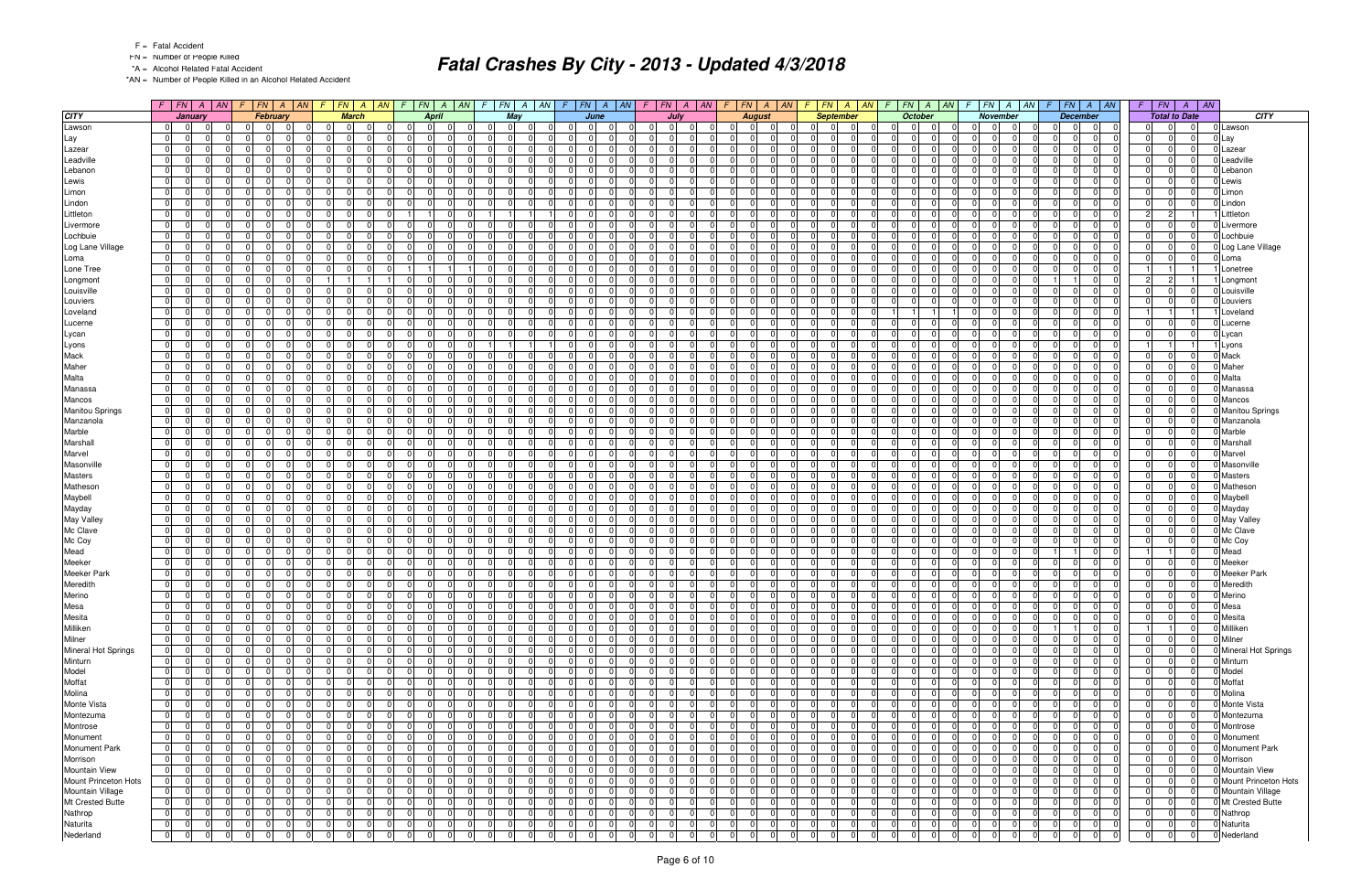FN = Number of People Killed

\*A = Alcohol Related Fatal Accident

\*AN = Number of People Killed in an Alcohol Related Accident

|                        |                |                |          |                | $F$   FN   A   AN   F   FN   A   AN | F              | FN A AN                       | $F$ $FN$ $A$ $AN$ $F$ $FN$ $A$ $AN$                |                  |                                  |                | $F$ $FN$ $A$ $AN$ |                |                                  | $F$   $FN$   $A$   $AN$ |                | $F$   $FN$   $A$   $AN$ |                |                                  | $F$ $ FN $ $A$ $ AN$ | $F$ $ FN $ $A$ $ M $                         | $\mathcal{F}$ | $FN$ $A$ $AN$                           |                | $F$ $ FN$ $ A$ $ AN$                    |                | $F$ $FN$ $A$<br>$\vert AN$       |                        |
|------------------------|----------------|----------------|----------|----------------|-------------------------------------|----------------|-------------------------------|----------------------------------------------------|------------------|----------------------------------|----------------|-------------------|----------------|----------------------------------|-------------------------|----------------|-------------------------|----------------|----------------------------------|----------------------|----------------------------------------------|---------------|-----------------------------------------|----------------|-----------------------------------------|----------------|----------------------------------|------------------------|
| <b>CITY</b>            |                | January        |          |                | February                            |                | <b>March</b>                  | <b>April</b>                                       |                  | May                              |                | June              |                |                                  | July                    |                | <b>August</b>           |                |                                  | <b>September</b>     | <b>October</b>                               |               | November                                |                | <b>December</b>                         |                | <b>Total to Date</b>             | CITY                   |
| Lawson                 | 0              | $\overline{0}$ |          | $\overline{0}$ | $\Omega$                            | $\Omega$       | 0 <br>$\Omega$                | $\overline{0}$<br>$\overline{0}$<br>0 I            | $\overline{0}$   | $\overline{0}$<br>- 01           | 0              | $\Omega$          | $\mathbf 0$    | 0 <br>$\Omega$                   | $\overline{0}$          | 0              | $\Omega$                | $\Omega$       | $\Omega$<br>- OI                 | - 01                 | $\overline{0}$<br>$\Omega$<br>$\Omega$       |               | 0 <br>$\overline{0}$                    | $\Omega$       | $\overline{0}$<br>$\overline{0}$        | $\overline{0}$ | $\Omega$<br>$\overline{0}$       | 0 Lawson               |
| Lay                    | $\overline{0}$ | $\overline{0}$ |          | $\Omega$       | $\Omega$                            |                | $\Omega$<br>n                 | $\Omega$<br>$\Omega$                               | $\Omega$         | $\Omega$<br>$\Omega$             | -01            |                   | $\Omega$       | $\Omega$                         | $\Omega$                | - 0 I          | $\Omega$                |                | $\Omega$                         | $\Omega$             | $\Omega$<br>$\Omega$                         |               | $\overline{0}$<br>$\Omega$              | $\Omega$       | $\Omega$                                | $\overline{0}$ | $\Omega$<br>0                    | 0 Lay                  |
| Lazear                 | 0              | $\overline{0}$ |          | $\overline{0}$ | $\Omega$                            | $\Omega$       | $\mathbf 0$<br>$\Omega$       | $\Omega$<br>$\Omega$<br>$\Omega$                   | $\overline{0}$   | $\overline{0}$<br>$\Omega$       | -01            |                   | $\Omega$       | $\Omega$<br>$\Omega$             | $\Omega$                | - 0 I          | $\Omega$                | $\Omega$       | $\Omega$<br>0                    | $\Omega$             | $\Omega$<br>$\Omega$<br>$\Omega$             |               | $\Omega$<br>$\mathbf 0$                 | $\Omega$       | $\Omega$<br>$\Omega$                    | $\overline{0}$ | 0 I<br>$\Omega$                  | 0 Lazear               |
| Leadville              | $\overline{0}$ | 0              |          | $\Omega$       | $\Omega$                            |                | $\Omega$<br>n                 | $\Omega$<br>$\Omega$                               | $\Omega$         | $\Omega$                         | 0              |                   | $\Omega$       | $\Omega$                         | $\Omega$                | $\Omega$       | $\Omega$                |                | $\Omega$                         | $\Omega$             | $\overline{0}$                               |               | $\Omega$<br>$\Omega$                    | $\mathbf 0$    | $\Omega$                                | $\overline{0}$ | 0                                | Leadville              |
| Lebanon                | 0 I            | $\overline{0}$ |          | $\Omega$       | $\Omega$                            |                | $\Omega$<br>$\Omega$          | $\Omega$<br>$\Omega$<br>$\Omega$                   | $\Omega$         | $\Omega$<br>$\Omega$             | $\overline{0}$ |                   | $\Omega$       | 0<br>$\Omega$                    | 0                       | - 0 I          | $\Omega$                |                | $\Omega$                         | $\Omega$             | $\Omega$<br>$\Omega$                         |               | $\Omega$<br>$\Omega$                    | $\Omega$       | $\Omega$                                | $\Omega$       | $\Omega$                         | 0 Lebanor              |
| Lewis                  | $\overline{0}$ | $\overline{0}$ |          | $\Omega$       | $\Omega$                            | $\Omega$       | $\overline{0}$<br>$\Omega$    | $\Omega$<br>$\Omega$<br>0                          | 0 I              | 01<br>$\Omega$                   | $\overline{0}$ |                   | $\mathbf 0$    | $\Omega$<br>$\Omega$             | $\Omega$                | $\mathbf 0$    | $\Omega$                |                | $\Omega$                         | $\Omega$             | 01<br>n<br>$\Omega$                          |               | $\Omega$<br>- 01                        | $\Omega$       | $\Omega$<br>$\Omega$                    | 01             | $\overline{0}$<br>$\Omega$       | 0 Lewis                |
| Limon                  | 0 I            | 0              |          | $\Omega$       | $\Omega$                            |                | $\Omega$<br>n                 | $\Omega$<br>$\Omega$<br>$\Omega$                   | $\Omega$         | $\Omega$<br>$\Omega$             | $\overline{0}$ |                   | $\Omega$       | $\Omega$<br>$\Omega$             | $\Omega$                | $\mathbf 0$    | $\Omega$                |                | $\Omega$                         | $\Omega$             | 01<br>$\Omega$                               |               | $\Omega$<br>$\Omega$                    | $\Omega$       | $\Omega$<br>$\Omega$                    | $\Omega$       | $\overline{0}$                   | Limon                  |
| Lindon                 | 0              | $\overline{0}$ |          | $\Omega$       | $\Omega$                            | $\Omega$       | $\Omega$<br>$\Omega$          | $\Omega$<br>$\Omega$<br>$\Omega$                   | $\Omega$         | $\Omega$<br>$\Omega$             | -01            |                   | $\Omega$       | $\Omega$<br>$\Omega$             | $\Omega$                | - 0 I          | $\Omega$                | $\cap$         | $\Omega$<br>n I                  | $\Omega$             | $\Omega$<br>$\Omega$                         |               | $\Omega$<br>$\Omega$                    | - 0 I          | $\Omega$<br>$\Omega$                    | $\overline{0}$ | 0 I<br>$\Omega$                  | 0 Lindon               |
| Littleton              | 0              | 0              |          | $\overline{0}$ | $\Omega$                            |                | $\mathbf 0$<br>$\Omega$       | $\Omega$                                           |                  |                                  | 0              |                   | 0              | $\Omega$<br>$\mathbf 0$          | $\Omega$                | 0              | $\Omega$                |                | $\overline{0}$<br>$\Omega$       | $\Omega$             | $\overline{0}$<br>$\Omega$                   |               | $\Omega$<br>$\mathbf 0$                 | $\mathbf 0$    | $\overline{0}$<br>$\Omega$              | $2 \mid$       | $\vert$ 2                        | Littleton              |
| Livermore              | $\Omega$       | $\overline{0}$ |          | $\Omega$       | $\Omega$                            | $\Omega$       | $\mathbf 0$<br>$\Omega$       | $\overline{0}$<br>$\Omega$<br>$\Omega$             | $\Omega$         | $\overline{0}$<br>$\Omega$       | -01            |                   | - 0 I          | $\Omega$<br>$\Omega$             | $\Omega$                | - 0 I          | $\Omega$                |                | $\Omega$                         | $\Omega$             | $\Omega$<br>$\Omega$<br>$\Omega$             |               | $\overline{0}$<br>$\mathbf 0$           | $\Omega$       | $\Omega$<br>$\Omega$                    | $\overline{0}$ | $\Omega$<br>$\Omega$             | 0 Livermore            |
| Lochbuie               | $\overline{0}$ | 0              |          | $\Omega$       | $\Omega$                            | $\Omega$       | $\Omega$<br>$\Omega$          | $\Omega$<br>$\Omega$<br>$\Omega$                   | 0 I              | $\overline{0}$<br>$\Omega$       | 0              |                   | $\mathbf 0$    | $\Omega$<br>$\Omega$             | $\Omega$                | $\mathbf 0$    | $\Omega$                | $\Omega$       | $\Omega$<br>$\Omega$             | - 0                  | 01<br>$\Omega$<br>$\Omega$                   |               | $\mathbf 0$<br>$\Omega$                 | $\Omega$       | $\Omega$<br>$\Omega$                    | $\overline{0}$ | 0 <br>$\Omega$                   | 0 Lochbuie             |
| Log Lane Village       | $\overline{0}$ | -01            |          | $\Omega$       | $\Omega$                            |                | $\Omega$<br>$\Omega$          | $\Omega$<br>$\Omega$<br>$\Omega$                   | $\Omega$         | $\overline{0}$<br>$\Omega$       | -01            |                   | $\Omega$       | $\Omega$<br>$\Omega$             | $\Omega$                | - 0 I          | $\Omega$                |                | $\Omega$                         | $\Omega$             | $\Omega$<br>$\Omega$                         |               | $\Omega$<br>$\Omega$                    | $\Omega$       | $\Omega$<br>$\Omega$                    | $\overline{0}$ | 0 <br>$\Omega$                   | 0 Log Lane Village     |
| Loma                   | $\overline{0}$ | 0              |          | $\Omega$       | $\Omega$                            |                | $\Omega$<br>$\Omega$          | $\Omega$<br>$\Omega$<br>$\Omega$                   | 0 I              | 01<br>$\Omega$                   | 0              |                   | $\mathbf 0$    | $\Omega$<br>$\Omega$             | $\Omega$                | $\mathbf 0$    | $\Omega$                |                | $\Omega$                         | $\Omega$             | $\overline{0}$<br>$\Omega$                   |               | $\Omega$<br>$\Omega$                    | 0              | $\overline{0}$<br>$\Omega$              | 01             | 0 <br>$\Omega$                   | 0 Loma                 |
| Lone Tree              | $\overline{0}$ | -01            |          | $\Omega$       | $\Omega$                            |                | $\mathbf 0$<br>$\Omega$       | 11                                                 | 0 I              | $\overline{0}$<br>$\Omega$       | -01            |                   | $\Omega$       | $\Omega$<br>$\Omega$             | $\Omega$                | - 0 I          | $\Omega$                |                | $\Omega$                         | $\Omega$             | $\overline{0}$<br>$\Omega$<br>$\Omega$       |               | $\overline{0}$<br>$\Omega$              | $\Omega$       | $\Omega$<br>$\Omega$                    | 11             | $\overline{1}$                   | Lonetree               |
| Longmont               | 0              | 0              |          | $\Omega$       | $\Omega$                            |                |                               | $\Omega$<br>$\Omega$<br>$\Omega$                   | $\Omega$         | 01<br>$\Omega$                   | 0              |                   | $\mathbf 0$    | $\Omega$<br>$\Omega$             | $\Omega$                | $\mathbf 0$    | $\Omega$                |                | $\Omega$                         | $\Omega$             | 01<br>$\Omega$<br>$\Omega$                   |               | $\Omega$<br>- 01                        | 1              | $\Omega$                                | $\overline{2}$ | $\overline{2}$                   | Longmon                |
| Louisville             | $\overline{0}$ | $\overline{0}$ |          | $\Omega$       | $\Omega$                            |                | $\Omega$<br>$\Omega$          | $\Omega$<br>$\Omega$<br>$\Omega$                   | $\Omega$         | $\Omega$<br>$\Omega$             | -01            |                   | $\Omega$       | $\Omega$<br>$\Omega$             | $\Omega$                | $\Omega$       | $\Omega$                | $\cap$         | $\Omega$<br>$\Omega$             | $\Omega$             | $\Omega$<br>$\Omega$                         |               | $\Omega$<br>$\Omega$                    | - 0 I          | $\Omega$<br>$\Omega$                    | $\overline{0}$ | 0 I<br>$\Omega$                  | 0 Louisville           |
| Louviers               | 0              | $\overline{0}$ |          | $\overline{0}$ | 0                                   |                | $\Omega$<br>$\Omega$          | $\overline{0}$<br>$\Omega$<br>$\Omega$             | $\Omega$         | $\overline{0}$<br>0              | $\overline{0}$ |                   | $\Omega$       | 0                                | $\Omega$                | $\mathbf{0}$   | $\Omega$                |                | $\overline{0}$                   | $\Omega$             | $\overline{0}$<br>$\Omega$                   |               | $\Omega$<br>0                           | $\mathbf 0$    | 0                                       | 0              | 0 I                              | Louviers               |
| Loveland               | $\overline{0}$ | -01            |          | $\Omega$       | $\Omega$                            |                | $\mathbf 0$<br>$\Omega$       | $\Omega$<br>$\Omega$<br>$\Omega$                   | 0 I              | $\overline{0}$<br>$\Omega$       | -01            |                   | $\Omega$       | $\Omega$<br>$\Omega$             | 0                       | - 0 I          | $\Omega$                |                | $\Omega$                         | $\Omega$             | 11                                           |               | $\overline{0}$<br>$\Omega$              | $\Omega$       | $\Omega$                                | 11             |                                  | Loveland               |
| Lucerne                | $\overline{0}$ | $\overline{0}$ |          | $\Omega$       | $\Omega$                            |                | $\Omega$<br>$\Omega$          | $\Omega$<br>$\Omega$<br>$\Omega$                   | $\Omega$         | $\Omega$<br>$\Omega$             | 0              |                   | $\Omega$       | $\Omega$<br>$\Omega$             | $\Omega$                | - 0 I          | $\Omega$                |                | $\Omega$                         | $\Omega$             | $\overline{0}$<br>$\Omega$<br>$\Omega$       |               | $\Omega$<br>$\Omega$                    | $\Omega$       | $\Omega$<br>$\Omega$                    | $\Omega$       | 0 <br>$\Omega$                   | Lucerne                |
| Lycan                  | $\overline{0}$ | - 01           |          | $\Omega$       | $\Omega$                            |                | $\mathbf 0$<br><sup>n</sup>   | $\Omega$<br>$\Omega$<br>$\Omega$                   | 0 I              | $\overline{0}$<br>$\Omega$       | 0              |                   | $\mathbf 0$    | $\Omega$                         | $\Omega$                | - 0 I          | $\Omega$                |                | $\Omega$                         | $\Omega$             | $\overline{0}$<br>$\Omega$                   |               | $\mathbf 0$<br>$\Omega$                 | $\Omega$       | $\Omega$<br>$\Omega$                    | $\overline{0}$ | $\overline{0}$<br>$\Omega$       | 0 Lycan                |
| Lyons                  | $\overline{0}$ | -01            |          | $\Omega$       | $\Omega$                            |                | $\Omega$<br>$\Omega$          | $\Omega$<br>$\Omega$<br>$\Omega$                   |                  |                                  | 0              |                   | $\Omega$       | $\Omega$<br>$\Omega$             | $\Omega$                | $\Omega$       | $\Omega$                |                | $\Omega$                         | $\Omega$             | n<br>$\Omega$                                |               | $\Omega$<br>$\Omega$                    | $\Omega$       | $\Omega$<br>$\Omega$                    |                |                                  | <b>Lyons</b>           |
| Mack                   | 01             | 0              |          | $\overline{0}$ | $\Omega$                            | $\Omega$       | $\mathbf 0$<br>$\Omega$       | $\Omega$<br>$\Omega$<br>$\Omega$                   | 0 I              | $\overline{0}$<br>$\Omega$       | 0              |                   | $\mathbf 0$    | $\Omega$<br>$\Omega$             | $\Omega$                | 0              | $\Omega$                |                | $\overline{0}$<br>$\Omega$       | $\Omega$             | $\overline{0}$<br>$\Omega$<br>$\Omega$       |               | $\overline{0}$<br>$\mathbf 0$           | $\overline{0}$ | $\Omega$<br>$\Omega$                    | $\overline{0}$ | 0 <br>$\Omega$                   | 0 Mack                 |
| Maher                  | $\overline{0}$ | 0              |          | $\Omega$       | $\Omega$                            |                | $\Omega$<br><sup>n</sup>      | $\Omega$<br>$\Omega$                               | $\Omega$         | $\Omega$<br>$\Omega$             | -01            |                   | $\Omega$       | $\Omega$                         | 0                       | $\Omega$       | $\Omega$                |                | $\Omega$                         | $\Omega$             | $\Omega$                                     |               | $\Omega$<br>$\Omega$                    | $\Omega$       | $\Omega$                                | $\overline{0}$ | 0                                | 0 Maher                |
|                        | $\overline{0}$ | - 01           |          | $\Omega$       | $\Omega$                            | $\Omega$       | $\mathbf 0$<br>$\Omega$       | $\Omega$<br>$\Omega$<br>$\Omega$                   | 0 I              | $\overline{0}$<br>$\Omega$       | $\overline{0}$ |                   | $\mathbf 0$    | $\Omega$<br>$\Omega$             | $\Omega$                | - 0 I          | $\Omega$                | $\Omega$       | $\Omega$                         | $\Omega$             | $\overline{0}$<br>$\Omega$<br>$\Omega$       |               | $\mathbf 0$<br>- 01                     | - 0 I          | $\Omega$<br>$\Omega$                    | $\overline{0}$ | 0 I<br>$\Omega$                  | Malta                  |
| Malta                  | 0              | $\Omega$       |          | $\Omega$       | $\Omega$                            |                | $\Omega$<br>∩                 | $\Omega$<br>0                                      | $\Omega$         | $\Omega$                         |                |                   | $\Omega$       | $\Omega$                         |                         | $\Omega$       | $\Omega$                |                | $\Omega$                         | $\Omega$             | n                                            |               | $\Omega$<br>$\Omega$                    | $\Omega$       |                                         | $\Omega$       | $\Omega$                         |                        |
| Manassa                |                |                |          |                |                                     | $\Omega$       |                               |                                                    |                  |                                  | $\mathbf 0$    |                   |                |                                  |                         |                |                         |                |                                  |                      |                                              |               |                                         |                | $\Omega$                                |                |                                  | Manassa                |
| Mancos                 | $\overline{0}$ | 0              |          | $\overline{0}$ | $\Omega$                            |                | $\mathbf 0$<br>$\Omega$       | $\Omega$<br>$\Omega$<br>$\Omega$                   | 0 I              | $\overline{0}$<br>$\Omega$       | $\overline{0}$ |                   | 0 I            | $\Omega$<br>$\Omega$             | $\Omega$                | $\mathbf 0$    | $\Omega$                |                | $\Omega$                         | - 01                 | $\overline{0}$<br>$\Omega$<br>$\Omega$       |               | $\overline{0}$<br>0 I                   | - 0 I          | $\Omega$<br>$\Omega$                    | $\overline{0}$ | 0                                | 0 Mancos               |
| <b>Manitou Springs</b> | $\overline{0}$ | 0              |          | $\Omega$       | $\Omega$                            |                | $\Omega$<br>$\Omega$          | $\Omega$<br>$\Omega$<br>$\Omega$                   | $\Omega$         | $\Omega$<br>$\Omega$             | -01            |                   | $\Omega$       | $\Omega$                         | $\Omega$                | - 0 I          | $\Omega$                |                | $\Omega$                         | $\Omega$             | $\overline{0}$<br>$\Omega$<br>n              |               | $\Omega$<br>$\Omega$                    | $\Omega$       | $\Omega$<br>$\Omega$                    | $\overline{0}$ | 0                                | <b>Manitou Springs</b> |
| Manzanola              | 0              | 0              |          | $\Omega$       | $\Omega$                            |                | $\Omega$<br>$\Omega$          | $\Omega$<br>$\Omega$<br>$\Omega$                   | $\Omega$         | 01<br>$\Omega$                   | $\overline{0}$ |                   | $\mathbf 0$    | $\Omega$                         | $\Omega$                | - 0 I          | $\Omega$                |                | $\Omega$                         | $\Omega$             | $\overline{0}$<br>$\Omega$                   |               | $\mathbf 0$<br>$\Omega$                 | $\Omega$       | $\Omega$<br>$\Omega$                    | $\overline{0}$ | 01                               | Manzanola              |
| Marble                 | $\overline{0}$ | -01            |          | $\Omega$       | $\Omega$                            |                | $\Omega$<br>∩                 | $\Omega$<br>$\Omega$                               | $\Omega$         | $\Omega$                         | $\Omega$       |                   | $\Omega$       | $\Omega$                         | <sup>0</sup>            | $\Omega$       | $\Omega$                |                | $\Omega$                         | $\Omega$             | n<br>$\Omega$                                |               | $\Omega$<br>$\Omega$                    | $\Omega$       | $\Omega$                                | $\overline{0}$ | $\Omega$                         | Marble                 |
| Marshall               | 01             | 0              |          | $\overline{0}$ | $\Omega$                            | $\Omega$       | $\mathbf 0$<br>$\Omega$       | $\overline{0}$<br>$\Omega$<br>.0                   | - 0 I            | 01<br>$\Omega$                   | 0              |                   | $\mathbf 0$    | $\mathbf 0$                      | $\overline{0}$          | 0              | $\Omega$                |                | $\overline{0}$<br>$\Omega$       | $\Omega$             | $\overline{0}$<br>$\Omega$                   |               | $\mathbf 0$<br>$\overline{0}$           | $\mathbf 0$    | $\mathbf 0$<br>$\Omega$                 | $\overline{0}$ | 0                                | Marshall               |
| Marvel                 | $\overline{0}$ | -01            |          | $\Omega$       | $\Omega$                            | $\Omega$       | $\mathbf 0$<br>$\Omega$       | $\overline{0}$<br>$\Omega$<br>$\Omega$             | $\Omega$         | $\overline{0}$<br>$\Omega$       | -01            |                   | $\Omega$       | $\Omega$<br>$\Omega$             | $\Omega$                | - 0 I          | $\Omega$                |                | $\Omega$                         | $\Omega$             | $\Omega$<br>$\Omega$                         |               | $\overline{0}$<br>$\Omega$              | $\Omega$       | $\Omega$<br>$\Omega$                    | $\overline{0}$ | $\Omega$                         | 0 Marvel               |
| Masonville             | $\overline{0}$ | 0              |          | $\Omega$       | $\Omega$                            | $\Omega$       | $\mathbf 0$<br>$\Omega$       | $\Omega$<br>$\Omega$<br>$\Omega$                   | $\Omega$         | $\mathbf 0$<br>$\Omega$          | $\overline{0}$ |                   | $\Omega$       | $\Omega$<br>$\Omega$             | $\Omega$                | - 0 I          | $\Omega$                | $\Omega$       | $\Omega$<br>$\Omega$             | $\Omega$             | 01<br>n<br>$\Omega$                          |               | $\Omega$<br>$\Omega$                    | $\Omega$       | $\Omega$<br>$\Omega$                    | $\overline{0}$ | $\overline{0}$<br>$\Omega$       | Masonville             |
| <b>Masters</b>         | $\overline{0}$ | $\overline{0}$ |          | $\Omega$       | $\Omega$                            | $\Omega$       | $\mathbf 0$<br>$\Omega$       | $\Omega$<br>$\Omega$<br>$\Omega$                   | $\overline{0}$   | $\overline{0}$<br>$\Omega$       | 0              |                   | - 0 I          | $\Omega$<br>$\Omega$             | $\Omega$                | - 0 I          | $\Omega$                | $\Omega$       | $\Omega$                         | $\Omega$             | $\overline{0}$<br>$\Omega$                   |               | $\Omega$<br>$\overline{0}$              | $\Omega$       | $\Omega$<br>$\Omega$                    | $\overline{0}$ | $\overline{0}$<br>$\Omega$       | <b>Masters</b>         |
| Matheson               | 0 I            | $\overline{0}$ |          | $\Omega$       | $\Omega$                            |                | $\Omega$                      | $\Omega$<br>$\Omega$<br>$\Omega$                   | $\Omega$         | $\Omega$                         | -01            |                   | $\Omega$       | <sup>0</sup><br>$\Omega$         |                         | $\Omega$       | n                       |                | $\Omega$                         | $\Omega$             | $\Omega$<br><sup>0</sup>                     |               | $\Omega$<br>$\Omega$                    | $\Omega$       | $\Omega$                                | $\Omega$       | $\Omega$                         | Mathesor               |
| Maybell                | $\overline{0}$ | $\overline{0}$ |          | $\overline{0}$ | $\Omega$                            | $\Omega$       | $\mathbf 0$<br>$\Omega$       | $\overline{0}$<br>$\Omega$<br>$\Omega$             | 0 I              | $\overline{0}$<br>$\Omega$       | 0              |                   | - 0 I          | $\Omega$<br>$\Omega$             | $\Omega$                | $\overline{0}$ | $\Omega$                | $\Omega$       | $\overline{0}$<br>$\Omega$       | $\Omega$             | $\overline{0}$<br>$\Omega$<br>$\Omega$       |               | - 0 I<br>$\overline{0}$                 | 0              | $\overline{0}$<br>$\Omega$              | 0              | $\overline{0}$<br>$\Omega$       | 0 Maybell              |
| Mayday                 | 0 I            | 0              |          | $\Omega$       | $\Omega$                            |                | $\Omega$<br><sup>n</sup>      | $\Omega$<br>$\Omega$<br>$\Omega$                   | $\Omega$         | $\Omega$<br>$\Omega$             | 0              |                   | $\Omega$       | $\Omega$<br>$\Omega$             | $\Omega$                | - 0 I          | $\Omega$                |                | $\Omega$                         | $\Omega$             | 01<br><sup>0</sup>                           |               | $\Omega$<br>$\Omega$                    | $\Omega$       | $\Omega$<br>$\Omega$                    | $\Omega$       | $\overline{0}$                   | 0 Mayday               |
| May Valley             | 0              | 0              |          | $\Omega$       | $\Omega$<br>$\Omega$                | $\Omega$       | $\mathbf 0$<br>$\Omega$       | $\Omega$<br>$\Omega$<br>$\Omega$                   | $\overline{0}$   | $\overline{0}$<br>$\Omega$       | -01            |                   | - 0 I          | <sup>0</sup><br>- 0 I            | $\Omega$                | $\overline{0}$ | $\Omega$                | $\Omega$       | $\Omega$<br>$\Omega$             | $\Omega$             | $\Omega$<br>$\Omega$<br>$\Omega$             |               | 0 I<br>$\overline{0}$                   | - 0 I          | $\Omega$<br>$\Omega$                    | $\overline{0}$ | 0 I<br>$\Omega$                  | 0 May Valley           |
| Mc Clave               | 01             | 0              |          | $\overline{0}$ | $\Omega$                            |                | $\Omega$<br>n                 | $\Omega$<br>$\Omega$<br>$\Omega$                   | $\Omega$         | $\Omega$<br>$\Omega$             | 0              |                   | $\Omega$       | $\Omega$                         | $\Omega$                | $\mathbf 0$    | $\Omega$                |                | $\overline{0}$                   | $\Omega$             | $\overline{0}$<br>$\Omega$                   |               | $\Omega$<br>$\Omega$                    | $\mathbf 0$    | $\overline{0}$                          | $\overline{0}$ | 0                                | 0 Mc Clave             |
| Mc Coy                 | $\overline{0}$ | $\overline{0}$ |          | $\overline{0}$ | $\Omega$                            | $\Omega$       | $\Omega$<br>$\Omega$          | $\overline{0}$<br>$\Omega$<br>$\Omega$             | $\Omega$         | $\overline{0}$<br>$\Omega$       | -01            |                   | 0 I            | $\Omega$<br>$\Omega$             | $\Omega$                | $\overline{0}$ | $\Omega$                | $\Omega$       | $\overline{0}$                   | $\Omega$             | $\Omega$<br>$\Omega$<br>$\Omega$             |               | $\overline{0}$<br>0 I                   | $\overline{0}$ | $\overline{0}$<br>$\Omega$              | $\overline{0}$ | 0 <br>$\Omega$                   | 0 Mc Coy               |
| Mead                   | $\overline{0}$ | - 01           |          | $\Omega$       | $\Omega$                            | $\Omega$       | $\Omega$<br><sup>n</sup>      | $\Omega$<br>$\Omega$<br>$\Omega$                   | $\Omega$         | $\overline{0}$<br>$\Omega$       | 0              |                   | $\Omega$       | $\Omega$<br>$\Omega$             | $\Omega$                | - 0 I          | 0 <sup>1</sup>          | $\Omega$       | $\Omega$<br>$\Omega$             | $\Omega$             | 01<br>$\Omega$<br>$\Omega$                   |               | $\Omega$<br>- 01                        | $\overline{1}$ | $\Omega$                                | 11             | $\Omega$<br>11                   | Mead                   |
| Meeker                 | $\overline{0}$ | $\overline{0}$ |          | $\Omega$       | $\Omega$<br><sup>n</sup>            | $\Omega$       | $\mathbf 0$<br>$\Omega$       | $\Omega$<br>$\Omega$<br>$\Omega$                   | $\overline{0}$   | $\overline{0}$<br>$\Omega$       | 0              |                   | 0 I            | $\Omega$<br>$\overline{0}$       | $\Omega$                | - 0 I          | $\Omega$                | $\Omega$       | $\Omega$<br>$\Omega$             | $\Omega$             | $\overline{0}$<br>$\Omega$<br>$\Omega$       |               | - 0 I<br>$\overline{0}$                 | 0              | $\Omega$<br>$\Omega$                    | $\overline{0}$ | 0 I                              | Meeker                 |
| Meeker Park            | $\overline{0}$ | 0              |          | $\Omega$       | $\Omega$                            |                | $\Omega$<br>n                 | $\Omega$<br>$\Omega$<br>$\Omega$                   | $\Omega$         | $\Omega$<br>$\Omega$             | 0              |                   | $\Omega$       | $\Omega$<br>$\Omega$             | $\Omega$                | - 0 I          | $\Omega$                |                | $\Omega$                         | $\Omega$             | $\Omega$<br>$\Omega$                         |               | $\Omega$<br>$\Omega$                    | $\mathbf 0$    | $\Omega$                                | $\overline{0}$ | $\Omega$                         | <b>Meeker Park</b>     |
| Meredith               | $\overline{0}$ | $\overline{0}$ |          | $\overline{0}$ | $\Omega$                            |                | $\overline{0}$<br>$\Omega$    | $\Omega$<br>$\Omega$<br>.0                         | - 0 I            | $\Omega$<br>$\Omega$             | 0              |                   | $\Omega$       | $\Omega$<br>0                    | $\Omega$                | 0              | $\Omega$                |                | $\overline{0}$<br><sup>0</sup>   | $\Omega$             | 01<br>$\Omega$<br>$\Omega$                   |               | $\mathbf 0$<br>$\Omega$                 | $\mathbf 0$    | $\overline{0}$                          | $\overline{0}$ | 0 I                              | Meredith               |
| Merino                 | $\overline{0}$ | 0              |          | 0              | $\Omega$<br>$\Omega$                | $\Omega$       | $\Omega$<br>$\Omega$          | $\overline{0}$<br>$\Omega$                         | $\Omega$         | $\overline{0}$<br>$\Omega$       | - Ol           |                   | $\Omega$       | $\Omega$<br>$\Omega$             | $\Omega$                | - 0 I          | $\Omega$                |                | $\overline{0}$                   | $\Omega$             | $\overline{0}$<br>$\Omega$<br>$\Omega$       |               | - 0 I<br>$\Omega$                       | - ol           | $\Omega$                                | $\Omega$       | 0                                | 0 Merino               |
| Mesa                   | $\overline{0}$ | -01            |          |                | $\Omega$                            |                | $\Omega$                      | $\Omega$<br>$\overline{0}$                         | $\left( \right)$ |                                  |                |                   | 0              | $\Omega$                         |                         |                |                         |                | $\Omega$                         |                      |                                              |               | $\Omega$                                | 0              | 0                                       |                | 0                                | 0 Mesa                 |
| Mesita                 | 0              | 0              |          | $\mathbf 0$    | $\mathbf 0$                         |                | $\Omega$<br>$\Omega$          | $\overline{0}$<br>$\mathbf 0$<br>$\Omega$          | $\overline{0}$   | $\overline{0}$                   | 0              |                   | $\overline{0}$ | $\mathbf 0$                      | $\overline{0}$          | 0              | $\overline{0}$          |                | $\overline{0}$<br>.0             | $\Omega$             | 0 <br>$\Omega$                               |               | $\overline{0}$<br>$\mathbf 0$           | 0              | $\mathbf 0$<br>$\overline{0}$           | $\overline{0}$ | 0                                | 0 Mesita               |
| Milliken               | $\overline{0}$ | 0              |          | 0              | $\Omega$                            |                | 0 <br>$\Omega$                | $\overline{0}$<br>$\overline{0}$<br>$\mathbf 0$    | 0 I              | 0 <br>$\Omega$                   | 0              |                   | 01             | $\Omega$<br>$\Omega$             | $\Omega$                | 0              | $\Omega$                |                | $\overline{0}$<br>0 I            | - 01                 | $\overline{0}$<br>$\Omega$<br>$\Omega$       |               | $\overline{0}$<br> 0                    | $\overline{1}$ | $\Omega$<br>11                          | 11             | 11<br>$\Omega$                   | 0 Milliken             |
| Milner                 | $\overline{0}$ | 0              |          | 0              | $\mathbf 0$                         | $\Omega$       | 0 <br>$\Omega$                | $\overline{0}$<br>$\overline{0}$<br>$\overline{0}$ | 0                | 0 <br>$\overline{0}$             | 0              |                   | $\mathbf 0$    | $\overline{0}$<br>$\Omega$       | $\mathbf 0$             | 0              | $\Omega$                |                | $\overline{0}$<br>$\overline{0}$ | $\Omega$             | 0 <br>0<br>$\Omega$                          |               | 0 I<br>$\mathbf 0$                      | 0              | $\overline{0}$<br>- 01                  | 0              | 0 <br>$\Omega$                   | 0 Milner               |
| Mineral Hot Springs    | 0              | 0              |          | $\mathbf 0$    | $\Omega$                            | $\Omega$       | $\mathbf 0$<br>$\Omega$       | $\Omega$<br>$\overline{0}$<br>$\mathbf 0$          | $\overline{0}$   | 0 <br>$\Omega$                   | 0              |                   | $\mathbf 0$    | $\overline{0}$<br>$\Omega$       | $\Omega$                | 0              | $\Omega$                |                | $\overline{0}$<br>.0             | - 01                 | $\overline{0}$<br>$\Omega$<br>$\Omega$       |               | $\overline{0}$<br>0 I                   | 0              | $\mathbf 0$<br>$\Omega$                 | 0              | $\overline{0}$                   | 0 Mineral Hot Springs  |
| Minturn                | $\overline{0}$ | 0              |          | $\overline{0}$ | $\overline{0}$                      | $\Omega$       | 0 <br>$\Omega$                | $\mathbf{0}$<br>$\overline{0}$<br>$\mathbf 0$      | $\overline{0}$   | 0 <br>$\mathbf 0$                | 0              |                   | 0              | $\overline{0}$<br> 0             | $\mathbf 0$             | 0              | $\Omega$                |                | $\overline{0}$<br>$\mathbf 0$    | $\Omega$             | $\overline{0}$<br>$\Omega$                   |               | $\overline{0}$<br>$\mathbf{0}$          | $\overline{0}$ | $\mathbf 0$<br>$\overline{0}$           | $\overline{0}$ | $\overline{0}$<br>$\Omega$       | 0 Minturn              |
| Model                  | $\overline{0}$ | 0              |          | $\overline{0}$ | $\mathbf 0$                         | $\Omega$       | 0 <br>$\Omega$                | $\overline{0}$<br>$\overline{0}$<br>$\mathbf 0$    | 0                | $\overline{0}$<br>$\Omega$       | -01            |                   | $\mathbf 0$    | $\Omega$<br>$\mathbf 0$          | $\mathbf 0$             | 0              | $\Omega$                |                | $\overline{0}$<br>$\Omega$       | $\Omega$             | $\overline{0}$<br>$\Omega$<br>$\Omega$       |               | 0 <br>01                                | 0              | $\overline{0}$<br>$\Omega$              | $\overline{0}$ | $\overline{0}$<br>$\Omega$       | 0 Model                |
| Moffat                 | 0 I            | 0              |          | $\mathbf 0$    | $\Omega$                            | $\Omega$       | $\Omega$<br>$\Omega$          | $\Omega$<br>$\overline{0}$<br>$\Omega$             | $\Omega$         | 0 <br>$\overline{0}$             | 0              |                   | $\mathbf 0$    | $\Omega$<br>$\Omega$             | $\Omega$                | - 0 l          | $\Omega$                |                | $\Omega$<br>$\Omega$             | $\Omega$             | $\overline{0}$<br>-0<br>$\Omega$             |               | $\overline{0}$<br>$\mathbf 0$           | 0              | $\mathbf 0$<br>$\Omega$                 | 0              | 0                                | 0 Moffat               |
| Molina                 | $\overline{0}$ | 0              |          | $\overline{0}$ | $\Omega$<br>$\Omega$                | $\Omega$       | $\mathbf 0$<br>$\Omega$       | $\overline{0}$<br>$\Omega$<br>- 01                 | 0 I              | 0 <br>$\Omega$                   | 0              |                   | $\mathbf 0$    | $\Omega$<br>$\mathbf 0$          | $\Omega$                | 0              | $\Omega$                | $\Omega$       | $\overline{0}$<br>$\overline{0}$ | - 01                 | $\overline{0}$<br>$\Omega$<br>$\Omega$       |               | $\overline{0}$<br>0 I                   | 0              | $\overline{0}$<br>$\Omega$              | $\overline{0}$ | $\overline{0}$<br>$\Omega$       | 0 Molina               |
| Monte Vista            | $\overline{0}$ | 0              |          | $\mathbf{0}$   | $\overline{0}$                      | $\Omega$       | 0 <br>$\Omega$                | $\overline{0}$<br>$\mathbf 0$<br>- 0 I             | $\Omega$         | 0 <br>0                          | 0              |                   | $\overline{0}$ | $\overline{0}$<br>0              | $\overline{0}$          | 0              | $\Omega$                |                | $\mathbf 0$<br>$\Omega$          | $\Omega$             | $\overline{0}$<br>$\Omega$                   |               | 0 <br>$\mathbf 0$                       | 0              | 0<br>$\overline{0}$                     | $\overline{0}$ | 0                                | 0 Monte Vista          |
| Montezuma              | $\overline{0}$ | 0              |          | $\overline{0}$ | $\Omega$<br> 0                      | $\overline{0}$ | $\mathbf 0$<br>$\overline{0}$ | $\overline{0}$<br>$\mathbf 0$<br>$\overline{0}$    | 0                | $\overline{0}$<br>$\overline{0}$ | 0              |                   | $\overline{0}$ | $\overline{0}$<br> 0             | 0                       | $\mathbf 0$    | 0                       | 0              | $\overline{0}$<br> 0             | $\mathbf 0$          | $\overline{0}$<br>$\Omega$<br>$\overline{0}$ |               | $\overline{0}$<br> 0                    | $\overline{0}$ | 0 <br>$\overline{0}$                    | $\overline{0}$ | $\overline{0}$<br>$\Omega$       | 0 Montezuma            |
| Montrose               | $\overline{0}$ | 0              |          | $\overline{0}$ | $\mathbf 0$                         | $\Omega$       | $\mathbf 0$<br>$\Omega$       | $\overline{0}$<br>$\overline{0}$<br>$\mathbf 0$    | 0                | 0 <br>$\Omega$                   | 0              |                   | - 0 I          | $\mathbf 0$<br>$\Omega$          | $\Omega$                | 0              | $\Omega$                |                | $\overline{0}$<br>$\Omega$       | $\Omega$             | $\overline{0}$<br>$\Omega$<br>$\Omega$       |               | 0 I<br> 0                               | 0              | $\overline{0}$<br>$\Omega$              | 0              | $\overline{0}$<br>$\Omega$       | Montrose               |
| Monument               | $\overline{0}$ | 0              |          | $\overline{0}$ | $\mathbf 0$<br>$\Omega$             | $\Omega$       | 0 <br>$\Omega$                | $\overline{0}$<br>$\overline{0}$<br>- 01           | $\Omega$         | $\mathbf 0$<br>$\overline{0}$    | 0              |                   | 01             | $\Omega$<br>$\mathbf 0$          | $\Omega$                | 0              | $\Omega$                | $\Omega$       | $\Omega$<br>$\overline{0}$       | - 01                 | $\overline{0}$<br>-0<br>$\Omega$             |               | 01<br>$\overline{0}$                    | 0              | 0<br>$\Omega$                           | 0              | 0                                | Monument               |
| <b>Monument Park</b>   | $\overline{0}$ | 0              |          | $\overline{0}$ | $\Omega$<br>$\Omega$                | $\Omega$       | - 0 I<br>$\Omega$             | $\Omega$<br>$\Omega$<br>- 0 I                      | $\overline{0}$   | $\overline{0}$<br>$\Omega$       | 0              |                   | - 0 I          | $\Omega$<br> 0                   | $\Omega$                | - 0 I          | $\Omega$                | $\Omega$       | $\Omega$<br>0 I                  | $\overline{0}$       | 0 <br>$\Omega$<br>$\Omega$                   |               | 0 I<br>$\overline{0}$                   | 0              | $\Omega$<br>$\Omega$                    | $\overline{0}$ | $\overline{0}$                   | <b>Monument Park</b>   |
| Morrison               | 0              | 0              |          | $\overline{0}$ | $\mathbf 0$                         | $\Omega$       | 0 <br>$\Omega$                | $\overline{0}$<br>$\overline{0}$<br> 0             | 0                | $\mathbf 0$<br>0                 | 0              |                   | 0              | $\overline{0}$<br>$\mathbf 0$    | $\mathbf 0$             | 0              | $\overline{0}$          |                | $\mathbf 0$<br> 0                | $\mathbf 0$          | $\overline{0}$<br>$\Omega$<br>0              |               | 01<br>$\mathbf 0$                       | 0              | 0<br>$\overline{0}$                     | $\overline{0}$ | $\overline{0}$<br>$\Omega$       | 0 Morrison             |
| <b>Mountain View</b>   | $\overline{0}$ | 0              |          | 0              | $\Omega$<br>$\Omega$                | $\overline{0}$ | $\Omega$<br>$\mathbf 0$       | $\overline{0}$<br>$\overline{0}$<br>- 0 l          | $\overline{0}$   | 0 <br>$\overline{0}$             | 0              |                   | $\overline{0}$ | $\Omega$<br> 0                   | $\overline{0}$          | 0              | $\overline{0}$          | $\Omega$       | $\overline{0}$<br>$\mathbf 0$    | $\overline{0}$       | 0 <br>$\Omega$<br>$\Omega$                   |               | $\overline{0}$<br> 0                    | 0              | 0 <br>$\Omega$                          | $\overline{0}$ | 0 <br>$\Omega$                   | 0 Mountain View        |
| Mount Princeton Hots   | $\overline{0}$ | $\overline{0}$ |          | 0              | $\mathbf 0$<br>$\Omega$             | - 0 I          | 0 <br>$\Omega$                | $\overline{0}$<br>$\overline{0}$<br>- 01           | 0                | $\mathbf 0$<br>$\overline{0}$    | 0              |                   | 01             | 0 <br> 0                         | $\mathbf 0$             | 0              | $\Omega$                | $\overline{0}$ | $\overline{0}$<br>$\overline{0}$ | -01                  | $\mathbf 0$<br>$\Omega$<br>$\overline{0}$    |               | 01<br>$\overline{0}$                    | 0              | $\overline{0}$<br>- 01                  | 0              | 0                                | Mount Princeton Hots   |
| Mountain Village       | $\overline{0}$ | 0              |          | 0              | $\Omega$<br>$\overline{0}$          | $\Omega$       | - 0 l<br>$\Omega$             | $\overline{0}$<br>$\overline{0}$<br>- 0 l          | $\overline{0}$   | 0 <br>$\Omega$                   | 0              |                   | - 0 I          | $\Omega$<br> 0                   | $\Omega$                | 0              | $\Omega$                | $\Omega$       | $\mathbf 0$<br>$\Omega$          | $\overline{0}$       | $\overline{0}$<br>$\Omega$<br>$\Omega$       |               | $\overline{0}$<br>$\overline{0}$        | 0              | $\Omega$<br>$\overline{0}$              | $\overline{0}$ | $\overline{0}$                   | 0 Mountain Village     |
| Mt Crested Butte       | $\overline{0}$ | 0              |          | $\overline{0}$ | $\mathbf 0$                         | $\Omega$       | 0 <br>$\Omega$                | $\overline{0}$<br>$\overline{0}$<br> 0             | 0                | $\mathbf 0$<br>0                 | 0              |                   | 01             | $\overline{0}$<br> 0             | $\mathbf 0$             | 0              | $\Omega$                | $\Omega$       | $\overline{0}$<br> 0             | $\mathbf 0$          | $\overline{0}$<br>$\Omega$<br>$\overline{0}$ |               | 01<br>$\mathbf 0$                       | 0              | $\mathbf 0$<br> 0                       | $\overline{0}$ | 0 <br>$\Omega$                   | 0 Mt Crested Butte     |
| Nathrop                | $\overline{0}$ | 0              |          | $\overline{0}$ | $\overline{0}$<br>$\Omega$          | $\Omega$       | 0 <br>$\Omega$                | $\overline{0}$<br>$\overline{0}$<br>$\mathbf 0$    | 0                | 0 <br>$\mathbf 0$                | 0              |                   | - 0 I          | $\Omega$<br> 0                   | $\overline{0}$          | 0              | 0 I                     | $\Omega$       | $\overline{0}$<br>$\mathbf 0$    | - 01                 | $\overline{0}$<br>$\Omega$<br>$\Omega$       |               | $\overline{0}$<br> 0                    | 0              | 0 <br>- 0 l                             | $\overline{0}$ | $\overline{0}$<br>$\Omega$       | 0 Nathrop              |
| Naturita               | $\overline{0}$ | 0              | $\Omega$ | $\overline{0}$ | 0 <br>0                             | $\overline{0}$ | 0 <br>$\Omega$                | 0 <br>$\mathbf 0$<br>$\overline{0}$                | 0                | 0 <br>$\overline{0}$             | 0              |                   | $\overline{0}$ | $\overline{0}$<br> 0             | $\overline{0}$          | 0              | $\overline{0}$          | $\overline{0}$ | $\mathbf 0$<br>$\overline{0}$    | $\overline{0}$       | 0 <br>$\overline{0}$<br>$\overline{0}$       | $\Omega$      | $\overline{0}$<br>$\mathbf 0$           | 0              | $\overline{0}$<br>$\overline{0}$<br>- 0 | 0              | $\overline{0}$<br>$\mathbf 0$    | 0 Naturita             |
| Nederland              | 0              | 0              |          | $\overline{0}$ | $\overline{0}$<br> 0                | $\overline{0}$ | 0 <br>$\Omega$                | 0 <br>$\mathbf 0$<br>$\overline{0}$                | $\overline{0}$   | 0 <br>$\mathbf 0$                | 0              | $\overline{0}$    | $\overline{0}$ | $\overline{0}$<br>$\overline{0}$ | $\overline{0}$          | 0              | $\overline{0}$          | $\overline{0}$ | $\overline{0}$<br>$\overline{0}$ | $\overline{0}$       | $\overline{0}$<br>$\mathbf 0$<br> 0          |               | $\overline{0}$<br> 0 <br>$\overline{0}$ | $\overline{0}$ | $\mathbf 0$<br>$\overline{0}$           | 0              | $\overline{0}$<br>$\overline{0}$ | 0 Nederland            |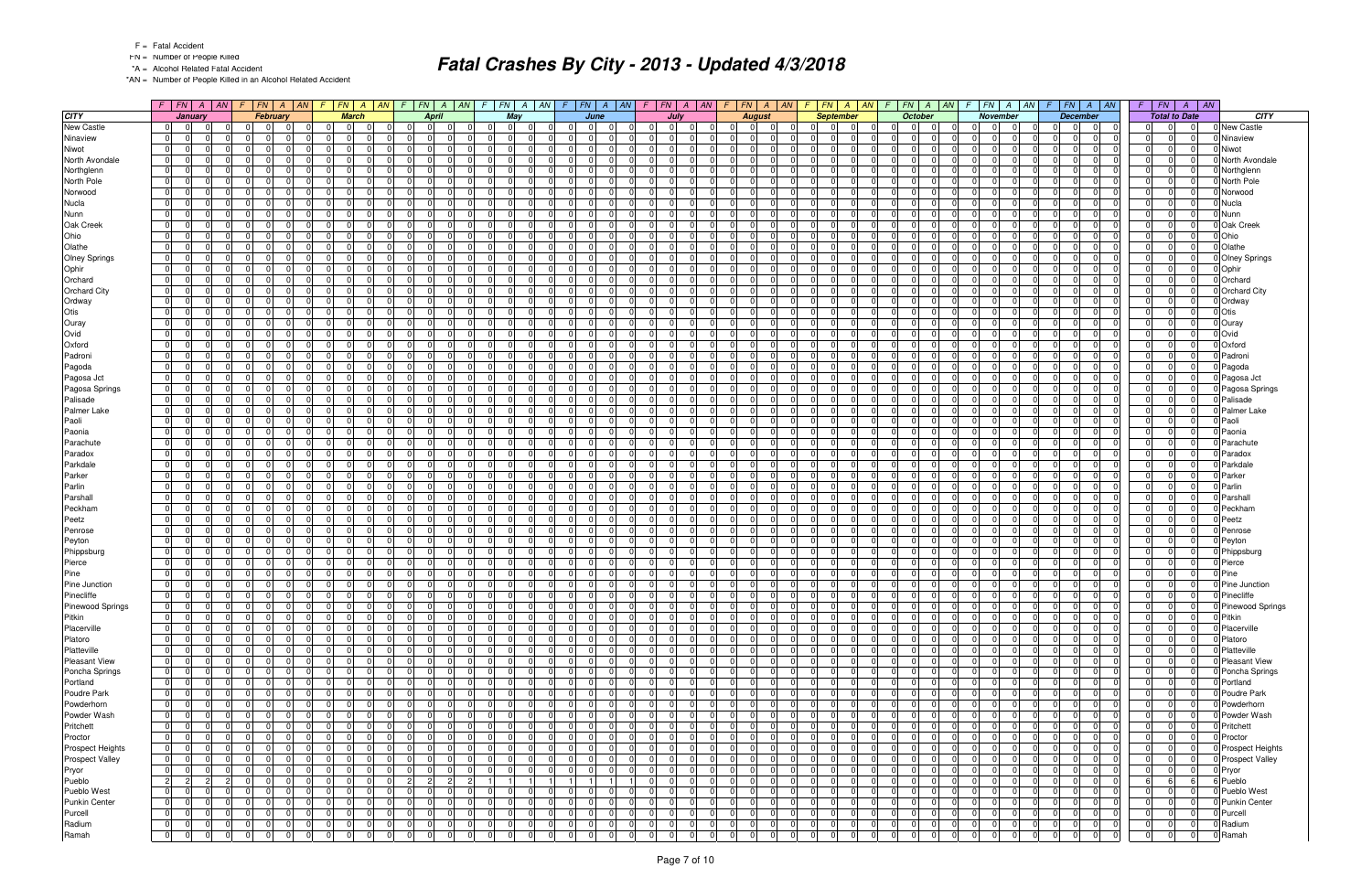- FN = Number of People Killed
- \*A = Alcohol Related Fatal Accident

\*AN = Number of People Killed in an Alcohol Related Accident

|                         |                |                               | $F$   FN   A   AN   F |          | $F N$ $A$ $AN$                                     | F.             |                 | $FN \mid A \mid AN$  | $\mathcal{F}$ |                                              |                            |                            |                      |                      | $F$   $FN$           |                            | $A$   AN | $\sqrt{F}$           | FN A AN              |                      | $\mathcal{F}$              | $FN \mid A \mid AN$  |                | $F$ $FN$ $A$ $AN$             | $FN \mid A$<br>$\sqrt{F}$                     | AN                   | $FN \mid A \mid AN$<br>F.        |                         | F.                   | FN A AN                                      | $F \perp$         | FN                   | $\overline{A}$       | $\parallel$ AN |                         |
|-------------------------|----------------|-------------------------------|-----------------------|----------|----------------------------------------------------|----------------|-----------------|----------------------|---------------|----------------------------------------------|----------------------------|----------------------------|----------------------|----------------------|----------------------|----------------------------|----------|----------------------|----------------------|----------------------|----------------------------|----------------------|----------------|-------------------------------|-----------------------------------------------|----------------------|----------------------------------|-------------------------|----------------------|----------------------------------------------|-------------------|----------------------|----------------------|----------------|-------------------------|
| <b>CITY</b>             |                | <b>January</b>                |                       |          | February                                           |                | <b>March</b>    |                      |               | <b>April</b>                                 |                            |                            | May                  |                      |                      | June                       |          |                      | July                 |                      |                            | <b>August</b>        |                | <b>September</b>              |                                               | <b>October</b>       | <b>November</b>                  |                         |                      | <b>December</b>                              |                   | <b>Total to Date</b> |                      |                | <b>CITY</b>             |
| <b>New Castle</b>       | 0              | $\overline{0}$                |                       |          | $\Omega$<br>$\Omega$                               | 0              | $\Omega$        | $\Omega$             |               | $\mathbf 0$                                  | -01                        | $\Omega$                   | $\overline{0}$       |                      | $\Omega$             | $\Omega$<br>- 0            |          |                      | $\Omega$             | $\Omega$             | $\Omega$                   | $\Omega$             | 0              | $\Omega$                      | $\mathbf 0$<br>$\Omega$                       | $\Omega$             | $\Omega$                         | $\Omega$                |                      | $\Omega$<br>0                                | $\Omega$          | 0                    | $\Omega$             |                | New Castle              |
| Ninaview                | 0 I            | $\overline{0}$                |                       |          | $\Omega$                                           | $\Omega$       | $\Omega$        | $\Omega$             |               | $\Omega$                                     |                            | $\Omega$                   | $\Omega$             |                      | $\Omega$             | $\Omega$                   |          | $\Omega$             | $\Omega$             | n.                   | - 0 I                      | $\Omega$             | 0              | 0                             | <sup>0</sup><br>$\Omega$                      | $\Omega$             | $\Omega$                         | $\Omega$                |                      | $\Omega$<br>$\Omega$                         | $\mathbf 0$       | <sup>0</sup>         | $\Omega$             |                | Ninaview                |
| Niwot                   | $\overline{0}$ | $\overline{0}$                |                       |          | $\Omega$<br>$\Omega$                               | 0              | $\Omega$        | $\Omega$             |               | $\Omega$<br>$\Omega$                         | $\Omega$                   | - 0 I                      | $\Omega$             | $\Omega$             | $\Omega$             | $\Omega$                   |          | $\Omega$             | $\Omega$             | $\Omega$             | - 0 I                      | $\Omega$             | 0              | $\Omega$<br>$\Omega$          | $\Omega$<br>- 0 I                             | $\Omega$             | $\overline{0}$                   | $\Omega$                | $\Omega$             | 0 <br>$\overline{0}$                         | - 0 I             | $\Omega$             | $\Omega$             |                | Niwot                   |
| North Avondale          | 0              | - 01                          |                       |          | $\Omega$<br>$\Omega$                               | - 0 I          |                 | $\Omega$             |               | $\Omega$                                     | $\Omega$                   | $\Omega$                   | $\Omega$             |                      | $\Omega$             | $\Omega$                   |          | $\Omega$             |                      | 0                    | $\Omega$                   | $\Omega$             | $\Omega$       | <sup>n</sup>                  | <sup>0</sup><br>$\Omega$                      | $\Omega$             | $\Omega$                         | $\Omega$                | $\Omega$             | $\Omega$<br>$\Omega$                         | $\Omega$          | $\Omega$             | $\Omega$             |                | North Avondale          |
| Northglenn              | $\overline{0}$ | $\overline{0}$                |                       |          | $\Omega$<br>$\Omega$                               | - 0 I          | - 0             | $\Omega$             |               | $\Omega$                                     | $\Omega$                   | $\Omega$                   | $\Omega$             |                      | $\Omega$             | $\Omega$                   |          | $\Omega$             |                      | $\Omega$             | $\mathbf 0$                | $\Omega$             | 0              | $\Omega$                      | $\overline{0}$<br>$\Omega$                    | $\Omega$             | $\Omega$                         | $\Omega$                | $\Omega$             | $\Omega$<br>$\Omega$                         | $\overline{0}$    | $\Omega$             | $\Omega$             |                | Northglenn              |
| North Pole              | 0              | $\mathbf 0$                   |                       |          | $\Omega$<br>$\Omega$<br>$\Omega$<br>$\Omega$       | 0              | $\Omega$        | $\Omega$             |               | $\Omega$<br>$\overline{0}$<br>$\Omega$       | $\overline{0}$<br>$\Omega$ | 0 I                        | $\Omega$<br>$\Omega$ |                      | $\Omega$<br>$\Omega$ | $\Omega$<br>$\Omega$       |          | $\Omega$<br>$\Omega$ | $\Omega$<br>$\Omega$ | $\Omega$             | $\Omega$                   | $\Omega$             | $\mathbf 0$    | $\Omega$                      | $\Omega$<br>$\Omega$<br>$\Omega$              | $\Omega$<br>$\Omega$ | $\overline{0}$                   | $\Omega$                | $\Omega$<br>$\Omega$ | $\Omega$<br>0<br>$\Omega$                    | $\overline{0}$    | $\Omega$<br>$\Omega$ | $\Omega$<br>$\Omega$ |                | North Pole              |
| Norwood                 | 0              | $\Omega$                      |                       |          | $\Omega$<br><sup>n</sup>                           | 0              | $\Omega$<br>- 0 | $\Omega$<br>$\Omega$ |               | $\Omega$<br>$\Omega$                         |                            | $\Omega$                   | $\Omega$             |                      | $\Omega$             |                            |          |                      |                      | $\Omega$             | $\Omega$<br>- 0            | $\Omega$             | 0              | 0<br>$\Omega$                 | $\Omega$                                      | $\Omega$             | $\Omega$                         | $\Omega$                |                      | $\Omega$                                     | $\Omega$          |                      | $\Omega$             |                | Norwood                 |
| Nucla                   | 0 <br>0 I      | $\mathbf 0$<br>$\overline{0}$ |                       |          | $\Omega$<br>$\Omega$<br>$\Omega$                   | - 0 I<br>- 0 I |                 | $\Omega$             |               | $\overline{0}$<br>$\Omega$                   | $\Omega$<br>$\Omega$       | $\mathbf 0$<br>$\Omega$    | $\Omega$             | $\Omega$             | $\Omega$             | $\Omega$<br>$\Omega$       |          | $\Omega$<br>$\Omega$ | $\Omega$             | $\Omega$<br>$\Omega$ | $\mathbf 0$<br>$\Omega$    | $\Omega$<br>$\Omega$ | 0 <br>$\Omega$ | <sup>0</sup>                  | $\Omega$<br>$\Omega$<br>ΩI<br>$\Omega$        | $\Omega$             | 01<br>$\Omega$                   | $\mathbf 0$<br>$\Omega$ | $\Omega$<br>$\Omega$ | $\Omega$<br>$\Omega$<br>$\Omega$<br>$\Omega$ | 0 <br>$\Omega$    | $\Omega$<br>$\Omega$ | $\Omega$             |                | Nucla<br>Nunn           |
| Nunn<br>Oak Creek       | 0              | $\overline{0}$                |                       |          | $\Omega$<br>$\Omega$                               | 0              |                 | $\Omega$             |               | $\Omega$<br>$\Omega$                         | $\Omega$                   | $\mathbf 0$                | $\Omega$             | $\Omega$             | $\Omega$             | $\Omega$                   |          | $\Omega$             | $\Omega$             | $\Omega$             | $\mathbf 0$                | $\Omega$             | 0              | $\Omega$                      | 0 I<br>$\Omega$                               | $\Omega$             | $\overline{0}$                   | $\Omega$                | $\Omega$             | $\Omega$<br>$\Omega$                         | $\Omega$          | $\Omega$             | $\Omega$             |                | Oak Creek               |
| Ohio                    | 0              | $\overline{0}$                |                       |          | $\Omega$<br>$\Omega$                               | 0              | $\Omega$        | $\Omega$             |               | $\Omega$<br>$\Omega$                         | $\Omega$                   | - 0 I                      | $\Omega$             | $\Omega$             | $\Omega$             | $\Omega$                   |          | $\Omega$             | $\Omega$             | $\Omega$             | - 0 I                      | $\Omega$             | 0              | $\Omega$                      | $\Omega$<br>$\Omega$                          | $\Omega$             | $\overline{0}$                   | $\mathbf 0$             | $\Omega$             | $\Omega$<br>$\Omega$                         | - 0 I             | $\Omega$             | $\overline{0}$       |                | Ohio                    |
| Olathe                  | $\overline{0}$ | $\mathbf 0$                   |                       |          | $\Omega$<br>$\Omega$                               | - 0 I          | -0              | $\Omega$             |               | $\Omega$                                     | $\Omega$                   | $\Omega$                   | $\Omega$             | $\Omega$             | $\Omega$             | $\Omega$                   |          | $\Omega$             | n                    | $\Omega$             | $\Omega$                   | $\Omega$             | $\Omega$       | 0                             | $\Omega$<br>$\Omega$                          | $\Omega$             | $\Omega$                         | $\Omega$                | $\Omega$             | $\Omega$<br>$\Omega$                         | - 0 I             | $\Omega$             | n                    |                | Olathe                  |
| <b>Olney Springs</b>    | $\overline{0}$ | $\overline{0}$                |                       |          | $\Omega$<br>$\cap$<br>$\Omega$                     | 0              | $\Omega$        | $\Omega$             |               | $\Omega$                                     | $\Omega$                   | $\Omega$                   | $\Omega$             | $\Omega$             | $\Omega$             | $\Omega$                   |          | $\Omega$             |                      | $\Omega$             | $\Omega$                   | $\Omega$             | 0              | ΩI                            | <sup>0</sup><br>$\Omega$                      | $\Omega$             | $\Omega$                         | $\Omega$                | $\Omega$             | $\Omega$<br>$\Omega$                         | - 0 I             | $\Omega$             | $\Omega$             |                | Olney Springs           |
| Ophir                   | 0              | $\overline{0}$                |                       |          | $\Omega$<br>$\Omega$                               | 0              | $\Omega$        | $\Omega$             |               | $\Omega$<br>$\overline{0}$                   | $\Omega$                   | 0 I                        | $\Omega$             |                      | $\Omega$             | - 01                       |          | 0 I                  |                      | $\Omega$             | $\mathbf 0$                | $\Omega$             | 0              | $\Omega$                      | $\Omega$<br>$\Omega$                          | $\Omega$             | $\overline{0}$                   | $\Omega$                | $\Omega$             | $\overline{0}$<br>$\mathbf 0$                | $\overline{0}$    | $\Omega$             | $\Omega$             |                | Ophir                   |
| Orchard                 | 0              | $\overline{0}$                |                       |          | $\Omega$<br>$\Omega$                               | 0              | - 0             | $\Omega$             |               | $\Omega$                                     | $\Omega$                   | $\Omega$                   | $\Omega$             |                      | $\Omega$             | $\Omega$                   |          | n l                  |                      | $\Omega$             | $\Omega$                   | $\Omega$             | $\Omega$       | 0                             | $\Omega$<br>$\Omega$                          | $\Omega$             | $\Omega$                         | $\Omega$                | $\Omega$             | $\Omega$<br>$\Omega$                         | - 0 I             | $\Omega$             | $\Omega$             |                | Orchard                 |
| <b>Orchard City</b>     | 0              | $\mathbf 0$                   |                       |          | $\Omega$<br>$\Omega$                               | - 0 I          | - 0             | $\Omega$             |               | $\Omega$<br>$\overline{0}$                   | $\Omega$                   | $\mathbf 0$                | $\Omega$             | $\Omega$             | $\Omega$             | $\Omega$                   |          | $\Omega$             | n                    | $\Omega$             | $\mathbf 0$                | $\Omega$             | $\mathbf 0$    | $\Omega$                      | <sup>0</sup><br>$\Omega$                      | $\Omega$             | $\Omega$                         | $\mathbf 0$             | $\Omega$             | $\Omega$<br>$\Omega$                         | $\mathbf 0$       | $\Omega$             | $\Omega$             |                | Orchard City            |
| Ordway                  | $\overline{0}$ | - 01                          |                       | $\Omega$ | $\Omega$                                           | - 0 I          | -0              | $\Omega$             |               | $\Omega$                                     | $\Omega$                   | $\Omega$                   | $\Omega$             |                      | $\Omega$             | $\Omega$                   |          | $\Omega$             |                      | 0                    | $\Omega$                   |                      | $\Omega$       |                               | <sup>0</sup><br>$\Omega$                      |                      | $\Omega$                         | $\Omega$                | $\Omega$             | 0<br>$\Omega$                                | $\Omega$          | $\Omega$             | $\Omega$             |                | Ordway                  |
| Otis                    | $\overline{0}$ | 0                             |                       |          | $\Omega$<br>$\Omega$                               | 0              |                 | $\Omega$             |               | $\Omega$<br>$\Omega$                         | n I                        | .0                         | $\Omega$             |                      | $\Omega$             | $\Omega$                   |          | $\Omega$             |                      | $\Omega$             | $\Omega$                   | $\Omega$             | 0              | $\Omega$                      | <sup>0</sup><br>$\Omega$                      | $\Omega$             | 01                               | $\Omega$                | $\Omega$             | $\Omega$<br>$\Omega$                         | $\Omega$          | $\Omega$             | $\Omega$             |                | Otis                    |
| Ouray                   | 0              | $\Omega$                      |                       |          | $\Omega$<br>$\Omega$                               | - 0 I          | $\Omega$        | $\Omega$             |               | $\Omega$<br>$\Omega$                         | $\Omega$                   | $\Omega$                   | $\Omega$             |                      | $\Omega$             | $\Omega$                   |          | $\Omega$             |                      | $\Omega$             | $\mathbf 0$                | $\Omega$             | $\mathbf 0$    | $\Omega$                      | 0 I<br>$\Omega$                               | $\Omega$             | $\overline{0}$                   | $\Omega$                |                      | $\Omega$<br>$\Omega$                         | $\overline{0}$    | $\Omega$             | $\Omega$             |                | Ouray                   |
| Ovid                    | $\overline{0}$ | $\Omega$                      |                       |          | $\Omega$<br>$\Omega$                               | 0              | $\Omega$        | $\Omega$             |               | $\Omega$                                     | $\Omega$                   | $\Omega$                   | $\Omega$             |                      | $\Omega$             | $\Omega$                   |          | $\Omega$             | $\Omega$             | $\Omega$             | $\Omega$                   | $\Omega$             | $\overline{0}$ | 0                             | <sup>0</sup><br>$\Omega$                      | $\Omega$             | $\Omega$                         | $\Omega$                |                      | $\Omega$<br>$\Omega$                         | $\Omega$          | $\Omega$             | $\Omega$             |                | Ovid                    |
| Oxford                  | $\overline{0}$ | - 01                          |                       |          | $\Omega$<br>$\Omega$                               | 0 I            | - 0             | $\Omega$             |               | $\Omega$<br>$\Omega$                         | $\overline{0}$             | 0 I                        | $\Omega$             | $\Omega$             | $\Omega$             | $\overline{0}$             |          | 0 I                  | $\Omega$             | $\Omega$             | $\mathbf 0$                | $\Omega$             | 0              | $\Omega$<br>$\Omega$          | $\Omega$<br>$\Omega$                          | $\Omega$             | $\overline{0}$                   | $\mathbf 0$             | $\Omega$             | $\Omega$<br>$\Omega$                         | - 0 I             | $\Omega$             | $\Omega$             |                | Oxford                  |
| Padroni                 | 0              | $\overline{0}$                |                       |          | $\Omega$<br>$\Omega$                               | 0              | $\Omega$        | $\Omega$             |               | $\Omega$<br>$\overline{0}$                   | $\Omega$                   | $\Omega$                   | $\Omega$             |                      | $\Omega$             | $\Omega$                   |          | $\Omega$             |                      | $\Omega$             | $\Omega$                   | $\Omega$             | $\mathbf 0$    | 0                             | <sup>0</sup><br>$\Omega$                      | $\Omega$             | $\Omega$                         | $\Omega$                | $\Omega$             | $\Omega$<br>$\Omega$                         | $\Omega$          | $\Omega$             | $\Omega$             |                | Padron                  |
| Pagoda                  | $\overline{0}$ | $\overline{0}$                |                       |          | $\Omega$<br>$\Omega$                               | 0              | $\Omega$        | $\Omega$             |               | $\Omega$<br>$\Omega$                         | $\Omega$                   | $\mathbf 0$                | $\Omega$             |                      | $\Omega$             | $\Omega$                   |          | n l                  | $\Omega$             | $\Omega$             | $\mathbf 0$                | $\Omega$             | $\mathbf 0$    | $\Omega$                      | $\overline{0}$<br>$\Omega$                    | $\Omega$             | $\Omega$                         | $\mathbf 0$             | $\Omega$             | $\Omega$<br>$\Omega$                         | - 0 I             | $\Omega$             | $\Omega$             |                | Pagoda                  |
| Pagosa Jct              | $\overline{0}$ | $\overline{0}$                |                       |          | $\Omega$<br>$\Omega$                               | 0              | $\Omega$        | $\Omega$             |               | $\Omega$<br>$\Omega$                         | $\Omega$                   | - 0 I                      | $\Omega$             |                      | $\Omega$             | $\Omega$                   |          | $\Omega$             | $\Omega$             | $\Omega$             | $\Omega$                   | $\Omega$             | 0              | $\Omega$<br>$\Omega$          | $\Omega$<br>$\Omega$                          | $\Omega$             | $\Omega$                         | $\Omega$                | $\Omega$             | n l<br>$\Omega$                              | - 0 I             | $\Omega$             | $\Omega$             |                | Pagosa Jct              |
| Pagosa Springs          | 0              | - 01                          |                       |          | $\Omega$<br>$\Omega$                               | - 0 I          | $\Omega$        | $\Omega$             |               | $\Omega$                                     | $\Omega$                   | $\Omega$                   | $\Omega$             |                      | $\Omega$             | $\Omega$                   |          | $\Omega$             | $\Omega$             | $\Omega$             | $\Omega$                   | $\Omega$             | 0              | 0                             | <sup>0</sup><br>$\Omega$                      | $\Omega$             | $\Omega$                         | $\Omega$                | $\Omega$             | $\Omega$<br>$\Omega$                         | - 0 I             | $\Omega$             | $\Omega$             |                | Pagosa Springs          |
| Palisade                | $\overline{0}$ | $\overline{0}$                |                       |          | $\Omega$<br>$\Omega$                               | 0              |                 | $\Omega$             |               | $\Omega$<br>$\Omega$                         | $\Omega$                   | $\Omega$                   | $\Omega$             |                      | $\Omega$             | $\Omega$                   |          | $\Omega$             |                      | $\Omega$             | - 0 I                      | $\Omega$             | 0              | $\Omega$                      | $\Omega$<br>$\Omega$                          | $\Omega$             | $\Omega$                         | $\Omega$                | $\Omega$             | $\Omega$<br>$\Omega$                         | $\Omega$          | $\Omega$             | $\Omega$             |                | Palisade                |
| Palmer Lake             | 0              | $\overline{0}$                |                       |          | $\Omega$<br>$\Omega$                               | - 0 I          | $\Omega$        | $\Omega$             |               | $\Omega$<br>$\Omega$                         | $\Omega$                   | $\Omega$                   | $\Omega$             |                      | $\Omega$             | $\Omega$                   |          | $\Omega$             | $\Omega$             | $\Omega$             | $\mathbf 0$                | $\Omega$             | $\mathbf 0$    | $\Omega$                      | 0 I<br>$\Omega$                               | $\Omega$             | $\Omega$                         | $\Omega$                |                      | $\Omega$<br>$\Omega$                         | $\Omega$          | $\Omega$             | $\Omega$             |                | Palmer Lake             |
| Paoli                   | 0 I            | $\Omega$                      |                       |          | $\Omega$<br>$\Omega$                               | $\Omega$       | -C              | $\Omega$             |               | $\Omega$                                     | $\Omega$                   | n l                        | $\Omega$             |                      | $\Omega$             | $\Omega$                   |          | n l                  | $\Omega$             | $\Omega$             | $\Omega$                   | $\Omega$             | $\overline{0}$ | $\Omega$                      | <sup>0</sup><br>$\Omega$                      | $\Omega$             | $\Omega$                         | $\Omega$                | $\Omega$             | $\Omega$<br>$\Omega$                         | $\Omega$          | $\Omega$             | $\Omega$             |                | Paoli                   |
| Paonia                  | 0              | - 01                          |                       |          | $\Omega$<br>$\Omega$<br>$\Omega$                   | - 0 I          | $\Omega$        | $\Omega$             |               | $\Omega$<br>$\Omega$                         | $\Omega$                   | 0 I                        | $\Omega$             | $\Omega$             | $\Omega$             | $\Omega$                   |          | 0                    | $\Omega$             | $\Omega$             | $\mathbf 0$                | $\Omega$             | 0              | $\Omega$<br>$\Omega$          | $\Omega$<br>$\Omega$                          | $\Omega$             | $\overline{0}$                   | $\mathbf 0$             | $\Omega$             | $\Omega$<br>$\Omega$                         | 0 I               | $\Omega$             | $\Omega$             |                | Paonia                  |
| Parachute               | $\overline{0}$ | $\Omega$                      |                       |          | $\Omega$<br>$\Omega$                               | - 0 I          | $\Omega$        | $\Omega$             |               | $\overline{0}$                               | $\Omega$                   | $\Omega$                   | $\Omega$             |                      | $\Omega$             | $\Omega$                   |          | $\Omega$             |                      | 0                    | $\Omega$                   | $\Omega$             | $\mathbf 0$    | <sup>0</sup>                  | <sup>0</sup><br>$\Omega$                      | $\Omega$             | $\Omega$                         | $\Omega$                |                      | $\Omega$<br>$\Omega$                         | $\Omega$          | $\Omega$             | $\Omega$             |                | Parachute               |
| Paradox                 | 0              | $\overline{0}$                |                       |          | $\Omega$<br>$\Omega$<br><sup>n</sup>               | 0              | $\Omega$        | $\Omega$             |               | $\Omega$<br>$\mathbf 0$                      | $\Omega$                   | $\mathbf 0$                | $\Omega$             | $\Omega$             | $\Omega$             | $\Omega$                   |          | $\Omega$             | $\Omega$             | $\Omega$             | $\mathbf 0$                | $\Omega$             | $\mathbf 0$    | $\Omega$<br>$\Omega$          | 0 I<br>$\Omega$                               | $\Omega$             | 01                               | $\mathbf 0$             | $\Omega$             | $\Omega$<br>$\Omega$                         | 0                 | $\Omega$             | $\Omega$             |                | Paradox                 |
| Parkdale                | 0              | $\overline{0}$                |                       |          | $\Omega$<br>$\Omega$                               | 0              | $\Omega$        | $\Omega$             |               | $\Omega$<br>$\Omega$                         | $\Omega$                   | 0 I                        | $\Omega$             | $\Omega$             | $\Omega$             | $\Omega$                   |          | $\Omega$             | $\Omega$             | $\Omega$             | - 0 I                      | $\Omega$             | 0              | $\Omega$                      | $\overline{0}$<br>$\Omega$                    | $\Omega$             | $\overline{0}$                   | $\Omega$                | $\Omega$             | $\Omega$<br>$\Omega$                         | - 0 I             | $\Omega$             | $\Omega$             |                | Parkdale                |
| Parker                  | 01             | $\overline{0}$                |                       |          | $\Omega$<br>$\Omega$                               | $\mathbf 0$    | - 0             | $\Omega$             |               | $\Omega$<br><sup>n</sup>                     | $\Omega$                   | $\mathbf 0$                | $\Omega$             | $\Omega$             | $\Omega$             | $\Omega$                   |          | $\Omega$             | n                    | $\Omega$             | $\mathbf 0$                | $\Omega$             | $\Omega$       | 0                             | $\Omega$<br>$\Omega$                          | $\Omega$             | $\Omega$                         | $\Omega$                | $\Omega$             | $\Omega$<br>$\Omega$                         | $\mathbf 0$       | $\Omega$             | $\Omega$             |                | Parker                  |
| Parlin                  | $\overline{0}$ | $\Omega$                      |                       |          | $\Omega$<br>$\Omega$<br>$\Omega$                   | 0              | $\Omega$        | $\Omega$             |               | $\Omega$                                     | $\Omega$                   | $\Omega$                   | $\Omega$             | $\Omega$             | $\Omega$             | $\Omega$                   |          | n l                  |                      | $\Omega$             | $\Omega$                   | $\Omega$             | 0              | ΩI                            | <sup>0</sup><br>$\Omega$                      | $\Omega$             | $\Omega$                         | $\Omega$                | $\Omega$             | $\Omega$<br>$\Omega$                         | 0 I               | $\Omega$             | $\Omega$             |                | Parlin                  |
| Parshall                | 0              | $\mathbf 0$                   |                       |          | $\Omega$<br>$\Omega$                               | 0              | $\Omega$        | $\Omega$             |               | $\Omega$<br>$\overline{0}$                   | $\overline{0}$             | 0 I                        | $\Omega$             |                      | $\Omega$             | - 01                       |          | 0 I                  |                      | $\Omega$             | 0                          | $\Omega$             | $\mathbf 0$    | $\Omega$                      | $\Omega$<br>$\Omega$                          | $\Omega$             | $\overline{0}$                   | $\Omega$                | $\Omega$             | $\overline{0}$<br>0                          | $\overline{0}$    | $\Omega$             | $\Omega$             |                | Parshall                |
| Peckham                 | 0              | $\overline{0}$                |                       |          | $\Omega$<br>$\Omega$                               | 0              | $\Omega$        | $\Omega$             |               | $\Omega$                                     | $\Omega$                   | $\Omega$                   | $\Omega$             |                      | $\Omega$             | $\Omega$                   |          | n l                  |                      | $\Omega$             | $\Omega$                   | $\Omega$             | 0              | <sup>0</sup>                  | $\Omega$<br>n l                               | $\Omega$             | $\Omega$                         | $\Omega$                | $\Omega$             | $\Omega$<br>$\Omega$                         | $\Omega$          | $\Omega$             | $\Omega$             |                | Peckham                 |
| Peetz                   | $\overline{0}$ | $\mathbf 0$                   |                       |          | $\Omega$<br>$\Omega$<br><sup>0</sup>               | - 0 I          | - 0             | $\Omega$             |               | $\Omega$<br>$\mathbf 0$                      | $\Omega$                   | $\mathbf 0$                | $\Omega$             | $\Omega$             | $\Omega$             | - 01                       |          | 0 I                  | $\Omega$             | $\Omega$             | $\mathbf 0$<br>$\Omega$    | $\Omega$             | 0              | $\Omega$<br>$\Omega$          | 0 I<br>$\mathbf 0$                            | $\Omega$             | 01                               | $\mathbf 0$             | $\Omega$             | $\Omega$<br>$\Omega$                         | 0                 | $\Omega$             | $\Omega$             |                | Peetz                   |
| Penrose                 | $\overline{0}$ | $\overline{0}$                |                       |          | $\Omega$<br>$\Omega$                               | 0              | $\Omega$        | $\Omega$             |               | $\Omega$<br>$\Omega$                         | $\Omega$                   | $\Omega$                   | $\Omega$             |                      | $\Omega$             | $\Omega$                   |          | $\Omega$             |                      | $\Omega$             | $\Omega$                   | $\Omega$             | $\Omega$       | <sup>0</sup>                  | $\Omega$<br>$\Omega$                          | $\Omega$             | $\Omega$                         | $\Omega$                | $\Omega$             | $\Omega$<br>$\Omega$                         | $\Omega$          | $\Omega$             | $\Omega$             |                | Penrose                 |
| Peyton                  | 0 <br> 0       | $\overline{0}$<br>$\Omega$    |                       |          | $\Omega$<br>$\Omega$<br>$\Omega$<br>$\Omega$       | 0 <br> 0       | $\Omega$        | $\Omega$<br>$\Omega$ |               | $\Omega$<br>$\Omega$<br>$\Omega$<br>$\Omega$ | $\Omega$<br>$\Omega$       | $\Omega$                   | $\Omega$<br>$\Omega$ | $\Omega$<br>$\Omega$ | $\Omega$<br>$\Omega$ | $\Omega$<br>$\Omega$       |          | $\Omega$<br>$\Omega$ | n<br>$\Omega$        | $\Omega$<br>$\Omega$ | $\mathbf 0$<br>- 0 I       | $\Omega$<br>$\Omega$ | 0 <br> 0       | $\Omega$<br>$\Omega$          | 0 I<br>$\Omega$<br>$\overline{0}$<br>$\Omega$ | $\Omega$<br>$\Omega$ | $\overline{0}$<br>$\overline{0}$ | $\Omega$                | $\Omega$<br>$\Omega$ | $\Omega$<br>$\Omega$<br> 0 <br>$\Omega$      | $\Omega$<br>- 0 I | $\Omega$<br>$\Omega$ | $\Omega$<br>$\Omega$ |                | Peyton                  |
| Phippsburg              | 0              |                               |                       |          | $\Omega$<br>$\Omega$                               | - 0 I          | - 0             | $\Omega$             |               | $\Omega$<br>$\overline{0}$                   | $\Omega$                   | $\mathbf 0$<br>$\mathbf 0$ | $\Omega$             | $\Omega$             | $\Omega$             | $\Omega$                   |          | $\Omega$             | $\Omega$             | $\Omega$             | $\mathbf 0$                | $\Omega$             | $\Omega$       | $\Omega$<br>$\Omega$          | $\Omega$<br>$\Omega$                          | $\Omega$             | 01                               | $\mathbf 0$<br>$\Omega$ | $\Omega$             | $\Omega$<br>$\Omega$                         | - 0 I             | $\Omega$             | $\Omega$             |                | Phippsburg<br>Pierce    |
| Pierce<br>Pine          | $\overline{0}$ | $\overline{0}$<br>- 01        |                       |          | $\Omega$<br>$\Omega$                               | - 0 I          | $\Omega$        | $\Omega$             |               | $\Omega$<br>$\Omega$                         | $\Omega$                   | 0 I                        | $\Omega$             |                      | $\Omega$             | $\Omega$                   |          | $\Omega$             | $\Omega$             | $\Omega$             | $\Omega$                   | $\Omega$             | 0              | $\Omega$                      | <sup>0</sup><br>$\Omega$                      | $\Omega$             | 01                               | $\mathbf 0$             | $\Omega$             | $\Omega$<br>$\Omega$                         | 0 I               | $\Omega$             | $\Omega$             |                | Pine                    |
| Pine Junction           | $\overline{0}$ | 0                             |                       | $\Omega$ | $\Omega$                                           | $\overline{0}$ |                 |                      |               | 0                                            | $\Omega$                   | .0                         | $\Omega$             |                      | 0                    | $\Omega$                   |          | 0                    |                      |                      | $\Omega$                   |                      | 0              | O.                            | $\Omega$                                      | $\Omega$             | $\overline{0}$                   | $\Omega$                |                      | 0                                            | $\Omega$          | 0                    |                      |                | Pine Junction           |
| Pinecliffe              | 0              | $\overline{0}$                |                       |          | $\overline{0}$<br>$\Omega$                         | 0              | $\Omega$        | $\Omega$             |               | $\Omega$<br>$\mathbf 0$                      | $\Omega$                   | 0 I                        | $\Omega$             |                      | $\Omega$             | - 01                       |          | $\Omega$             | $\Omega$             | $\Omega$             | $\mathbf 0$                | $\Omega$             | 0              | $\Omega$                      | $\overline{0}$<br>0 I                         | $\Omega$             | $\Omega$                         | $\Omega$                | $\Omega$             | $\Omega$<br>$\Omega$                         | $\Omega$          | $\Omega$             | $\Omega$             |                | 0 Pinecliffe            |
| <b>Pinewood Springs</b> | $\overline{0}$ | 0                             |                       |          | 0                                                  | 0              | - 0             |                      |               | 0                                            | 0                          |                            |                      |                      |                      | $\Omega$                   |          |                      |                      | $\Omega$             | -01                        |                      | 0              | ΩI                            | $\Omega$                                      | $\Omega$             | $\Omega$                         |                         |                      | 0<br>0                                       |                   | 0                    |                      |                | Pinewood Springs        |
| Pitkin                  | $\overline{0}$ | $\overline{0}$                |                       |          | $\Omega$<br>$\overline{0}$<br>$\Omega$             | 0              | $\Omega$        | $\Omega$             |               | $\mathbf 0$                                  | $\Omega$                   | 0                          | $\Omega$             | $\Omega$             | $\Omega$             | - 01                       |          | 0                    | $\Omega$             | $\overline{0}$       | 0                          | $\Omega$             | 0              | $\Omega$                      | 0 I<br>$\mathbf 0$                            | $\Omega$             | $\overline{0}$                   | $\mathbf 0$             | $\overline{0}$       | 0 <br>$\overline{0}$                         | 0                 | $\overline{0}$       | $\Omega$             |                | Pitkin                  |
| Placerville             | $\overline{0}$ | $\overline{0}$                |                       |          | $\Omega$<br>$\Omega$<br>$\Omega$                   | 0              | $\Omega$        | $\Omega$             |               | $\mathbf 0$<br>$\Omega$                      | $\overline{0}$             | 0                          | $\Omega$             |                      | $\Omega$             | $\overline{0}$             |          | $\Omega$             | $\Omega$             | $\Omega$             | - 0 I                      | $\Omega$             | 0              | $\Omega$                      | $\overline{0}$<br>- 0 I                       | $\Omega$             | $\overline{0}$                   | - 0 I                   | $\Omega$             | $\Omega$<br>$\overline{0}$                   | $\overline{0}$    | $\Omega$             | $\Omega$             |                | Placerville             |
| Platoro                 | 0              | $\overline{0}$                |                       |          | $\overline{0}$<br>$\overline{0}$<br>$\Omega$       | $\overline{0}$ | $\overline{0}$  | 0 I                  |               | $\overline{0}$<br>$\Omega$                   | $\overline{0}$             | 01                         | 0                    | $\Omega$             | $\overline{0}$       | $\Omega$<br>$\mathbf 0$    |          | 0                    | $\Omega$             | 0                    | 01                         | $\overline{0}$       | 0              | $\overline{0}$                | $\overline{0}$<br>$\overline{0}$              | $\Omega$             | $\overline{0}$                   | 0                       | 0                    | $\overline{0}$<br>$\mathbf 0$                | 01                | $\overline{0}$       | $\Omega$             |                | Platoro                 |
| Platteville             | $\overline{0}$ | $\mathbf{0}$                  |                       |          | $\Omega$<br>$\overline{0}$                         | $\overline{0}$ | $\Omega$        | $\Omega$             |               | $\mathbf 0$<br>$\Omega$                      | $\overline{0}$             | 0                          | $\overline{0}$       | $\Omega$             | $\Omega$             | $\overline{0}$             |          | $\overline{0}$       | $\Omega$             | $\Omega$             | - 0 I                      | $\Omega$             | 0              | $\overline{0}$<br>$\Omega$    | $\overline{0}$<br>$\overline{0}$              | $\mathbf 0$          | $\overline{0}$<br>$\Omega$       | $\Omega$                | $\mathbf 0$          | 0 <br>$\overline{0}$                         | 0                 | $\Omega$             | $\Omega$             |                | Platteville             |
| <b>Pleasant View</b>    | $\overline{0}$ | $\overline{0}$                |                       |          | $\Omega$<br>$\Omega$<br>$\Omega$                   | 0              | $\Omega$        | 0 I                  |               | $\overline{0}$<br>$\Omega$                   | $\overline{0}$             | $\overline{0}$             | $\overline{0}$       | $\Omega$             | $\Omega$             | $\overline{0}$             |          | $\overline{0}$       | $\Omega$             | $\overline{0}$       | 0 I                        | $\Omega$             | 0              | $\Omega$<br>$\Omega$          | $\overline{0}$<br>$\overline{0}$              | $\Omega$             | $\overline{0}$<br>$\Omega$       | $\mathbf 0$             | $\Omega$             | 0 <br>$\mathbf 0$                            | $\overline{0}$    | $\Omega$             | $\Omega$             |                | Pleasant View           |
| Poncha Springs          | 0              | $\overline{0}$                |                       |          | $\mathbf 0$<br>$\overline{0}$                      | 0              | - 0             | $\Omega$             |               | $\mathbf 0$                                  | 0                          | 0                          | $\Omega$             |                      | $\Omega$             | $\mathbf 0$                |          | 0                    | $\Omega$             | $\overline{0}$       | $\Omega$                   | $\Omega$             | 0              | $\overline{0}$                | $\overline{0}$<br>$\mathbf 0$                 | $\Omega$             | $\overline{0}$                   | $\Omega$                | $\mathbf 0$          | 0 <br>$\mathbf 0$                            | $\overline{0}$    | $\overline{0}$       | $\Omega$             |                | Poncha Springs          |
| Portland                | 0              | $\overline{0}$                |                       |          | $\overline{0}$<br>$\Omega$<br>$\Omega$             | $\overline{0}$ | - 01            | 0 I                  |               | $\Omega$<br>$\overline{0}$                   | 0                          | $\overline{0}$             | 0                    | $\Omega$             | $\Omega$             | $\overline{0}$             |          | 0                    | $\Omega$             | $\Omega$             | $\overline{0}$             | $\overline{0}$       | $\overline{0}$ | $\Omega$<br>$\Omega$          | $\overline{0}$<br>0 I                         | $\Omega$             | $\overline{0}$<br>$\Omega$       | 0                       | $\Omega$             | 0 <br>$\mathbf 0$                            | $\overline{0}$    | $\Omega$             | $\Omega$             |                | Portland                |
| Poudre Park             | $\overline{0}$ | $\overline{0}$                |                       |          | $\mathbf 0$<br>$\Omega$<br>$\overline{0}$          | 0              | $\Omega$        | $\Omega$             |               | $\mathbf 0$<br>$\Omega$                      | 0                          | 0                          | $\Omega$             | 0                    | $\Omega$             | $\overline{0}$             |          | 0                    | $\Omega$             | $\Omega$             | - 0 I                      | $\Omega$             | 0              | $\mathbf 0$<br>$\Omega$       | $\overline{0}$<br> 0                          | $\mathbf 0$          | $\overline{0}$<br>- 0            | $\mathbf 0$             | $\mathbf 0$          | 0 <br>$\overline{0}$                         | 0                 | $\Omega$             | $\Omega$             |                | Poudre Park             |
| Powderhorn              | $\overline{0}$ | $\overline{0}$                |                       |          | $\Omega$<br>$\Omega$                               | $\overline{0}$ | $\Omega$        | $\Omega$             |               | $\overline{0}$<br>$\Omega$                   | $\overline{0}$             | $\overline{0}$             | $\overline{0}$       | $\Omega$             | $\Omega$             | $\overline{0}$             |          | 0                    | $\Omega$             | $\Omega$             | $\mathbf 0$                | $\Omega$             | 0              | $\Omega$<br>$\Omega$          | $\overline{0}$<br>- 01                        | $\Omega$             | $\overline{0}$                   | $\mathbf 0$             | $\Omega$             | 0 <br>$\mathbf 0$                            | 0                 | $\Omega$             | $\Omega$             |                | Powderhorn              |
| Powder Wash             | $\overline{0}$ | $\overline{0}$                |                       |          | $\mathbf 0$<br>$\Omega$<br>$\overline{0}$          | $\overline{0}$ | $\Omega$        | $\Omega$             |               | $\Omega$<br>$\overline{0}$                   | -01                        | $\overline{0}$             | $\overline{0}$       | $\Omega$             | $\Omega$             | $\overline{0}$             |          | 0                    | $\Omega$             | $\Omega$             | - 0 I                      | $\Omega$             | 0              | $\Omega$<br>$\Omega$          | $\overline{0}$<br> 0                          | $\Omega$             | 0 <br>$\Omega$                   | 0                       | $\Omega$             | 0 <br>$\overline{0}$                         | $\overline{0}$    | $\Omega$             | $\Omega$             |                | Powder Wash             |
| Pritchett               | 0              | $\mathbf 0$                   |                       |          | $\overline{0}$<br>$\overline{0}$<br>$\overline{0}$ | $\overline{0}$ | 0               | 0                    |               | $\overline{0}$<br>$\overline{0}$             | 0                          | $\overline{0}$             | $\overline{0}$       | 0                    | $\overline{0}$       | $\overline{0}$<br>$\Omega$ |          | 0                    | 0                    | 0                    | 01                         | $\overline{0}$       | 0              | $\overline{0}$<br>$\mathbf 0$ | 0 <br>01                                      | $\mathbf 0$          | $\overline{0}$<br>$\Omega$       | 0                       | 0                    | 0 <br>$\mathbf 0$                            | 01                | $\overline{0}$       | $\mathbf 0$          |                | Pritchett               |
| Proctor                 | 0              | $\overline{0}$                |                       |          | $\overline{0}$<br>$\Omega$<br>$\Omega$             | $\overline{0}$ | - 01            | $\overline{0}$       |               | $\mathbf 0$<br>$\Omega$                      | 0                          | $\overline{0}$             | 0                    | $\Omega$             | $\Omega$             | $\overline{0}$             |          | 0                    | $\Omega$             | $\Omega$             | 0 I                        | $\Omega$             | $\overline{0}$ | $\Omega$<br>$\Omega$          | $\overline{0}$<br>$\overline{0}$              | $\Omega$             | $\overline{0}$<br>$\Omega$       | $\mathbf 0$             | $\Omega$             | 0 <br>$\overline{0}$                         | 0 I               | $\Omega$             | $\Omega$             |                | Proctor                 |
| <b>Prospect Heights</b> | 0              | $\mathbf 0$                   |                       |          | $\mathbf 0$<br>$\overline{0}$<br>$\overline{0}$    | $\overline{0}$ | $\overline{0}$  | 0 I                  |               | $\mathbf 0$<br>$\Omega$                      | 0                          | 01                         | $\mathbf 0$          | $\overline{0}$       | $\overline{0}$       | $\mathbf 0$<br>$\Omega$    |          | $\overline{0}$       | $\Omega$             | $\overline{0}$       | $\Omega$<br> 0             | $\overline{0}$       | 0              | $\overline{0}$<br>$\Omega$    | 0 <br>$\overline{0}$                          | $\mathbf 0$          | $\overline{0}$<br>- റ            | 0                       | $\overline{0}$       | 0 <br>$\mathbf 0$                            | 0                 | $\Omega$             | $\Omega$             |                | <b>Prospect Heights</b> |
| <b>Prospect Valley</b>  | $\overline{0}$ | $\overline{0}$                |                       |          | $\Omega$<br>$\Omega$<br>$\Omega$                   | $\overline{0}$ | $\Omega$        | $\Omega$             |               | $\mathbf 0$<br>$\Omega$                      | -01                        | 0 I                        | $\overline{0}$       | $\Omega$             | $\Omega$             | $\mathbf 0$                |          | 0                    | $\Omega$             | $\Omega$             | - 0 I                      | $\Omega$             | 0              | $\Omega$<br>$\Omega$          | $\overline{0}$<br>$\overline{0}$              | $\Omega$             | $\overline{0}$<br>$\Omega$       | - 0 I                   | $\Omega$             | 0 <br>$\overline{0}$                         | 0                 | $\Omega$             | $\Omega$             |                | Prospect Valley         |
| Pryor                   | 0              | $\overline{0}$                |                       |          | $\overline{0}$<br>$\overline{0}$<br>$\overline{0}$ | $\overline{0}$ | - 0             | $\Omega$             |               | $\overline{0}$<br>$\overline{0}$             | 0                          | 01                         | 0                    | 0                    | $\overline{0}$       | $\overline{0}$<br>$\Omega$ |          | 0                    | $\Omega$             | $\overline{0}$       | 01                         | 0                    | 0              | $\overline{0}$<br> 0          | $\overline{0}$<br>$\overline{0}$              | $\overline{0}$       | $\overline{0}$<br>$\Omega$       | 0                       | $\mathbf 0$          | 0 <br>$\overline{0}$                         | 01                | $\overline{0}$       | $\overline{0}$       |                | Pryor                   |
| Pueblo                  | 2              | $\vert$ 2                     |                       |          | $\overline{0}$<br>$\Omega$<br>$\overline{0}$       | $\overline{0}$ | - 01            | $\overline{0}$       |               | $\overline{2}$<br>$\overline{2}$             | $\overline{2}$             |                            |                      | $\mathbf{1}$         |                      | 1                          |          | 0                    | $\Omega$             | 0                    | - 0 I                      | $\overline{0}$       | 0              | $\Omega$<br>$\Omega$          | $\overline{0}$<br>$\overline{0}$              | $\Omega$             | $\overline{0}$<br>$\Omega$       | 0                       | $\mathbf 0$          | $\overline{0}$<br>$\overline{0}$             | 6                 | $6 \mid$             | 6                    |                | Pueblo                  |
| Pueblo West             | 0              | $\overline{0}$                |                       |          | $\mathbf 0$<br>$\Omega$<br>$\overline{0}$          | $\overline{0}$ | $\Omega$        | - 0 I                |               | $\mathbf 0$<br>$\Omega$                      | 0                          | 01                         | $\mathbf 0$          | 0                    | $\Omega$             | $\mathbf 0$<br>$\Omega$    |          | 0                    | $\Omega$             | $\overline{0}$       | 0 <br>$\Omega$             | 0                    | 0              | $\overline{0}$<br>$\Omega$    | 0 I<br> 0                                     | $\Omega$             | $\overline{0}$                   | 0                       | $\overline{0}$       | 0 I<br>$\mathbf 0$                           | 0                 | $\overline{0}$       | $\Omega$             |                | Pueblo West             |
| <b>Punkin Center</b>    | $\overline{0}$ | $\overline{0}$                |                       |          | $\Omega$<br>$\Omega$<br>$\Omega$                   | $\overline{0}$ | $\Omega$        | $\Omega$             |               | $\overline{0}$<br>$\Omega$                   | -01                        | 0 I                        | $\overline{0}$       | $\Omega$             | $\Omega$             | $\mathbf 0$<br>$\Omega$    |          | $\overline{0}$       | $\Omega$             | $\Omega$             | - 0 I                      | $\Omega$             | 0              | $\Omega$<br>$\Omega$          | $\overline{0}$<br>$\overline{0}$              | $\Omega$             | 0 <br>$\Omega$                   | - 0 I                   | $\Omega$             | 0 <br>$\overline{0}$                         | $\overline{0}$    | $\Omega$             | $\Omega$             |                | Punkin Center           |
| Purcell                 | 0              | $\mathbf 0$                   |                       |          | $\mathbf 0$<br>$\overline{0}$<br>$\overline{0}$    | 0              | 0               | $\Omega$             |               | $\mathbf 0$<br>0                             | 0                          | 01                         | $\mathbf 0$          | 0                    | $\overline{0}$       | $\overline{0}$<br>$\Omega$ |          | 0                    | 0                    | $\overline{0}$       | $\overline{0}$             | $\overline{0}$       | 0              | $\overline{0}$<br>$\mathbf 0$ | 0 <br>01                                      | $\mathbf 0$          | $\overline{0}$                   | 0                       | $\mathbf 0$          | 0 <br>$\mathbf 0$                            | 0                 | $\overline{0}$       | 0                    |                | Purcell                 |
| Radium                  | 0              | $\mathbf{0}$                  |                       |          | 0 <br>$\overline{0}$<br> 0                         | $\overline{0}$ | $\overline{0}$  | $\overline{0}$       |               | $\overline{0}$<br> 0                         | 0                          | $\overline{0}$             | 0                    | $\overline{0}$       | $\mathbf 0$          | 0 <br>$\mathbf{0}$         |          | $\overline{0}$       | $\overline{0}$       | 0                    | $\overline{0}$<br>$\Omega$ | 0                    | $\overline{0}$ | $\overline{0}$<br>$\mathbf 0$ | 0 <br>$\overline{0}$                          | $\mathbf 0$          | $\overline{0}$<br>$\Omega$       | 0                       | $\mathbf 0$          | $\overline{0}$<br>$\mathbf{0}$               | $\overline{0}$    | $\overline{0}$       | $\overline{0}$       |                | Radium                  |
| Ramah                   | $\overline{0}$ | $\overline{0}$                |                       |          | 0 <br>$\mathbf{0}$<br>$\overline{0}$               | $\overline{0}$ | $\overline{0}$  | 0 I                  |               | $\overline{0}$<br>$\overline{0}$             | 0                          | $\overline{0}$             | $\overline{0}$       | $\overline{0}$       | $\mathbf 0$          | $\overline{0}$<br> 0       |          | $\overline{0}$       | $\overline{0}$       | $\overline{0}$       | 0 <br>$\Omega$             | $\overline{0}$       | $\overline{0}$ | $\mathbf 0$<br>$\mathbf 0$    | $\overline{0}$<br> 0                          | $\mathbf 0$          | $\overline{0}$<br>$\mathbf 0$    | 0                       | $\mathbf 0$          | $\overline{0}$<br>$\overline{0}$             | $\overline{0}$    | $\overline{0}$       | $\Omega$             |                | Ramah                   |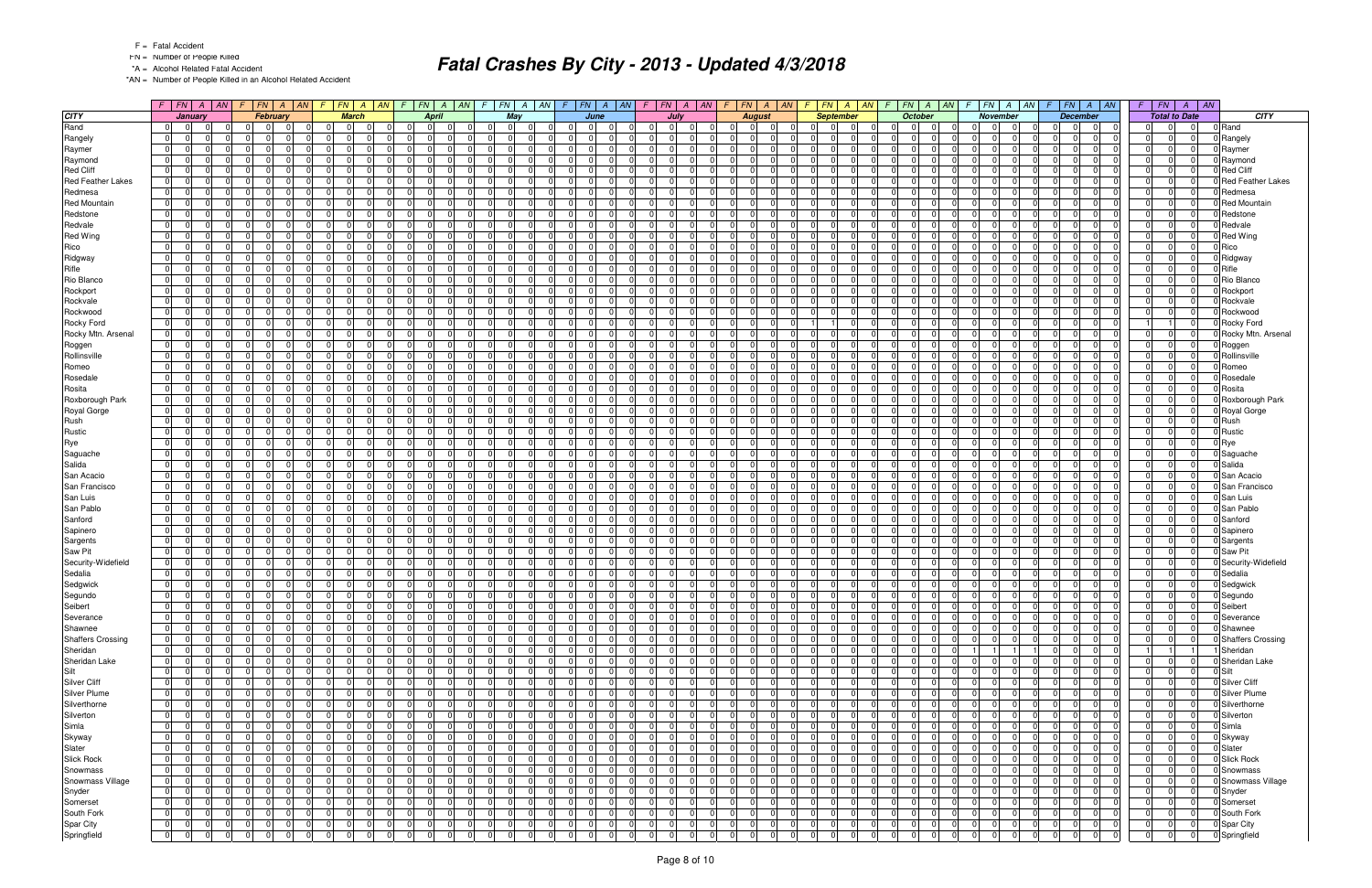- FN = Number of People Killed
- \*A = Alcohol Related Fatal Accident

\*AN = Number of People Killed in an Alcohol Related Accident

|                          | $F$ $ FN $ $A$ $ AN$                               | F.             | $\begin{array}{ c c c c c } \hline F\textbf{N} & \textbf{A} \\\hline \end{array}$<br> AN | $F$ $FN$ $A$ $AN$             |                      | $F_N$<br> AN <br>$\mathcal{F}$<br>F<br>$\mathcal{A}$ | $FN \mid A \mid AN$              |                                  | $F$ $ FN $ $A$ $ M $ | $F$   $FN$                       | $\overline{A}$ | AN <br>F.      | $FN \mid A \mid AN \mid$   | $FN \mid A \mid AN$<br>-F                          | $FN \mid A$                                  | AN | $FN$ $A$ $AN$<br>F                      | $F$ $FN$<br>$A \mid AN$                | F. | FN<br>$\overline{AN}$<br>$\overline{A}$      |                          |
|--------------------------|----------------------------------------------------|----------------|------------------------------------------------------------------------------------------|-------------------------------|----------------------|------------------------------------------------------|----------------------------------|----------------------------------|----------------------|----------------------------------|----------------|----------------|----------------------------|----------------------------------------------------|----------------------------------------------|----|-----------------------------------------|----------------------------------------|----|----------------------------------------------|--------------------------|
| <b>CITY</b>              | January                                            |                | February                                                                                 | <b>March</b>                  |                      | <b>April</b>                                         | May                              |                                  | June                 |                                  | July           |                | <b>August</b>              | <b>September</b>                                   | October                                      |    | November                                | <b>December</b>                        |    | <b>Total to Date</b>                         | <b>CITY</b>              |
| Rand                     | $\overline{0}$<br>$\overline{0}$<br>$\Omega$       | 01             | $\Omega$<br>- 01                                                                         | $\overline{0}$<br>$\mathbf 0$ | $\Omega$             | $\overline{0}$<br>$\Omega$<br>$\Omega$               | $\overline{0}$<br> 0             | 0 <br>$\overline{0}$             | $\Omega$             | 0 <br>$\overline{0}$             | $\Omega$       | 01             | $\Omega$<br>$\mathbf 0$    | $\overline{0}$<br>$\Omega$<br>$\Omega$             | $\Omega$<br> 0 <br>$\overline{0}$            |    | $\overline{0}$<br> 0 <br>$\overline{0}$ | $\overline{0}$<br>- 0 I<br> 0          |    | $\Omega$<br>$\Omega$                         | 0 Rand                   |
| Rangely                  | 0 <br>$\Omega$<br>0                                | 0 I            | $\Omega$                                                                                 | $\Omega$                      | $\Omega$             | $\overline{0}$<br>$\Omega$<br>$\Omega$               | $\overline{0}$<br>$\Omega$       | $\Omega$<br>$\Omega$             | $\Omega$             | $\overline{0}$<br>$\Omega$       | $\Omega$       | $\overline{0}$ | $\Omega$<br>$\Omega$       | $\Omega$<br>$\Omega$<br>$\Omega$                   | $\Omega$<br>$\Omega$<br>$\Omega$             |    | $\Omega$<br>$\Omega$<br>$\Omega$        | $\Omega$<br>$\Omega$<br>$\Omega$       |    | $\Omega$<br>$\overline{0}$                   | 0 Rangely                |
| Raymer                   | 0 <br>$\Omega$<br>$\Omega$                         | $\overline{0}$ | $\Omega$<br>$\Omega$                                                                     | $\overline{0}$                | $\Omega$             | $\overline{0}$<br>$\Omega$<br>$\Omega$               | - 0 I<br>$\Omega$                | $\overline{0}$<br>$\Omega$       | $\Omega$             | 0 I<br>$\Omega$                  | $\Omega$       | 0              | $\mathbf 0$                | 0 <br>$\Omega$<br>$\Omega$                         | $\Omega$<br>$\Omega$<br>$\Omega$             |    | $\Omega$<br>$\Omega$<br>- 0             | $\Omega$<br>$\Omega$<br>$\Omega$       |    | $\Omega$<br>$\Omega$                         | Raymer                   |
| Raymond                  | $\Omega$<br>$\Omega$<br>$\Omega$                   | 0              | $\Omega$<br>$\Omega$                                                                     | $\Omega$                      | $\Omega$             | $\overline{0}$<br>$\Omega$<br>$\Omega$               | - 0 I<br>$\Omega$                | $\Omega$<br>ΩI                   | $\Omega$             | $\Omega$<br>$\Omega$             | $\Omega$       | $\Omega$       | $\cap$<br>$\Omega$         | $\Omega$<br>$\Omega$<br>$\Omega$                   | $\Omega$<br>$\Omega$<br>$\Omega$             |    | $\Omega$<br> 0                          | $\Omega$<br>$\cap$<br>$\Omega$         |    | $\Omega$<br>$\Omega$                         | Raymond                  |
| <b>Red Cliff</b>         | $\overline{0}$<br>$\Omega$<br>$\Omega$             | 0              | $\Omega$                                                                                 | $\Omega$                      | $\Omega$             | $\Omega$<br>$\Omega$<br>$\Omega$                     | $\Omega$<br>$\Omega$             | $\Omega$<br>0                    | $\Omega$             | $\Omega$<br>$\Omega$             | $\Omega$       | $\overline{0}$ | $\Omega$                   | $\Omega$<br>$\Omega$<br>$\Omega$                   | $\Omega$<br>$\Omega$<br>$\Omega$             |    | $\Omega$<br> 0                          | $\Omega$<br>$\Omega$                   |    | $\Omega$<br>$\Omega$                         | 0 Red Cliff              |
| <b>Red Feather Lakes</b> | $\overline{0}$<br>$\Omega$<br>$\Omega$             | 0              | $\Omega$                                                                                 | $\Omega$                      | $\Omega$             | 0 <br>$\Omega$<br>$\Omega$                           | - 0 I<br>$\Omega$                | $\overline{0}$<br>0              |                      | 0 I<br>$\Omega$                  | $\Omega$       | $\overline{0}$ | $\Omega$                   | $\Omega$<br>$\Omega$<br>$\Omega$                   | $\Omega$<br>$\Omega$<br>$\Omega$             |    | $\Omega$<br>-01                         | $\Omega$<br>$\Omega$                   |    | $\Omega$<br>$\Omega$                         | <b>Red Feather Lakes</b> |
|                          | $\Omega$                                           |                | $\Omega$                                                                                 | $\Omega$                      |                      | $\Omega$<br>$\Omega$<br>$\Omega$                     | $\Omega$                         | $\Omega$                         | $\Omega$             | $\Omega$                         | $\Omega$       | $\Omega$       |                            | $\Omega$<br>$\Omega$                               | $\Omega$<br>$\Omega$                         |    | $\Omega$                                | $\Omega$                               |    | $\Omega$                                     |                          |
| Redmesa                  | 0 <br>$\Omega$                                     | - 0 I          |                                                                                          |                               | $\Omega$             |                                                      | $\Omega$                         | 0                                |                      | $\Omega$                         |                |                | $\Omega$                   | $\Omega$                                           | $\Omega$                                     |    | $\overline{0}$                          | $\Omega$                               |    | $\Omega$                                     | Redmesa                  |
| <b>Red Mountain</b>      | 0 <br>$\Omega$<br>$\Omega$                         | $\overline{0}$ | $\Omega$                                                                                 | $\Omega$                      | $\Omega$             | $\Omega$<br>$\Omega$<br>$\Omega$                     | - 0 I<br>$\Omega$                | $\Omega$<br>$\Omega$             | $\Omega$             | 0 I<br>$\Omega$                  | $\Omega$       | $\Omega$       | $\Omega$                   | $\Omega$<br>$\Omega$<br>$\Omega$                   | $\Omega$<br>$\Omega$<br>$\Omega$             |    | $\Omega$<br>-01                         | $\Omega$<br>$\Omega$<br><sup>n</sup>   |    | $\Omega$<br>$\Omega$                         | <b>Red Mountain</b>      |
| Redstone                 | $\overline{0}$<br>$\overline{0}$<br>$\Omega$       | $\Omega$       | $\Omega$                                                                                 | $\mathbf 0$                   | $\Omega$             | $\overline{0}$<br>$\Omega$<br>$\Omega$               | $\overline{0}$<br>$\mathbf 0$    | $\mathbf 0$<br>$\Omega$          | $\Omega$             | $\Omega$<br>$\Omega$             | $\Omega$       | $\overline{0}$ | $\Omega$                   | $\Omega$<br>$\Omega$<br>$\Omega$                   | $\Omega$<br>$\Omega$<br>$\Omega$             |    | 0 <br>$\Omega$                          | $\Omega$<br>$\mathbf 0$                |    | $\Omega$<br>$\Omega$                         | Redstone                 |
| Redvale                  | $\overline{0}$<br>$\Omega$<br>$\Omega$             | - 0 I          | $\Omega$                                                                                 | $\Omega$                      | $\Omega$             | n<br>$\Omega$<br>$\Omega$                            | - 0 I<br>$\Omega$                | $\Omega$<br>$\Omega$             | $\Omega$             | $\overline{0}$<br>$\Omega$       | $\Omega$       | $\overline{0}$ | $\Omega$                   | $\Omega$<br>$\Omega$                               | $\Omega$<br>$\Omega$<br>$\Omega$             |    | $\Omega$<br>-01                         | $\Omega$<br>$\Omega$                   |    | $\Omega$<br>$\Omega$                         | 0 Redvale                |
| <b>Red Wing</b>          | 0 <br>$\Omega$<br>$\Omega$                         | - 0 I          | $\Omega$                                                                                 | $\Omega$                      | $\Omega$             | 0 <br>$\Omega$<br>$\Omega$                           | $\Omega$<br>$\overline{0}$       | $\overline{0}$<br>$\Omega$       | $\Omega$             | $\overline{0}$<br>$\Omega$       | $\Omega$       | $\Omega$       | $\Omega$                   | $\Omega$<br>$\Omega$<br>$\Omega$                   | $\Omega$<br>$\Omega$<br>$\Omega$             |    | $\Omega$<br>-01                         | $\Omega$<br>$\Omega$                   |    | $\Omega$<br>$\Omega$                         | <b>Red Wing</b>          |
| Rico                     | $\Omega$<br>$\Omega$<br>$\Omega$                   | - 0 I          | $\Omega$                                                                                 | $\Omega$                      | $\Omega$             | $\Omega$<br>$\Omega$<br>0                            | - 0 I<br>$\Omega$                | $\Omega$<br>U                    | $\Omega$             | $\Omega$<br>$\Omega$             |                | $\Omega$       | $\Omega$                   | $\Omega$<br>$\Omega$<br>$\Omega$                   | $\Omega$<br>$\Omega$<br>$\Omega$             |    | $\Omega$<br>-01                         | $\Omega$<br>$\Omega$                   |    | $\Omega$<br>$\Omega$                         | Rico                     |
| Ridgway                  | 0 <br>$\Omega$<br>$\Omega$                         | $\overline{0}$ | $\Omega$                                                                                 | $\Omega$                      | $\Omega$             | $\Omega$<br>$\Omega$<br>$\Omega$                     | $\Omega$<br>$\Omega$             | $\Omega$<br>$\Omega$             | $\Omega$             | $\overline{0}$<br>$\Omega$       | $\Omega$       | $\Omega$       | $\Omega$                   | $\Omega$<br>$\Omega$<br>$\Omega$                   | $\Omega$<br>$\Omega$<br>$\Omega$             |    | $\Omega$<br> 0                          | $\Omega$<br>$\Omega$                   |    | $\Omega$                                     | 0 Ridgway                |
| Rifle                    | $\overline{0}$<br>$\Omega$<br>$\Omega$             | $\Omega$       | $\Omega$                                                                                 | $\Omega$                      | $\Omega$             | $\Omega$<br>$\Omega$<br>$\Omega$                     | $\Omega$<br>$\Omega$             | $\overline{0}$<br>0              |                      | $\Omega$<br>$\Omega$             |                | $\Omega$       | $\Omega$                   | $\Omega$<br>$\Omega$                               | $\Omega$<br>$\Omega$<br>$\Omega$             |    | $\Omega$<br>$\Omega$                    | $\Omega$<br>$\Omega$                   |    | $\Omega$<br>$\Omega$                         | Rifle                    |
| Rio Blanco               | 0 <br>$\Omega$<br>$\Omega$                         | - 0 I          | $\Omega$                                                                                 | $\Omega$                      | $\Omega$             | $\overline{0}$<br>$\Omega$<br>$\Omega$               | $\Omega$<br>$\Omega$             | $\overline{0}$<br>$\Omega$       | $\Omega$             | $\Omega$<br>$\Omega$             | $\Omega$       | $\overline{0}$ | $\Omega$                   | $\Omega$<br>$\Omega$<br>$\Omega$                   | $\Omega$<br>$\Omega$<br>$\Omega$             |    | $\Omega$<br>$\overline{0}$              | $\Omega$<br>$\Omega$                   |    | $\Omega$<br>$\Omega$                         | Rio Blanco               |
| Rockport                 | 0 <br>$\Omega$<br>$\Omega$                         | $\overline{0}$ | $\Omega$<br>$\Omega$                                                                     | $\Omega$                      | $\Omega$             | $\Omega$<br>$\Omega$<br>$\Omega$                     | - 0 I<br>$\Omega$                | $\Omega$<br>U                    | $\Omega$             | $\overline{0}$<br>$\Omega$       | $\Omega$       | $\Omega$       | $\Omega$                   | $\Omega$<br>$\Omega$<br>$\Omega$                   | $\Omega$<br>$\Omega$<br>$\Omega$             |    | $\Omega$<br>-01                         | $\Omega$<br>$\Omega$<br><sup>n</sup>   |    | $\Omega$<br>$\Omega$                         | Rockport                 |
| Rockvale                 | $\overline{0}$<br>0<br>$\Omega$                    | 0              | $\Omega$                                                                                 | $\overline{0}$                | $\Omega$             | 0 <br>0                                              | $\Omega$<br>$\Omega$             | $\Omega$<br>0                    | $\Omega$             | $\Omega$<br>$\Omega$             |                | $\overline{0}$ | $\Omega$                   | $\Omega$<br>$\Omega$<br>$\Omega$                   | $\Omega$<br>$\Omega$<br>$\Omega$             |    | $\overline{0}$<br>$\mathbf 0$           | $\Omega$<br>$\Omega$                   |    | $\Omega$                                     | Rockvale                 |
| Rockwood                 | $\overline{0}$<br>$\Omega$<br>$\Omega$             | $\Omega$       | $\Omega$                                                                                 | $\Omega$                      | $\Omega$             | n<br>$\Omega$<br>$\Omega$                            | $\Omega$<br>$\Omega$             | $\Omega$<br>0                    | $\Omega$             | $\Omega$<br>$\Omega$             | $\Omega$       | $\Omega$       | $\Omega$                   | $\Omega$<br>$\Omega$<br>$\Omega$                   | $\Omega$<br>$\Omega$<br>$\Omega$             |    | $\Omega$<br>$\Omega$                    | $\Omega$<br>$\Omega$                   |    | $\Omega$<br>$\Omega$                         | 0 Rockwood               |
| Rocky Ford               | 0 <br>$\Omega$<br>$\Omega$                         | - 0 I          | $\Omega$                                                                                 | $\Omega$                      | $\Omega$             | $\overline{0}$<br>$\Omega$<br>$\Omega$               | - 0 I<br>$\Omega$                | $\overline{0}$<br>$\Omega$       | $\Omega$             | $\overline{0}$<br>$\Omega$       | $\Omega$       | $\overline{0}$ | $\Omega$                   | $\mathbf{1}$<br>$\Omega$                           | $\overline{0}$<br>- 0 I<br>$\Omega$          |    | $\Omega$<br>-01                         | $\Omega$<br>$\Omega$<br>$\Omega$       |    | $\Omega$                                     | Rocky Ford               |
| Rocky Mtn. Arsenal       | $\overline{0}$<br>$\Omega$<br>$\Omega$             | - 0 I          | $\Omega$                                                                                 | $\Omega$                      | $\Omega$             | $\overline{0}$<br>$\Omega$<br>$\Omega$               | $\Omega$<br>$\Omega$             | $\Omega$<br>0                    | $\Omega$             | $\Omega$<br>$\Omega$             | n              | $\Omega$       | $\Omega$                   | $\Omega$<br>0<br>$\Omega$                          | $\Omega$<br>$\Omega$<br>$\Omega$             |    | $\Omega$<br>$\overline{0}$              | $\Omega$<br>$\Omega$                   |    | $\Omega$<br>$\Omega$                         | Rocky Mtn. Arsenal       |
| Roggen                   | 0 <br>$\Omega$<br>$\Omega$                         | $\overline{0}$ | $\Omega$<br>$\Omega$                                                                     | $\Omega$                      | $\Omega$             | $\Omega$<br>$\Omega$<br>$\Omega$                     | $\Omega$<br>$\overline{0}$       | $\Omega$<br>$\Omega$             | $\Omega$             | $\Omega$<br>$\Omega$             | $\Omega$       | -01            | $\Omega$                   | $\overline{0}$<br>$\Omega$<br>$\Omega$             | $\Omega$<br>$\Omega$<br>$\Omega$             |    | $\Omega$<br>-01<br>$\Omega$             | 0 <br>$\Omega$<br>$\Omega$             |    | $\Omega$<br>$\Omega$                         | 0 Roggen                 |
| Rollinsville             | $\overline{0}$<br>$\Omega$<br>$\Omega$             | $\overline{0}$ | $\Omega$                                                                                 | $\overline{0}$                | $\Omega$             | 0 <br>$\Omega$<br>$\Omega$                           | $\overline{0}$<br>$\Omega$       | $\mathbf 0$<br>0                 | $\Omega$             | $\overline{0}$<br>$\Omega$       | $\Omega$       | $\overline{0}$ | $\Omega$                   | $\mathbf 0$<br>$\Omega$<br>$\Omega$                | $\Omega$<br>$\Omega$<br>$\Omega$             |    | $\overline{0}$<br>$\overline{0}$        | $\mathbf 0$<br>$\Omega$                |    | $\Omega$<br>$\Omega$                         | Rollinsville             |
|                          | 0 <br>$\Omega$<br>$\Omega$                         | - 0 I          | $\Omega$                                                                                 | $\Omega$                      | $\Omega$             | $\Omega$<br>$\Omega$<br>$\Omega$                     | - 0 I<br>$\Omega$                | $\Omega$<br>$\Omega$             | $\Omega$             | $\Omega$<br>$\Omega$             | $\Omega$       | $\overline{0}$ | $\Omega$                   | $\Omega$<br>$\Omega$<br>$\Omega$                   | $\Omega$<br>$\Omega$<br>$\Omega$             |    | $\Omega$<br>$\Omega$                    | $\Omega$<br>$\Omega$<br>$\Omega$       |    | $\Omega$<br>$\Omega$                         |                          |
| Romeo                    |                                                    |                |                                                                                          |                               |                      |                                                      |                                  |                                  |                      |                                  |                |                |                            |                                                    |                                              |    |                                         |                                        |    |                                              | 0 Romeo                  |
| Rosedale                 | 0 <br>$\Omega$<br>$\Omega$                         | - 0 I          | $\Omega$<br>$\Omega$                                                                     | $\Omega$                      | $\Omega$             | 0 <br>$\Omega$<br>$\Omega$                           | - 0 I<br>$\Omega$                | $\Omega$<br>$\Omega$             | $\Omega$             | 0 I<br>$\Omega$                  | $\Omega$       | -01            | $\Omega$                   | $\mathbf 0$<br>$\Omega$<br>$\Omega$                | $\Omega$<br>$\Omega$<br>$\Omega$             |    | $\Omega$<br>$\overline{0}$<br>ി         | $\Omega$<br>$\Omega$<br>$\Omega$       |    | $\Omega$<br>$\Omega$                         | Rosedale                 |
| Rosita                   | $\overline{0}$<br>$\Omega$<br>$\Omega$             | 0              | $\Omega$                                                                                 | $\Omega$                      | $\Omega$             | $\overline{0}$<br>$\Omega$<br>$\Omega$               | - 0 I<br>$\Omega$                | $\Omega$<br><sup>0</sup>         | $\Omega$             | $\Omega$<br>$\Omega$             | $\Omega$       | $\Omega$       | $\cap$<br>$\Omega$         | $\Omega$<br>$\Omega$<br>$\Omega$                   | $\Omega$<br>$\Omega$<br>$\Omega$             |    | $\Omega$<br> 0                          | $\Omega$<br>$\Omega$<br>$\Omega$       |    | $\Omega$<br>$\Omega$                         | D Rosita                 |
| Roxborough Park          | $\overline{0}$<br>$\Omega$<br>$\Omega$             | - 0 I          | $\Omega$                                                                                 | $\Omega$                      | $\Omega$             | $\overline{0}$<br>$\Omega$<br>$\Omega$               | $\Omega$<br>$\Omega$             | $\Omega$<br>$\Omega$             | $\Omega$             | $\Omega$<br>$\Omega$             | $\Omega$       | $\overline{0}$ | $\Omega$                   | $\Omega$<br>$\Omega$<br>$\Omega$                   | $\Omega$<br>$\Omega$<br>$\Omega$             |    | $\Omega$<br> 0                          | $\Omega$<br>$\Omega$<br><sup>0</sup>   |    | $\Omega$<br>$\Omega$                         | 0 Roxborough Park        |
| Royal Gorge              | $\overline{0}$<br>$\Omega$<br>$\Omega$             | - 0 I          | $\Omega$                                                                                 | $\Omega$                      | $\Omega$             | $\overline{0}$<br>$\Omega$<br>$\Omega$               | - 0 I<br>$\overline{0}$          | $\overline{0}$<br>$\Omega$       | $\Omega$             | $\overline{0}$<br>$\Omega$       | $\Omega$       | $\overline{0}$ | $\Omega$                   | $\Omega$<br>$\Omega$<br>$\Omega$                   | $\overline{0}$<br>- 0 I<br>$\Omega$          |    | $\Omega$<br>-01                         | $\Omega$<br>$\Omega$<br>$\Omega$       |    | $\Omega$<br>$\overline{0}$                   | 0 Royal Gorge            |
| Rush                     | $\overline{0}$<br>$\Omega$<br>$\Omega$             | - 0 I          | $\Omega$                                                                                 | $\Omega$                      | $\Omega$             | $\overline{0}$<br>$\Omega$<br><sup>0</sup>           | $\Omega$<br>$\Omega$             | $\Omega$<br><sup>0</sup>         | $\Omega$             | $\Omega$<br>$\Omega$             |                | $\Omega$       | $\Omega$                   | $\Omega$<br>$\Omega$<br>$\Omega$                   | $\Omega$<br>$\Omega$<br>$\Omega$             |    | $\Omega$<br>$\Omega$                    | $\Omega$<br>$\Omega$                   |    | $\Omega$<br>$\Omega$                         | Rush                     |
| Rustic                   | 0 <br>$\Omega$<br>$\Omega$                         | $\overline{0}$ | $\Omega$<br>$\Omega$                                                                     | $\Omega$                      | $\Omega$             | $\Omega$<br>$\Omega$<br>$\Omega$                     | - 0 I<br>$\overline{0}$          | $\Omega$<br>$\Omega$             | $\Omega$             | $\overline{0}$<br>$\Omega$       | $\Omega$       | -01            | $\Omega$                   | $\Omega$<br>$\Omega$<br>$\Omega$                   | $\Omega$<br>$\Omega$<br>$\Omega$             |    | $\Omega$<br>-01<br>$\Omega$             | 0 <br>$\Omega$<br>$\Omega$             |    | $\Omega$<br>$\Omega$                         | 0 Rustic                 |
| Rye                      | $\overline{0}$<br>$\overline{0}$<br>$\Omega$       | $\overline{0}$ | $\Omega$                                                                                 | $\mathbf 0$                   | $\Omega$             | 0 <br>$\Omega$<br>0                                  | $\overline{0}$<br>0              | $\overline{0}$<br>$\Omega$       | $\Omega$             | $\overline{0}$<br>$\Omega$       | $\Omega$       | $\overline{0}$ | $\Omega$                   | $\Omega$<br>$\Omega$<br>$\Omega$                   | $\Omega$<br> 0 <br>$\Omega$                  |    | 0 <br>$\overline{0}$                    | $\mathbf 0$<br>0                       |    | $\mathbf 0$<br>$\Omega$                      | Rye                      |
| Saguache                 | $\overline{0}$<br>$\Omega$<br>$\Omega$             | - 0 I          | $\Omega$                                                                                 | $\Omega$                      | $\Omega$             | $\Omega$<br>$\Omega$<br>$\Omega$                     | - 0 I<br>$\Omega$                | $\Omega$<br><sup>0</sup>         | $\Omega$             | $\overline{0}$<br>$\Omega$       | $\Omega$       | $\overline{0}$ | $\Omega$                   | $\Omega$<br>$\Omega$                               | $\Omega$<br>$\Omega$<br>$\Omega$             |    | $\Omega$<br>-01                         | $\Omega$<br>$\Omega$                   |    | $\Omega$<br>$\Omega$                         | 0 Saguache               |
| Salida                   | 0 <br>$\Omega$<br>$\Omega$                         | - 0 I          | $\Omega$                                                                                 | $\overline{0}$                | $\Omega$             | $\overline{0}$<br>$\Omega$<br>$\Omega$               | $\Omega$<br>$\overline{0}$       | $\overline{0}$<br>$\Omega$       | $\Omega$             | $\overline{0}$<br>$\Omega$       | $\Omega$       | $\Omega$       | $\Omega$                   | $\mathbf 0$<br>$\Omega$<br>$\Omega$                | $\Omega$<br>$\Omega$<br>$\Omega$             |    | $\Omega$<br>-01<br>- 0                  | $\Omega$<br>$\Omega$<br><sup>n</sup>   |    | $\Omega$<br>$\Omega$                         | 0 Salida                 |
| San Acacio               | $\overline{0}$<br>$\Omega$<br>$\Omega$             | - 0 I          | $\Omega$                                                                                 | $\Omega$                      | $\Omega$             | $\overline{0}$<br>$\Omega$<br>0                      | - 0 I<br>$\Omega$                | $\Omega$<br><sup>0</sup>         | $\Omega$             | $\Omega$<br>$\Omega$             |                | $\Omega$       | $\Omega$                   | $\Omega$<br>$\Omega$<br>$\Omega$                   | $\Omega$<br>$\Omega$<br>$\Omega$             |    | $\Omega$<br>-01                         | $\Omega$<br>$\Omega$                   |    | $\Omega$<br>$\Omega$                         | 0 San Acacio             |
| San Francisco            | $\overline{0}$<br>$\Omega$<br>$\Omega$             | 0              | $\Omega$                                                                                 | $\Omega$                      | $\Omega$             | $\Omega$<br>$\Omega$<br>$\Omega$                     | $\Omega$<br>$\Omega$             | $\Omega$<br>$\Omega$             | $\Omega$             | $\overline{0}$<br>$\Omega$       | $\Omega$       | $\Omega$       | $\Omega$                   | $\Omega$<br>$\Omega$<br>$\Omega$                   | $\Omega$<br>$\Omega$<br>$\Omega$             |    | $\Omega$<br> 0                          | $\Omega$<br>$\Omega$                   |    | $\Omega$                                     | 0 San Francisco          |
| San Luis                 | $\overline{0}$<br>$\Omega$<br>$\Omega$             | $\Omega$       | $\Omega$                                                                                 | $\Omega$                      | $\Omega$             | 0 <br>$\Omega$<br>$\Omega$                           | - 0 I<br>$\Omega$                | $\mathbf 0$<br>0                 | $\Omega$             | $\Omega$<br>$\Omega$             | $\Omega$       | $\overline{0}$ | $\Omega$                   | $\Omega$<br>$\Omega$<br>$\Omega$                   | $\Omega$<br>$\Omega$<br>$\Omega$             |    | $\Omega$<br>$\Omega$                    | $\Omega$<br>$\Omega$                   |    | $\Omega$<br>$\Omega$                         | 0 San Luis               |
| San Pablo                | 0 <br>$\Omega$<br>$\Omega$                         | 0              | $\Omega$                                                                                 | $\Omega$                      | $\Omega$             | $\overline{0}$<br>$\Omega$<br>$\Omega$               | $\Omega$<br>$\Omega$             | $\Omega$<br>$\Omega$             | $\Omega$             | $\Omega$<br>$\Omega$             | $\Omega$       | $\Omega$       | $\Omega$                   | $\Omega$<br>$\Omega$<br>$\Omega$                   | $\Omega$<br>$\Omega$<br>$\Omega$             |    | $\Omega$<br>$\overline{0}$              | $\Omega$<br>$\Omega$                   |    | $\Omega$<br>$\Omega$                         | 0 San Pablo              |
| Sanford                  | $\overline{0}$<br>$\Omega$<br>$\Omega$             | $\overline{0}$ | $\Omega$<br>$\Omega$                                                                     | $\Omega$                      | $\Omega$             | 0 <br>$\Omega$<br>$\Omega$                           | 0 I<br>$\overline{0}$            | $\Omega$<br>ΩI                   | $\Omega$             | $\overline{0}$<br>$\Omega$       | $\Omega$       | $\Omega$       | $\Omega$                   | $\Omega$<br>$\Omega$<br>$\Omega$                   | $\overline{0}$<br>$\Omega$<br>$\Omega$       |    | $\Omega$<br>-01                         | $\Omega$<br>$\Omega$<br>$\Omega$       |    | $\Omega$<br>$\Omega$                         | 0 Sanford                |
| Sapinero                 | $\mathbf{0}$<br>$\Omega$<br>$\Omega$               | 0              | $\Omega$                                                                                 | $\mathbf 0$                   | $\Omega$             | $\overline{0}$<br>$\Omega$<br>$\Omega$               | $\Omega$<br>$\Omega$             | $\mathbf 0$<br>0                 | $\Omega$             | $\Omega$<br>$\Omega$             | $\Omega$       | $\overline{0}$ | $\Omega$                   | $\mathbf 0$<br>$\Omega$<br>$\Omega$                | $\Omega$<br>$\Omega$<br>$\Omega$             |    | $\Omega$<br>$\overline{0}$              | $\Omega$<br>$\mathbf 0$                |    | $\Omega$<br>$\Omega$                         | 0 Sapinero               |
|                          | $\overline{0}$<br>$\Omega$<br>$\Omega$             | - 0 I          | $\Omega$                                                                                 | $\Omega$                      | $\Omega$             | $\Omega$<br>$\Omega$<br>$\Omega$                     | - 0 I<br>$\Omega$                | $\Omega$<br>0                    | $\Omega$             | $\overline{0}$<br>$\Omega$       | $\Omega$       | $\overline{0}$ | $\Omega$                   | $\Omega$<br>$\Omega$<br>$\Omega$                   | $\Omega$<br>$\Omega$<br>$\Omega$             |    | $\Omega$<br>-01                         | $\Omega$<br>$\Omega$<br><sup>n</sup>   |    | $\Omega$<br>$\Omega$                         | 0 Sargents               |
| Sargents                 | 0 <br>$\Omega$<br>$\Omega$                         | - 0 I          | $\Omega$                                                                                 | $\Omega$                      | $\Omega$             | $\overline{0}$<br>$\Omega$<br>$\Omega$               | - 0 I<br>$\Omega$                | $\overline{0}$<br>$\Omega$       | $\Omega$             | $\overline{0}$<br>$\overline{0}$ | $\Omega$       | -01            | $\Omega$                   | $\Omega$<br>$\Omega$<br>$\Omega$                   | $\Omega$<br>$\Omega$<br>$\Omega$             |    | $\Omega$<br>-01                         | $\Omega$<br>$\Omega$                   |    | $\Omega$<br>$\Omega$                         |                          |
| Saw Pit                  |                                                    |                | $\Omega$                                                                                 |                               |                      | $\Omega$                                             | $\Omega$                         | $\Omega$                         | $\Omega$             | $\Omega$                         |                |                |                            | $\Omega$<br>$\Omega$                               | $\Omega$                                     |    |                                         | $\Omega$                               |    | $\Omega$                                     | 0 Saw Pit                |
| Security-Widefield       | $\overline{0}$<br>$\Omega$<br>$\Omega$<br>$\Omega$ | - 0 I          | $\Omega$                                                                                 | $\Omega$<br>$\Omega$          | $\Omega$<br>$\Omega$ | 0 <br>0<br>$\Omega$                                  | - 0 I<br>$\Omega$                | 0<br>$\Omega$<br>$\Omega$        | $\Omega$             | $\Omega$<br>$\Omega$             | $\Omega$       | $\Omega$       | $\Omega$                   | $\Omega$<br>$\Omega$<br>$\Omega$<br>$\Omega$       | $\Omega$<br>$\Omega$<br>$\Omega$<br>$\Omega$ |    | $\Omega$<br>-01<br>$\Omega$             | $\Omega$<br>$\Omega$<br>$\Omega$       |    | $\Omega$<br>$\Omega$                         | 0 Security-Widefield     |
| Sedalia                  | 0 <br>$\overline{0}$                               | $\overline{0}$ |                                                                                          |                               |                      | 0 <br>$\Omega$                                       | - 0 I                            |                                  |                      | $\overline{0}$                   |                | $\Omega$       | $\Omega$                   |                                                    | $\Omega$                                     |    | -01                                     |                                        |    |                                              | 0 Sedalia                |
| Sedgwick                 | $\overline{0}$<br>0<br>ΩI                          | $\overline{0}$ | $\Omega$                                                                                 | $\overline{0}$                | $\Omega$             | $\overline{0}$<br>$\Omega$<br>0                      | $\overline{0}$<br>0              | $\overline{0}$<br>0              | $\Omega$             | $\overline{0}$<br>0              |                | $\overline{0}$ | $\Omega$                   | $\Omega$<br>$\Omega$<br>$\Omega$                   | $\overline{0}$<br>$\Omega$<br>$\Omega$       |    | $\overline{0}$<br>$\overline{0}$        | $\mathbf 0$<br>0                       |    | $\Omega$<br>$\Omega$                         | 0 Sedgwick               |
| Segundo                  | $\overline{0}$<br>$\Omega$                         | $\Omega$       | $\Omega$                                                                                 | $\Omega$                      | $\Omega$             | $\overline{0}$<br>$\Omega$<br>$\Omega$               | 0 <br>$\Omega$                   | $\Omega$<br>$\Omega$             | $\Omega$             | $\overline{0}$<br>$\Omega$       | $\Omega$       | $\overline{0}$ |                            | $\Omega$<br>$\Omega$<br>$\Omega$                   | $\Omega$<br>$\Omega$<br>$\Omega$             |    | $\Omega$<br>$\Omega$                    | $\Omega$<br>$\Omega$<br>$\Omega$       |    | $\Omega$                                     | 0 Segundo                |
| Seibert                  | 0<br>$\mathbf{0}$<br>$\mathbf{0}$                  | $\Omega$       | 0                                                                                        | 0                             | $\Omega$             | 0                                                    | $\Omega$<br>0                    | 0<br>0                           |                      | $\Omega$                         |                | 0              | $\Omega$                   | 0<br>$\Omega$                                      | $\Omega$<br>$\Omega$                         |    | 0<br> 0                                 | 0                                      |    | $\Omega$<br>$\Omega$                         | 0 Seibert                |
| Severance                | 0 <br>$\overline{0}$<br>$\overline{0}$             | - 0 I          | $\Omega$                                                                                 | $\Omega$                      | $\Omega$             | 0 <br>$\Omega$<br>$\Omega$                           | $\Omega$<br>$\Omega$             | $\mathbf 0$<br>$\Omega$          | $\Omega$             | $\overline{0}$<br>0 I            |                | $\Omega$       | $\Omega$<br>$\Omega$       | $\Omega$<br>$\Omega$<br>$\Omega$                   | $\Omega$<br>$\Omega$<br>$\Omega$             |    | $\Omega$<br> 0                          | $\Omega$<br>$\mathbf 0$<br>$\Omega$    |    | $\Omega$<br>$\overline{0}$                   | 0 Severance              |
| Shawnee                  | $\overline{0}$<br> 0 <br>$\mathbf 0$               | 01             | $\overline{0}$                                                                           | $\mathbf 0$                   | $\overline{0}$       | $\overline{0}$<br>0<br>$\overline{0}$                | $\overline{0}$<br>$\overline{0}$ | 0 <br>$\overline{0}$             | $\overline{0}$       | 0 <br> 0                         | $\Omega$       | $\overline{0}$ | - 01<br>$\mathbf{0}$       | $\overline{0}$<br>$\Omega$<br>$\Omega$             | $\overline{0}$<br>0 I<br>$\mathbf 0$         |    | 0 <br> 0                                | $\mathbf 0$<br>$\Omega$<br> 0          |    | $\Omega$<br>$\Omega$                         | 0 Shawnee                |
| <b>Shaffers Crossing</b> | $\overline{0}$<br> 0 <br>$\overline{0}$            | 0 I            | $\overline{0}$                                                                           | $\overline{0}$                | $\overline{0}$       | 0 <br>$\Omega$<br>$\Omega$                           | $\overline{0}$<br> 0             | 0 <br>$\overline{0}$             | $\Omega$             | 0 <br>0 I                        | - 01           | $\overline{0}$ | $\mathbf 0$                | $\overline{0}$<br>- 0 I<br>$\Omega$                | $\overline{0}$<br> 0 <br>0 I                 |    | 0 <br> 0 <br>- 0                        | $\overline{0}$<br>$\overline{0}$<br> 0 |    | $\Omega$<br> 0                               | 0 Shaffers Crossing      |
| Sheridan                 | $\overline{0}$<br>$\overline{0}$<br>$\mathbf 0$    | $\overline{0}$ | $\overline{0}$<br>$\Omega$                                                               | $\overline{0}$                | $\overline{0}$       | $\overline{0}$<br>$\Omega$<br>$\overline{0}$         | 01<br>$\overline{0}$             | 0 <br>$\mathbf 0$                | 0                    | 0 I<br>01                        | $\Omega$       | $\overline{0}$ | - 0<br>$\overline{0}$      | $\overline{0}$<br>$\Omega$<br>$\Omega$             | $\overline{0}$<br>$\Omega$<br>$\mathbf 0$    |    | 11                                      | $\mathbf 0$<br> 0 <br>$\Omega$         |    |                                              | Sheridan                 |
| Sheridan Lake            | 0 <br>$\Omega$<br>$\overline{0}$                   | 0 I            | $\overline{0}$<br>$\Omega$                                                               | $\Omega$                      | $\Omega$             | 0 <br>$\Omega$<br>$\Omega$                           | 0 I<br>$\overline{0}$            | 0 <br>$\Omega$                   | - 0 I                | $\overline{0}$<br>$\overline{0}$ | $\Omega$       | $\overline{0}$ | $\mathbf 0$                | $\overline{0}$<br>- 0 I<br>$\Omega$                | $\mathbf 0$<br>- 0 I<br>0 I                  |    | $\Omega$<br> 0 <br>- 0                  | $\Omega$<br>$\Omega$<br> 0             |    | $\Omega$<br>$\Omega$                         | 0 Sheridan Lake          |
| Silt                     | $\overline{0}$<br>$\overline{0}$<br>$\overline{0}$ | 01             | $\overline{0}$                                                                           | 0                             | $\overline{0}$       | 0 <br>0<br>$\overline{0}$                            | $\overline{0}$<br>$\mathbf 0$    | 0 <br>$\overline{0}$             | 0                    | 0 <br>01                         | $\Omega$       | $\overline{0}$ | - 0 I                      | $\overline{0}$<br>$\overline{0}$<br>$\overline{0}$ | $\mathbf 0$<br> 0 <br> 0                     |    | 0 <br>$\overline{0}$                    | $\mathbf 0$<br>$\Omega$<br> 0          |    | $\Omega$<br>$\mathbf 0$                      | 0 Silt                   |
| Silver Cliff             | 0 <br>- 0 l<br>$\Omega$                            | 0 I            | $\overline{0}$<br>$\Omega$                                                               | $\overline{0}$                | -01                  | $\overline{0}$<br>$\Omega$<br>$\Omega$               | 0 I<br>$\overline{0}$            | $\overline{0}$<br>$\Omega$       | $\Omega$             | $\overline{0}$<br>0 I            | $\Omega$       | $\overline{0}$ | $\Omega$<br>.0             | $\Omega$<br>- 0 I<br>$\Omega$                      | $\overline{0}$<br>- 0 I<br>0 I               |    | 0 <br> 0 <br>$\Omega$                   | $\Omega$<br>$\Omega$<br>$\overline{0}$ |    | $\Omega$<br>$\Omega$                         | 0 Silver Cliff           |
| Silver Plume             | 0 <br>$\overline{0}$<br>$\Omega$                   | $\overline{0}$ | $\Omega$<br>$\Omega$                                                                     | $\mathbf 0$                   | $\overline{0}$       | 0 <br>$\Omega$<br>$\overline{0}$                     | 0 I<br>$\mathbf 0$               | $\mathbf 0$<br>$\overline{0}$    | $\mathbf 0$          | 0 I<br>01                        | $\Omega$       | $\overline{0}$ | $\mathbf 0$                | $\overline{0}$<br>$\Omega$<br>$\Omega$             | $\overline{0}$<br>0 I<br> 0                  |    | $\overline{0}$<br> 0 <br>- 0            | $\mathbf 0$<br> 0 <br>$\Omega$         |    | $\Omega$<br>$\Omega$                         | 0 Silver Plume           |
| Silverthorne             | $\overline{0}$<br>$\Omega$<br>01                   | - 0 I          | $\Omega$                                                                                 | $\mathbf 0$                   | $\Omega$             | $\overline{0}$<br>$\Omega$<br>$\Omega$               | 0 I<br>$\overline{0}$            | $\overline{0}$<br>$\Omega$       | $\Omega$             | $\overline{0}$<br>0 I            | $\Omega$       | $\Omega$       | $\Omega$<br>$\Omega$       | $\Omega$<br>$\Omega$<br>$\Omega$                   | $\mathbf 0$<br>- 0 I<br>$\Omega$             |    | $\Omega$<br> 0                          | $\Omega$<br>$\Omega$<br> 0             |    | $\Omega$<br>$\overline{0}$                   | 0 Silverthorne           |
| Silverton                | $\overline{0}$<br>$\overline{0}$<br>$\overline{0}$ | $\overline{0}$ | $\overline{0}$                                                                           | $\mathbf 0$                   | $\overline{0}$       | $\overline{0}$<br>0<br>0                             | $\overline{0}$<br> 0             | 0 <br>$\overline{0}$             | 0                    | 0 <br> 0                         | $\mathbf 0$    | $\overline{0}$ | $\mathbf{0}$<br>$\Omega$   | $\overline{0}$<br>$\overline{0}$<br>$\overline{0}$ | 0 <br> 0 <br> 0                              |    | 0 <br> 0                                | 0 <br>$\overline{0}$<br> 0             |    | 0<br>$\Omega$                                | 0 Silverton              |
| Simla                    | 0 <br>$\Omega$<br>01                               | $\overline{0}$ | $\Omega$                                                                                 | $\overline{0}$                | $\overline{0}$       | 0 <br>$\overline{0}$<br>$\Omega$                     | $\overline{0}$<br> 0             | 0 <br>$\overline{0}$             | $\mathbf 0$          | 0 <br> 0                         | $\Omega$       | 0              | $\overline{0}$             | $\overline{0}$<br>$\overline{0}$<br>$\Omega$       | 0 <br>- 0 I<br> 0                            |    | 0 <br> 0                                | $\overline{0}$<br> 0 <br>$\Omega$      |    | $\overline{0}$<br>$\Omega$                   | 0 Simla                  |
|                          | 0 <br>$\Omega$                                     | - 0 I          | $\Omega$                                                                                 | $\overline{0}$                | $\Omega$             | $\overline{0}$<br>$\Omega$<br>$\Omega$               |                                  | $\overline{0}$<br>$\Omega$       | $\Omega$             | $\Omega$<br>$\Omega$             | $\Omega$       | $\overline{0}$ | $\Omega$<br>$\Omega$       | $\mathbf{0}$<br>$\Omega$<br>$\Omega$               | $\overline{0}$<br>$\Omega$<br>$\Omega$       |    | $\Omega$                                | $\Omega$<br>$\Omega$                   |    | $\Omega$<br>$\Omega$                         |                          |
| Skyway                   | $\Omega$                                           |                |                                                                                          |                               |                      |                                                      | $\overline{0}$<br>0 I            |                                  |                      |                                  |                |                |                            |                                                    |                                              |    | 0                                       | $\overline{0}$                         |    |                                              | 0 Skyway                 |
| Slater                   | 0 <br>$\Omega$<br>$\overline{0}$                   | 0 I            | $\overline{0}$<br>$\Omega$                                                               | $\mathbf 0$                   | $\overline{0}$       | 0 <br>$\Omega$<br>$\Omega$                           | 0 <br>0 I                        | 0 <br>$\Omega$                   | $\mathbf 0$          | 0 I<br> 0                        | $\Omega$       | $\overline{0}$ | $\mathbf 0$                | $\overline{0}$<br>$\Omega$<br>$\Omega$             | $\overline{0}$<br>0 I<br>$\mathbf 0$         |    | $\overline{0}$<br> 0                    | $\Omega$<br> 0 <br>$\Omega$            |    | $\Omega$<br> 0                               | 0 Slater                 |
| Slick Rock               | $\overline{0}$<br>$\overline{0}$<br>$\overline{0}$ | $\overline{0}$ | $\Omega$                                                                                 | $\mathbf 0$                   | $\Omega$             | $\overline{0}$<br>$\mathbf 0$<br>$\Omega$            | $\overline{0}$<br>$\mathbf 0$    | $\mathbf 0$<br>$\overline{0}$    | $\mathbf 0$          | $\Omega$<br> 0                   | $\Omega$       | $\overline{0}$ | $\Omega$                   | $\mathbf 0$<br>$\Omega$<br>$\Omega$                | $\overline{0}$<br> 0 <br>$\Omega$            |    | $\overline{0}$<br> 0                    | $\mathbf 0$<br>$\Omega$<br> 0          |    | $\Omega$<br>$\Omega$                         | 0 Slick Rock             |
| Snowmass                 | $\overline{0}$<br>$\overline{0}$<br>$\mathbf 0$    | $\overline{0}$ | 0 <br>$\Omega$                                                                           | $\overline{0}$                | -01                  | 0 <br>$\overline{0}$<br>$\Omega$                     | $\overline{0}$<br> 0             | 0 <br>$\mathbf 0$                | 0                    | $\overline{0}$<br>$\overline{0}$ | $\Omega$       | $\overline{0}$ | 0 <br>$\Omega$             | $\Omega$<br> 0 <br>$\Omega$                        | 0 <br>- 0 I<br> 0                            |    | 0 <br> 0                                | $\overline{0}$<br>$\Omega$<br> 0       |    | $\Omega$<br>$\overline{0}$                   | 0 Snowmass               |
| Snowmass Village         | $\overline{0}$<br>- 0 l<br>$\Omega$                | $\overline{0}$ | $\Omega$<br>$\Omega$                                                                     | $\overline{0}$                | $\overline{0}$       | 0 <br>$\overline{0}$<br>$\Omega$                     | 0 I<br>$\overline{0}$            | $\overline{0}$<br>$\Omega$       | $\Omega$             | $\overline{0}$<br>$\overline{0}$ | $\Omega$       | 0              | $\mathbf 0$                | $\mathbf{0}$<br>- 0 I<br>$\Omega$                  | $\overline{0}$<br>- 0 I<br>$\Omega$          |    | $\Omega$<br> 0 <br>- 0                  | $\mathbf 0$<br> 0 <br>$\Omega$         |    | $\Omega$<br>$\Omega$                         | 0 Snowmass Village       |
| Snyder                   | $\overline{0}$<br>$\overline{0}$<br>$\overline{0}$ | $\overline{0}$ | $\overline{0}$<br>$\Omega$                                                               | $\mathbf 0$                   | $\overline{0}$       | 0 <br>$\Omega$<br>$\Omega$                           | $\overline{0}$<br>01             | 0 <br>$\Omega$                   | $\mathbf 0$          | 0 I<br>0 I                       | $\Omega$       | $\overline{0}$ | $\mathbf 0$<br>$\Omega$    | $\Omega$<br>$\Omega$<br>$\Omega$                   | $\overline{0}$<br>- 0 I<br>0 I               |    | $\overline{0}$<br> 0                    | $\Omega$<br> 0 <br>$\Omega$            |    | $\Omega$<br> 0                               | 0 Snyder                 |
| Somerset                 | 0 <br>$\overline{0}$<br>$\Omega$                   | $\overline{0}$ | $\Omega$                                                                                 | $\mathbf 0$                   | $\Omega$             | $\overline{0}$<br>$\mathbf 0$<br>$\Omega$            | $\overline{0}$<br>$\overline{0}$ | $\mathbf 0$<br>$\Omega$          | $\Omega$             | $\overline{0}$<br>$\overline{0}$ | $\Omega$       | 0              | $\Omega$                   | $\mathbf{0}$<br>$\overline{0}$<br>$\Omega$         | $\mathbf{0}$<br> 0 <br>$\Omega$              |    | 0 <br>$\Omega$                          | $\mathbf 0$<br>$\Omega$<br> 0          |    | $\Omega$<br>$\Omega$                         | 0 Somerset               |
| South Fork               | $\overline{0}$<br>$\overline{0}$<br>01             | 01             | $\Omega$                                                                                 | $\mathbf 0$                   | $\overline{0}$       | 0 <br>$\overline{0}$<br>$\Omega$                     | 01<br>$\overline{0}$             | 0 <br>$\overline{0}$             | $\mathbf 0$          | 0 I<br> 0                        | $\Omega$       | $\overline{0}$ | $\overline{0}$             | $\overline{0}$<br>$\overline{0}$<br>$\Omega$       | 0 <br>- 0 I<br> 0                            |    | 0 <br>$\overline{0}$                    | 0 <br>$\overline{0}$<br>$\Omega$       |    | $\Omega$<br> 0                               | 0 South Fork             |
| Spar City                | 0 <br> 0 <br>0                                     | $\overline{0}$ | $\overline{0}$<br>0                                                                      | $\mathbf 0$                   | 0                    | $\overline{0}$<br>$\overline{0}$<br>$\overline{0}$   | $\overline{0}$<br>$\overline{0}$ | $\overline{0}$<br>$\overline{0}$ | $\mathbf 0$          | $\overline{0}$<br> 0             | $\mathbf 0$    | 0              | $\Omega$<br>$\overline{0}$ | 0 <br> 0 <br>$\Omega$                              | 0 <br> 0 <br>$\overline{0}$                  |    | $\overline{0}$<br> 0 <br>- 0            | $\mathbf 0$<br>$\overline{0}$<br> 0    |    | $\overline{0}$<br>$\overline{0}$<br>$\Omega$ | 0 Spar City              |
| Springfield              | $\overline{0}$<br>$\overline{0}$<br>$\overline{0}$ | $\overline{0}$ | $\overline{0}$<br>$\overline{0}$                                                         | $\mathbf 0$<br>$\Omega$       | -01                  | $\overline{0}$<br>$\mathbf 0$<br>$\overline{0}$      | $\overline{0}$<br>$\overline{0}$ | 0 <br>$\overline{0}$             | 0                    | $\overline{0}$<br>$\overline{0}$ | $\overline{0}$ | 0              | 0 <br>$\Omega$             | $\overline{0}$<br> 0 <br>$\Omega$                  | 0 <br>$\overline{0}$<br>$\overline{0}$       |    | 0 <br> 0                                | $\overline{0}$<br> 0 <br>$\Omega$      |    | $\overline{0}$<br>$\overline{0}$             | 0 Springfield            |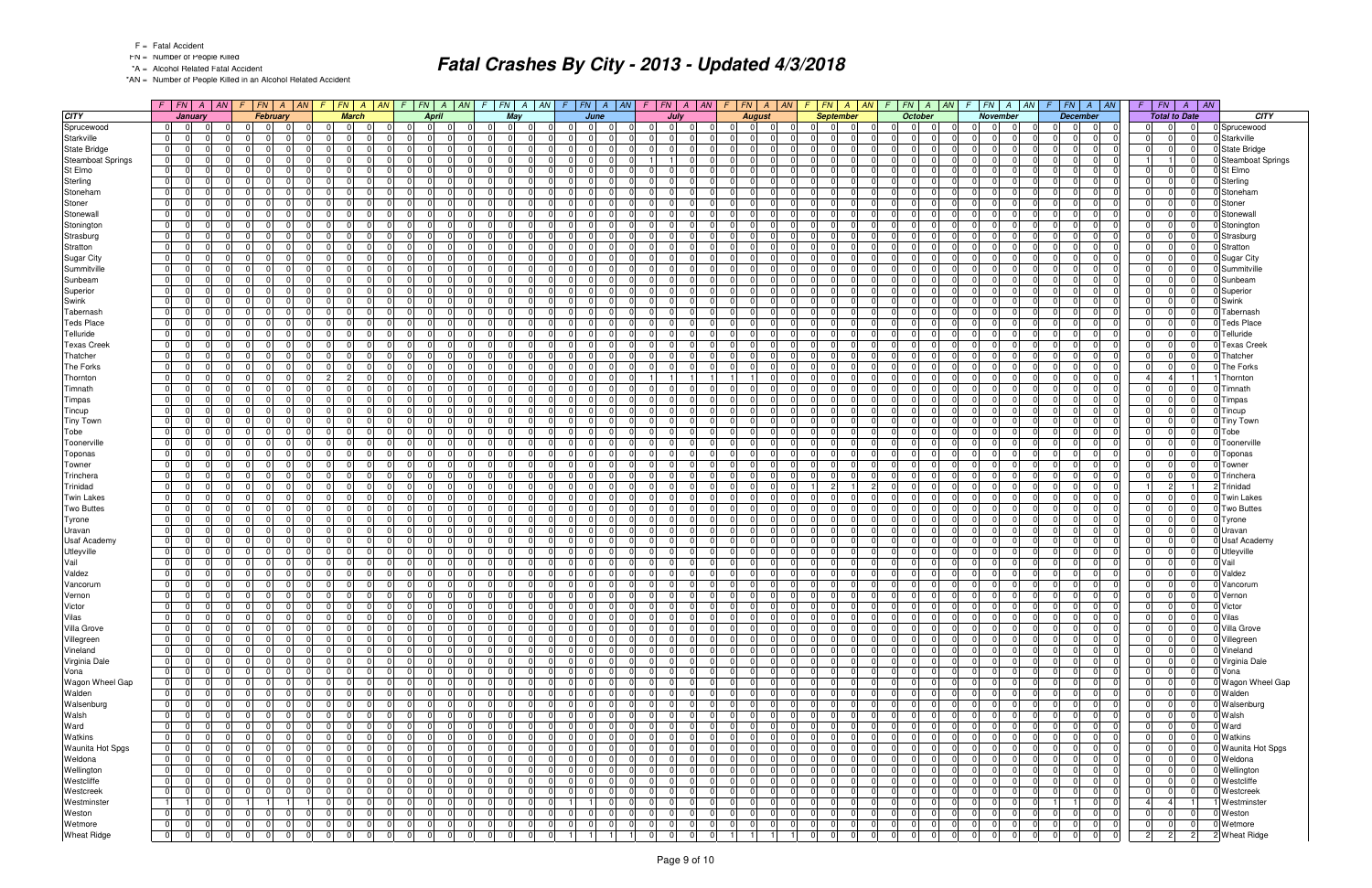- FN = Number of People Killed
- \*A = Alcohol Related Fatal Accident

\*AN = Number of People Killed in an Alcohol Related Accident

|                          | $F$ $FN$ $A$ $AN$                                  | F.             | $FN \mid A \mid AN$        | F.                               | $FN \mid A \mid AN$       | $FN \mid A \mid AN \mid$<br>F                      | $\sqrt{F}$ | $FN \mid A \mid AN$              |                                  | $F$ $FN$ $A$ $AN$ | $F$   $FN$                       | $\mathcal{A}$  | AN <br>F.      | $FN \mid A \mid AN$     | F.             | $\mid FN \mid A \mid AN$         | $\sqrt{F}$           | $FN \mid A \mid AN$     | F.             | FN A AN                    | $F$ $FN$ $A$ $AN$                                  | $\mathcal{F}$  | $\overline{AN}$<br>FN<br>$\overline{A}$ |                     |
|--------------------------|----------------------------------------------------|----------------|----------------------------|----------------------------------|---------------------------|----------------------------------------------------|------------|----------------------------------|----------------------------------|-------------------|----------------------------------|----------------|----------------|-------------------------|----------------|----------------------------------|----------------------|-------------------------|----------------|----------------------------|----------------------------------------------------|----------------|-----------------------------------------|---------------------|
| <b>CITY</b>              | January                                            |                | <b>February</b>            |                                  | <b>March</b>              | <b>April</b>                                       |            | May                              |                                  | June              | July                             |                |                | <b>August</b>           |                | <b>September</b>                 |                      | <b>October</b>          |                | <b>November</b>            | <b>December</b>                                    |                | <b>Total to Date</b>                    | <b>CITY</b>         |
| Sprucewood               | $\overline{0}$<br> 0 <br>0                         | $\Omega$       | $\Omega$                   | $\mathbf 0$                      | - 0                       | $\Omega$<br>$\Omega$                               |            | 01<br>$\overline{0}$             | $\Omega$<br>$\Omega$             | $\Omega$          | $\overline{0}$<br>$\Omega$       | $\Omega$       | $\Omega$       | - 0<br>$\Omega$         |                | 0<br>$\Omega$                    | $\Omega$             | $\Omega$<br>$\Omega$    | $\Omega$       | $\overline{0}$<br>- 0      | $\Omega$<br>0                                      |                | $\Omega$<br>$\Omega$                    | 0 Sprucewood        |
| Starkville               | $\overline{0}$<br>$\Omega$<br>ΩI                   | 0 I            | $\Omega$                   | $\Omega$                         | $\Omega$                  | $\Omega$<br>$\Omega$<br>n.                         |            | $\Omega$<br>$\Omega$             | $\Omega$<br>$\Omega$             |                   | $\Omega$<br>$\Omega$             | <sup>0</sup>   | $\overline{0}$ | $\Omega$                | $\Omega$       | $\Omega$<br>$\Omega$             | $\Omega$             | $\Omega$<br>$\Omega$    | $\Omega$       | -01                        | $\Omega$<br>$\Omega$<br><sup>n</sup>               |                | $\Omega$<br>O                           | 0 Starkville        |
| <b>State Bridge</b>      | 0 <br>$\Omega$<br>$\Omega$                         | $\overline{0}$ | $\Omega$                   | $\mathbf 0$                      | $\Omega$                  | $\overline{0}$<br>$\Omega$<br>$\Omega$             |            | $\Omega$<br>$\Omega$             | $\overline{0}$<br>$\Omega$       | $\Omega$          | $\Omega$<br>$\Omega$             | $\Omega$       | 0              | $\Omega$<br>$\cap$      | $\Omega$       | $\Omega$<br>$\Omega$             | $\Omega$             | 0 <br>$\Omega$          | $\overline{0}$ | -01<br>$\Omega$            | $\overline{0}$<br>$\Omega$<br>$\Omega$             |                | $\Omega$<br>$\Omega$                    | 0 State Bridge      |
| <b>Steamboat Springs</b> | $\overline{0}$<br>$\Omega$<br>$\Omega$             | - 0 I          | $\Omega$                   | $\Omega$                         | $\Omega$                  | $\Omega$<br>$\Omega$<br>$\Omega$                   |            | - 0 I<br>$\Omega$                | $\Omega$<br>0                    | $\Omega$          |                                  | $\Omega$       | $\Omega$       | $\Omega$                | $\Omega$       | $\Omega$<br>$\Omega$             | $\Omega$<br>$\Omega$ | $\Omega$                | $\Omega$       | $\overline{0}$             | $\Omega$<br>$\Omega$                               |                | $\Omega$                                | 0 Steamboat Springs |
| St Elmo                  | 0 <br>$\Omega$<br>$\Omega$                         | 0 I            | $\Omega$                   | $\Omega$                         | $\Omega$                  | 0 <br>$\Omega$<br>$\Omega$                         |            | - 0 I<br>$\Omega$                | $\Omega$<br>$\Omega$             | $\Omega$          | 0 I<br>$\Omega$                  | $\Omega$       | $\Omega$       | $\Omega$                | $\Omega$       | $\Omega$<br>$\Omega$             | $\Omega$             | $\Omega$<br>$\Omega$    | $\Omega$       | -01                        | $\Omega$<br>$\Omega$                               |                | $\Omega$                                | 0 St Elmo           |
| Sterling                 | $\overline{0}$<br>$\Omega$<br>$\Omega$             | 0              | $\Omega$                   | $\mathbf 0$                      | $\Omega$                  | $\Omega$<br>$\Omega$<br>$\Omega$                   |            | $\overline{0}$<br>0              | $\mathbf 0$<br>$\Omega$          | $\Omega$          | $\overline{0}$<br>$\Omega$       | $\Omega$       | $\overline{0}$ | $\Omega$                | $\mathbf 0$    | $\Omega$<br>$\Omega$             | $\Omega$             | $\Omega$<br>$\Omega$    | $\overline{0}$ | 0                          | 0<br>$\mathbf 0$                                   |                | $\overline{0}$<br>$\Omega$              | 0 Sterling          |
| Stoneham                 | 0 <br>$\Omega$<br>$\Omega$                         | - 0 I          | $\Omega$                   | $\Omega$                         | $\Omega$                  | $\Omega$<br>$\Omega$<br>$\Omega$                   |            | - 0 I<br>$\Omega$                | $\Omega$<br>$\Omega$             | $\Omega$          | $\Omega$<br>$\Omega$             | $\Omega$       | $\overline{0}$ | $\Omega$                | $\Omega$       | $\Omega$<br>$\Omega$             | $\Omega$             | $\Omega$<br>$\Omega$    | $\Omega$       | $\Omega$                   | $\Omega$<br>$\Omega$<br>$\Omega$                   |                | $\Omega$<br>$\Omega$                    | 0 Stoneham          |
|                          |                                                    |                | $\Omega$                   |                                  |                           | $\Omega$                                           |            |                                  | $\Omega$<br>$\Omega$             | $\Omega$          |                                  | $\Omega$       |                |                         | $\mathbf 0$    | $\Omega$<br>$\Omega$             | $\Omega$             |                         | $\Omega$       | - 0                        | $\Omega$<br>$\Omega$<br>$\Omega$                   |                | $\Omega$<br>$\Omega$                    |                     |
| Stoner                   | 0 <br>$\overline{0}$<br>$\Omega$                   | - 0 I          | $\Omega$                   | $\Omega$                         | $\overline{0}$            | 0 <br>$\Omega$                                     |            | $\mathbf 0$<br>$\Omega$          |                                  |                   | 0 I<br>$\Omega$                  |                | $\overline{0}$ | $\Omega$                |                |                                  |                      | $\Omega$<br>$\Omega$    |                | $\overline{0}$             | $\cap$                                             |                |                                         | 0 Stoner            |
| Stonewall                | $\overline{0}$<br>$\Omega$<br>$\Omega$             | $\Omega$       | $\Omega$                   | $\Omega$                         | $\Omega$                  | $\Omega$<br>$\Omega$<br><sup>0</sup>               |            | $\Omega$<br>$\Omega$             | $\Omega$<br><sup>0</sup>         | $\Omega$          | $\Omega$<br>$\Omega$             | $\Omega$       | $\Omega$       | $\Omega$                | $\Omega$       | $\Omega$<br>$\Omega$             | $\Omega$             | $\Omega$<br>$\Omega$    | $\Omega$       | -01                        | $\Omega$<br>$\Omega$                               |                | $\Omega$<br>$\Omega$                    | 0 Stonewall         |
| Stonington               | $\overline{0}$<br>$\Omega$<br>$\Omega$             | 0 I            | $\Omega$                   | $\Omega$                         | $\Omega$                  | $\overline{0}$<br>$\Omega$<br>$\Omega$             |            | $\mathbf 0$<br>$\Omega$          | $\Omega$<br>$\Omega$             | $\Omega$          | 0 I<br>$\Omega$                  | $\Omega$       | $\overline{0}$ | $\Omega$                | $\Omega$       | $\Omega$<br>$\Omega$             | $\Omega$             | $\Omega$<br>$\Omega$    | $\Omega$       | 0                          | $\Omega$<br>$\Omega$<br>$\Omega$                   |                | $\Omega$<br>$\Omega$                    | 0 Stonington        |
| Strasburg                | $\overline{0}$<br>$\Omega$<br>$\Omega$             | - 0 I          | $\Omega$                   | $\Omega$                         | $\Omega$                  | $\overline{0}$<br>$\Omega$<br>$\Omega$             |            | - 0 I<br>$\overline{0}$          | $\overline{0}$<br>$\Omega$       | $\Omega$          | $\overline{0}$<br>$\Omega$       | $\Omega$       | $\overline{0}$ | $\Omega$                | $\Omega$       | $\Omega$<br>$\Omega$             | $\overline{0}$       | $\Omega$<br>$\Omega$    | $\Omega$       | -01                        | $\Omega$<br>$\Omega$<br>$\Omega$                   |                | $\Omega$<br>$\overline{0}$              | 0 Strasburg         |
| Stratton                 | $\overline{0}$<br>$\Omega$<br>$\Omega$             | - 0 I          | $\Omega$                   | $\Omega$                         | $\Omega$                  | 0 <br>$\Omega$<br><sup>0</sup>                     |            | $\Omega$<br>$\Omega$             | $\Omega$<br>0                    | $\Omega$          | $\Omega$<br>$\Omega$             | $\Omega$       | $\Omega$       | $\Omega$                | $\Omega$       | 0<br>$\Omega$                    | $\Omega$<br>$\Omega$ | $\Omega$                | $\Omega$       | 0                          | $\Omega$<br>$\Omega$                               |                | $\Omega$<br>$\Omega$                    | 0 Stratton          |
| Sugar City               | 0 <br>$\Omega$<br>$\Omega$                         | $\overline{0}$ | $\Omega$                   | $\Omega$                         | $\Omega$                  | $\Omega$<br>$\Omega$<br>$\Omega$                   |            | $\Omega$<br>$\Omega$             | $\Omega$<br>$\Omega$             | $\Omega$          | $\Omega$<br>$\Omega$             | $\Omega$       | $\Omega$       | $\Omega$                | $\Omega$       | $\Omega$<br>$\Omega$             | $\Omega$             | $\Omega$<br>$\Omega$    | $\Omega$       | -01                        | $\Omega$<br>$\cap$<br>$\Omega$                     |                | $\Omega$<br>$\Omega$                    | 0 Sugar City        |
| Summitville              | $\overline{0}$<br>$\Omega$<br>$\Omega$             | $\overline{0}$ | $\Omega$                   | $\mathbf 0$                      | $\Omega$                  | $\overline{0}$<br>$\Omega$<br>$\Omega$             |            | 0 <br>$\overline{0}$             | $\mathbf 0$<br>$\Omega$          | $\Omega$          | $\overline{0}$<br>$\Omega$       | $\Omega$       | $\overline{0}$ | $\Omega$                | $\overline{0}$ | $\Omega$<br>$\Omega$             | $\Omega$             | $\Omega$<br>$\Omega$    | $\overline{0}$ | 0                          | $\mathbf 0$<br>$\mathbf 0$<br>$\Omega$             |                | $\Omega$<br>$\Omega$                    | 0 Summitville       |
| Sunbeam                  | 0 <br>$\Omega$<br>$\Omega$                         | - 0 I          | $\Omega$                   | $\Omega$                         | $\Omega$                  | $\Omega$<br>$\Omega$<br>$\Omega$                   |            | 0 I<br>$\Omega$                  | $\overline{0}$<br>$\Omega$       | $\Omega$          | $\Omega$<br>$\Omega$             | $\Omega$       | $\overline{0}$ | $\Omega$                | $\Omega$       | $\Omega$<br>$\Omega$             | $\Omega$<br>$\Omega$ | $\Omega$                | $\Omega$       | $\Omega$                   | $\Omega$<br>$\Omega$<br>$\Omega$                   |                | $\Omega$<br>$\Omega$                    | 0 Sunbeam           |
| Superior                 | $\overline{0}$<br>$\Omega$<br>$\Omega$             | - 0 I          | $\Omega$<br>$\Omega$       | $\Omega$                         | $\Omega$                  | 0 <br>$\Omega$<br>$\Omega$                         |            | $\mathbf 0$<br>$\Omega$          | $\Omega$<br>$\Omega$             | $\Omega$          | 0 I<br>$\Omega$                  | $\Omega$       | $\overline{0}$ | $\Omega$                | $\Omega$       | 0<br>$\Omega$                    | $\Omega$             | $\Omega$<br>$\Omega$    | $\Omega$       | $\overline{0}$<br>- 0      | $\Omega$<br>$\Omega$<br>$\Omega$                   |                | $\Omega$<br>$\Omega$                    | 0 Superior          |
| Swink                    | $\Omega$<br>$\Omega$<br>$\Omega$                   | - 0 I          | $\Omega$                   | $\Omega$                         | $\Omega$                  | $\Omega$<br>$\Omega$<br>n                          |            | $\Omega$<br>$\Omega$             | $\Omega$<br><sup>n</sup>         | $\Omega$          | $\Omega$<br>$\Omega$             | <sup>0</sup>   | $\Omega$       | $\Omega$                | $\Omega$       | 0<br>$\Omega$                    | $\Omega$<br>$\Omega$ | $\Omega$                | $\Omega$       | $\overline{0}$             | $\Omega$<br>$\Omega$                               |                | $\Omega$<br>$\Omega$                    | 0 Swink             |
| Tabernash                | $\overline{0}$<br>$\Omega$<br>$\Omega$             | $\mathbf 0$    | $\Omega$                   | $\overline{0}$                   | $\Omega$                  | $\overline{0}$<br>$\Omega$<br>$\Omega$             |            | $\Omega$<br>$\Omega$             | $\mathbf 0$<br>$\Omega$          | $\Omega$          | $\Omega$<br>.0                   | $\Omega$       | $\Omega$       | $\Omega$                | $\Omega$       | 0<br>$\Omega$                    | $\Omega$             | $\Omega$<br>$\Omega$    | $\Omega$       | 0                          | $\Omega$<br>$\Omega$                               |                | $\Omega$<br>$\Omega$                    | 0 Tabernash         |
| <b>Teds Place</b>        | $\overline{0}$<br>$\Omega$<br>$\Omega$             | - 0 l          | $\Omega$                   | $\overline{0}$                   | $\Omega$                  | 0 <br>$\Omega$<br>$\Omega$                         |            | - 0 l<br>$\Omega$                | $\mathbf 0$<br>$\Omega$          | $\Omega$          | 0 I<br>$\Omega$                  | $\Omega$       | $\overline{0}$ | $\Omega$                | $\Omega$       | $\Omega$<br>$\Omega$             | $\Omega$             | $\Omega$<br>$\Omega$    | $\Omega$       | 0                          | $\mathbf 0$<br>$\Omega$                            |                | $\Omega$<br>$\Omega$                    | <b>Teds Place</b>   |
| Telluride                | 0 <br>$\Omega$<br>$\Omega$                         | - 0 l          | $\Omega$                   | $\Omega$                         | $\Omega$                  | $\Omega$<br>$\Omega$<br>$\Omega$                   |            | $\Omega$<br>$\Omega$             | $\overline{0}$<br>$\Omega$       | $\Omega$          | $\Omega$<br>$\Omega$             | $\Omega$       | $\Omega$       | $\Omega$<br>$\Omega$    | $\Omega$       | $\Omega$<br>$\Omega$             | $\Omega$<br>$\Omega$ | $\Omega$                | $\Omega$       | $\overline{0}$             | $\Omega$<br>$\Omega$                               |                | $\Omega$<br>$\Omega$                    | 0 Telluride         |
| <b>Texas Creek</b>       | $\overline{0}$<br>$\Omega$<br>$\Omega$             | 0 I            | $\Omega$<br>$\Omega$       | $\Omega$                         | $\Omega$                  | 0 <br>$\Omega$<br>$\Omega$                         |            | 0 I<br>$\overline{0}$            | $\Omega$<br>$\Omega$             | $\Omega$          | 0 I<br>$\Omega$                  | $\Omega$       | $\overline{0}$ | $\Omega$                | $\overline{0}$ | $\Omega$<br>$\Omega$             | $\overline{0}$       | - 0 l<br>0 I            | $\Omega$       | -01                        | $\Omega$<br>$\Omega$<br>$\Omega$                   |                | $\Omega$<br>$\Omega$                    | <b>Texas Creek</b>  |
| Thatcher                 | $\mathbf{0}$<br>$\Omega$<br>$\Omega$               | 0              | $\Omega$                   | $\mathbf 0$                      | $\Omega$                  | $\overline{0}$<br>$\Omega$<br>$\Omega$             |            | $\Omega$<br>$\Omega$             | $\Omega$<br>0                    | $\Omega$          | $\Omega$<br>$\Omega$             | $\Omega$       | $\overline{0}$ | $\Omega$                | $\Omega$       | $\Omega$<br>$\Omega$             | $\Omega$             | $\Omega$<br>$\Omega$    | $\Omega$       | 0                          | $\Omega$<br>$\mathbf 0$                            |                | $\Omega$<br>$\Omega$                    | Thatcher            |
| The Forks                | $\overline{0}$<br>$\Omega$<br>$\Omega$             | 0 I            | $\Omega$                   | $\Omega$                         | $\Omega$                  | $\Omega$<br>$\Omega$<br>$\Omega$                   |            | 0 I<br>$\Omega$                  | $\Omega$<br>$\Omega$             | $\Omega$          | $\overline{0}$<br>$\Omega$       | $\Omega$       | $\overline{0}$ | $\Omega$                | $\Omega$       | $\Omega$<br>$\Omega$             | $\Omega$             | $\Omega$<br>$\Omega$    | $\Omega$       | -01                        | $\Omega$<br>$\Omega$<br><sup>0</sup>               |                | $\Omega$<br>$\Omega$                    | 0The Forks          |
| Thornton                 | 0 <br>$\Omega$<br>$\Omega$                         | - 0 l          | $\Omega$                   | $\overline{2}$                   | $\Omega$<br>$\mathcal{P}$ | $\overline{0}$<br>$\Omega$<br>$\Omega$             |            | $\Omega$<br>$\overline{0}$       | $\overline{0}$<br>$\Omega$       | $\Omega$          |                                  |                |                | $\Omega$                | $\Omega$       | $\Omega$<br>$\Omega$             | $\Omega$             | $\Omega$<br>$\Omega$    | $\Omega$       | -01<br>$\Omega$            | $\Omega$<br>$\Omega$<br>$\Omega$                   |                |                                         | Thornton            |
| Timnath                  | $\overline{0}$<br>$\Omega$<br>$\Omega$             | 0 I            | $\Omega$                   | $\Omega$                         | $\Omega$                  | 0 <br>$\Omega$<br>$\Omega$                         |            | - 0 I<br>$\Omega$                | $\Omega$<br>0                    | $\Omega$          | $\Omega$<br>$\Omega$             |                | $\Omega$       | $\Omega$                | $\Omega$       | $\Omega$<br>$\Omega$             | $\overline{0}$       | $\Omega$<br>$\Omega$    | $\Omega$       | 0                          | $\Omega$<br>$\Omega$                               |                | $\Omega$<br>$\Omega$                    | Timnath             |
| Timpas                   | 0 <br>$\Omega$<br>$\Omega$                         | $\overline{0}$ | $\Omega$                   | $\Omega$                         | $\Omega$                  | $\Omega$<br>$\Omega$<br>$\Omega$                   |            | - 0 I<br>$\Omega$                | $\Omega$<br>$\Omega$             | $\Omega$          | $\overline{0}$<br>$\Omega$       | $\Omega$       | -01            | $\Omega$                | $\Omega$       | $\Omega$<br>$\Omega$             | $\Omega$             | n<br>$\Omega$           | $\Omega$       | - Ol                       | $\Omega$<br>$\Omega$                               |                | $\Omega$<br>$\Omega$                    | 0 Timpas            |
| Tincup                   | $\overline{0}$<br>$\Omega$<br>$\Omega$             | 0              | $\Omega$                   | $\Omega$                         | $\Omega$                  | 0 <br>$\Omega$<br>$\Omega$                         |            | - 0 I<br>$\Omega$                | $\overline{0}$<br>$\Omega$       | $\Omega$          | 0 I<br>$\overline{0}$            | $\Omega$       | $\overline{0}$ | $\Omega$                | $\Omega$       | $\Omega$<br>$\Omega$             | $\Omega$             | $\Omega$<br>$\Omega$    | $\Omega$       | 0                          | $\Omega$<br>$\Omega$                               |                | $\Omega$<br>$\overline{0}$              | 0 Tincup            |
| <b>Tiny Town</b>         | 0 <br>$\Omega$<br>$\Omega$                         | $\Omega$       | $\Omega$                   | $\Omega$                         | $\Omega$                  | $\Omega$<br>$\Omega$<br>$\Omega$                   |            | $\Omega$<br>$\Omega$             | $\Omega$<br>$\Omega$             | $\Omega$          | $\Omega$<br>$\Omega$             | $\Omega$       | $\Omega$       | $\Omega$                | $\Omega$       | $\Omega$<br>$\Omega$             | $\Omega$<br>$\Omega$ | $\Omega$                | $\Omega$       | $\overline{0}$             | $\Omega$<br>$\Omega$                               |                | $\Omega$<br>$\Omega$                    | 0 Tiny Town         |
| Tobe                     | $\overline{0}$<br>$\Omega$<br>$\Omega$             | 0 I            | $\Omega$<br>$\Omega$       | $\Omega$                         | $\Omega$                  | 0 <br>$\Omega$<br>$\Omega$                         |            | 0 I<br>$\overline{0}$            | $\Omega$<br>$\Omega$             | $\Omega$          | $\Omega$<br>0 I                  | $\Omega$       | $\overline{0}$ | $\Omega$                | $\overline{0}$ | $\Omega$<br>$\Omega$             | $\overline{0}$       | $\Omega$<br>0 I         | $\Omega$       | -01                        | $\Omega$<br>$\Omega$<br>$\Omega$                   |                | $\overline{0}$<br>$\Omega$              | Tobe                |
| Toonerville              | $\overline{0}$<br>$\Omega$<br>$\Omega$             | $\Omega$       | $\Omega$                   | $\Omega$                         | $\Omega$                  | $\overline{0}$<br>$\Omega$                         |            | - 0 l<br>$\Omega$                | $\Omega$<br>0                    | $\Omega$          | $\Omega$<br>$\Omega$             | $\Omega$       | $\Omega$       | $\Omega$                | $\Omega$       | $\Omega$<br>$\Omega$             | $\Omega$             | $\Omega$<br>$\Omega$    | $\Omega$       | $\Omega$                   | $\Omega$<br>$\Omega$                               |                | $\Omega$<br>$\Omega$                    | Toonerville         |
| Toponas                  | $\overline{0}$<br>$\Omega$<br>$\Omega$             | - 0 l          | $\Omega$<br>$\Omega$       | $\Omega$                         | $\Omega$                  | 0 <br>$\Omega$<br>$\Omega$                         |            | 0 I<br>$\overline{0}$            | $\overline{0}$<br>$\Omega$       | $\Omega$          | 0 I<br>$\Omega$                  | $\Omega$       | $\overline{0}$ | $\Omega$<br>$\Omega$    | $\Omega$       | $\Omega$<br>$\Omega$             | $\Omega$             | $\Omega$<br>$\Omega$    | $\Omega$       | 0                          | $\mathbf 0$<br>$\Omega$<br>$\Omega$                |                | $\Omega$<br>$\Omega$                    | 0 Toponas           |
| Towner                   | $\overline{0}$<br>$\Omega$<br>$\Omega$             | - 0 l          | $\Omega$                   | $\Omega$                         | $\Omega$                  | 0 <br>$\Omega$<br>$\Omega$                         |            | - 0 l<br>$\overline{0}$          | $\overline{0}$<br>$\Omega$       | $\Omega$          | $\overline{0}$<br> 0             | $\Omega$       | $\overline{0}$ | $\Omega$                | $\Omega$       | $\Omega$<br>$\Omega$             | $\overline{0}$       | $\Omega$<br>$\Omega$    | $\Omega$       | -01                        | $\Omega$<br>$\Omega$<br>$\Omega$                   |                | $\Omega$<br>$\overline{0}$              | 0 Towner            |
| Trinchera                | $\overline{0}$<br>$\Omega$<br>$\Omega$             | $\mathbf 0$    | $\Omega$                   | $\Omega$                         | $\Omega$                  | 0 <br>$\Omega$<br>$\Omega$                         |            | $\mathbf 0$<br>$\Omega$          | $\Omega$<br>0                    | $\Omega$          | $\Omega$<br>$\Omega$             | $\Omega$       | $\Omega$       | $\Omega$                | $\Omega$       | 0<br>$\Omega$                    | $\Omega$<br>$\Omega$ | $\Omega$                | $\Omega$       | 0                          | $\Omega$<br>$\Omega$<br><sup>0</sup>               |                | $\Omega$<br>$\Omega$                    | 0 Trinchera         |
| Trinidad                 | 0 <br>$\Omega$<br>$\Omega$                         | $\overline{0}$ | $\Omega$                   | $\overline{0}$                   | $\Omega$                  | $\Omega$<br>$\Omega$<br>$\Omega$                   |            | $\Omega$<br>$\Omega$             | $\Omega$<br>$\Omega$             | $\Omega$          | $\Omega$<br>$\Omega$             | $\Omega$       | -01            | $\Omega$                | $\overline{1}$ | $2^{\circ}$                      | $\Omega$             | $\Omega$<br>- 0 I       | $\Omega$       | -01                        | $\Omega$<br>$\Omega$<br>$\cap$                     |                | $\mathcal{P}$                           | Trinidad            |
|                          | $\Omega$                                           |                |                            |                                  |                           |                                                    |            |                                  | $\mathbf 0$                      | $\Omega$          |                                  | $\Omega$       |                |                         |                | $\Omega$                         |                      | $\Omega$                |                |                            |                                                    |                |                                         |                     |
| <b>Twin Lakes</b>        | $\overline{0}$<br>$\Omega$                         | $\overline{0}$ | $\Omega$                   | $\mathbf 0$                      | $\Omega$                  | 0 <br>$\Omega$<br>$\Omega$                         |            | 0 <br>0                          | $\Omega$                         | $\Omega$          | $\overline{0}$<br>$\Omega$       |                | $\overline{0}$ | $\Omega$                | $\mathbf 0$    | $\Omega$<br>$\Omega$             | $\Omega$             | $\Omega$                | $\overline{0}$ | 0                          | $\mathbf 0$<br>0<br>$\Omega$<br>$\Omega$           |                | $\Omega$<br>$\Omega$                    | 0 Twin Lakes        |
| <b>Two Buttes</b>        | 0 <br>$\Omega$<br>$\Omega$                         | - 0 I          | $\Omega$                   | $\Omega$                         | $\Omega$                  | $\Omega$<br>$\Omega$<br>$\Omega$                   |            | 0 I<br>$\Omega$                  | $\overline{0}$<br>$\Omega$       |                   | $\Omega$<br>$\Omega$             | $\Omega$       | $\overline{0}$ | $\Omega$                | $\Omega$       | $\Omega$                         | $\Omega$<br>$\Omega$ | $\Omega$                | $\Omega$       | $\Omega$                   | $\Omega$<br>$\Omega$                               |                | $\Omega$<br>$\overline{0}$              | 0 Two Buttes        |
| Tyrone                   | 0 <br>$\Omega$<br>$\Omega$                         | 0 I            | $\Omega$<br>$\Omega$       | $\Omega$                         | $\overline{0}$            | 0 <br>$\Omega$<br>$\Omega$                         |            | $\mathbf 0$<br>$\Omega$          | $\Omega$<br>$\Omega$             | $\Omega$          | 0 I<br>$\Omega$                  | $\Omega$       | $\overline{0}$ | $\Omega$                | $\mathbf 0$    | $\Omega$<br>$\Omega$             | - 01                 | $\Omega$<br>$\Omega$    | $\Omega$       | 0 <br>- 0                  | $\Omega$<br>$\Omega$<br>$\Omega$                   |                | $\overline{0}$<br>$\Omega$              | 0 Tyrone            |
| Uravan                   | $\overline{0}$<br>$\Omega$<br>$\Omega$             | 0              | $\Omega$                   | $\Omega$                         | $\Omega$                  | $\overline{0}$<br>$\Omega$<br>$\Omega$             |            | $\Omega$<br>$\Omega$             | $\Omega$<br><sup>0</sup>         | $\Omega$          | $\Omega$<br>$\Omega$             | $\Omega$       | $\Omega$       | $\Omega$                | $\Omega$       | $\Omega$<br>$\Omega$             | $\Omega$<br>$\Omega$ | $\Omega$                | $\Omega$       | -01                        | $\Omega$<br>$\Omega$<br>$\Omega$                   |                | $\Omega$<br>$\Omega$                    | Uravan              |
| <b>Usaf Academy</b>      | $\overline{0}$<br>$\Omega$<br>$\Omega$             | - 0 I          | $\Omega$                   | $\Omega$                         | $\Omega$                  | $\overline{0}$<br>$\Omega$<br>$\Omega$             |            | $\mathbf 0$<br>$\Omega$          | $\mathbf 0$<br>$\Omega$          | $\Omega$          | $\Omega$<br>$\Omega$             | $\Omega$       | $\overline{0}$ | $\Omega$                | $\Omega$       | $\Omega$<br>$\Omega$             | $\Omega$             | $\Omega$<br>$\Omega$    | $\Omega$       | 0                          | $\Omega$<br>$\Omega$<br>$\Omega$                   |                | $\Omega$<br>$\Omega$                    | 0 Usaf Academy      |
| Utleyville               | $\overline{0}$<br>$\Omega$<br>$\Omega$             | 0 I            | $\Omega$                   | $\Omega$                         | $\Omega$                  | $\overline{0}$<br>$\Omega$<br>$\Omega$             |            | - 0 I<br>$\overline{0}$          | $\overline{0}$<br>$\Omega$       | $\Omega$          | $\overline{0}$<br>$\Omega$       | $\Omega$       | $\overline{0}$ | $\Omega$                | $\Omega$       | $\Omega$<br>$\Omega$             | $\Omega$             | $\Omega$<br>$\Omega$    | $\Omega$       | -01                        | $\Omega$<br>$\Omega$<br>$\Omega$                   |                | $\overline{0}$<br>$\Omega$              | 0 Utleyville        |
| Vail                     | $\overline{0}$<br>$\Omega$<br>$\Omega$             | - 0 I          | $\Omega$<br>$\Omega$       | $\Omega$                         | $\Omega$                  | 0 <br>$\Omega$<br>$\Omega$                         |            | $\mathbf 0$<br>$\Omega$          | $\overline{0}$<br>$\Omega$       | $\Omega$          | $\Omega$<br>$\Omega$             | $\Omega$       | 01             | $\Omega$<br>- 0         | $\Omega$       | 0<br>$\Omega$                    | $\Omega$<br>$\Omega$ | $\Omega$                | $\Omega$       | 0                          | $\Omega$<br>$\Omega$<br>$\Omega$                   |                | $\Omega$<br>$\Omega$                    | Vail                |
| Valdez                   | $\overline{0}$<br>$\Omega$<br>$\Omega$             | 0 I            | $\Omega$                   | $\Omega$                         | $\Omega$                  | $\Omega$<br>$\Omega$<br>$\Omega$                   |            | $\Omega$<br>$\Omega$             | $\Omega$<br>ΩI                   | $\Omega$          | $\Omega$<br>$\Omega$             | $\Omega$       | $\Omega$       | $\Omega$                | $\Omega$       | $\Omega$<br>$\Omega$             | $\Omega$             | $\Omega$<br>$\Omega$    | $\Omega$       | -01                        | $\Omega$<br>$\Omega$<br>$\cap$                     |                | $\Omega$<br>$\Omega$                    | Valdez              |
| Vancorum                 | $\mathbf 0$<br>ΩI                                  | $\overline{0}$ | $\Omega$                   | 0                                | $\Omega$                  | 0 <br>$\Omega$<br>0                                |            | 0<br>0                           | 0<br>0                           |                   | $\Omega$<br>0                    | $\Omega$       | $\overline{0}$ |                         | $\mathbf 0$    | $\Omega$<br>0                    | $\Omega$<br>0        | $\Omega$                | $\overline{0}$ | $\mathbf 0$                | 0<br>0                                             |                | $\Omega$                                | Vancorum            |
| Vernon                   | $\overline{0}$<br>$\Omega$<br>$\Omega$             | 0 I            | $\overline{0}$             | $\mathbf 0$                      | -01                       | 0 <br>$\Omega$<br>$\Omega$                         |            | $\overline{0}$<br>$\overline{0}$ | $\mathbf 0$<br>$\Omega$          | $\Omega$          | $\overline{0}$<br>0 I            | $\Omega$       | $\overline{0}$ | $\Omega$                | $\Omega$       | $\Omega$<br>$\Omega$             | $\overline{0}$       | $\Omega$<br>0 I         | $\Omega$       | 0                          | $\Omega$<br>$\mathbf 0$<br>$\Omega$                |                | $\Omega$<br>$\Omega$                    | 0 Vernon            |
| Victor                   | 0<br>$\overline{0}$<br>0                           | $\Omega$       | 0                          | 0                                | 0                         | $\Omega$                                           |            | -01                              | 0<br>01                          |                   |                                  |                | 01             | $\Omega$                |                | 0<br>$\Omega$                    | 0                    | $\Omega$                | 0              | $\overline{0}$             | 0                                                  |                | $\Omega$<br>$\Omega$                    | 0 Victor            |
| Vilas                    | $\overline{0}$<br>$\overline{0}$<br>$\mathbf 0$    | $\overline{0}$ | 01<br>$\Omega$             | $\mathbf 0$                      | $\overline{0}$            | 0 <br>$\Omega$<br>$\overline{0}$                   |            | 01<br>$\mathbf 0$                | $\mathbf 0$<br>$\Omega$          | $\mathbf 0$       | 0 I<br>01                        |                | $\overline{0}$ | $\mathbf 0$<br>$\Omega$ | $\Omega$       | $\mathbf 0$<br>$\Omega$          | $\overline{0}$       | 0 <br>0 I               | $\overline{0}$ | 0                          | $\mathbf 0$<br> 0 <br>$\Omega$                     |                | $\Omega$<br>$\overline{0}$              | 0 Vilas             |
| Villa Grove              | 0 <br>$\Omega$<br>$\overline{0}$                   | 0              | $\Omega$                   | $\overline{0}$                   | -01                       | $\overline{0}$<br>$\Omega$<br>$\Omega$             |            | $\mathbf{0}$<br>$\overline{0}$   | $\overline{0}$<br>$\Omega$       | $\Omega$          | $\overline{0}$<br>$\overline{0}$ | $\Omega$       | 0              | $\Omega$<br>$\Omega$    | $\Omega$       | $\mathbf{0}$<br>$\Omega$         | $\mathbf{0}$         | 0 <br>$\Omega$          | $\overline{0}$ | 0                          | $\mathbf 0$<br>$\Omega$                            |                | $\Omega$<br>$\Omega$                    | 0 Villa Grove       |
| Villegreen               | $\overline{0}$<br>$\overline{0}$<br> 0             | $\overline{0}$ | 0                          | $\mathbf 0$                      | $\overline{0}$            | 0 <br>$\overline{0}$<br>$\overline{0}$             |            | $\overline{0}$<br> 0             | 0 <br>$\overline{0}$             | - 01              | 0 <br> 0                         | $\Omega$       | $\overline{0}$ | 0                       | $\mathbf{0}$   | $\overline{0}$<br>$\overline{0}$ | 0                    | 0 <br> 0                | $\overline{0}$ | 0                          | $\overline{0}$<br> 0 <br>$\Omega$                  |                | $\Omega$<br>$\overline{0}$              | 0 Villegreen        |
| Vineland                 | 0 <br>$\overline{0}$<br>$\overline{0}$             | $\overline{0}$ | $\overline{0}$             | $\mathbf 0$                      | -01                       | $\overline{0}$<br>$\overline{0}$<br>$\Omega$       |            | $\mathbf 0$<br> 0                | $\overline{0}$<br>$\overline{0}$ | $\mathbf 0$       | $\overline{0}$<br> 0             | $\Omega$       | $\overline{0}$ | $\Omega$<br>$\Omega$    | $\mathbf 0$    | $\mathbf{0}$<br>$\Omega$         | 0                    | 0 <br>$\Omega$          | $\Omega$       | 0 <br>$\Omega$             | $\overline{0}$<br> 0 <br>$\Omega$                  |                | $\Omega$<br>$\Omega$                    | 0 Vineland          |
| Virginia Dale            | $\overline{0}$<br>$\overline{0}$<br>$\mathbf 0$    | $\overline{0}$ | $\overline{0}$<br>$\Omega$ | $\mathbf 0$                      | $\overline{0}$            | 0 <br>$\Omega$<br>$\overline{0}$                   |            | $\overline{0}$<br> 0             | 0 <br>$\Omega$                   | 0                 | $\overline{0}$<br> 0             | $\Omega$       | 0              | $\mathbf 0$             | $\overline{0}$ | 0 <br>$\Omega$                   | 0                    | 0 <br> 0                | 0              | 0 <br>- 0                  | $\Omega$<br> 0 <br>$\Omega$                        |                | $\Omega$<br>$\Omega$                    | 0 Virginia Dale     |
| Vona                     | $\overline{0}$<br>$\mathbf{0}$<br>$\overline{0}$   | 0              | $\Omega$                   | $\mathbf 0$                      | $\Omega$                  | $\overline{0}$<br>$\mathbf 0$<br>$\Omega$          |            | 0 <br>$\overline{0}$             | $\mathbf 0$<br>$\overline{0}$    | $\mathbf 0$       | $\Omega$<br> 0                   | $\Omega$       | $\overline{0}$ | $\Omega$                | $\mathbf 0$    | $\mathbf 0$<br>$\Omega$          | $\mathbf{0}$         | $\mathbf 0$<br>$\Omega$ | $\overline{0}$ | 0                          | $\mathbf 0$<br>$\overline{0}$                      |                | $\Omega$<br>$\Omega$                    | 0 Vona              |
| Wagon Wheel Gap          | $\overline{0}$<br>$\overline{0}$<br>$\overline{0}$ | $\overline{0}$ | $\overline{0}$             | $\mathbf 0$                      | -01                       | $\overline{0}$<br>$\Omega$<br>$\Omega$             |            | $\overline{0}$<br> 0             | 0 <br>$\overline{0}$             | 0                 | $\overline{0}$<br> 0             | $\Omega$       | $\overline{0}$ | $\Omega$                | $\Omega$       | $\overline{0}$<br>$\Omega$       | 0                    | - 0 I<br>0 I            | 0              | 0                          | $\overline{0}$<br>$\Omega$<br> 0                   |                | $\Omega$<br>$\Omega$                    | 0 Wagon Wheel Gap   |
| Walden                   | $\overline{0}$<br>$\overline{0}$<br>$\Omega$       | $\overline{0}$ | $\Omega$                   | $\mathbf 0$                      | -01                       | $\overline{0}$<br>$\overline{0}$<br>$\mathbf{0}$   |            | 0 <br>$\mathbf 0$                | $\overline{0}$<br>$\mathbf 0$    | $\mathbf 0$       | $\overline{0}$<br> 0             | $\Omega$       | $\overline{0}$ | $\Omega$                | $\mathbf 0$    | $\mathbf{0}$<br>$\Omega$         | $\mathbf 0$          | 0 <br>$\Omega$          | 0              | 0 <br>$\Omega$             | $\overline{0}$<br> 0 <br>$\Omega$                  |                | $\Omega$<br>$\overline{0}$              | 0 Walden            |
| Walsenburg               | $\overline{0}$<br>$\overline{0}$<br>$\overline{0}$ | $\overline{0}$ | $\overline{0}$<br>$\Omega$ | $\mathbf 0$                      | $\overline{0}$            | $\overline{0}$<br>$\Omega$<br>$\Omega$             |            | $\overline{0}$<br>$\overline{0}$ | 0 <br>$\Omega$                   | 0                 | $\overline{0}$<br>$\overline{0}$ | $\Omega$       | $\overline{0}$ | $\mathbf 0$             | $\overline{0}$ | $\overline{0}$<br>$\Omega$       | 0                    | - 0 I<br>0 I            | $\overline{0}$ | 0                          | $\mathbf 0$<br> 0 <br>$\Omega$                     |                | $\overline{0}$<br>$\Omega$              | 0 Walsenburg        |
| Walsh                    | 0 <br>$\overline{0}$<br>$\overline{0}$             | $\overline{0}$ | $\Omega$                   | $\mathbf 0$                      | -01                       | $\overline{0}$<br>$\mathbf 0$<br>$\overline{0}$    |            | $\overline{0}$<br>$\mathbf{0}$   | 0 <br>$\Omega$                   | 0                 | $\overline{0}$<br>$\overline{0}$ | $\Omega$       | 0              | $\Omega$                | $\overline{0}$ | 0 <br>$\Omega$                   | $\mathbf 0$          | $\overline{0}$<br> 0    | $\overline{0}$ | 0 <br>$\Omega$             | $\mathbf 0$<br>$\Omega$<br> 0                      |                | $\Omega$<br>$\Omega$                    | 0 Walsh             |
| Ward                     | $\overline{0}$<br>$\overline{0}$<br>$\overline{0}$ | $\overline{0}$ | $\overline{0}$             | 0                                | 0 <br>$\Omega$            | 0 <br>0<br>$\overline{0}$                          |            | $\overline{0}$<br> 0             | 0 <br> 0                         | 0                 | 0 <br> 0                         | $\mathbf 0$    | $\overline{0}$ | $\mathbf{0}$            | $\overline{0}$ | $\overline{0}$<br>$\overline{0}$ | 0                    | 0 <br> 0                | $\overline{0}$ | 0                          | $\overline{0}$<br>$\overline{0}$<br> 0             |                | $\Omega$<br>$\mathbf 0$                 | 0 Ward              |
| Watkins                  | $\overline{0}$<br>$\overline{0}$<br>$\overline{0}$ | $\overline{0}$ | 0 <br>$\Omega$             | $\mathbf 0$                      | -01                       | $\overline{0}$<br>$\overline{0}$<br>$\Omega$       |            | $\overline{0}$<br> 0             | 0 <br>$\overline{0}$             | 0                 | $\overline{0}$<br>$\overline{0}$ | $\Omega$       | $\overline{0}$ | $\Omega$<br>$\Omega$    | $\mathbf 0$    | $\overline{0}$<br>$\Omega$       | 0                    | 0 <br>0 I               | $\overline{0}$ | 0                          | $\overline{0}$<br>$\Omega$<br> 0                   |                | $\Omega$<br>$\Omega$                    | 0 Watkins           |
| Waunita Hot Spgs         | $\overline{0}$<br>$\overline{0}$<br> 0             | $\overline{0}$ | $\mathbf 0$<br>0           | $\mathbf 0$                      | 0                         | 0 <br>$\Omega$<br>$\overline{0}$                   |            | $\overline{0}$<br> 0             | $\mathbf 0$<br>$\overline{0}$    | 0                 | 0 <br>01                         | $\Omega$       | 0              | 0 <br>$\Omega$          | $\mathbf 0$    | $\overline{0}$<br>$\overline{0}$ | 0                    | 0 <br> 0                | $\overline{0}$ | 0 <br>$\Omega$             | $\mathbf 0$<br> 0 <br>$\Omega$                     |                | $\Omega$<br>$\Omega$                    | 0 Waunita Hot Spgs  |
| Weldona                  | $\overline{0}$<br>$\overline{0}$<br>$\overline{0}$ | $\overline{0}$ | $\overline{0}$             | $\mathbf 0$                      | $\Omega$                  | $\overline{0}$<br>$\Omega$<br>$\Omega$             |            | $\overline{0}$<br>$\overline{0}$ | 0 <br>$\Omega$                   | 0                 | $\overline{0}$<br>0 I            | $\Omega$       | $\overline{0}$ | $\Omega$<br>$\Omega$    | $\mathbf 0$    | $\Omega$<br>$\Omega$             | $\mathbf 0$          | $\Omega$<br>- 0 I       | $\overline{0}$ | 0                          | $\Omega$<br>$\Omega$<br> 0                         |                | $\Omega$<br>$\overline{0}$              | 0 Weldona           |
| Wellington               | $\overline{0}$<br> 0 <br>$\overline{0}$            | $\overline{0}$ | $\overline{0}$<br>$\Omega$ | $\mathbf 0$                      | 0                         | $\overline{0}$<br>$\overline{0}$<br>$\overline{0}$ |            | $\overline{0}$<br> 0             | 0 <br>$\mathbf 0$                | 0                 | $\overline{0}$<br>$\overline{0}$ | $\overline{0}$ | $\overline{0}$ | 0 <br>-01               | $\mathbf 0$    | $\mathbf{0}$<br>$\overline{0}$   | 0                    | 0 <br> 0                | 0              | $\overline{0}$<br>- 0      | $\overline{0}$<br> 0 <br>$\overline{0}$            |                | $\Omega$<br>$\Omega$                    | 0 Wellington        |
| Westcliffe               | $\overline{0}$<br>$\overline{0}$<br>$\overline{0}$ | $\overline{0}$ | 0 <br>$\Omega$             | $\mathbf 0$                      | -01                       | $\overline{0}$<br>$\overline{0}$<br>$\overline{0}$ |            | $\overline{0}$<br> 0             | 0 <br>$\overline{0}$             | 0                 | $\overline{0}$<br>$\overline{0}$ | $\overline{0}$ | $\overline{0}$ | $\mathbf 0$             | $\mathbf 0$    | 0 <br>$\Omega$                   | $\mathbf 0$          | $\overline{0}$<br> 0    | $\overline{0}$ | 0 <br>$\Omega$             | $\overline{0}$<br>$\Omega$<br> 0                   |                | $\Omega$<br>$\overline{0}$              | 0 Westcliffe        |
|                          | $\overline{0}$<br>$\overline{0}$                   | $\overline{0}$ | $\Omega$                   | $\overline{0}$                   | $\overline{0}$            | 0 <br>$\Omega$<br>$\overline{0}$                   |            | $\overline{0}$                   | $\mathbf 0$<br>$\overline{0}$    | 0                 | 0 I                              | $\Omega$       |                | $\mathbf 0$<br>- 0      | $\mathbf 0$    | $\overline{0}$<br>$\Omega$       | $\mathbf 0$          | 0 <br>$\Omega$          | $\overline{0}$ | - 0                        | $\mathbf 0$<br> 0 <br>$\Omega$                     |                | $\Omega$<br>$\Omega$                    | 0 Westcreek         |
| Westcreek                | $\overline{0}$<br>11<br>$\overline{0}$             |                | $\overline{0}$             | $\mathbf 0$                      | -01                       | $\overline{0}$<br>$\Omega$<br>$\Omega$             |            | 01<br>0 I                        | $\mathbf{1}$                     | 0                 | 01<br>$\overline{0}$             | $\Omega$       | $\overline{0}$ | - 0 I<br>$\Omega$       | $\overline{0}$ | $\Omega$                         | $\mathbf{0}$         | $\overline{0}$          | $\overline{0}$ | 0 <br> 0 <br>$\Omega$      | 0                                                  |                |                                         |                     |
| Westminster              |                                                    |                |                            |                                  |                           |                                                    |            | 0                                |                                  |                   | 0                                |                | 0              |                         |                | 0 <br>$\mathbf{0}$               |                      | 0                       |                |                            |                                                    |                |                                         | Westminster         |
| Weston                   | 0 <br>$\overline{0}$<br>$\overline{0}$             | 01             | $\overline{0}$<br>0        | $\mathbf 0$                      | 0 <br>$\Omega$            | 0 <br>0<br>$\overline{0}$                          |            | $\overline{0}$<br>$\mathbf 0$    | 0 <br>$\overline{0}$             | 0                 | 0 <br>01                         | $\mathbf 0$    | $\overline{0}$ | 0                       | $\mathbf 0$    | $\overline{0}$                   | $\mathbf{0}$         | 0 <br> 0                | $\overline{0}$ | 0                          | $\overline{0}$<br> 0 <br>$\overline{0}$            |                | 0<br>0                                  | 0 Weston            |
| Wetmore                  | $\overline{0}$<br>$\overline{0}$<br>$\overline{0}$ | $\overline{0}$ | 0 <br>$\mathbf 0$          | $\mathbf 0$<br>$\Omega$          | 0 <br>$\Omega$            | $\overline{0}$<br>$\overline{0}$<br> 0             | $\Omega$   | $\overline{0}$<br> 0             | $\overline{0}$<br>$\overline{0}$ | 0                 | 0 <br>$\overline{0}$             | 0              | 0              | $\overline{0}$<br>01    | $\overline{0}$ | 0 <br>$\overline{0}$             | 0                    | $\overline{0}$<br> 0    | 0              | 0 <br>$\Omega$<br>$\Omega$ | $\overline{0}$<br>$\overline{0}$<br>$\overline{0}$ | $\Omega$       | $\mathbf 0$<br>$\overline{0}$           | 0 Wetmore           |
| <b>Wheat Ridge</b>       | $\overline{0}$<br> 0 <br>$\overline{0}$            | $\overline{0}$ | 0 <br>$\overline{0}$       | $\overline{0}$<br>$\overline{0}$ | 0 <br>$\mathbf 0$         | $\overline{0}$<br>$\overline{0}$<br>$\mathbf 0$    | $\Omega$   | $\overline{0}$<br>$\overline{0}$ | $\overline{1}$                   |                   | $\overline{0}$<br>$\overline{0}$ | $\mathbf 0$    |                |                         | $\overline{0}$ | 0 <br>$\overline{0}$             | 0                    | $\overline{0}$<br> 0    | $\overline{0}$ | 0 <br>$\Omega$             | 0 <br> 0 <br>$\overline{0}$                        | $\overline{2}$ | 2 <br>$\overline{2}$                    | 2 Wheat Ridge       |